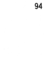94

 $\label{eq:2.1} \frac{1}{\sqrt{2}}\left(\frac{1}{\sqrt{2}}\right)^{2} \left(\frac{1}{\sqrt{2}}\right)^{2} \left(\frac{1}{\sqrt{2}}\right)^{2} \left(\frac{1}{\sqrt{2}}\right)^{2} \left(\frac{1}{\sqrt{2}}\right)^{2} \left(\frac{1}{\sqrt{2}}\right)^{2} \left(\frac{1}{\sqrt{2}}\right)^{2} \left(\frac{1}{\sqrt{2}}\right)^{2} \left(\frac{1}{\sqrt{2}}\right)^{2} \left(\frac{1}{\sqrt{2}}\right)^{2} \left(\frac{1}{\sqrt{2}}\right)^{2} \left(\$ 

 $\label{eq:2} \frac{1}{2}\int_{0}^{\infty}\frac{d\mu}{\mu}\left(\frac{d\mu}{\mu}\right)^2\frac{d\mu}{\mu}\left(\frac{d\mu}{\mu}\right)^2.$  $\mathcal{A}^{\text{max}}_{\text{max}}$  $\mathcal{F}_{\text{max}}$ 

 $\mathcal{L}_{\text{max}}$  ,  $\mathcal{L}_{\text{max}}$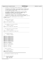```
/*
2 * Copyright (c) International Business Machines Corp., 2000−2002
\frac{3}{4}4 * This program is free software; you can redistribute it and/or modify
 5 * it under the terms of the GNU General Public License as published by
6 * the Free Software Foundation; either version 2 of the License, or 
7 * (at your option) any later version.
 8 * 
% * This program is distributed in the hope that it will be useful,<br>"but WITHOUT ANY WARRANTY; without even the implied warranty of<br>"* MERCHANTABILITY or FITNESS FOR A PARTICULAR PURPOSE. See<br>"* the GNU General Public Lice
13<br>14<sup>14</sup> * You should have received a copy of the GNU General Public License
15 * along with this program; if not, write to the Free Software 
16 * Foundation, Inc., 59 Temple Place, Suite 330, Boston, MA 02111−1307 USA
17 + /18 /* defines and includes common among the fsck.jfs modules */<br>19 #include "xfsckint.h"
    19 #include "xfsckint.h"
20
21 /* + + + + + + + + + + + + + + + + + + + + + + + + + + + + + + + + + + + +
rac{22}{23}* superblock buffer pointer
24<br>25defined in xchkdsk.c
rac{26}{27}extern struct superblock *sb ptr;
28
29 /* + + + + + + + + + + + + + + + + + + + + + + + + + + + + + + + + + + + +
3031 * fsck aggregate info structure pointer
32 *
\frac{33}{34} * defined in xchkdsk.c
34 + 7<br>35 exte
   extern struct fsck_agg_record *agg_recptr;
36
37 /* + + + + + + + + + + + + + + + + + + + + + + + + + + + + + + + + + + + +
38<br>39
      * fsck block map info structure pointer
40<sup>41</sup> \star defined in xchkdsk.c
      + /
43 extern struct fsck_bmap_record *bmap_recptr;
44
45 /* + + + + + + + + + + + + + + + + + + + + + + + + + + + + + + + + + + + +
\frac{46}{47}* For message processing
rac{48}{49}49 * defined in xchkdsk.c
      \star51
52 extern char message_parm_0[];
    extern char message_parm_1[];
54 extern char message_parm_2[];<br>55 extern char message parm 3[1;
   extern char message_parm_3[];
56 extern char message_parm_4[];
   extern char message_parm_5[];
58 extern char message_parm_6[];
   extern char message_parm_7[];
60 extern char message_parm_8[];
61 extern char message parm 9[];
62
63 extern char *msgprms[];<br>64 extern intl6 t msgprmid
   extern int16_t msgprmidx[];
65
\frac{1}{66} extern char *verbose msg ptr;
67
68 extern char *MsgText[];
69
70 extern char *Vol_Label;
71
72 /* + + + + + + + + + + + + + + + + + + + + + + + + + + + + + + + + + + + +
73 *
      * Device information.
75 *76 * defined in xchkdsk.c
77 * /<br>78 exte
78 extern HFILE Dev_IOPort;<br>79 extern uint32 t Dev blks
    79 extern uint32_t Dev_blksize;
80
81 /* VVVVVVVVVVVVVVVVVVVVVVVVVVVVVVVVVVVVVVVVVVVVVVVVVVVVVVVVVVVVVV
82<br>83
    * The following are internal to this file
84\star /
86
87 struct fsck_stree_proc_parms {<br>88 dmtree_t *buf_tree;
88 dmtree_t *buf_tree;
89 int8_t *buf_stree;
90 int8_t *wsp_stree;
Registered Version: Journaled File System fsckbmap.c Exhibit 10.1−1 pg 1/23
```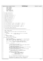| Registered Version: Journaled File System |                                     |                                                                                              | fsckbmap.c                                                             | Exhibit 10.1-1 pg 2/23 |
|-------------------------------------------|-------------------------------------|----------------------------------------------------------------------------------------------|------------------------------------------------------------------------|------------------------|
| 91                                        |                                     | int32_t nleafs;                                                                              |                                                                        |                        |
| 92<br>93                                  |                                     | int32_t l2nleafs;<br>int32_t leafidx;                                                        |                                                                        |                        |
| 94                                        | <i>int</i> 8_t budmin;              |                                                                                              |                                                                        |                        |
| 95<br>96                                  |                                     | int page_level;<br>uint32_t page_ordno;                                                      |                                                                        |                        |
| 97                                        |                                     | int8_t *lfval_error;<br>int8_t *intval_error;                                                |                                                                        |                        |
| 98<br>99                                  | $\}$ ;                              |                                                                                              |                                                                        |                        |
| 100<br>101                                | int ctlpage_rebuild(int8_t);        |                                                                                              |                                                                        |                        |
| 102<br>103                                | int ctlpage_verify(int8_t);         |                                                                                              |                                                                        |                        |
| 104<br>105                                |                                     | $int$ dmap_pwmap_rebuild(uint32_t *);                                                        |                                                                        |                        |
| 106<br>107                                |                                     | int dmap_pmap_verify(uint32_t *);                                                            |                                                                        |                        |
| 108<br>109                                |                                     | int dmap_tree_rebuild(int8_t *);                                                             |                                                                        |                        |
| 110<br>111<br>112                         |                                     | int dmap_tree_verify(int8_t *);                                                              |                                                                        |                        |
| 113<br>114                                | $int$ dmappg_rebuild( $int8_t *$ ); |                                                                                              |                                                                        |                        |
| 115<br>116                                | int dmappg_verify(int8_t *);        |                                                                                              |                                                                        |                        |
| 117<br>118                                | $int$ init_bmap_info(void);         |                                                                                              |                                                                        |                        |
| 119<br>120                                |                                     | int Ln_tree_rebuild(int, int64_t, struct dmapctl **, int8_t *);                              |                                                                        |                        |
| 121<br>122                                |                                     | int Ln_tree_verify(int, int64_t, struct dmapctl **, int8_t *);                               |                                                                        |                        |
| 123<br>124                                |                                     | int stree_rebuild(struct fsck_stree_proc_parms *, int8_t *);                                 |                                                                        |                        |
| 125<br>126                                |                                     | int stree_verify(struct fsck_stree_proc_parms *, int8_t *);                                  |                                                                        |                        |
| 127<br>128                                |                                     | int verify_blkall_summary_msgs(void);                                                        |                                                                        |                        |
| 129<br>130                                |                                     |                                                                                              |                                                                        |                        |
| 131<br>132<br>133                         | * NAME: ctlpage_rebuild<br>$\star$  |                                                                                              | *************************************                                  |                        |
| 134<br>135                                |                                     | FUNCTION: Rebuild the control page of the filesystem block map.                              |                                                                        |                        |
| 136<br>137                                | PARAMETERS:<br>max buddy            | - input - the data value in the root of the highest                                          |                                                                        |                        |
| 138                                       |                                     | Lx page in the map.                                                                          |                                                                        |                        |
| 139<br>140                                | RETURNS:                            |                                                                                              |                                                                        |                        |
| 141<br>142                                | $^{\star}$                          | success: FSCK_OK<br>failure: something else                                                  |                                                                        |                        |
| 143<br>144                                | $^\star$                            | int ctlpage_rebuild(int8_t max_buddy)                                                        |                                                                        |                        |
| 145                                       |                                     | $int \text{ bcr}_{rc} = \text{FSCK}_0$                                                       |                                                                        |                        |
| 146<br>147                                |                                     |                                                                                              | $int32_t$ highest_active_AG = 0, num_active_AGs = 0, num_inactive_AGs; |                        |
| 148<br>149                                |                                     | int64_t avg_free, actAG_free, inactAG_free;                                                  | int32_t l2nl, n, agidx, index, aglevel, agheight, agwidth, agstart;    |                        |
| 150<br>151                                |                                     | bcr_rc = mapctl_get(bmap_recptr->bmpctl_agg_fsblk_offset,                                    |                                                                        |                        |
| 152<br>153                                |                                     |                                                                                              | $(void **)$ & (bmap_recptr->bmpctl_bufptr));                           |                        |
| 154<br>155                                |                                     | if (bcr_rc == $\texttt{FSCK_OK}$ ) {                                                         |                                                                        |                        |
| 156<br>157                                |                                     | $\frac{1}{2}$ swap if on big endian machine */                                               | ujfs swap dbmap((struct dbmap *) bmap recptr->bmpctl bufptr);          |                        |
| 158<br>159                                |                                     | bmap_recptr->bmpctl_bufptr->dn_mapsize =                                                     |                                                                        |                        |
| 160<br>161                                |                                     | bmap_recptr->total_blocks;                                                                   | bmap_recptr->bmpctl_bufptr->dn_nfree = bmap_recptr->free_blocks;       |                        |
| 162                                       |                                     | bmap_recptr->bmpctl_bufptr->dn_l2nbperpage =                                                 |                                                                        |                        |
| 163<br>164                                |                                     | agg_recptr->log2_blksperpg;                                                                  | $b$ map_recptr-> $b$ mpctl_ $b$ ufptr->dn_numag = agg_recptr->num_ag;  |                        |
| 165<br>166                                |                                     | bmap_recptr->bmpctl_bufptr->dn_maxlevel =                                                    |                                                                        |                        |
| 167<br>168                                |                                     | BMAPSZTOLEV(agg_recptr->sb_agg_fsblk_length);                                                |                                                                        |                        |
| 169                                       |                                     | $\frac{1}{2}$ check out the active AGs */                                                    |                                                                        |                        |
| 170<br>171                                |                                     | <b>for</b> (agidx = $0$ ; (agidx < MAXAG); agidx++)<br>$if$ (bmap_recptr->AGActive[agidx]) { |                                                                        |                        |
| 172                                       |                                     |                                                                                              | highest_active_AG = $agidx$ ;                                          |                        |
| 173<br>174                                |                                     | num_active_AGs++;                                                                            |                                                                        |                        |
| 175                                       |                                     | $/*$ end check out the active AGs */<br>₹                                                    |                                                                        |                        |
| 176<br>177                                |                                     | bmap_recptr->bmpctl_bufptr->dn_maxag = highest_active_AG;                                    |                                                                        |                        |
| 178<br>179                                |                                     | $num\_inactive\_AGs = agg\_recptr->num_aq - num\_active\_AGs$                                |                                                                        |                        |
| 180                                       |                                     | $inactAG_free = num_inactive_AGs * sb_ptr \rightarrow s_a gsize;$                            |                                                                        |                        |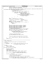```
181 actAG_free = bmap_recptr−>free_blocks − inactAG_free;
182 avg_free = actAG_free / num_active_AGs;
183
184 if ((bmap_recptr−>bmpctl_bufptr−>dn_agpref > highest_active_AG) || (bmap_recptr−>bmpctl_bufptr−>d
n_agfree[bmap_recptr−>bmpctl_bufptr−>dn_agpref] < avg_free)) {
185 /* preferred AG is not valid */
186 if (\text{avg\_free} == 0) {<br>187 imap \text{reg\_tree} == 0}
187 bmap_recptr->bmpctl_bufptr->dn_agpref = 0;<br>
188 else {
188 else {<br>189
189 bmap_recptr−>bmpctl_bufptr−>dn_agpref = -1;<br>for (agidx = 0; ((agidx < MAXAG) & bms
190 for (agidx = 0; ((agidx < MAXAG) &&<br>
191 (bmap_recptr−>bmpctl_bufptr-><br>
192 dn_agpref < 0)); agidx++) {
193 if (bmap_recptr−>AGFree_tbl[agidx] >= avg_free) {<br>hmap recptr−>hmpctl bufptr−>
                                                        194 bmap_recptr−>bmpctl_bufptr−>
\ln_{195} dn_agpref = agidx;
\left\{\right\}197 \Big\}\left\{\right. \right\}199 }
200 aglevel = BMAPSZTOLEV(sb_ptr−>s_agsize);
201 l2nl = 202
202 agg_recptr−>log2_blksperag − (L2BPERDMAP +
203 aglevel * L2LPERCTL);
204 agheight = l2nl >> 1;
205 agwidth = 1 << (l2nl − (agheight << 1));
206 for (index = 5 − agheight, agstart = 0, n = 1; index > 0;
207 index−−) {
208 agstart += n;<br>
209 n 55 = 2;
                     n \leqslant z 2;
210 \Big\}211
212 bmap_recptr−>bmpctl_bufptr−>dn_aglevel = aglevel;
213 bmap_recptr−>bmpctl_bufptr−>dn_agheigth = agheight;
214 bmap_recptr−>bmpctl_bufptr−>dn_agwidth = agwidth;
215 bmap_recptr−>bmpctl_bufptr−>dn_agstart = agstart;
216 bmap_recptr−>bmpctl_bufptr−>dn_agl2size =
217 agg_recptr−>log2_blksperag;
218 bmap_recptr−>bmpctl_bufptr->dn_agsize = sb_ptr->s_agsize;<br>219 bmap_recptr->bmpctl_bufptr->dn_maxfreebud = max_buddy;
                     219 bmap_recptr−>bmpctl_bufptr−>dn_maxfreebud = max_buddy;
220
221 for (agidx = 0; (agidx < MAXAG); agidx++) {
\frac{222}{223} /* rebuild the free list */<br>bmap recotr->bmpctl bufptr-
223 bmap_recptr−>bmpctl_bufptr−>dn_agfree[agidx] =
                     224 bmap_recptr->AGFree_tbl[agidx];<br>}
225 \Big\}226
227 /* swap if on big endian machine */<br>228 1115 swap dbmap (bmap recptr->bmpct)
                     228 ujfs_swap_dbmap(bmap_recptr−>bmpctl_bufptr);
229230 / *
231 * write the updated control page back onto the device *232 */233 bcr_rc = mapctl_put((void *) bmap_recptr->bmpctl_bufptr);<br>234 }
234 }
235 return (bcr_rc);
   \rightarrow237
238 /*****************************************************************************
     * NAME: ctlpage_verify
240
241 * FUNCTION: Verify the control page of the filesystem block map.
242<br>243243 * PARAMETERS:
244 * max_buddy − input − the data value which should be in the root
245 * of the highest Lx page in the map.
246<br>247
247 * RETURNS:<br>
248 * Suc
248 * SUCCESS: FSCK_OK<br>249 * failure: somethi
            failure: something else
250<br>251int ctlpage_verify(int8_t max_buddy)
252 \begin{cases} 253 \end{cases}int bcv_rc = FSCK_OK;
254 unsigned agidx;
255 int32_t max_level = 0;
256 int32_t highest_active_AG = 0;<br>257 int32 t 12n1, n, index, agleve
            int32_t l2nl, n, index, aglevel, agheight, agwidth, agstart;
258
259 bcv_rc = mapctl_get(bmap_recptr−>bmpctl_agg_fsblk_offset,
260 (void **) &(bmap_recptr−>bmpctl_bufptr));
261
262 if (bcv_rc == FSCK_OK) {<br>
263 /* got the contr
                     /* got the control page in the buffer */
264
265 /* swap if on big endian machine */<br>266 1266 1267 uifs swap dbmap((struct dbmap *) bm
                     266 ujfs_swap_dbmap((struct dbmap *) bmap_recptr−>bmpctl_bufptr);
267
268 if (bmap_recptr−>bmpctl_bufptr−>dn_mapsize != bmap_recptr−>total_blocks) {
269 /* bad number of blocks in the aggregate */
Registered Version: Journaled File System fsckbmap.c Exhibit 10.1−1 pg 3/23
```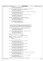```
270 bmap_recptr−>ctl_other_error = −1;
271 fsck_send_msg(fsck_BMAPCASB, 0);
272 }
273 if (bmap_recptr−>bmpctl_bufptr−>dn_nfree != bmap_recptr−>free_blocks) {
274 /* bad number of free blocks in the aggregate */
275 bmap_recptr−>ctl_other_error = −1;
276 fsck_send_msg(fsck_BMAPCNF, 0);<br>277 }
277 }
278 if (bmap_recptr−>bmpctl_bufptr−>dn_l2nbperpage != agg_recptr−>log2_blksperpg) {
279 /* bad log2( blocks per page ) */
280 bmap_recptr−>ctl_other_error = −1;
281 fsck_send_msg(fsck_BMAPCL2BPP, 0);
282 \Big\}283 if (bmap_recptr−>bmpctl_bufptr−>dn_numag != agg_recptr−>num_ag) {
284 /* bad number of alloc groups */
285 bmap_recptr−>ctl_other_error = −1;
286 fsck_send_msg(fsck_BMAPCNAG, 0);
287 }
288 max_level = BMAPSZTOLEV(agg_recptr->sb_agg_fsblk_length);<br>289 1f (bmap recptr->bmpctl bufptr->dn maxlevel != max level)
289 if (bmap_recptr->bmpctl_bufptr->dn_maxlevel != max_level) {<br>
290 /* bad maximum block map level */<br>
291 bmap_recptr->ctl_other_error = −1;
292 fsck_send_msg(fsck_BMAPCMXLVL, 0);<br>293 }
293 \Big\}294 for (agidx = 0; (agidx < MAXAG); agidx++) {
295 /* check out the active AGs */
296 if (bmap_recptr−>AGActive[agidx]) {
<sup>297</sup> highest_active_AG = agidx;<br>
<sup>298</sup>
298 \Big\}299 }
300 /*
301 * format does not include blocks allocated to the bad block inode
302 * when it determines the dn_maxag. Subsequent activity may or
                    * may not have altered dn_maxag based on blocks allocated to the
304 * bad block inode. All we know for sure is that dn_maxag shouldn't
                    * be larger than appropriate for the highest allocated block.
306 */
307 if (bmap_recptr−>bmpctl_bufptr−>dn_maxag > highest_active_AG) {
308 /* bad highest active alloc group */
309 bmap_recptr−>ctl_other_error = −1;
310 fsck_send_msg(fsck_BMAPCMAAG, 0);
\left\{\right\}312<br>
if (bmap_recptr->bmpctl_bufptr->dn_agpref > highest_active_AG) {<br>
213<br>
bmap_recptr->ctl_other_error = −1;<br>
bmap_recptr->ctl_other_error = −1;<br>
5 fsck_send_msg(fsck_BMAPCPAG, 0);
316 }
317 aglevel = BMAPSZTOLEV(sb_ptr−>s_agsize);
318 12n1 =<br>319 3q319 agg_recptr−>log2_blksperag − (L2BPERDMAP +
320 aglevel * L2LPERCTL);
321 agheight = 12n1 \gg 1;<br>322 agwidth = 1 \ll (12n1)agwidth = 1 << (l2nl - (agheight << l));
323 for (index = 5 − agheight, agstart = 0, n = 1; index > 0;<br>324 index-−) {
325 agstart += n;<br>326 326 326 326n \leq z = 2;327 * end for index */328
329 if (bmap_recptr−>bmpctl_bufptr−>dn_aglevel != aglevel) {
330 /* bad level holding an AG */
331 bmap_recptr−>ctl_other_error = −1;<br>332 5 fsck send msq(fsck BMAPCDMCLAG, 0)
5 \times \text{Send}_2 fsck_send_msg(fsck_BMAPCDMCLAG, 0);
\left\{\right\}334 if (bmap_recptr->bmpctl_bufptr->dn_agheigth != agheight) {<br>335 /* bad dmapctl height holding an AG */<br>336 bmap_recptr->ctl_other_error = −1;
337 fsck_send_msg(fsck_BMAPCDMCLH, 0);<br>338 }
338 }
339 if (bmap_recptr->bmpctl_bufptr->dn_agwidth != agwidth) {<br>340 /* bad width at level holding an AG */<br>341 bmap_recptr->ctl_other_error = −1;
342 fsck_send_msg(fsck_BMAPCDMCLW, 0);<br>343 }
\}344 if (bmap_recptr−>bmpctl_bufptr−>dn_agstart != agstart) {
345 /* bad start idx at level holding an AG */
346 bmap_recptr−>ctl_other_error = −1;
347 fsck_send_msg(fsck_BMAPCDMCSTI, 0);
348 }
349 if (bmap_recptr−>bmpctl_bufptr−>dn_agl2size != agg_recptr−>log2_blksperag) {
350 /* bad log2(fsblks per AG) */
351 bmap_recptr−>ctl_other_error = −1;<br>332 fsck send msg(fsck BMAPCL2BPAG. 0)
352 fsck_send_msg(fsck_BMAPCL2BPAG, 0);
353 }
354 if (bmap_recptr−>bmpctl_bufptr−>dn_agsize != sb_ptr−>s_agsize) {
355 /* bad fsblks per AG */
356 bmap_recptr−>ctl_other_error = −1;
357 fsck_send_msg(fsck_BMAPCBPAG, 0);
358 }
359 if (bmap_recptr−>bmpctl_bufptr−>dn_maxfreebud != max_buddy) {
Registered Version: Journaled File System fsckbmap.c Exhibit 10.1−1 pg 4/23
```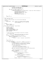```
fsckbmap.c
Registered Version: Journaled File System
                                                                                                                                                Exhibit 10.1-1 pg 5/23
                                         /* bad max free buddy system */<br>bmap_recptr->ctl_other_error =
360
361
                                         fsck_send_msg(fsck_BMAPCBMXB, 0);
362
363
                             for (agidx = 0; (agidx < MAXAG); agidx++) {<br>\frac{7}{7} verify the free list */
364
365
                                         if (bmap_recptr->bmatl_bufptr->dn_agfree[agidx] != bmap_recptr->AGFree_tbl[agidx]) {<br>if (bmap_recptr->bmatl_bufptr->dn_agfree[agidx] != bmap_recptr->AGFree_tbl[agidx]) {<br>\frac{1}{2} bmap_recptr->ctl_fctl_error = -1;<br>sprintf
366
367368
360370
                                                     msgprms[0] = message\_parm_0;<br>msgprmidx[0] = 0;371
                                                     fsck_send_msg(fsck_BMAPCAGNF, 1);
372
373
                                         \}\mathcal{L}274375
                 return (bcv_rc);376
    \left\{ \right\}377
378379
         NAME: dmap_pwmap_rebuild
380
381
         FUNCTION: Rebuild the pmap in the current block map dmap page.
382
383
384
         PARAMETERS .
                pmap_freeblks - input - pointer to a variable in which the number<br>of free blocks described by the dmap page
385
386
                                                       will be returned.
387
388
         RETURNS .
380Success: FSCK OK
390
                 failure: something else
391
392
393int dmap_pwmap_rebuild(uint32_t * pmap_freeblks)
394
     \{int bdpr_rc = FSCK_OK;<br>uint32_t bitmask;<br>int64_t wsp_pagenum;
395
396
397
                 uint32_t wsp_byteoffset;<br>struct fsck_blk_map_page *wsp_page;
398
399
                 uint32_t *wsp_bits = NULL;<br>int32_t *wsp_bits = NULL;<br>int32_t map_wordidx, word_bitidx;
400401
                 int8_t max_buddy;
402
403404
                   * locate the section of the workspace bit map which corresponds
405
406
                  * to this dmap's pmap
407
                 \begin{tabular}{ll} \multicolumn{2}{c}{\begin{tabular}{l} \multicolumn{2}{c}{\textbf{if (bdpr\_rc == FSCK\_OK)} {\end{tabular}}}} \end{tabular}} \begin{tabular}{ll} \multicolumn{2}{c}{\begin{tabular}{l} \multicolumn{2}{c}{\textbf{if (bdpr\_rc == FSCK\_OK)} {\end{tabular}}}} \end{tabular}} \end{tabular}} \end{tabular} \begin{tabular}{ll} \multicolumn{2}{c}{\begin{tabular}{l} \multicolumn{2}{c}{\textbf{if (bdpr\_rc == FSCK\_OK)} {\end{tabular}}}} \end{tabular}} \end{tabular} \begin{tabular}{ll} \mult408bdpr_rc = blkmap_find_bit(bmap_recptr->dmap_1stblk, &wsp_pagenum,
\overline{409}410Lic -- indiction<br>bdpr_rc = blkmap_get_page(wsp_pagenum, &wsp_page);<br>if (bdpr_rc == FSCK_OK) {
411412413
                                         wsp\_bits =(iint32_t * ) ((char * ) wsp_page + wsp_byteoffset);A1A\}415
                 \rightarrow416
417
418
                 *pmap_freeblks = 0;
419if (bdpr_rrc == FSCK_OK) {<br>for (map_wordidx = 0; (map_wordidx < LPERDMAP); map_wordidx++) {
420
421
                                         max_buddy =422
                                               423424bmap_recptr->dmap_wsp_sleafs[map_wordidx] = max_buddy;
425426
                                         bmap_recptr->dmap_bufptr->wmap[map_wordidx] =
                                               wsp\_bits(map\_wordidx);427
428
                                         /*
                                           * copy the word from workspace to buffer,
429into both the working map and the permanent map.
430
                                           \star431
432
                                         bmap_recptr->dmap_bufptr->pmap[map_wordidx] = wsp_bits[map_wordidx];
433* count the free blocks described by the word
434\ddot{\phantom{1}}435
                                         bitmask = 0x80000000u;
436
437
                                         for (word_bitidx = 0; (word_bitidx < DBWORD);<br>word_bitidx++) {
\overline{A}439if (! (wsp_bits[map_wordidx] & bitmask)) {
440
441it's free *,
                                                                  (*pmap_freeblks)++;442443agg_recptr->free_blocks_in_aggregate++;
                                                     \} else \{\overline{444}^{\prime*} it's allocated */
445
                                                                  agg_recptr->blocks_used_in_aggregate++;
446
447
                                                      \}\frac{1}{4} end else it's allocated *.
448bitmask = bitmask >> 1; /* advance to the next bit */
449
```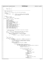```
450 }
451 }
452 }
            \texttt{return } (\text{bdpr\_rc});
454 }
455
456 /*****************************************************************************
    * NAME: dmap_pmap_verify
458<br>459
      FUNCTION: Verify the pmap in the current block map dmap page.
460
461 * PARAMETERS:<br>462 * pmap f
+ the map_freeblks - input - pointer to a variable in which the number<br>+463 * pmap_freeblks - input - pointer to a variable in which the number
463 * \overline{C} of free blocks described by the dmap page
                                        will be returned.
465<br>466
466 \times \text{RETURNS:} \\ 467 \times \text{SUC}467 * Success: FSCK_OK<br>468 * failure: somethi
     * failure: something else
\frac{469}{470}int dmap_pmap_verify(uint32_t * pmap_freeblks)
\begin{array}{c} 471 \\ 472 \end{array}472 int bdpv_rc = FSCK_OK;
473 uint32_t bitmask;
474 int64_t wsp_pagenum;
475 uint32_t wsp_byteoffset;
476 struct fsck_blk_map_page *wsp_page;
477 uint32_t *wsp_bits = NULL;
478 int32_t map_wordidx, word_bitidx;
479 int8_t max_buddy;
480 uint32_t unmarked_range_first_ordno = 0;
481 int32_t unmarked_range_wordidx = 0;
482 int32^- unmarked_range_bitidx = 0;<br>
int64 + size of unmarked range = 0;
483 int64 int64 int82 + marked range = 0;
484 uint32_t marked_range_first_ordno = 0;
485 int32_t marked_range_wordidx = 0;
486 int32_t marked_range_bitidx = 0;
487 int64_t size_of_marked_range = 0;
488
489 /*
<sup>490</sup> * locate the section of the workspace bit map which corresponds<br><sup>491</sup> * to this dmap's pmap
               to this dmap's pmap
492<br>493
493 bdpv_rc = blkmap_find_bit(bmap_recptr−>dmap_1stblk, &wsp_pagenum,
494 &wsp_byteoffset, &bitmask);
495 if (bdpv_rc == FSCK_OK) {
496 bdpv_rc = blkmap_get_page(wsp_pagenum, &wsp_page);<br>497 if (bdpv_rc == FSCK_OK) { /* got the page */
\mathbf{if} \begin{bmatrix} \text{bdpy}_{r} & \text{if} \end{bmatrix} \begin{bmatrix} \text{GK} \end{bmatrix} \begin{bmatrix} \text{GK} \end{bmatrix} \begin{bmatrix} \text{GK} \end{bmatrix} \begin{bmatrix} \text{GK} \end{bmatrix} \begin{bmatrix} \text{GK} \end{bmatrix} \begin{bmatrix} \text{GK} \end{bmatrix} \begin{bmatrix} \text{GK} \end{bmatrix} \begin{bmatrix} \text{GK} \end{bmatrix} \begin{bmatrix} \text{GK} \end\frac{1}{498} wsp_bits = \frac{1}{498} wsp_its =
                     (uint32_t *) ((char *) wsp_page + wsp_byteoffset);
500 }
501 }
502
503 *pmap_freeblks = 0;
504
505 if (bdpv_rc == FSCK_OK) {
506 for (map_wordidx = 0; (map_wordidx < LPERDMAP); map_wordidx++) {
\frac{1}{2} max_buddy = \frac{1}{2} max_buddy =
and ujfs_maxbuddy((char *) &(wsp_bits[map_wordidx]));<br>508 ujfs_maxbuddy((char *) &(wsp_bits[map_wordidx]) = max buddy
                              509 bmap_recptr−>dmap_wsp_sleafs[map_wordidx] = max_buddy;
510
511 bitmask = 0x800000000u;<br>512 for (word bitidx = 0;
512 for (word_bitidx = 0; (word_bitidx < DBWORD);<br>word bitidx + + ) {
                                   wordbitidx++) {
514
515 if (wsp_bits[map_wordidx] & bitmask) {
516 agg_recptr−>blocks_used_in_aggregate++;<br>517 if (!(bmap recptr->dmap bufptr->pmap ma
517 if (!(bmap_recptr−>dmap_bufptr−>pmap[map_wordidx] & bitmask)) {
518 \overline{A} pmap says not \overline{x} pmap says not \overline{x} \overline{A} pmap says not \overline{x} \overline{A}519 bmap_recptr−>dmap_pmap_error =
-1;521
522 if (size_of_unmarked_range == 0) {
523
524 if (size_of_marked_range != 0) {
525 sprintf
\frac{526}{27} (message_parm_0,
527 \blacksquare\frac{1}{2}<br>528 (long long)<br>528 (long long)
529 size_of_marked_range);
530 msgprms[0] =
\frac{331}{100} message_parm_0;<br>mscmrmidx[0] =
\begin{bmatrix}\n 532 \\
 533\n \end{bmatrix} msgprmidx[0]
533 0;
534 sprintf
\frac{535}{336} (message_parm_1, \frac{9}{60} message_parm_1, \frac{1}{60} message_parm_1,
536 \sqrt[10]{\text{d}} , \sqrt[10]{\text{d}} , \sqrt[10]{\text{d}} , \sqrt[10]{\text{d}} , \sqrt[10]{\text{d}} , \sqrt[10]{\text{d}} , \sqrt[10]{\text{d}} , \sqrt[10]{\text{d}} , \sqrt[10]{\text{d}} , \sqrt[10]{\text{d}} , \sqrt[10]{\text{d}} , \sqrt[10]{\text{d}} , \sqrt[10]{\text{d}} , \sqrt[10]{\text\frac{\text{marked\_range\_first\_ordno}}{\text{magnrms}[1]} =
                                                                         msgprms[1] =539 message_parm_1;
Registered Version: Journaled File System fsckbmap.c Exhibit 10.1−1 pg 6/23
```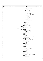| Registered Version: Journaled File System | fsckbmap.c                                                          | Exhibit 10.1-1 pg 7/23 |
|-------------------------------------------|---------------------------------------------------------------------|------------------------|
| 540                                       | $msgprmidx[1] =$                                                    |                        |
| 541                                       | 0;                                                                  |                        |
| 542<br>543                                | sprintf<br>(message_parm_2,                                         |                        |
| 544                                       | $"%d"$ ,                                                            |                        |
| 545<br>546                                | marked_range_wordidx);<br>$msgprms[2] =$                            |                        |
| 547                                       | $message\_param_2;$                                                 |                        |
| 548                                       | $msgprmidx[2] =$                                                    |                        |
| 549<br>550                                | 0;<br>sprintf                                                       |                        |
| 551                                       | (message_parm_3,                                                    |                        |
| 552<br>553                                | "%d",<br>marked_range_bitidx);                                      |                        |
| 554                                       | $msgprms[3] =$                                                      |                        |
| 555                                       | $message\_param_3;$                                                 |                        |
| 556<br>557                                | $msgprmidx[3] =$<br>0;                                              |                        |
| 558                                       | fsck_send_msg                                                       |                        |
| 559<br>560                                | (fsck_PMAPSBOFF,<br>$4)$ ;                                          |                        |
| 561                                       | size_of_marked_range                                                |                        |
| 562                                       | $= 0;$                                                              |                        |
| 563<br>564                                | unmarked_range_first_ordno                                          |                        |
| 565                                       | Ξ                                                                   |                        |
| 566<br>567                                | bmap_recptr-><br>dmappg_ordno;                                      |                        |
| 568                                       | unmarked_range_wordidx =                                            |                        |
| 569                                       | map_wordidx;                                                        |                        |
| 570<br>571                                | unmarked_range_bitidx =<br>word_bitidx;                             |                        |
| 572                                       | size_of_unmarked_range =                                            |                        |
| 573<br>574                                | 1i<br>else $\{$                                                     |                        |
| 575                                       | $/*$ not the first in the range $*/$                                |                        |
| 576                                       | size_of_unmarked_range++;                                           |                        |
| 577<br>578                                | $\}$ else $\{$                                                      |                        |
| 579                                       | /* pmap agrees */                                                   |                        |
| 580<br>581                                | <b>if</b> (size_of_marked_range != 0) {<br>/* marked range ended */ |                        |
| 582                                       | sprintf(message_parm_0,                                             |                        |
| 583                                       | "%lld",                                                             |                        |
| 584<br>585                                | (long long)<br>size_of_marked_range);                               |                        |
| 586                                       | $msgprms[0] =$                                                      |                        |
| 587<br>588                                | $message\_param_0;$<br>$msgprmidx[0] = 0;$                          |                        |
| 589                                       | sprintf(message_parm_1,                                             |                        |
| 590<br>591                                | $"%d"$ ,<br>marked_range_first_ordno);                              |                        |
| 592                                       | $msgprms[1] =$                                                      |                        |
| 593                                       | $message\_param_l$ ;                                                |                        |
| 594<br>595                                | $msgprmidx[1] = 0;$<br>sprintf(message_parm_2,                      |                        |
| 596                                       | $"%d"$ ,                                                            |                        |
| 597<br>598                                | marked_range_wordidx);<br>$msgprms[2] =$                            |                        |
| 599                                       | $message\_param_2;$                                                 |                        |
| 600<br>601                                | $msgprmidx[2] = 0;$<br>sprintf(message_parm_3,                      |                        |
| 602                                       | $" \%d"$ ,                                                          |                        |
| 603                                       | marked_range_bitidx);                                               |                        |
| 604<br>605                                | $msgprms[3] =$<br>$message\_param_3;$                               |                        |
| 606                                       | $msgprmidx[3] = 0;$                                                 |                        |
| 607<br>608                                | fsck_send_msg<br>$(fsck_PMAPSBOFF, 4);$                             |                        |
| 609                                       | size_of_marked_range =                                              |                        |
| 610<br>611                                | 0:                                                                  |                        |
| 612                                       | <b>if</b> (size_of_unmarked_range != $0$ ) {                        |                        |
| 613                                       | /* unmarked range ended */                                          |                        |
| 614<br>615                                | sprintf(message_parm_0,<br>"%lld",                                  |                        |
| 616                                       | (long long)                                                         |                        |
| 617<br>618                                | size_of_unmarked_range);<br>$msgprms[0] =$                          |                        |
| 619                                       | $message\_param_0;$                                                 |                        |
| 620                                       | $msgprmidx[0] = 0;$                                                 |                        |
| 621<br>622                                | sprintf(message_parm_1,<br>$"%d"$ ,                                 |                        |
| 623                                       | unmarked_range_first_ordno);                                        |                        |
| 624<br>625                                | $m$ sqpr $midx[1] = 0$ ;<br>$msgprms[1] =$                          |                        |
| 626                                       | $message\_param_l$                                                  |                        |
| 627                                       | sprintf(message_parm_2,<br>$" \%d"$ ,                               |                        |
| 628<br>629                                | unmarked_range_wordidx);                                            |                        |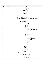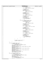|            | fsckbmap.c<br>Registered Version: Journaled File System                          | Exhibit 10.1-1 pg 9/23 |
|------------|----------------------------------------------------------------------------------|------------------------|
| 720        | sprintf(message_parm_1,                                                          |                        |
| 721        | $" \%d"$ ,                                                                       |                        |
| 722<br>723 | $\texttt{marked\_range\_first\_ordno}$<br>msgprms[1] =                           |                        |
| 724        | $message\_param_1;$                                                              |                        |
| 725        | $msgprmidx[1] = 0;$                                                              |                        |
| 726<br>727 | sprintf(message_parm_2,<br>$" \%d"$ ,                                            |                        |
| 728        | marked_range_wordidx);                                                           |                        |
| 729        | $msgprms[2] =$                                                                   |                        |
| 730        | message_parm_2;<br>$msgprmidx[2] = 0;$                                           |                        |
| 731<br>732 | sprintf(message_parm_3,                                                          |                        |
| 733        | $" \%d"$ ,                                                                       |                        |
| 734        | $market\_range\_bitidx$ );                                                       |                        |
| 735<br>736 | $msgprms[3] =$<br>$message\_param_3;$                                            |                        |
| 737        | $msgprmidx[3] = 0;$                                                              |                        |
| 738        | fsck_send_msg                                                                    |                        |
| 739<br>740 | $(fsck_PMAPSBOFF, 4);$<br>size_of_marked_range =                                 |                        |
| 741        | 0;                                                                               |                        |
| 742        | if $(size_of_number$ $ != 0)$ {                                                  |                        |
| 743<br>744 | /* unmarked range ended */                                                       |                        |
| 745        | sprintf(message_parm_0,                                                          |                        |
| 746        | "%IId",                                                                          |                        |
| 747<br>748 | (long long)<br>$size_of_number$                                                  |                        |
| 749        | $msgprms[0] =$                                                                   |                        |
| 750        | $message\_param_0;$                                                              |                        |
| 751<br>752 | $m$ sqpr $midx[0] = 0$ ;<br>sprintf(message_parm_l,                              |                        |
| 753        | "%d",                                                                            |                        |
| 754        | unmarked_range_first_ordno);                                                     |                        |
| 755<br>756 | $msgprms[1] =$<br>$message\_param_l$                                             |                        |
| 757        | $msgprmidx[1] = 0;$                                                              |                        |
| 758        | sprintf(message_parm_2,                                                          |                        |
| 759<br>760 | $" \%d"$ ,<br>$unmarked\_range\_wordidx$ );                                      |                        |
| 761        | $msgprms[2] =$                                                                   |                        |
| 762        | $message\_param_2;$                                                              |                        |
| 763<br>764 | $msgprmidx[2] = 0;$<br>sprintf(message_parm_3,                                   |                        |
| 765        | $" \%d"$ ,                                                                       |                        |
| 766        | unmarked_range_bitidx);                                                          |                        |
| 767<br>768 | $msgprms[3] =$<br>$message\_param_3;$                                            |                        |
| 769        | $msgprmidx[3] = 0;$                                                              |                        |
| 770<br>771 | fsck_send_msg<br>$(fsck_PMAPSBON, 4);$                                           |                        |
| 772        | size_of_unmarked_range =                                                         |                        |
| 773        | 0;                                                                               |                        |
| 774<br>775 | }                                                                                |                        |
| 776        |                                                                                  |                        |
| 777        |                                                                                  |                        |
| 778<br>779 | $/*$ advance to the next bit */<br>bitmask = bitmask >> $1$ ;                    |                        |
| 780        |                                                                                  |                        |
| 781        | $\}$                                                                             |                        |
| 782<br>783 | if $(size_of_matrix.edu_range != 0)$ {                                           |                        |
| 784        | /* marked range ended */                                                         |                        |
| 785        | sprintf(message_parm_0, "%lld",                                                  |                        |
| 786<br>787 | (long long) size_of_marked_range);<br>$msgprms[0] = message\_param_0;$           |                        |
| 788        | $msgprmidx[0] = 0;$                                                              |                        |
| 789        | sprintf(message_parm_1, "%d", marked_range_first_ordno);                         |                        |
| 790<br>791 | $msgprms[1] = message\_param_1;$<br>$msgprmidx[1] = 0;$                          |                        |
| 792        | sprintf(message_parm_2, "%d", marked_range_wordidx);                             |                        |
| 793        | $msgprms[2] = message\_param_2;$                                                 |                        |
| 794<br>795 | $msgprmidx[2] = 0;$<br>$sprintf(message\_param_3, "Wd", marked\_range\_bitidx);$ |                        |
| 796        | $msgprms[3] = message_param_3;$                                                  |                        |
| 797        | $msgprmidx[3] = 0;$                                                              |                        |
| 798<br>799 | fsck_send_msg(fsck_PMAPSBOFF, 4);<br>$size_of_matrixed_range = 0;$               |                        |
| 800        |                                                                                  |                        |
| 801        | if $(size_of_numbered_range != 0)$ {                                             |                        |
| 802<br>803 | /* unmarked range ended */<br>sprintf(message_parm_0, "%lld",                    |                        |
| 804        | (long long) size_of_unmarked_range);                                             |                        |
| 805        | $msgprms[0] = message\_param_0;$                                                 |                        |
| 806<br>807 | $msgprmidx[0] = 0;$<br>sprintf(message_parm_1, "%d",                             |                        |
| 808        | unmarked_range_first_ordno);                                                     |                        |
| 809        | $msgprms[1] = message\_param_1;$                                                 |                        |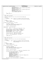```
fsckbmap.c
                                                                                                                      Exhibit 10.1-1 pg 10/23
Registered Version: Journaled File System
                                  msgprmidx[1] = 0;810
                                  sprintf(message parm 2, "%d", unmarked range wordidx);
811
                                  msqprms[2] = message_param_2;812
                                  msgprmidx[2] = 0;813
                                  sprintf(message_parm_3, "%d", unmarked_range_bitidx);
814
                                  msgprms[3] = message\_param_3;<br>msgprmidx[3] = 0;
815
816
                                  fsck_send_msg(fsck_PMAPSBON, 4);
817
                                  size\_of\_unmarked\_range = 0818
                        \}819
820
              return (bdpv rc);
821
    \rightarrow822
823
          824
     * NAME: dmap_tree_rebuild
825826
827
        FUNCTION: Rebuild the tree in the current block map dmap page.
828
829
       PARAMETERS ·
             root_data - input - pointer to a variable in which the data value
830
                                        stored in the root of the tree will be returned.
831
832
833
       RETURNS:
834
              success: FSCK_OK
835
              failure: something else
     \star /
836
    int dmap_tree_rebuild(int8_t * root_data)
837
838
    \{int bdsr_rc = FSCK_OK;
830840
841
842
843prms_ptr = &stree_proc_parms;
844
    #define ppbt
845
                       prms ptr->buf tree
846
              ppbt = (dmtree_t *) & (bmap_recptr->dmap_bufptr->tree);
847
848
849\verb|ppbt->dmt_nleafs| = \verb|prms_ptr->nleafs| = \verb|LPERDMAP|;ppbt->dmt_l2nleafs = prms_ptr->l2nleafs = L2LPERDMAP;<br>ppbt->dmt_l2nleafs = prms_ptr->l2nleafs = L2LPERDMAP;<br>ppbt->dmt_leafidx = prms_ptr->leafidx = LEAFIND;
850
851
              \text{ppt}\rightarrow\text{dm} height = 4;
852
853
              \text{ppt}\rightarrow\text{dmt}\_budmin = prms_ptr->budmin = BUDMIN;
854
              prms\_ptr->buf\_stree = \&(ppbt->dm\_stree[0]);<br>prms\_ptr->wsp\_stree = bmap\_recptr->dmap\_wsp\_stree;855
856
857
858
              bdsr_rc = stree_rebuild(prms_ptr, root_data);
850return (bdsr rc);860
    \}861
862
   863
864
       NAME: dmap tree verify
865
        FUNCTION: Verify the tree in the current block map dmap page.
866
867
868
        PARAMETERS:
             root_data - input - pointer to a variable in which the data value<br>which should be stored in the root of the tree
869
870
                                         will be returned.
871
872
873
       RRTIIRNS\cdotsuccess: FSCK_OK<br>failure: something else
874
     \ddot{}875
     \star876
    int dmap_tree_verify(int8_t * root_data)
877
878
    \{int bdsv rc = FSCK OK;
879
              int8_t tree_spec_errors = 0;<br>struct fsck_stree_proc_parms stree_proc_parms;
880
881
              struct fsck_stree_proc_parms *prms_ptr;
882
883
884
              prms_ptr = &stree_proc_parms;
885
              prms\_ptr->buf\_tree = (dmtree_t *) & (bmap\_recptr->dmap_bufptr->tree);886
887
              \texttt{if} (prms_ptr->buf_tree->dmt_nleafs != LPERDMAP) {
888
                        /* wrong number of leafs */<br>bmap_recptr->dmap_other_error = -1;
880
890
                        map_recput-zumap_ouncer_error = -1,<br>tree_spec_errors = -1;<br>msgprms[0] = message_parm_0;<br>msgprmidx[0] = fsck_dmap;<br>sprintf(message_parm_1, "%d", bmap_recptr->dmappg_ordno);
891
892
893
894
                        sprinct(message_parm_1, "%d"<br>msgprms[1] = message_parm_1;<br>msgprmidx[1] = 0;
895
896
897
                        fsck_send_msg(fsck_BMAPBADNLF, 2);
898
              if (prms_ptr->buf_tree->dmt_l2nleafs != L2LPERDMAP) {
899
```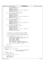```
900 /* wrong log2(nleafs) */
901 bmap_recptr−>dmap_other_error = −1;
902 tree_spec_errors = −1;
903 msgprms[0] = message_parm_0;
904 msgprmidx[0] = fsck_dmap;
905 sprintf(message_parm_1, "%d", bmap_recptr−>dmappg_ordno);
906 msgprms[1] = message_parm_1;
907 msgprmidx[1] = 0;
908 fsck_send_msg(fsck_BMAPBADL2NLF, 2);
909<br>910
910 if (prms_ptr->buf_tree->dmt_leafidx != LEAFIND) {<br>
911 /* wrong 1st leaf index */<br>
912 bmap_recptr->dmap_other_error = −1;
913 tree_spec_errors = -1;<br>914 msgprms[0] = message p
914 msgprms[0] = message_parm_0;
915 msgprmidx[0] = fsck_dmap;
916 sprintf(message_parm_1, "%d", bmap_recptr−>dmappg_ordno);
917 msgprms[1] = message_parm_1;
918 msgprmidx[1] = 0;
919 fsck_send_msg(fsck_BMAPBADLFI, 2);
920
921 if (prms_ptr->buf_tree->dmt_height != 4) {<br>922 if wrong stree height */
922 /* wrong stree height */
923 bmap_recptr->dmap_other_error = -1;<br>924 tree spec errors = -1;
924<br>
925 septemes (1) = message_parm_0;<br>
926 september 10 = fsck_dmap;<br>1927 sprintf(message_parm_1, "%d", bmap_recptr->dmappg_ordno);
928 msgprms[1] = message_parm_1;
929 msgprmidx[1] = 0;
930 fsck_send_msg(fsck_BMAPBADHT, 2);
931 }
932 if (prms_ptr−>buf_tree−>dmt_budmin != BUDMIN) {
933 /* wrong min buddy value */
934 bmap_recptr->dmap_other_error = -1;<br>935 cree spec errors = -1;
935 tree_spec_errors = −1;
936 msgprms[0] = message_parm_0;
937 msgprmidx[1] = fsck_dmap;
938 sprintf(message_parm_1, "%d", bmap_recptr−>dmappg_ordno);
939 msgprms[1] = message_parm_1;
940 msgprmidx[2] = 0;
941 fsck_send_msg(fsck_BMAPBADBMN, 2);<br>942 }
942 }
943
944
end<br>945 * if we found errors in the fields which specify the summary<br>946 * tree then we won't take the time to verify the tree itself
% * tree then we won't take the time to verify the tree itself.<br>
* * tree then we won't take the time to verify the tree itself.
947 *
948 * (The errors already detected would corrupt the summary tree,<br>948 * So info about the bad tree would only be noise at this poir
949 * so info about the bad tree would only be noise at this point.)
950 */
951 if (!tree_spec_errors) {
952 /* tree specification fields are ok */
953 prms_ptr−>buf_stree = &(prms_ptr−>buf_tree−>dmt_stree[0]);
954 prms_ptr−>wsp_stree = bmap_recptr−>dmap_wsp_stree;
955 prms_ptr−>nleafs = LPERDMAP;
                        prms_ptr->l2nleafs = L2LPERDMAP;
957 prms_ptr−>leafidx = LEAFIND;
958 prms_ptr−>budmin = BUDMIN;
959 prms_ptr−>page_level = fsck_dmap;
960 prms_ptr−>page_ordno = bmap_recptr−>dmappg_ordno;
961 prms_ptr−>lfval_error = &(bmap_recptr−>dmap_slfv_error);
962 prms_ptr−>intval_error = &(bmap_recptr−>dmap_slnv_error);
963
964 bdsv_rc = stree_verify(prms_ptr, root_data);
965 }
return (bdsv_rc);<br>
\begin{bmatrix} 967 & 1 \end{bmatrix}\rightarrow968
969 /*****************************************************************************
970 * NAME: dmappg_rebuild
971<br>972
       FUNCTION: Rebuild the current dmap page.
973 *
974 * PARAMETFRRS975 * stree_root_data − input − pointer to a variable in which to return
976 * The the data value in the root of the \frac{1}{977} *
                                                tree of the rebuilt page.
978
979 * RETURNS:<br>980 * Suc
     * success: FSCK_OK
981 * failure: something else
982<br>983
    int \text{dmappg_rebuild}(int8_t * streefroot_data)984985 int bdmpr_rc = FSCK_OK;
986 uint32_t nblocks;
987 uint32<sup>-</sup>t dmap-freeblks;<br>988 uint32 t ag num;
              uint32_t ag_num;
Registered Version: Journaled File System fsckbmap.c Exhibit 10.1−1 pg 11/23
```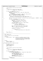```
990 /*
991 * get the page to verify into the I/O buffer
992 */
993 bdmpr_rc =
994 blktbl_dmap_get(bmap_recptr−>dmap_1stblk,
                                 995 &(bmap_recptr−>dmap_bufptr));
996
997 if (bdmpr_rc == FSCK_OK) {<br>998 \qquad /* the page is in
998 \overline{)} the page is in the buffer \overline{'} the page is in the buffer \overline{'}999 bmap_recptr−>dmap_bufptr−>start = bmap_recptr−>dmap_1stblk;
                     nblocks =1001 MIN(BPERDMAP, 1002
1002 (bmap_recptr->total_blocks - bmap_recptr->dmap_1stblk));<br>1003 bmap recptr->dmap bufptr->nblocks = nblocks;
1003 bmap_recptr−>dmap_bufptr->nblocks = nblocks;<br>hdmpr rc = dmap_pumap_rebuild(£dmap_freeblks)
                     bdmpr\_rc = dmap\_pwmap\_rebuild(\& dmap\_freeblks);1005 / *
1006 * subtract out any blocks which don't really exist but are<br>1006 * described by a dmap (phantom blocks always appear to be
1007 * described by a dmap (phantom blocks always appear to be in use)<br>*/1008 * /
1009 agg_recptr−>blocks_used_in_aggregate = agg_recptr−>blocks_used_in_aggregate − (BPERDMAP − nblocks
   );
1010 if (bdmpr_rc == FSCK_OK) {
1011 /* nothing strange during pmap rebld */
1012 bmap_recptr−>free_blocks += dmap_freeblks;<br>
aα num =
                             ag_num =1014 bmap_recptr−>dmap_1stblk >> agg_recptr−>
1015 log2_blksperag;
1016 bmap_recptr−>AGFree_tbl[ag_num] += dmap_freeblks;
1017
1018 if (dmap_freeblks != nblocks) {<br>
<sup>1019</sup> /* not all of them are free */
1020 bmap_recptr−>AGActive[ag_num] = −1;
1021 and \}1022 bmap_recptr−>dmap_bufptr−>nfree = dmap_freeblks;<br>hdmpr rc = dmap_tree rebuild(stree root data);
\text{1023} bdmpr_rc = dmap_tree_rebuild(stree_root_data);<br>
\frac{1}{4}1024 /*
\frac{1024}{1026} * write the page back to the device
1026 * /
1027 if (bdmpr_rc == FSCK_OK) {<br>
hdmpr rc =
                                      bdmpr\_rc =1029 blktbl_dmap_put(bmap_recptr−>dmap_bufptr);
\{1030\}\left\{\n \begin{array}{ccc}\n 1031 & & \\
 \end{array}\n \right\}1032 }
   \begin{aligned} & \textbf{return} \ \ (\text{bdmpr\_rc}) \; ; \\ \end{aligned}1034 }
1035
1036 /*****************************************************************************
      NAME: dmappg_verify
1038 *
1039 * FUNCTION: Validate the current dmap page.
1040<br>1041
      1041 * PARAMETERS:
1042 * stree_root_data − input - pointer to a variable in which to return<br>the the data value which should be store
1043 * the the data value which should be stored
1044 * in the root of the tree of the page being
1045 * validated (and may also be the one stored<br>1046 * 1046 * 1046 in the root of that tree)
                                         in the root of that tree)
1047<br>1048
      RRTIIRNS:
1049 * success: FSCK_OK
1050 * failure: something else
1051<br>1052
   int dmappg_verify(int8_t * stree_root_data)
1053 {
1054 int bdmpv_rc = FSCK_OK;<br>1055 1055 uint32 t nblocks;
1055 uint32_t nblocks;<br>1056 uint32 t dmap fre
1056 uint32_t dmap_freeblks;
            uint32_t ag_num;
1058
1059<br>1060
             * get the page to verify into the I/O buffer
1061<br>1062bdmpv\_rc =1063 blktbl_dmap_get(bmap_recptr−>dmap_1stblk,
1064 &(bmap_recptr−>dmap_bufptr));
1065
1066 if (bdmpv_rc == FSCK_OK) {
1067 /* the page is in the buffer */
1068 if (bmap_recptr−>dmap_bufptr−>start != bmap_recptr−>dmap_1stblk) {
1069 /* bad starting block */
1070 bmap_recptr->dmap_other_error = -1;<br>
1071 sprintf(message_parm_0, "%d",
1072 bmap_recptr−>dmappg_ordno);<br>
1073 msgprms[0] = message_parm_0;<br>
1074 msgprmidx[0] = 0;
1075 for the send_msg(fsck_DMAPBADSTRT, 1);<br>1076 for the send_msg(fsck_DMAPBADSTRT, 1);
1076 }
1077 nblocks =
1078 MIN(BPERDMAP,
Registered Version: Journaled File System fsckbmap.c Exhibit 10.1−1 pg 12/23
```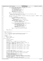<sup>1079</sup> (bmap\_recptr−>total\_blocks − bmap\_recptr−>dmap\_1stblk)); <sup>1080</sup> **if** (bmap\_recptr−>dmap\_bufptr−>nblocks != nblocks) { <sup>1081</sup> /\* bad number of blocks \*/ <sup>1082</sup> bmap\_recptr−>dmap\_other\_error = −1; 1083 sprintf(message\_parm\_0, "%d",<br>
1084 bmap recotr->dmappd c bmap\_recptr->dmappg\_ordno); <sup>1085</sup> msgprms[0] = message\_parm\_0; <sup>1086</sup> msgprmidx[0] = 0; 1087 fsck\_send\_msg(fsck\_DMAPBADNBLK, 1);<br>
1088 108  $1088$  } 1089 bdmpv\_rc = dmap\_pmap\_verify(&dmap\_freeblks); <sup>1090</sup> /\* <sup>1091</sup> \* subtract out any blocks which don't really exist but are described by a dmap 1092  $*$  (phantom blocks always appear to be in use)<br> $*$ / 1093  $*$  / <sup>1094</sup> agg\_recptr−>blocks\_used\_in\_aggregate = agg\_recptr−>blocks\_used\_in\_aggregate − (BPERDMAP − nblocks ); 1095 **if** (bdmpv\_rc == FSCK\_OK) {<br>1096 **if**  $\frac{1}{2}$  *i*  $\frac{1}{2}$  *i*  $\frac{1}{2}$  *i*  $\frac{1}{2}$  *i*  $\frac{1}{2}$  *i*  $\frac{1}{2}$  *i*  $\frac{1}{2}$  *i*  $\frac{1}{2}$  *i*  $\frac{1}{2}$  *i*  $\frac{1}{2}$  *i*  $\frac{1}{2}$  *i*  $\frac{1}{2}$  *i*  $\frac{1}{2}$   $\overline{7}$  nothing strange during pmap ver  $\overline{7}$  nothing strange during pmap ver  $\overline{7}$  bmap recotr->free blocks += dmap free 1097 bmap\_recptr−>free\_blocks += dmap\_freeblks;<br>
aα num =  $ag\_num =$ 1099 bmap\_recptr−>dmap\_1stblk >> agg\_recptr−><br>1100 10α2 blksperaα; 100<br>
1100 log2\_blksperag;<br>
1101 log2\_recptr->AGFree 1101 bmap\_recptr−>AGFree\_tbl[ag\_num] += dmap\_freeblks;<br>
if (dmap freeblks != pblocks) { 1102 **if** (dmap\_freeblks != nblocks) {<br>
<sup>1103</sup> /\* not all of them are free \*/ 1104 bmap recptr->AGActive[ag\_num] = −1;  $\left\{ \begin{array}{ccc} 1105 \end{array} \right\}$ <sup>1106</sup> **if** (bmap\_recptr−>dmap\_bufptr−>nfree != dmap\_freeblks) { <sup>1107</sup> /\* bad number of free blocks \*/ 1108 bmap\_recptr−>dmap\_other\_error = -1;<br>
1109 sprintf(message\_parm\_0, "%d", 1110 bmap\_recptr−>dmappg\_ordno);<br>mscorms[0] = message parm 0; 1111 msgprms $[0] = \text{message\_param\_0};$ <br>msgprms $[0] = 0;$ 1112 msgprmid $x[0] = 0$ ;<br> $f \le c$  send msg( $f \le c$ ) fsck\_send\_msg(fsck\_DMAPBADNFREE, 1);  $1114$  } <sup>1115</sup> bdmpv\_rc = dmap\_tree\_verify(stree\_root\_data); 1116  $\Big\}$ <sup>1117</sup> } 1118 **return** (bdmpv\_rc);<br>
1119 } <sup>1119</sup> } 1120 <sup>1121</sup> /\*\*\*\*\*\*\*\*\*\*\*\*\*\*\*\*\*\*\*\*\*\*\*\*\*\*\*\*\*\*\*\*\*\*\*\*\*\*\*\*\*\*\*\*\*\*\*\*\*\*\*\*\*\*\*\*\*\*\*\*\*\*\*\*\*\*\*\*\*\*\*\*\*\*\*\*\* <sup>1122</sup> \* NAME: init\_bmap\_info <sup>1123</sup> \* <sup>1124</sup> \* FUNCTION: Initialize the bmap fsck global data area, pointed to by bmap\_recptr, used to control JFS bmap processing. 1126<br>1127 PARAMETERS: none <sup>1128</sup> \*  $1129$  \* RETURNS:<br> $1130$  \* Suc success: FSCK\_OK 1131  $\star$  failure: something else <sup>1132</sup> \*/ 1133  $int$  init\_bmap\_info()<br>1134  $\{$ <sup>1134</sup> {  $1135$  int bii\_rc = FSCK\_OK;<br> $1136$  unsigned agidx; unsigned agidx; 1137 <sup>1138</sup> memset(bmap\_recptr, 0, **sizeof** (struct fsck\_bmap\_record)); 1139 1140 memcpy((void \*) &(bmap\_recptr->eyecatcher), (void \*) "bmaprecd", 8);<br>1141 memcpy((void \*) &(bmap\_recptr->bmpctlinf\_eyecatcher) <sup>1141</sup> memcpy((void \*) &(bmap\_recptr−>bmpctlinf\_eyecatcher), <sup>1142</sup> (void \*) "bmap ctl", 8); 1143 memcpy((void \*) &(bmap recptr->AGinf evecatcher), (void \*) "AG info ", 1144  $\begin{array}{c} 1144 & 8 \\ 1145 & 8 \end{array}$ <sup>1145</sup> memcpy((void \*) &(bmap\_recptr−>dmapinf\_eyecatcher), (void \*) "dmapinfo", <sup>1146</sup> 8); <sup>1147</sup> memcpy((void \*) &(bmap\_recptr−>L0inf\_eyecatcher), (void \*) "L0 info ", 1148  $\begin{array}{c} 8 \mid i \\ 1149 \mid 1149 \end{array}$ 1149 memcpy((void \*) &(bmap\_recptr->L1inf\_eyecatcher), (void \*) "L1 info ",<br>1150 8); 1150  $\begin{array}{c} 8 \mid i \\ 1151 \mid 151 \end{array}$ <sup>1151</sup> memcpy((void \*) &(bmap\_recptr−>L2inf\_eyecatcher), (void \*) "L2 info ",  $1152$  8); 1153 1154 bmap\_recptr−>bmpctl\_bufptr =<br>1155 (struct dbmap \*) agg rec <sup>1155</sup> (struct dbmap \*) agg\_recptr−>mapctl\_buf\_ptr; <sup>1156</sup> bmap\_recptr−>bmpctl\_agg\_fsblk\_offset = BMAP\_OFF / sb\_ptr−>s\_bsize; 1157 <sup>1158</sup> bmap\_recptr−>AGFree\_tbl = &(agg\_recptr−>blkmap\_wsp.AG\_free[0]); 1159 bmap\_recptr−>dmap\_wsp\_stree =<br>1160 - δίασα recptr−>blkmap\_wsp 1160  $\frac{1}{\alpha}$  (agg\_recptr->blkmap\_wsp.dmap\_wsp\_tree[0]);<br>1161 bmap recptr->dmap wsp sleafs = 1161 bmap\_recptr−>dmap\_wsp\_sleafs =<br>1162 6 (agg recptr−>blkmap\_wsp\_d <sup>1162</sup> &(agg\_recptr−>blkmap\_wsp.dmap\_wsp\_leafs[0]); <sup>1163</sup> bmap\_recptr−>L0\_wsp\_stree = &(agg\_recptr−>blkmap\_wsp.L0\_wsp\_tree[0]); 1164 bmap\_recptr−>L0\_wsp\_sleafs = &(agg\_recptr−>blkmap\_wsp.L0\_wsp\_leafs[0]);<br>1165 bmap\_recptr−>L0\_bufptr = <sup>1165</sup> bmap\_recptr−>L0\_bufptr = <sup>1166</sup> (struct dmapctl \*) &(agg\_recptr−>bmaplv\_buf\_ptr); <sup>1167</sup> bmap\_recptr−>L1\_wsp\_stree = &(agg\_recptr−>blkmap\_wsp.L1\_wsp\_tree[0]); Registered Version: Journaled File System **fsckbmap.c** Exhibit 10.1−1 pg 13/23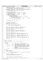```
1168 bmap_recptr−>L1_wsp_sleafs = &(agg_recptr−>blkmap_wsp.L1_wsp_leafs[0]);
1169 bmap_recptr−>L1_bufptr =
1170 (struct dmapctl *) &(agg_recptr−>bmaplv_buf_ptr);
1171 bmap_recptr−>L2_wsp_stree = &(agg_recptr->blkmap_wsp.L2_wsp_tree[0]);<br>1172 bmap_recptr−>L2_wsp_sleafs = &(agg_recptr->blkmap_wsp.L2_wsp_leafs[0]
1172 bmap_recptr−>L2_wsp_sleafs = &(agg_recptr−>blkmap_wsp.L2_wsp_leafs[0]);
1173 bmap_recptr−>L2_bufptr =
1174 (struct dmapctl *) &(agg_recptr−>bmaplv_buf_ptr);
1175
1176 bmap_recptr->total_blocks =<br>1177 sh ptr->s size * sh ptr
1177 sb_ptr−>s_size * sb_ptr−>s_pbsize / sb_ptr−>s_bsize;
              bmap_recptr->dmappg_count =
1179 (bmap_recptr−>total_blocks + BPERDMAP − 1) / BPERDMAP;
1180 bmap_recptr−>L0pg_count =
1181 (bmap_recptr−>dmappg_count + LPERCTL − 1) / LPERCTL;<br>1182 if (bmap_recptr−>L0pg_count > 1) {
              1182 if (bmap_recptr−>L0pg_count > 1) {
1183 bmap_recptr−>L1pg_count =
1184 (bmap_recptr−>L0pg_count + LPERCTL − 1) / LPERCTL;
1185 if (bmap_recptr->L1pg_count > 1) {<br>1186 bmap_recptr->L2pg_count =
1187 (bmap_recptr−>L1pg_count + LPERCTL − 1) / LPERCTL;<br>1188 else {
                       1188 } else {
1189 bmap_recptr->L2pg_count = 0;<br>1190 }
1190 \Big\}1191 } else<br>1192
              1
bmap_recptr->L1pg_count = 0;<br>}
1193 }
1194
1195 bmap_recptr−>free_blocks = 0;
1196 bmap_recptr−>ctl_fctl_error = 0;<br>1197 bmap_recptr−>ctl_other_error = 0;
              bmap_recptr->ctl_other_error = 0;
1198
1199 for (agidx = 0; (agidx < MAXAG); \alphagidx++) {
1200 bmap_recptr−>AGActive[agidx] = 0;<br>1201 }
1201
1202
1203 bmap_recptr−>dmappg_ordno = bmap_recptr−>L0pg_ordno = 0;
1204 bmap_recptr−>L1pg_ordno = bmap_recptr−>L2pg_1stblk = 0;
1205
1206 bmap_recptr−>dmappg_idx = bmap_recptr−>L0pg_idx = 0;
1207 bmap_recptr−>L1pg_idx = 0;
1208
1209 bmap_recptr−>dmap_1stblk = bmap_recptr−>L0pg_1stblk = 0;
             1210 bmap_recptr−>L1pg_1stblk = bmap_recptr−>L2pg_1stblk = 0;
1211
1212 bmap_recptr−>dmap_pmap_error = 0;
1213
1214 bmap_recptr->dmap_slfv_error = bmap_recptr->L0pg_slfv_error = 0;<br>1215 bmap_recptr->Llpg_slfv_error = bmap_recptr->L2pg_slfv_error = 0;
              1215 bmap_recptr−>L1pg_slfv_error = bmap_recptr−>L2pg_slfv_error = 0;
1216
1217 bmap_recptr−>dmap_slnv_error = bmap_recptr−>L0pg_slnv_error = 0;
1218 bmap_recptr−>L1pg_slnv_error = bmap_recptr−>L2pg_slnv_error = 0;
1219
             1220 bmap_recptr−>dmap_other_error = bmap_recptr−>L0pg_other_error = 0;
1221 bmap_recptr−>L1pg_other_error = bmap_recptr−>L2pg_other_error = 0;
1222
1223 return (bii_rc);
1224 }
1225
1226 /*****************************************************************************
     * NAME: Ln_tree_rebuild
1228 *
1229 * FUNCTION: Rebuild the tree in the current summary page.
1230<br>1231
       1231 * PARAMETERS:
1232 * level − input - Summary level of the bmap summary page<br>1233 *
1234 * first_blk - input - First aggregate block described by the bmap<br>1235 *
1235 * summary page containing the tree to rebuild
1236 * addr_buf_ptr − input − pointer to a variable in which to return the
1237 * address of the buffer in which the page has
1238 * been rebuilt (and then written to the 1239 *
1239 * aggregate)<br>1240 * root data - input - pointer to
1240 * root_data − input − pointer to a variable in which to return the
1241 * data value in the root of the rebuilt tree.
1242
1243 * RETURNS:
1244 * success: FSCK_OK<br>1245 * failure: somethi.
1245 * failure: something else
1246 */
1247 int Ln_tree_rebuild(int level, int64_t first_blk, struct dmapctl **addr_buf_ptr,
1248 int8_t * root_data)
1249 \{<br>12501250 int blsr_rc = FSCK_OK;<br>1251 struct fsck stree proc
1251 struct fsck_stree_proc_parms stree_proc_parms;<br>1252 struct fsck_stree_proc_parms *prms_ptr;
              struct fsck_stree_proc_parms *prms_ptr;
1253
1254<br>1255
               * get the page to verify into the I/O buffer
1256
1257 blsr_rc = blktbl_Ln_page_get(level, first_blk, addr_buf_ptr);
Registered Version: Journaled File System fsckbmap.c Exhibit 10.1−1 pg 14/23
```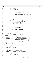1258 1259 **if** ( $blsr\_rc$  == FSCK\_OK) {<br>1260  $\overline{t}$  the page is in 1260  $\frac{1}{\sqrt{4}}$  the page is in the buffer \*/<br>1261  $\frac{1}{\sqrt{4}}$  prms\_ptr = &stree\_proc\_parms; 1261 **prms\_ptr** = &stree\_proc\_parms;<br>1262 1262 1262 1262 1262 1262 1262 127 <sup>1262</sup> /\* these are just big trees \*/ <sup>1263</sup> prms\_ptr−>buf\_tree = (dmtree\_t \*) \* addr\_buf\_ptr; 1264 1265 **switch** (level) {<br>1266 **case** 0:{ 1266 **case**  $0:$  { 1267 prms\_ptr−>wsp\_stree = bmap\_recptr−>L0\_wsp\_stree;<br>1268 break; 1269 **case** 1:{ 1271 prms\_ptr−>wsp\_stree = bmap\_recptr−>L1\_wsp\_stree;<br>hreak: break;  $\left\{ \right\}$ 1274 **default**: 1275 prms\_ptr−>wsp\_stree = bmap\_recptr−>L2\_wsp\_stree;<br>
1276 **break**; <sup>1276</sup> **break**;  $\{1277\}$  $1278$  } 1279 <sup>1280</sup> prms\_ptr−>buf\_tree−>dmt\_nleafs = prms\_ptr−>nleafs = LPERCTL; <sup>1281</sup> prms\_ptr−>buf\_tree−>dmt\_l2nleafs = prms\_ptr−>l2nleafs = 1282 **L2LPERCTL;** <sup>1283</sup> prms\_ptr−>buf\_tree−>dmt\_leafidx = prms\_ptr−>leafidx = <sup>1284</sup> CTLLEAFIND; <sup>1285</sup> prms\_ptr−>buf\_tree−>dmt\_height = 5; <sup>1286</sup> prms\_ptr−>buf\_tree−>dmt\_budmin = L2BPERDMAP + level \* L2LPERCTL; <sup>1287</sup> prms\_ptr−>budmin = prms\_ptr−>buf\_tree−>dmt\_budmin; 1288 prms\_ptr->buf\_stree = &(prms\_ptr->buf\_tree->dmt\_stree[0]); 1290<br>1291  $blsr_re = stre$ ebuild(prms\_ptr, root\_data); 1292 1293  $/$  \* <sup>1204</sup>  $*$  put the page back into the file<br><sup>1295</sup>  $*$ 1295  $*$  / 1296 **if** (blsr\_rc == FSCK\_OK) {<br>
blsr\_rc = blktbl\_Ln\_page\_put(\*addr\_buf\_ptr);  $\left.\begin{array}{ccc} \texttt{1298} & \texttt{1298} \end{array}\right\}$ <sup>1299</sup> } 1300 **return** (blsr\_rc);<br>
1301 } <sup>1301</sup> } 1302 <sup>1303</sup> /\*\*\*\*\*\*\*\*\*\*\*\*\*\*\*\*\*\*\*\*\*\*\*\*\*\*\*\*\*\*\*\*\*\*\*\*\*\*\*\*\*\*\*\*\*\*\*\*\*\*\*\*\*\*\*\*\*\*\*\*\*\*\*\*\*\*\*\*\*\*\*\*\*\*\*\*\* <sup>1304</sup> \* NAME: Ln\_tree\_verify 1305<br>1306 FUNCTION: Verify the tree in the current summary page. 1307 1308 \* PARAMETERS:<br>1309 \* level 1309 \* level − input – Summary level of the bmap summary page<br>
containing the tree to verify 11101 1112 containing the tree to verify<br>first\_blk - input - First aggregate block describe 1311 \* first\_blk - input – First aggregate block described by the bmap<br>1311 \* first\_blk - input – First aggregate block described by the bmap <sup>1312</sup> \* summary page containing the tree to verify <sup>1313</sup> \* addr\_buf\_ptr − input − pointer to a variable in which to return the <sup>1314</sup> \* address of the buffer into which the page has 1315  $*$ <br>1316  $*$  root\_data - input - pointer to a variable in which to return the 1316 \* root\_data - input - pointer to a variable in which to return the<br>1317 \* data value which should be in the root of the <sup>1317</sup> \* data value which should be in the root of the <sup>1318</sup> \* tree....and may actually be stored there. 1319<br>1320  $1320$  \* RETURNS:<br> $1321$  \* SUC  $success: FSCKOK$ <sup>1322</sup> \* failure: something else <sup>1323</sup> \*/ 1324 int Ln\_tree\_verify(int level, int64\_t first\_blk, struct dmapctl \*\*addr\_buf\_ptr,  $\frac{1325}{1325}$  $\frac{1}{100}$  int8\_t \* root\_data) <sup>1326</sup> {  $int$  blsv  $rc$  = FSCK OK;  $1328$   $int8_t$   $other\_errors$ ;<br> $1329$   $int8$  t tree spec errors; 1329 intervalue intervalue tree\_spec\_errors = 0;<br>1330 struct fsck stree proc parms 1330 struct fsck\_stree\_proc\_parms stree\_proc\_parms;<br>1331 struct fsck stree proc\_parms \*prms ptr; struct fsck\_stree\_proc\_parms \*prms\_ptr; 1332 1333 <sup>1334</sup> \* get the page to verify into the  $I/O$  buffer  $1335$ <br> $1336$ <sup>1336</sup> blsv\_rc = blktbl\_Ln\_page\_get(level, first\_blk, addr\_buf\_ptr); 1337 <sup>1338</sup> **if** (blsv\_rc == FSCK\_OK) { 1339  $/*$  the page is in the buffer  $*$ /<br>1340  $\overline{array}$  prms ptr = &stree proc parms; 1340 prms\_ptr =  $\&$  stree\_proc\_parms;<br>  $\frac{1}{4}$  /\* these are just big trees \* <sup>1341</sup> /\* these are just big trees \*/ <sup>1342</sup> prms\_ptr−>buf\_tree = (dmtree\_t \*) \* addr\_buf\_ptr; 1343 1344 **switch** (level) {<br>1345 **case** 0:{ <sup>1345</sup> **case** 0:{ prms\_ptr->wsp\_stree = bmap\_recptr->L0\_wsp\_stree; <sup>1347</sup> prms\_ptr−>page\_ordno = bmap\_recptr−>L0pg\_ordno; Registered Version: Journaled File System **fsckbmap.c** Exhibit 10.1−1 pg 15/23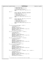```
1348 prms_ptr−>lfval_error =
1349 &(bmap_recptr−>L0pg_slfv_error);
1350 prms_ptr->intval_error =<br>1351 prms_ptr->intval_error =<br>21351 & (bmap_recptr->L0pq_error =
1351 &(bmap_recptr−>L0pg_slnv_error);
1352 prms_ptr−>page_level = fsck_L0;<br>1353 other errors = & (bmap recptr−>L
                                       1353 other_errors = &(bmap_recptr−>L0pg_other_error);
1354 break;<br>1355 break
1355 case 1:{
1357 prms_ptr−>wsp_stree = bmap_recptr−>L1_wsp_stree;<br>1358 prms_ptr−>page_ordno = bmap_recptr−>L1_pg_ordno;
1358 prms_ptr−>page_ordno = bmap_recptr−>L1pg_ordno;<br>1359 prms_ptr->lfval_error =<br>1360 &(bmap_recptr->L1pg_slfv_error);
1361 prms_ptr−>intval_error =<br>2162 prms_ptr−>intval_error =
                                           1362 &(bmap_recptr−>L1pg_slnv_error);
1363 prms_ptr−>page_level = fsck_L1;
1364 other_errors = &(bmap_recptr−>L1pg_other_error);
1365 break;
\left\{\right. \right\}1367 default:\begin{cases} 1368 \end{cases}prms_ptr->wsp_stree = bmap_recptr->L2_wsp_stree;
1369 prms_ptr−>page_ordno = 0;
1370 prms_ptr−>lfval_error =
1371 & (bmap_recptr−>L2pg_slfv_error);<br>1372 brms ptr->intval error =
                                       prms_ptr->intval_error =
1373 &(bmap_recptr−>L2pg_slnv_error);
1374 prms_ptr−>page_level = fsck_L2;
1375 other_errors = &(bmap_recptr−>L2pg_other_error);
1376 break;<br>1377 break
\left\{ \right\}1378 }
1379
1380 if (prms_ptr->buf_tree->dmt_nleafs != LPERCTL) {<br>
/* wrong number of leafs */
1382 *other_errors = −1;
1383<br>1384 tree_spec_errors = −1;<br>1385 msgprmidx[0] = message_parm_0;<br>1386 sprintf(message_parm_1, "%d", prms_ptr->page_ordno);
1387 msgprms[1] = message_parm_1;
1388 msgprmidx[1] = 0;
1389 fsck_send_msg(fsck_BMAPBADNLF, 2);
1390 }
1391 if (prms_ptr->buf_tree->dmt_l2nleafs != L2LPERCTL) {<br>1392 /* wrong log2(nleafs) */
1392 /* wrong log2(nleafs) */
1393 *other_errors = −1;
1394<br>
1396<br>
1396 msgprms[0] = message_parm_0;<br>
msgprmidx[0] = prms_ptr−>page_level;<br>
sprintf(message_parm_1, "%d", prms_ptr->page_ordno);<br>
1398 msgprmidx[1] = 0;<br>
msgprmidx[1] = 0;
1400 fsck_send_msg(fsck_BMAPBADL2NLF, 2);
1401 }
1402 if (prms_ptr->buf_tree->dmt_leafidx != CTLLEAFIND) {<br>
/* wrong 1st leaf index */
1404 * other_errors = −1;<br>
1405 tree_spec_errors =
1405 tree_spec_errors = −1;<br>1406 1406 msgprms[0] = message_parm_0;
1407 msgprmidx[0] = prms_ptr−>page_level;
1408 sprintf(message_parm_1, "%d", prms_ptr−>page_ordno);
1409 msgprms[1] = message_parm_1;
1410 msgprmidx[1] = 0;
1411 fsck_send_msg(fsck_BMAPBADLFI, 2);
1412 }
1413 if (prms_ptr−>buf_tree−>dmt_height != 5) {
1414 \frac{1}{4} wrong stree height */<br>
\frac{1}{4} wrong stree height */<br>
* other errors = -1;
1414 /^ wiving but with 1415<br>1415 *other_errors = −1;<br>1416 tree specterrors =
1416 tree_spec_errors = −1;
1417 msgprms[0] = message_parm_0;
1418 msgprmidx[0] = prms_ptr−>page_level;
1419 sprintf(message_parm_1, "%d", prms_ptr−>page_ordno);
1420 msgprms[1] = message_parm_1;
1421 msgprmidx[1] = 0;
1422 fsck_send_msg(fsck_BMAPBADHT, 2);
1423 }
1424 if (prms_ptr−>buf_tree−>dmt_budmin != (L2BPERDMAP + level * L2LPERCTL)) {
1425 /* wrong min buddy value */
1426 *other_errors = −1;
1427 tree_spec_errors = −1;<br>
1428 msgprms[0] = message_parm_0;
1429 msgprmidx[0] = prms_ptr−>page_level;
1430 sprintf(message_parm_1, "%d", prms_ptr−>page_ordno);
1431 msgprms[1] = \text{message\_param\_1};<br>
1432 msgprmidx[1] = 0;msgprmidx[1] = 0;
1433 fsck_send_msg(fsck_BMAPBADBMN, 2);<br>1434 }
1434 }
1435
1436 /*
<sup>1437</sup> * if we found errors in the fields which specify the summary
Registered Version: Journaled File System fsckbmap.c Exhibit 10.1−1 pg 16/23
```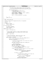```
fsckbmap.c
                                                                                                            Exhibit 10.1-1 pg 17/23
Registered Version: Journaled File System
                       * tree then we won't take the time to verify the tree itself.
1438
1439
                        * (The errors already detected would corrupt the summary tree,
1440
1441
                           so info about the bad tree would only be noise at this point.)
1442if (!tree_spec_errors) {
1443
                                  tree specification fields are ok */
1444
                               prms_ptr->buf_stree =
1445
                                    \alpha(prms_ptr->buf_tree->dmt_stree[0]);
1446
1447
                               prms\_ptr\rightarrow nleafs = LPERCTL;1448
1449
                               prms ptr->leafidx = CTLLEAFIND;
1450
1451
1452
                               blsv_rc = stree_verify(prms_ptr, root_data);
1453
                      \overline{\ }1454
1455
1456
             return (blsv_rc);
1457
   \}1458
     1459
     * NAME: rebuild_blkall_map
1460
1461
1462FUNCTION: Rebuild the JFS Aggregate Block Map in the aggregate.
1463
       PARAMETERS: none
1464
1465
1466
       RETURNS:
             Success: FSCK OK
1467failure: something else
1468
     \star /
1469
1470
    int rebuild_blkall_map()
1471\{1472int rbam_rc = FSCK_OK;
             int8_t sumtree_root_data;<br>uint32_t leafidx;
14731474
1475
    #define MAXIDX (LPERCTL - 1)
1476
1477
             rbam\_rc = init\_bmap\_info();
1478
1479
1480
              * since the dmap I/O buffer is really the same storage as the
1481
              * Since the dual 1/0 buffer is fearly the bumb bookspace of the<br>* IAG I/O buffer, flush out any pending writes that may remain<br>* from IAG processing.
1482
1483
1484
              \ddot{\phantom{0}}rbam_rc = iags_flush();
1485
1406
1487
              * rebuild the dmap pages. Rebuild each LO and L1 page
1488
              * if and when the information for is complete.
1489
              \ddot{\bullet}1490
1491
             while ((rbam_rc == FSCK_OK)&& (bmap_recptr->dmappg_ordno < bmap_recptr->dmappg_count)) {
14921493
1494
                      rbam_rc = dmappg_rebuild(&sumtree_root_data);
                      if (\overline{r}bam_rc == \overline{r}SCK_OK) {
1495
1496
                                 * the data in the dmap summary tree root goes into a leaf of
1497
                                 \starthe current L0 page
1498
                                 \star1499
                               bmap_recptr->L0_wsp_sleafs[bmap_recptr->dmappg_idx] =
1500
1501
                                    sumtree_root_data;
1502
                                /* move to next dmap page */
1503
                               bmap_recptr->dmappg_ordno++;
1504
                               bmap_recptr->dmap_1stblk += BPERDMAP;
1505
1506
                               if (bmap recptr->dmappq idx < MAXIDX)
1507
                                         /* still gathering info about this LO page */
1508
                                         bmap_recptr->dmappg_idx++;
1509
1510
                                \} else \{\sqrt{*} we have all the info needed for the current LO page \sqrt{*}1511
1512
                                        bmap_recptr->dmappg_idx = 0;
1513
                                        rbam rc =Ln_tree_rebuild(0, bmap_recptr->L0pg_1stblk,
1514
1515
                                                                \& (bmap_recptr->L0_bufptr),
1516
                                                                &sumtree_root_data);
1517
                                        if (rbam_rc == FSCK_OK) {
1518
                                                  x^2<br>* the data in the L0 summary tree root goes into
1519
1520
                                                   * a leaf of the current L1 page
1521
                                                   \star.
1522
                                                  bmap_recptr->L1_wsp_sleafs[bmap_recptr->
1523
                                                                                 L0pg\_idx] =
15241525
                                                       sumtree_root_data;
                                                  \frac{1}{\pi} move to the next L0 page */
1526
                                                  bmap\_recptr->L0pg\_ordno++1527
```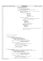```
1528 bmap_recptr−>L0pg_1stblk =
1529 bmap_recptr−>dmap_1stblk;
1530
1531 if (bmap_recptr−>L0pg_idx < MAXIDX) {
1532 /* still gathering info about this L1 page */
1533 bmap_recptr−>L0pg_idx++;
1534 } else {
1535 \frac{1}{1536} \frac{1}{1536} we have all the info needed for the current L1 page */
1536 bmap_recptr−>L0pg_idx = 0;<br>
1537 rbam rc =
\frac{1}{1537} rbam_rc = \frac{1}{101} rbam_rc = \frac{1}{101} rbam_rc = \frac{1}{101} rbam_rc = \frac{1}{101} rbam_rc = \frac{1}{101} rbam_rc = \frac{1}{101} rbam_rc = \frac{1}{101} rbam_rc = \frac{1}{101} rbam_rc = \frac{1}{101} rbam_rc = 
                                                1538 Ln_tree_rebuild(1,
1539 bmap_recptr−>
11pq_1 stable, 11pq_1 stable, 11pq_1 stable, \frac{1}{6}15411542 (bmap_recptr−>
1543 L1_bufptr), L1_bufptr), L1_bufptr), L1_bufptr), L1_bufptr), L1_bufptr), L1_bufptr
                                                              2-2+1+7;<br>&sumtree_root_data);
1545
\mathbf{if} (rbam_rc == FSCK_OK) {<br>
\mathbf{if} (rbam_rc == FSCK_OK) {
15471547<br>
1548<br>
1548<br>
1625 The data in the L1 summary tree root goes into
<sup>1549</sup> * a leaf of the current L2 page * /
1550 \star /
1551 bmap_recptr−><br>1552 1552 1552
                                                       L<sub>2_wsp_sleafs</sub>
1553 [bmap_recptr−>
1554 L1pg_idx] =
1555 sumtree_root_data;
1556
1557 /* move to the next L1 page */
1558 bmap_recptr−>L1pg_ordno++;<br>1558 bmap recptr−>
1559 bmap_recptr−><br>1560 bmap_fecptr−><br>1560 L1pg_1stk
\frac{1560}{\text{Lips}} 1560 \frac{1560}{\text{max} \times \text{CDF}}<sup>1561</sup> bmap_recptr−><br>dmap_fecptr−><br>dmap_1sthlk:
                                                       dmap_1stb1k;1563
1564\frac{1565}{1566} * note that there is always AT MOST a single L2 page
1566 * * / * / * / * / * / * / * / * / * / * / * / * / * / * / * / * / * / * / * / * / * / * / * / * / * / * / * / * / * / * / * / * / * / * / * / * 
1567 bmap_recptr−>L1pg_idx++;
1568
1569 }
1570 }
\left\{\right\}1572<br>
1573 }
1573 }
1574 }
1575
1576<br>1577
          * finish up the partial pages
1578
1579
1580 if (rbam_rc == FSCK_OK) {<br>1581 if (bmap_recptr->
1581 if (bmap_recptr->dmappg_idx != 0) {<br>
1582 for (leafidx = bmartial L0 page */<br>
for (leafidx = bmap_recptr->dmappg_idx;<br>
1584 (leafidx <= MAXIDX); leafidx++) {
1585 bmap_recptr−>L0_wsp_sleafs[leafidx] = −1;
\left\{\right\}1587 rbam_rc = Ln_tree_rebuild(0, bmap_recptr−>L0pg_1stblk,
1588 &(bmap_recptr−>L0_bufptr),
1589 \qquad \qquad \text{if (rbam rc == FSCK OK) } \& \text{sumtree\_root_data};1590 if (rbam_rc == FSCK_OK) {
1591 *1592 * the data in the L0 summary tree root goes into
1593 * a leaf of the current L1 page
1594 * /
1595 bmap_recptr−>L1_wsp_sleafs[bmap_recptr−>15<br>1596 L0pα idxl =
1596<br>
1597<br>
1597<br>
1597<br>
1597<br>
1597<br>
1597<br>
1599<br>
1099<br>
1099<br>
1099<br>
1099<br>
1099sumtree_root_data;
1598 bmap_recptr<sup>-</sup>>L0p<del>g</del>_idx++;<br>1599 }
\left.\rule{0.3cm}{0.15cm}\right\}1600 }
1601 }
1602 if (rbam_rc == FSCK_OK) {
1603 if ((bmap_recptr−>L1pg_count > 0) && (bmap_recptr−>L0pg_idx != 0)) {
1604 /* there's enough data for an L1 level, and there's a partial L1 page */
1605 for (leafidx = bmap_recptr−>L0pg_idx;
1606 (leafidx <= MAXIDX); leafidx++) {
1607 bmap_recptr->L1_wsp_sleafs[leafidx] = -1;<br>1608 }
\left\{\right\}1609 rbam_rc = Ln_tree_rebuild(1, bmap_recptr−>L1pg_1stblk,
<sup>1610</sup> = \frac{1}{2} \frac{1}{2} \frac{1}{2} \frac{1}{2} \frac{1}{2} \frac{1}{2} \frac{1}{2} \frac{1}{2} \frac{1}{2} \frac{1}{2} \frac{1}{2} \frac{1}{2} \frac{1}{2} \frac{1}{2} \frac{1}{2} \frac{1}{2} \frac{1}{2} \frac{1}{2} \frac{1}{2} \frac{1}{2} \frac{1}{2}1611 \& Sumtree_root_data);<br>1612 \qquad if (rbam rc == FSCK OK) {
                        if (rbam_rc == FSCK_OK) {
1613 / *
1614 * the data in the L0 summary tree root goes into
1615 * a leaf of the current L1 page
1616 * /
1617 bmap_recptr−>L2_wsp_sleafs[bmap_recptr−>
Registered Version: Journaled File System fsckbmap.c Exhibit 10.1−1 pg 18/23
```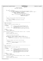```
\frac{1618}{\sqrt{100}} L1pq \frac{1}{\sqrt{10}}1619<br>1619 sumtree_root_data;
1620 bmap_recptr−>L1pg_idx++;<br>
1621 }
\left\{ \right\}\{1622 \}1623 }
<sup>1624</sup> if (rbam_rc == FSCK_OK) {<br>1625 if ((bmap recptr-
1625 if ((bmap_recptr−>L2pg_count > 0) && (bmap_recptr−>L1pg_idx != 0)) {
1626 \overline{a} /* there's enough data for an L2 level, and there's a partial L2 page */<br>1627 for (leafidx = bmap recptr->Llpg idx;
1627 for (leafidx = bmap_recptr->L1pg_idx;<br>1628 (leafidx <= MAXIDX); leafidx++)
1628 (leafidx <= MAXIDX); leafidx++) {
1629 bmap_recptr−>L2_wsp_sleafs[leafidx] = −1;
\left\{\right\}1631 rbam_rc = Ln_tree_rebuild(2, bmap_recptr->L2pg_1stblk,<br>1622 fental state (bman_recntr->L2pufntr)
                                                           1632 &(bmap_recptr−>L2_bufptr),
1633 &sumtree_root_data);
1634 }
1635 }
1636<br>1637
             * Now go verify the Block Allocation Map Control page
1638
1639 if (rbam_rc == FSCK_OK) {<br>1640 compared rbam rc = ctlpage
                     rbam_rc = ctlpage_rebuild(sumtree_root_data);
1641<br>1642
            return (rbam_re);1643 }
1644
1645 /*****************************************************************************
1646 * NAME: stree_rebuild
1647 *
1648 * FUNCTION: Rebuild the specified summary tree.
1649
1650 * PARAMETERS:<br>1651 * prms_ptr
1651 * prms_ptr – input – pointer to a data area describing the tree
1652 * 1652 * to rebuild and containing the dmap which the 1653 *
                                    tree summarizes.
1654 * root_data − input − pointer to a variable in which to return the
                                    data value stored in the root node of the tree
1656<br>1657
       RRT HRNS:
1658 * success: FSCK_OK<br>1659 * failure: somethi
            failure: something else
1660<br>1661
    int stree_rebuild(struct fsck_stree_proc_parms *prms_ptr, int8_t * root_data)
1662 {
1663 int bsr_rc = FSCK_OK;
1664 uint32_t node_idx, last_leaf_idx;
1665
1666<br>1667
             * copy the leaf data into the buffer
1668 */
1669 last_leaf_idx = prms_ptr−>leafidx + prms_ptr−>nleafs − 1;
1670 for (node_idx = prms_ptr−>leafidx; (node_idx <= last_leaf_idx);
1671 node\_idx++) {1671}<br>1672 nrms\_ntr-51672 prms_ptr−>buf_stree[node_idx] = prms_ptr−>wsp_stree[node_idx];
1673 }
1674
1675<br>1676
             * build the summary tree from the "raw" leaf values
1677
1678 *root data =
1679 ujfs_adjtree(prms_ptr->buf_stree, prms_ptr->l2nleafs,<br>1680 prms ptr->budmin);
                               1forms_ptr->budmin);
1681
1682 return (bsr rc);
1683 }
1684
1685 /*****************************************************************************
      NAME: stree_verify
1687 *
1688 * FUNCTION: Verify the specified summary tree.
1689<br>1690
1690 * PARAMETERS:<br>1691 * prms_ptr
                        - input - pointer to a data area describing the tree
1692 * to verify and containing the dmap which the
1693 * tree summarizes.
1694 * root_data − input − pointer to a variable in which to return the
1695 * data value which should be in the root node<br>of the tree (and may in fact be in the root
1696 * of the tree (and may in fact be in the root
1697 * node of the tree)
1698
1699 * RETURNS:<br>1700 * SUC
1700 * success: FSCK_OK<br>1701 * failure: somethi
            failure: something else
1702
1703 int stree_verify(struct fsck_stree_proc_parms *prms_ptr, int8_t * root_data)<br>1704 {
1704 {
1705 int bsv_rc = FSCK_OK;<br>1706 uint 32 t node idx, la
            uint32_t node_idx, last_leaf_idx;
1707
Registered Version: Journaled File System fsckbmap.c Exhibit 10.1−1 pg 19/23
```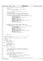```
1708 /*
1709 * build the summary tree from the "raw" leaf values
1710 */
<sup>1711</sup> *root_data =<br><sup>1712</sup> uifs adi
1712 ujfs_adjtree(prms_ptr−>wsp_stree, prms_ptr−>l2nleafs,
                                   prms_ptr->budmin);
1714
1715<br>1716
1716 * Now see if the tree in the buffer matches the one we just<br>1717 * built in the workspace.
               * built in the workspace.
1718 *
1719 * We distinguish between incorrect internal nodes and incorrect
               * leaf nodes because they can be symptoms of different problems.
17211722 for (node_idx = 0; (node_idx < prms_ptr−>leafidx); node_idx++) {
1723 if (prms_ptr−>buf_stree[node_idx] != prms_ptr−>wsp_stree[node_idx]) {
1724 /* they don't match! */
1725 *(prms_ptr−>intval_error) = −1;
1726 sprintf(message_parm_0, "%d", node_idx);
1727 msgprms[0] = message_parm_0;
1728 msgprmidx[0] = 0;
1729 msgprms[1] = message_parm_1;
1730 msgprmidx[1] = prms_ptr−>page_level;
1731 sprintf(message_parm_2, "%d", prms_ptr−>page_ordno);
1732 msgprms[2] = message_parm_2;
1733 msgprmidx[2] = 0;
1734 fsck_send_msg(fsck_BMAPBADLNV, 3);<br>1735 }
1735<br>1736 }
1736
1737
1738 last_leaf_idx = prms_ptr−>leafidx + prms_ptr−>nleafs − 1;
1739 for (node_idx = prms_ptr−>leafidx; (node_idx <= last_leaf_idx);
1740 node\_idx++) {<br>1741 if (prms p
1741 if (prms_ptr->buf_stree[node_idx] != prms_ptr->wsp_stree[node_idx]) {<br>
<sup>1742</sup> /* they don't match! */
1742 /* they don't match! */
1743 *(prms_ptr−>lfval_error) = −1;
1744 sprintf(message_parm_0, "%d", node_idx);
\text{mspprms}[0] = \text{message\_parm\_0};<br>
\text{mspprms}[0] = 0;<br>
\text{mspprmidx}[0] = 0;\text{msgprmidx}[0] = 0;<br>\text{msgprmidx}[1] = \text{mess}1747 msgprms[1] = message_parm_1;
1748 msgprmidx[1] = prms_ptr−>page_level;
1749 sprintf(message_parm_2, "%d", prms_ptr−>page_ordno);
1750 msgprms[2] = message_parm_2;
1751 msgprmidx[2] = 0;
1752 fsck_send_msg(fsck_BMAPBADLFV, 3);<br>1753 }
\left\{ \right. 1753 \left. \right\}\begin{array}{c} \n \text{1754} \\
 \end{array}1755<br>1756
              return (bsv_rc);
1757 }
1758
1759 /*****************************************************************************
     * NAME: verify_blkall_map
1761<br>1762
       FUNCTION: Validate the JFS Aggregate Block Map for the aggregate.
\begin{array}{cc}\n1763 & * \\
1764 & * \\
\end{array}PARAMETERS: none
1765<br>1766
1766 * RETURNS:<br>1767 * Such
1767 * success: FSCK_OK
1768 * failure: something else
1769 */
   int verify_blkall_map()<br>{
1771 {
1772 int vbam rc = FSCK OK;
1773 int8_t sumtree_root_data;<br>1773 int8_t sumtree_root_data;<br>1774 uint32 t leafidx;
              1774 uint32_t leafidx;
1775
1776 #define MAXIDX (LPERCTL - 1)
1777
1778 vbam_rc = init_bmap_info();
1779
1780<br>1781
               * since the dmap I/O buffer is really the same storage as the
1782 * IAG I/O buffer, flush out any pending writes that may remain
1783 * from IAG processing.
1784<br>1785
              vbam_rc = iags_flush();
1786
1787<br>1788
               * Verify the dmap pages. Verify each L0 and L1 page
1789 * if and when the information for is complete.
1790<br>1791
1791 while ((vbam_rc == FSCK_OK)
                       1792 && (bmap_recptr−>dmappg_ordno < bmap_recptr−>dmappg_count)) {
1793
1794 vbam_rc = dmappg_verify(&sumtree_root_data);<br>
1795 if (vbam_rc == FSCK_OK) {
1795 if (\overline{v}\text{bam\_rc} == \overline{FSCK\_OK}) {<br>1796
1796 *1797 * the data in the dmap summary tree root goes into a leaf of
Registered Version: Journaled File System fsckbmap.c Exhibit 10.1−1 pg 20/23
```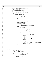```
1798 * the current L0 page
1799 \star /
1800 bmap_recptr−>L0_wsp_sleafs[bmap_recptr−>dmappg_idx] =
1801 sumtree_root_data;<br>1802 1802 1802 1803 1804
1802 /* move to next dmap page */
1803 bmap_recptr−>dmappg_ordno++;
1804 bmap_recptr−>dmap_1stblk += BPERDMAP;
1805
1806 if (bmap_recptr−>dmappg_idx < MAXIDX) {
1807 /* still gathering info about this L0 page */
1808 bmap_recptr−>dmappg_idx++;
1809 else {<br>1810
<sup>1810</sup> \frac{1}{2} /* we have all the info needed for the current L0 page */<br>1811 bmap recptr->dmappq idx = 0;
1811 bmap_recptr−>dmappg_idx = 0;<br>
\frac{1}{2}<br>
\frac{1}{2}vbam rc =1813 Ln_tree_verify(0, bmap_recptr−>L0pg_1stblk,
1814 &(bmap_recptr−>L0_bufptr),
1815 6 and the contract of the contract of the contract of the contract of the contract of the contract of the contract of the contract of the contract of the contract of the contract of the contract of the contract of the
1816
1817 if (vbam_rc == FSCK_OK) {<br>
\frac{1}{4}1819 * the data in the L0 summary tree root goes into
1820 * a leaf of the current L1 page
1821 */
1822 bmap_recptr−>L1_wsp_sleafs[bmap_recptr−>
1823 LOpg_idx] =
1824 sumtree root data;
1825 /* move to the next L0 page */
1826 bmap_recptr−>L0pg_ordno++;<br>hmap_recptr−>L0pg_ordno++;;<br>hmap_recptr−>L0pg_0sth]
                                             bmap_recptr->L0pg_1stblk =
1828 bmap_recptr−>dmap_1stblk;<br>1829 if (bmap recptr−>L0pq idx < M
                                             1829 if (bmap_recptr−>L0pg_idx < MAXIDX) {
1830 /* still gathering info about this L1 page */
1831 bmap_recptr−>L0pg_idx++;
1832 } else {
                                                      1<sup>*</sup> we have all the info needed for the current L1 page ^*/1834<br>
1835<br>
1835<br>
1835<br>
1835\begin{array}{c}\n\text{1835} \\
\text{1836}\n\end{array}\n\quad\n\begin{array}{c}\n\text{1836} \\
\text{1836}\n\end{array}\n\quad\n\begin{array}{c}\n\text{1837} \\
\text{1838}\n\end{array}\n\quad\n\begin{array}{c}\n\text{1838} \\
\text{1839}\n\end{array}\n\quad\n\begin{array}{c}\n\text{1838} \\
\text{1839}\n\end{array}\n\quad\n\begin{array}{c}\n\text{1839} \\
\text{1830}\n\end{array}\n\quad\n\begin{array}{c}\n\text\frac{1}{2} Ln_tree_verify(1, \frac{1}{2} assets the contract of the contract of the contract of the contract of the contract of the contract of the contract of the contract of the contract of the contract of the contract of 
                                                                          bmap_recptr->
1838 \frac{L\log_{10}155}{\&}\frac{1}{2}1840 (bmap_recptr−>
1841<br>1842 Laurence Communication (1842 Laurence Communication (1842 Laurence Communication (1842 Laurence Communication (1852 Laurence Communication (1852 Laurence Communication (1862 Laurence Communication (1862 Laurenc
                                                                          1842 &sumtree_root_data);
\mathbf{if} (vbam_rc == FSCK_OK) {<br>
\mathbf{if} (vbam_rc == FSCK_OK) {
18441845 * the data in the L1 summary tree root goes into<br>
<sup>*</sup> a leaf of the current L2 page
1847 \star /
1848 bmap_recptr−>
1849<br>1849 12 \text{ Wsp\_sleafs}<br>1850 \text{Ibm} \geq \text{L}1850 [\text{bmap\_reoptr}\rightarrow<br>1851 [\text{bmap\_reoptr}\rightarrow\frac{1}{1851} \frac{1}{185} \frac{1}{185} \frac{1}{180} \frac{1}{180} \frac{1}{180} \frac{1}{180} \frac{1}{180} \frac{1}{180} \frac{1}{180} \frac{1}{180} \frac{1}{180} \frac{1}{180} \frac{1}{180} \frac{1}{180} \frac{1}{180} \frac{1}{180} \frac{1}{180} \frac{sumtree\_root\_data;<sup>1853</sup> /* move to the next L1 page */<br>
1854 bmap recptr->Llpq ordno++;
1854 bmap_recptr−>L1pg_ordno++;
1855 bmap_recptr−><br>1856 bmap_recptr−><br>1856 1951 bman 1956
1856<br>11pg_1stblk =<br>1987<br>19871857 bmap_recptr−>
1858 dmap_1stblk;
1859 \overline{\phantom{a}} / \overline{\phantom{a}} / \overline{\phantom{a}} / \overline{\phantom{a}} / \overline{\phantom{a}} / \overline{\phantom{a}} / \overline{\phantom{a}} / \overline{\phantom{a}} / \overline{\phantom{a}} / \overline{\phantom{a}} / \overline{\phantom{a}} / \overline{\phantom{a}} / \overline{\phantom{a}} / \overline{\phantom{a}} / \overline{\phantom{a}} / \overline{\phant<sup>1860</sup> * note that there is always AT MOST a single L2 page
1861 \star /
1862 bmap_recptr−>L1pg_idx++;<br>1863 }
\{1863\}\begin{matrix} 1864 \\ 1865 \end{matrix}\hspace{1.5cm} 1865\begin{array}{c} \text{1866} \\ \text{1867} \end{array} \qquad \qquad \begin{array}{c} \text{188} \\ \text{1887} \end{array}1867 }
1868 }
1869<br>1870
             * finish up the partial pages
1871
1872 if (vbam_rc == FSCK_OK) {
1873 if (bmap_recptr−>dmappg_idx != 0) {
1874 /* there's a partial L0 page */
1875 for (leafidx = bmap_recptr−>dmappg_idx;
1876 (leafidx <= MAXIDX); leafidx++) {
1877 bmap_recptr->L0_wsp_sleafs[leafidx] = −1;<br>1878 }
1878 }
1879 vbam_rc = Ln_tree_verify(0, bmap_recptr->L0pg_1stblk,<br>1880 versitr->L0 bufptr).
1880 \overline{a} = \overline{b} \overline{b} \overline{c} (bmap_recptr->L0_bufptr),
\frac{1881}{1882} &sumtree_root_data);
                             if (vbam_rc == FSCK_OK)1883 /*
1884 * the data in the L0 summary tree root goes into
1885 * a leaf of the current L1 page
1886 */
1887 bmap_recptr−>L1_wsp_sleafs[bmap_recptr−>
Registered Version: Journaled File System fsckbmap.c Exhibit 10.1−1 pg 21/23
```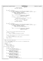```
1888 LOpq idx
nsee<br>1889 sumtree_root_data;
1890 bmap_recptr−>L0pg_idx++;<br>1891 }
\left.\begin{array}{ccc} 1891 \end{array}\right\}\left.\begin{array}{ccc} 1892 \end{array}\right\}1893 }
<sup>1894</sup> if (vbam_rc == FSCK_OK) {<br><sup>1895</sup> if ((bmap recptr-
1895 if ((bmap_recptr->L1pg_count > 0) && (bmap_recptr->L0pg_idx != 0)) {<br><sup>1896</sup> /* there's enough data for an L1 level, and there's a partia
1896 \overline{a} /* there's enough data for an L1 level, and there's a partial L1 page */<br>
for (leafidx = bmap recptr->L0pq idx;
1897 for (leafidx = bmap_recptr−>L0pg_idx;<br>(leafidx <= MAXIDX); leafidx++)
1898 (leafidx <= MAXIDX); leafidx++) {
1899 bmap_recptr−>L1_wsp_sleafs[leafidx] = −1;
1900 } /* end for leafidx */
1901
1902 vbam_rc = Ln_tree_verify(1, bmap_recptr−>L1pg_1stblk,
1903 &(bmap_recptr−>L1_bufptr),
1904 &sumtree_root_data);
1905 if (vbam_rc == \text{FSCK\_OK}) {
1906 4*1907 * the data in the L0 summary tree root goes into
1908 * a leaf of the current L1 page
1909 * /
1910 bmap_recptr−>L2_wsp_sleafs[bmap_recptr−>1911<br>1911 1911
1911<br>
11pg_idx = 11pg_idx = 11pg_idx =
                                             sumtree_root_data;
1913 bmap_recptr−>L1pg_idx++;<br>
1914 }
\left\{ \begin{array}{ccc} 1914 & & & \end{array} \right\}1915 }
1916<br>1917
             \mathbf{if} (vbam rc = FSCK_OK) {
1918 if ((bmap_recptr−>L2pg_count > 0) && (bmap_recptr−>L1pg_idx != 0)) {
1919 /* there's enough data for an L2 level, and there's a partial L2 page */
1920 for (leafidx = bmap_recptr−>L1pg_idx;<br>
1921 (leafidx <= MAXIDX); leafidx++) {
1922 bmap_recptr->L2_wsp_sleafs[leafidx] = -1;<br>19231923 \Big\}1924
1925 vbam_rc = Ln_tree_verify(2, bmap_recptr->L2pg_1stblk,<br>
1926 6 (bmap_recptr->L2_bufptr),
1926 and Contract Contract Contract Contract Contract Contract Contract Contract Contract Contract Contract Contract Contract Contract Contract Contract Contract Contract Contract Contract Contract Contract Contract Con
                      {\sumtree_root_data);<br>}
\left\{\right. \right\}1929 }
1930<br>1931
              * Now go verify the Block Allocation Map Control page
1932
\mathbf{if} (vbam_rc == FSCK_OK) {<br>
\mathbf{if} (vbam rc = ctlpage
                      1934 vbam_rc = ctlpage_verify(sumtree_root_data);
1935
1936<br>1937
              * issue summary messages about the Block Allocation Map validation
1938
1939 if (vbam_rc == \text{FSCK\_OK}) {<br>
1940 if vbam rc = \text{verify}-<br>vbam_rc = verify_blkall_summary_msgs();
1941<br>1942
             return (vbam rc);1943 }
1944
1945 /*****************************************************************************
      NAME: verify_blkall_summary_msgs
1947 *
1948 * FUNCTION: Issue summary messages with the results of JFS Aggregate Block
1949 * Map validation.
1950<br>1951
       PARAMETERS: none
1952 *
1953 * RETURNS:
1954 * success: FSCK_OK<br>1955 * failure: somethi
             failure: something else
1956<br>1957
   int verify_blkall_summary_msgs()
1958 {
             int vbsm_rc = FSCK_OK;
1960
1961 if (bmap_recptr−>dmap_pmap_error) {
1962 fsck_send_msg(fsck_BADDMAPPMAPS, 0);
1963 }
1964 if (bmap_recptr−>dmap_slfv_error) {
1965 msgprms[0] = message_parm_0;
1966 msgprmidx[0] = fsck_dmap;
1967 fsck_send_msg(fsck_BADBMAPSLFV, 1);
1968 }
1969 if (bmap_recptr−>dmap_slnv_error)<br>1970 msoprms[0] = message parm
1970 msgprms[0] = message_parm_0;
1971 msgprmidx[0] = fsck_dmap;
1972 fsck_send_msg(fsck_BADBMAPSLNV, 1);
1973 }
1974 if (bmap_recptr−>dmap_other_error)<br>1975 msgprms[0] = message_parm_
1975 msgprms[0] = message_parm_0;
1976 msgprmidx[0] = fsck_dmap;
1977 fsck_send_msg(fsck_BADBMAPSOTHER, 1);
Registered Version: Journaled File System fsckbmap.c Exhibit 10.1−1 pg 22/23
```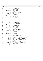|              | Registered Version: Journaled File System                                                          | fsckbmap.c                                                    | Exhibit 10.1-1 pg 23/23 |
|--------------|----------------------------------------------------------------------------------------------------|---------------------------------------------------------------|-------------------------|
| 1978         |                                                                                                    |                                                               |                         |
| 1979         | if (bmap_recptr->L0pg_slfv_error)                                                                  |                                                               |                         |
| 1980<br>1981 | $msgprms[0] = message\_param_0;$<br>$msgprmidx[0] = fsck_L0;$                                      |                                                               |                         |
| 1982         | $fsck\_send\_msg(fsck\_BADBMAPSLFV, 1);$                                                           |                                                               |                         |
| 1983         |                                                                                                    |                                                               |                         |
| 1984         | if (bmap_recptr->L0pg_slnv_error)                                                                  |                                                               |                         |
| 1985         | $msgprms[0] = message\_param_0;$                                                                   |                                                               |                         |
| 1986<br>1987 | $msgprmidx[0] = fsck_L0;$<br>$fsck\_send\_msg(fsck\_BADBMAPSLNV, 1);$                              |                                                               |                         |
| 1988         |                                                                                                    |                                                               |                         |
| 1989         | $if$ (bmap_recptr->L0pq_other_error) {                                                             |                                                               |                         |
| 1990         | $msgprms[0] = message\_param_0;$                                                                   |                                                               |                         |
| 1991<br>1992 | $msgprmidx[0] = fsck_L0;$<br>$fsck\_send\_msg(fsck\_BADBMAPSOTHER, 1);$                            |                                                               |                         |
| 1993         |                                                                                                    |                                                               |                         |
| 1994         | $if$ (bmap_recptr->Llpg_slfv_error) {                                                              |                                                               |                         |
| 1995         | $msgprms[0] = message\_param_0;$                                                                   |                                                               |                         |
| 1996<br>1997 | $msqprmidx[0] = fsck_L1;$<br>$fsck\_send\_msg(fsck\_BADBMAPSLFV, 1);$                              |                                                               |                         |
| 1998         |                                                                                                    |                                                               |                         |
| 1999         | $if$ (bmap_recptr->Llpg_slnv_error) {                                                              |                                                               |                         |
| 2000         | $msgprms[0] = message_param_0;$                                                                    |                                                               |                         |
| 2001<br>2002 | $msgprmidx[0] = fsck_L1;$<br>$fsck\_send\_msg(fsck\_BADBMAPSLNV, 1);$                              |                                                               |                         |
| 2003         |                                                                                                    |                                                               |                         |
| 2004         | $if$ (bmap_recptr->Llpg_other_error) {                                                             |                                                               |                         |
| 2005         | $msgprms[0] = message\_param_0;$                                                                   |                                                               |                         |
| 2006<br>2007 | $msgprmidx[0] = fsck_L1;$<br>$fsck\_send\_msg(fsck\_BADBMAPSOTHER, 1);$                            |                                                               |                         |
| 2008         |                                                                                                    |                                                               |                         |
| 2009         | $if$ (bmap_recptr->L2pg_slfv_error) {                                                              |                                                               |                         |
| 2010         | $msgprms[0] = message\_param_0;$                                                                   |                                                               |                         |
| 2011<br>2012 | $msgprmidx[0] = fsck_L2;$<br>$fsck\_send\_msg(fsck\_BADBMAPSLFV, 1);$                              |                                                               |                         |
| 2013         |                                                                                                    |                                                               |                         |
| 2014         | if (bmap_recptr->L2pg_slnv_error)                                                                  |                                                               |                         |
| 2015         | $msgprms[0] = message\_param_0;$                                                                   |                                                               |                         |
| 2016<br>2017 | $msgprmidx[0] = fsck_L2;$<br>$fsck\_send\_msg(fsck\_BADBMAPSLNV, 1);$                              |                                                               |                         |
| 2018         |                                                                                                    |                                                               |                         |
| 2019         | $if$ (bmap_recptr->L2pg_other_error) {                                                             |                                                               |                         |
| 2020         | $msgprms[0] = message\_param_0;$<br>$msgprmidx[0] = fsck_L2;$                                      |                                                               |                         |
| 2021<br>2022 | $fsck\_send\_msg(fsck\_BADBMAPSOTHER, 1);$                                                         |                                                               |                         |
| 2023         |                                                                                                    |                                                               |                         |
| 2024         | $if$ (bmap_recptr->ctl_fctl_error) {                                                               |                                                               |                         |
| 2025<br>2026 | fsck_send_msg(fsck_BADBMAPCAGFCL, 0);                                                              |                                                               |                         |
| 2027         | $if$ (bmap_recptr->ctl_other_error) {                                                              |                                                               |                         |
| 2028         | $fsck\_send\_msg(fsck\_BADBMAPCOTH, 0);$                                                           |                                                               |                         |
| 2029         |                                                                                                    |                                                               |                         |
| 2030<br>2031 | if (bmap_recptr->dmap_pmap_error<br>bmap_recptr->dmap_slnv_error                                   | bmap_recptr->dmap_slfv_error<br>bmap_recptr->dmap_other_error |                         |
| 2032         | bmap_recptr->L0pg_slfv_error                                                                       | bmap_recptr->L0pg_slnv_error                                  |                         |
| 2033         | bmap recptr->LOpq other error                                                                      | bmap_recptr->Llpg_slfv_error                                  |                         |
| 2034         | bmap recptr->Llpq slnv error                                                                       | bmap_recptr->Llpg_other_error                                 |                         |
| 2035<br>2036 | bmap_recptr->L2pq_slfv_error<br>bmap_recptr->L2pg_other_error)                                     | bmap_recptr->L2pg_slnv_error                                  |                         |
| 2037         | $agg\_recptr\rightarrow ag\_dirty = 1;$                                                            |                                                               |                         |
| 2038         | $fsck\_send\_msg(fsck\_BADBLKALLOC, 0);$                                                           |                                                               |                         |
| 2039         |                                                                                                    |                                                               |                         |
| 2040<br>2041 | if (bmap_recptr->ctl_fctl_error    bmap_recptr->ctl_other_error) {<br>agg recptr->ag dirty = $1$ ; |                                                               |                         |
| 2042         | fsck_send_msg(fsck_BADBLKALLOCCTL, 0);                                                             |                                                               |                         |
| 2043         |                                                                                                    |                                                               |                         |
| 2044         | $return (vbsm_r c);$                                                                               |                                                               |                         |
| 2045         |                                                                                                    |                                                               |                         |
|              |                                                                                                    |                                                               |                         |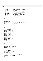```
/*
2 * Copyright (c) International Business Machines Corp., 2000−2002
\frac{3}{4}This program is free software; you can redistribute it and/or modify
 5 * it under the terms of the GNU General Public License as published by
6 * the Free Software Foundation; either version 2 of the License, or 
7 * (at your option) any later version.
 8 * 
% * This program is distributed in the hope that it will be useful,<br>"but WITHOUT ANY WARRANTY; without even the implied warranty of<br>"* MERCHANTABILITY or FITNESS FOR A PARTICULAR PURPOSE. See<br>"* the GNU General Public Lice
13<br>14<sup>14</sup> * You should have received a copy of the GNU General Public License
15 * along with this program; if not, write to the Free Software 
16 * Foundation, Inc., 59 Temple Place, Suite 330, Boston, MA 02111−1307 USA
\frac{17}{17} */
18 #include "xfsckint.h"
19
20 /* + + + + + + + + + + + + + + + + + + + + + + + + + + + + + + + + + + + +
21
22 * superblock buffer pointer
rac{23}{24}defined in xchkdsk.c
2526 extern struct superblock *sb_ptr;
27
28 /* + + + + + + + + + + + + + + + + + + + + + + + + + + + + + + + + + + + +
rac{29}{30}* fsck aggregate info structure pointer
31 \star<br>32 \stardefined in xchkdsk.c
33 \frac{*}{4}extern struct fsck_agg_record *agg_recptr;
35
36 /* + + + + + + + + + + + + + + + + + + + + + + + + + + + + + + + + + + + +
\frac{37}{38}* For message processing
39 40defined in xchkdsk.c
41 * /<br>42 exte
   extern char message_parm_0[];
43 extern char message_parm_1[];<br>44 extern char message parm 2[];
    extern char message_parm_2[];
45 extern char message_parm_3[];
46 extern char message_parm_4[];<br>47 extern char message parm 5[];
47 extern char message_parm_5[];<br>48 extern char message_parm_5[];
48 extern char message_parm_6[];<br>49 extern char message parm 7[];
    extern char message_parm_7[];
50 extern char message_parm_8[];
51 extern char message_parm_9[];
52
   extern char *msgprms[];
54 extern int16_t msgprmidx[];
55
56 extern char *verbose_msg_ptr;
57
58 extern char *MsgText[];
59
60 extern char *Vol_Label;
61
62 /* + + + + + + + + + + + + + + + + + + + + + + + + + + + + + + + + + + + +
63 64* For directory entry processing
65 *66 * defined in xchkdsk.c
67 */<br>68 exte
   68 extern uint32_t key_len[2];
69 extern UniChar key[2][JFS_NAME_MAX];
70 extern UniChar ukey[2][JFS_NAME_MAX];
71
72 extern int32_t Uni_Name_len;<br>73 extern UniChar Uni Name[JFS
    extern UniChar Uni_Name[JFS_NAME_MAX];
74
     75 /* + + + + + + + + + + + + + + + + + + + + + + + + + + + + + + + + + + + +
76 *
77 * Device information.
78<br>79
               defined in xchkdsk.c
80 */
81 extern HFILE Dev_IOPort;
82 extern uint32_t Dev_blksize;
83
84 /* + + + + + + + + + + + + + + + + + + + + + + + + + + + + + + + + + + + +
85
86 * The current processing phase.
\begin{array}{c} 87 \\ 88 \end{array}88 * defined in xchkdsk.c<br>89 * constants defining p
                constants defining possible values are defined in xfsck.h
\frac{1}{90} */
Registered Version: Journaled File System fsckconn.c Exhibit 10.1−2 pg 1/14
```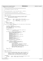```
91 extern int current fsck phase;
9293 /* VVVVVVVVVVVVVVVVVVVVVVVVVVVVVVVVVVVVVVVVVVVVVVVVVVVVVVVVVVVVVV
94 *
95 * The following are internal to this file
96 *
97
98 int adjust_parent(uint32_t, struct fsck_inode_record *, uint32_t);
99
100 int reset parents(struct fsck inode record *, uint32 t);
101
102 /* VVVVVVVVVVVVVVVVVVVVVVVVVVVVVVVVVVVVVVVVVVVVVVVVVVVVVVVVVVVVV */
103
104 /*****************************************************************************
     * NAME: adjust_parent
106<br>107
        FUNCTION: Add an fsck inode extension record to the parent inode's
108 * fsck inode record so that the directory entry for the 4109 * aiven child will be removed.
                     given child will be removed.
110<br>111PARAMETERS:
112 * child_ino − input − ordinal number of child inode
113 * child_inorecptr − input − pointer to an fsck record describing the
114 * \frac{1}{115} * \frac{1}{215} \frac{1}{215} \frac{1}{215} \frac{1}{215} \frac{1}{215} \frac{1}{215} \frac{1}{215} \frac{1}{215} \frac{1}{215} \frac{1}{215} \frac{1}{215} \frac{1}{215} \frac{1}{215} \frac{1}{215} \frac{1}{215} \frac{1}{215} \frac{1}{215}- input - ordinal number of parent inode
116
117 * RETURNS:
118 * success: FSCK_OK
119 * failure: something else
120121 int adjust_parent(uint32_t child_ino, struct fsck_inode_record *child_inorecptr,<br>122 uint32 t parent ino)
    \frac{1}{4} uint32<sup>_</sup>t parent_ino)
123<br>124124 int \frac{adjp_{rc}}{s} = FSCK_OK;<br>125 struct \frac{f}{} finde ext
125 struct fsck_inode_ext_record *this_ext;
126 struct fsck_inode_record *parent_inorecptr;
127 int is aggregate = 0;<br>128 int alloc_ifnull = 0;
               int alloc_ifnull = 0;
129
130 adjp_rc =
131 get_inorecptr(is_aggregate, alloc_ifnull, parent_ino,<br>
\&\text{parent\_incorrect};
133
134 if ((adjp_rc == FSCK_OK) && (parent_inorecptr == NULL)) {
135 adjp_rc = FSCK_INTERNAL_ERROR_4;
136 sprintf(message_parm_0, "%d", adjp_rc);
\text{msgprm}(0) = \text{message\_parm\_0};<br>
137 \text{msgprmidx}[0] = \text{message\_parm\_0};138 msgprmidx[0] = 0;<br>
139 msgprmidx[0] = 0;139 sprintf(message_parm_1, "%d", child_ino);<br>140 sprintf(message_parm_1, "%d", child_ino);
140 msgprms[1] = message_parm_1;
141 msgprmidx[1] = 0;
141<br>
sprintf(message_parm_2, "%d", parent_ino);<br>
143 magprms[2] = message parm 2;
                         msgprms[2] = message_parm_2;
144 \text{msgprmidx}[2] = 0;<br>
145 \text{snrintf(messane na)}spring(message_parm_3, "%d", 0);
146 msgprms[3] = message_parm_3;
147 msgprmidx[3] = 0;
148 fsck_send_msg(fsck_INTERNALERROR, 4);
149
150 } else if (adjp_rc == FSCK_OK) {
151 /* located the parent's inode record */
152 adjp_rc = get_inode_extension(&this_ext);<br>
153 if (adjp_rc == FSCK_OK) {<br>
154 /* got extension */
155 this_ext−>ext_type = rmv_direntry_extension;
156 this_ext−>inonum = child_ino;
157 this_ext−>next = parent_inorecptr−>ext_rec;
158 this_ext−>ino_type = child_inorecptr−>inode_type;
159 parent_inorecptr−>ext_rec = this_ext;
160 parent_inorecptr−>adj_entries = 1;
161 agg_recptr−>corrections_needed = 1;<br>162 agg_recptr−>corrections_needed = 1;
\{162 \}163 }
164 return (adjp_rc);
165 }
166
167 /*****************************************************************************
     * NAME: adjust_parents
169 *
170 * FUNCTION: Add an fsck inode extension record, to the fsck inode record
171 * of each of the given inode's parent inodes, so that all
172 * directory entries for the given inode will be removed. The
173 * exception is that, if the given inode is a directory inode,
174 * the expected parent may be omitted from this processing.
175 *
176 * PARAMETERS:<br>177 * ino re
177 * ino_recptr − input − pointer to an fsck record describing the inode
178 * ino_idx − input − ordinal number of the inode
179 *
180 * RETURNS:
Registered Version: Journaled File System fsckconn.c Exhibit 10.1−2 pg 2/14
```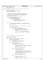181 \* Success: FSCK\_OK <sup>182</sup> \* failure: something else  $\begin{array}{cc}\n183 & * \\
\end{array}$ 184 int int adjust\_parents(struct fsck\_inode\_record \*ino\_recptr, uint32\_t ino\_idx)  $\begin{matrix} 185 \\ 186 \end{matrix}$  $int$  adjps\_rc = FSCK\_OK; <sup>187</sup> struct fsck\_inode\_ext\_record \*this\_ext; <sup>188</sup> struct fsck\_inode\_ext\_record \*rest\_of\_list; 189  $int$   $keep_primary\_parent = 0$ ; 190 <sup>191</sup> /\* <sup>192</sup> \* if this is a directory with illegal hard links then the<br><sup>193</sup> \* inode number in the fsck inode record is the one stored <sup>193</sup> \* inode number in the fsck inode record is the one stored in <sup>194</sup> \* the inode on disk. Then if the inode isn't being released <sup>195</sup> \* and any observed parent matches the stored parent, that 196  $*$  parent will not be adjusted.<br>197  $*$ / <sup>197</sup> \*/ 198 **if** ((ino\_recptr->inode\_type == directory\_inode)<br>
199 **if** (ino recptr->unxpctd prnts)) { 199  $\&\& \text{(ino\_reoptr->unxpctd\_prnts)})$  {<br>200 /\* dir with multiple parents <sup>200</sup> /\* dir with multiple parents \*/ <sup>201</sup> **if** (!ino\_recptr−>selected\_to\_rls) {  $\overline{z}$   $\overline{z}$   $\overline{z}$   $\overline{z}$   $\overline{z}$   $\overline{z}$   $\overline{z}$   $\overline{z}$   $\overline{z}$   $\overline{z}$   $\overline{z}$   $\overline{z}$   $\overline{z}$   $\overline{z}$   $\overline{z}$   $\overline{z}$   $\overline{z}$   $\overline{z}$   $\overline{z}$   $\overline{z}$   $\overline{z}$   $\overline{z}$   $\overline{z}$   $\overline{z}$   $\overline{$ 203<br>**if** ((ino\_recptr->parent\_inonum != ROOT\_I)<br>(1 (1agq\_recptr->rootdir\_rebuilt)) {  $\left| \begin{array}{ccc} \text{(lag\_reopr--product} & \text{rebo} \\ \text{keep} & \text{prept}-\text{rebo} \end{array} \right|$  (lagg\_recptr−>rootdir\_rebuilt)) {  $\text{keep\_primary\_parent} = 1;$  $206$  } 207  $\Big\}$ <sup>208</sup> } **else** { 209 /\* not a dir with multiple parents -- this must be either an<br>210 /\* inode approved for released or an unallocated inode with inode approved for released or an unallocated inode with <sup>211</sup>  $*$  parents observed.<br>  $*$ /<br>  $*/$ 212  $*$  / 213  $/$  \* <sup>214</sup>  $\star$  the 1st parent observed is in the inode record. Any others are<br>215  $\star$  in extension records.  $215$   $\star$  in extension records.<br>  $216$   $\star$  / 216  $*$  / 217 **if** (ino\_recptr−>parent\_inonum != 0) {<br>218 **if** ((ino\_recptr->parent\_inonu 218 **if** ((ino\_recptr−>parent\_inonum != ROOT\_I)<br>219 **if** ((ino\_recptr−>parent\_inonum != ROOT\_I) <sup>219</sup> || (!agg\_recptr−>rootdir\_rebuilt)) {  $7*$  either this parent isn't the root or 221 else the root dir has not been rebuilt  $\star$ /<br>222 adjps  $rc =$  $adjps\_rc =$ <sup>223</sup> adjust\_parent(ino\_idx, ino\_recptr,<br><sup>224</sup> ino recptr->parent in <sup>224</sup> ino\_recptr−>parent\_inonum); <sup>225</sup> ino\_recptr−>parent\_inonum = 0; /\* clear it \*/  $226$  } 227  $\Big\}$ <sup>228</sup> }  $229$ <sup>230</sup> /\* <sup>231</sup> \* detach the extensions list from the inode record 232  $*$  / 233 this\_ext = ino\_recptr->ext\_rec; <sup>234</sup> ino\_recptr−>ext\_rec = **NULL**;  $235$ <sup>236</sup> **while** ((adjps\_rc == FSCK\_OK) && (this\_ext != **NULL**)) { <sup>237</sup> /\* there may be more parents \*/ 238 rest\_of\_list = this\_ext->next;<br>239 **if** (this ext->ext type != pare 239 **if** (this\_ext->ext\_type != parent\_extension) {<br>240 /\* not a parent \*/<br>241 this\_ext->next = ino\_recptr->ext\_rec;  $242$  ino\_recptr->ext\_rec = this\_ext;<br>243 else { <sup>243</sup> } **else** {  $4$ \* parent extension \*/ <sup>245</sup> **if** ((this\_ext−>inonum == ROOT\_I) <sup>246</sup> && (agg\_recptr−>rootdir\_rebuilt)) { 247  $/$  \* <sup>248</sup> \* This parent is the root and the root dir has<br><sup>248</sup> \* *heen rebuilt. This is equivalent to a paren* <sup>249</sup> \* been rebuilt. This is equivalent to a parent <sup>250</sup> \* marked for release. 251 **\***/ <sup>252</sup> release\_inode\_extension(this\_ext); 253 <sup>254</sup> } **else if** ((keep\_primary\_parent) && <sup>255</sup> (this\_ext−>inonum == 256 ino\_recptr−>parent\_inonum)) {<br>257 257  $/$  \* %<br>
\* We're keeping the entry for the expected parent.<br>
\* Just drop the extension record and clear the<br>
\* routine the inode will be all set.<br>
\* routine the inode will be all set. 262  $*$  / 263 release\_inode\_extension(this\_ext);<br>264 ino recotr->unxpctd prnts = 0;  $\overline{2}$ ino\_recptr−>unxpctd\_prnts = 0; 265 266 } **else** {<br>
267 *p* /\* either not keeping the 'primary'<br>
268 or else this isn't it \*/<br>
adjps\_rc = Registered Version: Journaled File System **fsckconn.c** Exhibit 10.1−2 pg 3/14

<sup>270</sup> adjust\_parent(ino\_idx, ino\_recptr,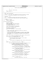```
fsckconn.c
Registered Version: Journaled File System
                                                                                                                  Exhibit 10.1-2 pg 4/14
27<sup>1</sup>this ext->inonum);
                                          release inode extension(this ext);
272\}273
                       \mathcal{E}274
275
                       this ext = rest of list276
277
             return (adjps_rc);
278
279
   }
280
           281
       NAME: check connectedness
282
283
       FUNCTION: Verify that, after approved corrections are made, all inodes<br>in use will be connected to the root directory tree.
284
285
286
       PARAMETERS287
                      none
288
       NOTES: o A directory inode must have exactly one parent inode
289
                 o A non-directory inode must have at least one parent inode.
290
291
       RETURNS:
292
             success: FSCK_OK
293
294
     \starfailure: something else
295
     \star /
296
    int check_connectedness()
297
              int cc_rc = FSCK_OK;
298
             uint32_t ino_idx;<br>struct fsck_inode_record *this_inorec;<br>struct fsck_inode_ext_record *new_ext;
299
300301
302
             int aggregate_inode = 0;
303
304struct fsck_ino_msg_info ino_msg_info;
305struct fsck_ino_msg_info *msg_info_ptr;
306
             msg_info_ptr = \&ino_msg_info;<br>/* all fileset owned */
307
308
             msg_info_ptr->msg_inopfx = fsck_fset_inode;
309
310311* detect orphan inodes, including ones which we're about to
312
              * orphan by releasing inodes.
313
314
              * if any non-orphan inode was flagged as a directory with illegal<br>* hard links, see if it's going to be true after we release inodes.
315
316
               * If not, make sure the remaining link matches the one stored in
317
               * the inode.
318
               \star.
319320
             cc_rc = get_inorecptr_first(aggregate_inode, &ino_idx, &this_inorec);
321while ((cc rc == FSCK OK) && (this inorec != NULL)
322
                      &&(ino_idx < FILESET_OBJECT_I))323/\star324
                        * not interesting until we get past the root inode<br>* and the special fileset inodes.
325326
327
                        \star.
                       cc\_rc =328
329
                            get_inorecptr_next(aggregate_inode, &ino_idx, &this_inorec);
330
              \rightarrow331
             while ((cc\_rc == FSCK_OK) & k\& (this\_inorce != NULL)) {
332
333
334if ((this_inorec->in_use) && (!this_inorec->selected_to_rls)) {
335/* inode in use and not selected to release */<br>msg info ptr->msg inonum = ino idx;
336337
                                 \overline{if} (this_inorec->inode_type == directory_inode) {
                                          msg_info_ptr->msg_inotyp = fsck_directory;
338
339
                                 \} else if (this_inorec->inode_type == symlink_inode) {
340msg\_info\_ptr->msg_inotyp = fsck_symbolic_link;
341
342} else if (this\_incorrect->node_type == char\_special\_inode) {
343
344345
                                          msg_info_ptr->msg_inotyp = fsck_char_special;
346
                                 } else if (this_inorec->inode_type ==
347
348
                                              block_special_inode)
                                                                      \left\{ \right.340msg_info_ptr->msg_inotyp = fsck_block_special;
350
                                 \} else if (this_inorec->inode_type == FIFO_inode) {
351
                                          msg_info\_ptr\rightarrow msg_inotype = fsck_FIF0;352
353
                                 354
355356
357\} else \{/* a regular file */358
359
                                          msg_info_ptr->msg_inotyp = fsck_file;
360
                                 ł
```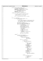| Registered Version: Journaled File System                | fsckconn.c                                                                                                                                                                                                              | Exhibit 10.1-2 pg 5/14 |
|----------------------------------------------------------|-------------------------------------------------------------------------------------------------------------------------------------------------------------------------------------------------------------------------|------------------------|
| 361<br>362<br>363<br>364<br>365                          | if (this_inorec->parent_inonum == 0) {<br>/* no parents were observed by fsck */<br>$msgprms[0] = message\_param_0;$<br>$msgprmidt[0] = msg_info_ptr->msg_info_ptr$                                                     |                        |
| 366<br>367<br>368<br>369<br>370<br>$\}$ else $\{$<br>371 | sprintf(message_parm_1, "%d",<br>$msg_info_ptr\rightarrow msg_inonum)$ ;<br>$msgprms[1] = message\_param_1;$<br>$msgprmidx[1] = 0;$<br>fsck_send_msg(fsck_INONOPATHS, 2);                                               |                        |
| 372<br>373<br>374<br>375<br>376                          | /* at least one parent observed by fsck */<br>$/$ *<br>* make adjustments to child records for<br>* parents which will be released<br>$\star$ /                                                                         |                        |
| 377<br>378<br>379<br>380<br>381<br>382                   | cc_rc = reset_parents(this_inorec, ino_idx);<br>if $(cc\_rc == FSCK_OK)$ {<br><b>if</b> (this_inorec->parent_inonum == 0) {<br>$/*$ unconnected $!!$ */                                                                 |                        |
| 383<br>384<br>385<br>386<br>387                          | $/$ *<br>* do not issue a message to inform the user about<br>* this condition since it is a side effect of<br>* the (approved) release of some other inode(s)<br>$\star$ /                                             |                        |
| 388<br>389<br>390<br>391<br>392                          | this_inorec->reconnect = $1i$<br>$agg\_recptr\rightarrow corrections\_approved = 17$<br>$cc\_rc = get\_inode\_extension(\&new\_ext):$<br>if $(cc\_rc == FSCK_OK)$ {<br>$\frac{1}{2}$ and extension record $\frac{1}{2}$ |                        |
| 393<br>394<br>395<br>396<br>397<br>398                   | new_ext->ext_type =<br>add_direntry_extension;<br>$new\_ext \rightarrow inonum = ino\_idx$<br>new_ext->ino_type =<br>this_inorec->inode_type;<br>$new\_ext \rightarrow next =$                                          |                        |
| 399<br>400<br>401<br>402<br>403<br>404                   | agg_recptr-><br>inode_reconn_extens;<br>agg_recptr-><br>inode_reconn_extens =<br>new_ext;<br>/* increment for the link from                                                                                             |                        |
| 405<br>406<br>407<br>408<br>409                          | * parent after reconnect<br>$\star$ /<br>this_inorec->link_count++;<br>$\}$ else $\{$                                                                                                                                   |                        |
| 410<br>411<br>412<br>413<br>414                          | /* else still connected */<br><b>if</b> (this_inorec->unxpctd_prnts) {<br>$/*$ multiple parents $*/$<br>$cc$ $rc$ =<br>display_paths(ino_idx,                                                                           |                        |
| 415<br>416<br>417<br>418<br>419<br>420                   | this_inorec,<br>$msg_info__ptr)$ ;<br>if $(cc\_rc == FSCK_OK)$ {<br>if $(agg\_recptr->$                                                                                                                                 |                        |
| 421<br>422<br>423<br>424<br>425                          | processing_readwrite)<br>₹<br>$cc\_rc =$<br>adjust_parents<br>(this_inorec,                                                                                                                                             |                        |
| 426<br>427<br>428<br>429<br>430<br>431                   | $ino\_idx$ );<br>$msgprms[0] =$<br>$message\_param_0;$<br>$msgprmidx[0] =$<br>$msg_info_ptr->$<br>$msg\_inopfx$                                                                                                         |                        |
| 432<br>433<br>434<br>435<br>436                          | sprintf<br>(message_parm_1,<br>$"%d"$ ,<br>msg_info_ptr-><br>$msg\_inonum$ );                                                                                                                                           |                        |
| 437<br>438<br>439<br>440<br>441<br>442                   | $msgprms[1] =$<br>$message\_param_1;$<br>$msgprmidx[1] =$<br>0;<br>fsck_send_msg<br>(fsck_WILLFIXDIRWHDLKS,                                                                                                             |                        |
| 443<br>444<br>445<br>446<br>447                          | $2)$ ;<br>$\}$ else $\{$<br>/* no write access */<br>this_inorec->                                                                                                                                                      |                        |
| 448<br>449<br>450                                        | unxpctd_prnts<br>$= 0;$<br>agg_recptr->                                                                                                                                                                                 |                        |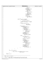| Registered Version: Journaled File System               | fsckconn.c                                                                                                | Exhibit 10.1-2 pg 6/14 |
|---------------------------------------------------------|-----------------------------------------------------------------------------------------------------------|------------------------|
| 451                                                     | ag_dirty =                                                                                                |                        |
| 452                                                     | 1:                                                                                                        |                        |
| 453<br>454                                              | $msgprms[0] =$<br>$message\_param_0;$                                                                     |                        |
| 455                                                     | $msgprmidx[0] =$                                                                                          |                        |
| 456<br>457                                              | msg_info_ptr-><br>$msg\_inopfx$                                                                           |                        |
| 458                                                     | sprintf                                                                                                   |                        |
| 459                                                     | (message_parm_1,                                                                                          |                        |
| 460<br>461                                              | $" \%d"$ ,<br>msg_info_ptr->                                                                              |                        |
| 462                                                     | $msg\_inonum$ );                                                                                          |                        |
| 463<br>464                                              | $msgprms[1] =$<br>$message\_param_1;$                                                                     |                        |
| 465                                                     | $msgprmidx[1] =$                                                                                          |                        |
| 466<br>467                                              | 0;<br>fsck_send_msg                                                                                       |                        |
| 468                                                     | (fsck_DIRWHDLKS,                                                                                          |                        |
| 469                                                     | $2)$ ;                                                                                                    |                        |
| 470<br>471                                              | }                                                                                                         |                        |
| 472                                                     | $\}$ else if ((cc_rc == FSCK_OK)                                                                          |                        |
| 473<br>474                                              | && (this_inorec-><br>$crrot\_prnt\_inonum)$ {                                                             |                        |
| 475                                                     | $/$ *                                                                                                     |                        |
| 476<br>477                                              | $^{\tiny{\textcolor{blue}{\star}}}$<br>a single parent but not the one<br>* named in the implied '' entry |                        |
| 478                                                     | $\star$ /                                                                                                 |                        |
| 479                                                     | $cc\_rc =$<br>display_paths(ino_idx,                                                                      |                        |
| 480<br>481                                              | this_inorec,                                                                                              |                        |
| 482                                                     | $msg_info\_ptr);$                                                                                         |                        |
| 483<br>484                                              | $if (agg_recptr-$                                                                                         |                        |
| 485                                                     | processing_readwrite) {                                                                                   |                        |
| 486<br>487                                              | $msgprms[0] =$<br>$message\_param_0;$                                                                     |                        |
| 488                                                     | $msgprmidx[0] =$                                                                                          |                        |
| 489<br>490                                              | msg_info_ptr-><br>$msg\_inopfx$                                                                           |                        |
| 491                                                     | sprintf(message_parm_1,                                                                                   |                        |
| 492<br>493                                              | $"%d"$ ,<br>msg_info_ptr->                                                                                |                        |
| 494                                                     | $msg\_inonum$ );                                                                                          |                        |
| 495<br>496                                              | $msgprms[1] =$<br>message_parm_l;                                                                         |                        |
| 497                                                     | $msgprmidx[1] = 0;$                                                                                       |                        |
| 498<br>499                                              | fsck_send_msg<br>(fsck_WILLFIXINCREF,                                                                     |                        |
| 500                                                     | $2)$ ;                                                                                                    |                        |
| 501<br>502                                              | else $\{$<br>$\mathbb{R}$<br>/* no write access */                                                        |                        |
| 503                                                     | this inorec->                                                                                             |                        |
| 504<br>505                                              | crrct_prnt_inonum =<br>0:                                                                                 |                        |
| 506                                                     | agg_recptr->ag_dirty =                                                                                    |                        |
| 507<br>508                                              | 1i<br>$msgprms[0] =$                                                                                      |                        |
| 509                                                     | message_parm_0;                                                                                           |                        |
| 510                                                     | $msgprmidx[0] =$<br>msq_info_ptr->                                                                        |                        |
| 511<br>512                                              | $msg\_inopfx$                                                                                             |                        |
| 513                                                     | sprintf(message_parm_1,<br>"%d"                                                                           |                        |
| 514<br>515                                              | msg_info_ptr->                                                                                            |                        |
| 516                                                     | $msg\_inonum$ );                                                                                          |                        |
| 517<br>518                                              | $msgprms[1] =$<br>$message\_param_1;$                                                                     |                        |
| 519                                                     | $msgprmidx[1] = 0;$                                                                                       |                        |
| 520<br>521                                              | fsck_send_msg<br>$(fsck$ _INCINOREF, 2);                                                                  |                        |
| 522                                                     | }<br>$\mathcal{E}$                                                                                        |                        |
| 523<br>$\left\{ \right\}$<br>524                        |                                                                                                           |                        |
| ł<br>525                                                |                                                                                                           |                        |
| 526<br>if $(cc\_rc == FSCK_OK)$ {<br>527                |                                                                                                           |                        |
| $cc\_rc =$<br>528                                       |                                                                                                           |                        |
| 529<br>530                                              | get_inorecptr_next(aggregate_inode, &ino_idx,<br>&this_inorec);                                           |                        |
| 531                                                     |                                                                                                           |                        |
| 532<br>$return (cc\_rc);$<br>533                        |                                                                                                           |                        |
| 534                                                     |                                                                                                           |                        |
| 535<br>/**<br>536                                       |                                                                                                           |                        |
| * NAME: check_dir_integrity<br>537                      |                                                                                                           |                        |
| $\star$<br>538<br>$^{\star}$<br><i>FUNCTION:</i><br>539 | Verify that no directory has more than 1 entry for any                                                    |                        |
| $\star$<br>540                                          | single inode. If a directory does, then that directory                                                    |                        |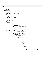```
541 * is corrupt.
542
543 * RETURNS:<br>544 * Suc
         success: FSCK_OK
545 * failure: something else
    \star /
547 int check_dir_integrity() \frac{1}{548}548 {
549 int cdi_rc = FSCK_OK;<br>550 uint 32 t ino idx;
550 uint32_t ino_idx;<br>551 551 struct fsck inode
551 struct fsck_inode_record *this_inorec;
552 struct fsck_inode_record *that_inorec;
553 int aggregate_inode = 0;<br>554 int alloc if mull = 0;
\frac{1}{554} int alloc_ifnull = 0;<br>\frac{1}{555} struct fack incle ext
555 struct fsck_inode_ext_record *this_ext;
556 struct fsck_inode_ext_record *that_ext;
557 int dup_parent_detected = 0;
558
559 struct fsck_ino_msg_info ino_msg_info;
         struct fsck_ino_msg_info *msg_info_ptr;
561
562 msg_info_ptr = &ino_msg_info;
563 /* all fileset owned */
564 msg_info_ptr−>msg_inopfx = fsck_fset_inode;
565
566 /*
567 * Verify that no inode has multiple links from the same
568 * directory.
569 * /
570 cdi_rc = get_inorecptr_first(aggregate_inode, &ino_idx, &this_inorec);
571
572 while ((cdi_rc == FSCK_OK) && (this_inorec != NULL)
\&\& (ino_idx < FILESET_OBJECT_I)) {<br>\frac{1}{2}574 /*
575 * not interesting until we get past the root inode
576 * and the special fileset inodes.
577 * /\begin{array}{ccc} 578 & & \text{cdi}_{\text{rc}} = \\ 579 & & \text{get} \end{array}579 get_inorecptr_next(aggregate_inode, &ino_idx, &this_inorec);<br>580
580 }
581
582 while ((cdi_rc == FSCK_OK) && (this_inorec != NULL)) {<br>583 if ((this_inorec->in_use) && (!this_inorec->se
sa and while ((cdl_rc == FSCR_UR) αα (unis_inorec−>inorec−>inorec−>ince->selected_to_rls) base (this_inorec−>inode type == directory inode)) {
584 && (this_inorec−>inode_type == directory_inode)) {
585 /* directory inode in use and not selected to release */
586 msg_info_ptr−>msg_inotyp = fsck_directory;
587 msg_info_ptr−>msg_inonum = ino_idx;
588<br>589
589 if (this_inorec−>parent_inonum != 0) {
590 /* at least 1 parent observed by fsck */
591 if (this_inorec−>ext_rec) {
\begin{array}{ccc} 592 & \text{if (this\_incorrect) } & \text{if (this\_more--extrs)} \\ 592 & \text{if (this\_more = 0)} \\ 593 & \text{if (this\_more = 0)} \end{array}593 /*
594 * get the first entry in the extensions<br>* list on the inode record
                                        list on the inode record
596 * /
597 this_ext = this_inorec−>ext_rec;
598
599 while ((cdi_rc == FSCK_OK)
600 && (this_ext != NULL)) {
601 /* there may be more parents */
602 if (this_ext−>ext_type ==
603 parent_extension) {<br>
\frac{1}{4} a parent */
605 cdi_rc =
606 get_inorecptr
er and the contract of the contract of the contract of the contract of the contract of the contract of the contract of the contract of the contract of the contract of the contract of the contract of the contract of the con
\frac{1}{608} alloc_ifnull, \frac{1}{608} alloc_ifnull, \frac{1}{608}609 this_ext−>inonum,
                                                        \&that_inorec);
611 if ((cdi_rc == FSCK_OK)
612 & (!that_inorec−><br>613 selected to rl
613 selected_to_rls))
614615 /* parent isn't marked for release (yet) */
616 dup_parent_detected
617 = 0;if (this_ext−><br><sup>618</sup> inonum ==
619 inonum ==
620 this_inorec−><br>621 this_inorec−><br>621 the set of the set of the set of the set of the set of the set of the set of the set of the set of the set o
                                                           ent_inonum)
622\frac{623}{624} dup_parent_detected \frac{1}{2}624625 -1;626 } else {
627 /* need to check for dups in rest of list
     */
628 that we have a set of the control of the control of the control of the control of the control of the control of the control of the control of the control of the control of the control of the control of the control of t
629 =
Registered Version: Journaled File System fsckconn.c Exhibit 10.1−2 pg 7/14
```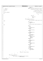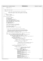```
fsckconn.c
Registered Version: Journaled File System
                                                                                                                          Exhibit 10.1-2 pg 9/14
713
              return (edi rc);714\}715
716
    717
     * NAME: check_link_counts
718
719
        FUNCTION: Count links from child directories to their parents.
720
721Verify that the link count stored in each in-use inode matches the number of links fsck observed for the inode.
722
723
724
     * RETURNS:
725
726
              success: FSCK_OK
727
              failure: something else
728
    int check_link_counts()
729
730
    \left\{ \right.int clc_rc = FSCK_OK;
731
732
              uint32_t ino_idx;
733
              int num_parents;
              int invalid_count_seen = 0;
734
              int low_stored_count_seen = 0;
735
736
              struct fsck_inode_ext_record *this_ext;
737
              struct fsck_inode_record *this_inorec;
              struct fsck_inode_record *parent_inorec;<br>int done_looking = 0;
738
739
              int aggregate_inode = 0;
740
741int alloc_ifnull = 0;
742struct fsck_ino_msg_info ino_msg_info;<br>struct fsck_ino_msg_info *msg_info_ptr;
743
744
745
746
              msg\_info\_ptr = &ino_msg_info;
747
              /* all fileset owned */
              \frac{1}{2} msg_info_ptr->msg_inopfx = fsck_fset inode;
748
749
750
               * count links from child directories to their parents
751
752
                * (These can't be counted when the parent-child relationship<br>* is observed because that observation occurs while processing
753
754
                * the parent and until the child is processed we don't know
755
756
                * whether the child is a directory or not.)
757
              clc_rc = get_inorecptr_first(aggregate_inode, &ino_idx, &this_inorec);
758
759
              while (clc_r = FSCK_OK) && (this_inorec != NULL)) {
760
761
                         if (this_inorec->in_use) && (!this_inorec->selected_to_rls)
                              762763
                                   \mu index is in use, not being released, and is type directory */<br>/* inode is in use, not being released, and is type directory */<br>/* for the self entry */
764
765
766
                                   this_inorec->link_count++;
767
                                   if ((this_inorec->parent_inonum == ROOT_I)
                                        && (agg_recptr->rootdir_rebuilt)) {
768
769
                                              ^\star special case: if the parent is root and root was * rebuilt, then don't increment parent
770
771
772
                                             if (this inorec->inonum == ROOT I) {
773
                                                       .<br>
/*<br>
* special case: if this IS the root, then it's<br>
* link from itself to itself DOES count
774
775
776
777
                                                        this inorec->link count++;
778
779
                                   } else if (this\_incorrect->parent\_inonum != 0) {
780
781
                                                not an orphan */
                                             \begin{array}{c}\n\text{clc } r\text{c} =\n\end{array}782
                                                  get_inorecptr(aggregate_inode, alloc_ifnull,
783
                                                                    this_inorec->parent_inonum,
784
                                                                    &parent_inorec);
785
786
                                             if ((clc_r c != FSCKOK))787
788
789
                                                       msgprms[0] = message_parm_0;<br>msgprms[0] = message_parm_0;<br>msgprmidx[0] = 0;
790
791
                                                       sprintf(message_parm_1, "%d", ino_idx);<br>msgprms[1] = message_parm_1;
792
793
                                                       msgprmidx[1] = 0;794
                                                        sprintf(message_parm_2, "%d"
795
                                                       this_inorec->parent_inonum};<br>msgprms[2] = message_parm_2;<br>msgprmidx[2] = 0;
796
797
798
                                                        sprintf(message_parm_3, "%d", 0);
799
                                                       mgprms[3] = message_param_3;<br>msgprms[3] = message_parm_3;<br>msgprmidx[3] = 0;
800
801
                                                        fsck_send_msg(fsck_INTERNALERROR, 4);
802
```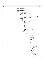| Registered Version: Journaled File System | fsckconn.c                                                                                                    | Exhibit 10.1-2 pg 10/14      |
|-------------------------------------------|---------------------------------------------------------------------------------------------------------------|------------------------------|
| else<br>803                               |                                                                                                               |                              |
| 804                                       | /* handle the first (and usually the only) parent. */                                                         |                              |
| 805<br>806                                | parent_inorec->link_count++;                                                                                  |                              |
| 807                                       | $if ((clc_r c == FSCK_OK)$                                                                                    |                              |
| 808<br>809                                | $\&\&$ (this_inorec->ext_rec != NULL)) {<br>/* there might be more parents */                                 |                              |
| 810                                       | $num\_parents = parent_count(this\_inorec);$                                                                  |                              |
| 811                                       | <b>if</b> (num_parents > 1) {                                                                                 |                              |
| 812<br>813                                | /* directory with illegal links */<br>$this\_incorrect$ ->unxpctd_prnts = 1;                                  |                              |
| 814                                       | agg_recptr->corrections_needed =                                                                              |                              |
| 815                                       | 1:<br>$/$ *                                                                                                   |                              |
| 816<br>817                                | * Create an extension record for the parent inode                                                             |                              |
| 818                                       | * number now stored in the child inode record.                                                                |                              |
| 819<br>820                                | * When we traverse the aggregate on-disk we'll copy<br>* the stored value into this field of the inode record |                              |
| 821                                       | * for use when displaying paths to the inode.                                                                 |                              |
| 822                                       | $^*/$                                                                                                         |                              |
| 823<br>824                                | $clc$ $rc =$<br>get_inode_extension                                                                           |                              |
| 825                                       | $(xthis\_ext)$                                                                                                |                              |
| 826<br>827                                | if (clc_rc == $\texttt{FSCK_OK}$ ) {<br>$\frac{*}{*}$ got extension record */                                 |                              |
| 828                                       | this_ext->ext_type =                                                                                          |                              |
| 829                                       | parent_extension;                                                                                             |                              |
| 830<br>831                                | $this$ _ext->inonum =<br>this_inorec->                                                                        |                              |
| 832                                       | parent_inonum;                                                                                                |                              |
| 833                                       | $this\_ext \rightarrow next =$<br>this_inorec->                                                               |                              |
| 834<br>835                                | ext_rec;                                                                                                      |                              |
| 836                                       | this_inorec->ext_rec =                                                                                        |                              |
| 837<br>838                                | this_ext;<br>this_inorec->                                                                                    |                              |
| 839                                       | $parent\_inonum = 0;$                                                                                         |                              |
| 840                                       | /* already counted the first                                                                                  |                              |
| 841<br>842                                | * one, back when it was in the<br>* workspace inode record itself                                             |                              |
| 843                                       | $^*/$                                                                                                         |                              |
| 844<br>845                                | this_ext =<br>$this$ $ext$ -> $next$ ;                                                                        |                              |
| 846                                       | while $((clcrc ==$                                                                                            |                              |
| 847                                       | FSCK_OK)                                                                                                      |                              |
| 848<br>849                                | && (this_ext !=<br>$NULL()$ ) {                                                                               |                              |
| 850                                       | /* exten records to check */                                                                                  |                              |
| 851                                       | if (this_ext-><br>$ext_type ==$                                                                               |                              |
| 852<br>853                                | parent_extension)                                                                                             |                              |
| 854                                       |                                                                                                               |                              |
| 855<br>856                                | $clc$ $rc =$<br>get_inorecptr                                                                                 |                              |
| 857                                       | (aggregate_inode,                                                                                             |                              |
| 858<br>859                                | alloc_ifnull,<br>this_ext->                                                                                   |                              |
| 860                                       | inonum,                                                                                                       |                              |
| 861                                       | $\&\text{parent\_inorec}$ );                                                                                  |                              |
| 862<br>863                                | $if ((clc_r c != FSCK_OK))$                                                                                   |                              |
| 864                                       | (parent_inorec                                                                                                |                              |
| 865<br>866                                | $=$<br>$NULL)$ )                                                                                              |                              |
| 867                                       | $\{$                                                                                                          |                              |
| 868                                       | clc_rc                                                                                                        |                              |
| 869<br>870                                | $=$                                                                                                           | FSCK_INTERNAL_ERROR_14;      |
| 871                                       | sprintf                                                                                                       |                              |
| 872<br>873                                |                                                                                                               | (message_parm_0,<br>$"%d"$ , |
| 874                                       |                                                                                                               | $clc$ $rc)$ ;                |
| 875                                       | msgprms                                                                                                       |                              |
| 876<br>877                                | [0]<br>$=$                                                                                                    |                              |
| 878                                       |                                                                                                               | $message\_param_0;$          |
| 879<br>880                                | msgprmidx<br>[0]                                                                                              |                              |
| 881                                       | $\equiv$                                                                                                      |                              |
| 882                                       | 0;                                                                                                            |                              |
| 883<br>884                                | sprintf                                                                                                       | (message_parm_1,             |
| 885                                       |                                                                                                               | $"%d"$ ,                     |
| 886                                       |                                                                                                               | $ino\_idx$ );                |
| 887<br>888                                | msgprms<br>[1]                                                                                                |                              |
| 889                                       | $=$                                                                                                           |                              |
| 890<br>891                                | msgprmidx                                                                                                     | $message\_param_1;$          |
| 892                                       | [1]                                                                                                           |                              |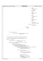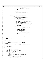```
983 msgprms[1] = message_parm_1;<br>984 msgprmidx[1] = 0;
es.<br>
985 fsck_send_msg(fsck_BADINOLKCT,<br>
986 2);
986 \qquad \qquad \qquad 2; ;
\{987\}988 }
989 }
\textbf{if} \text{ (clc\_rc = FSCK_OK)} {<br>
\textbf{if} \text{ clc\_rc =}\begin{array}{ccc} \text{991} & \text{c1c\_rc} = \\ \text{992} & \text{991} & \text{992} \end{array}et_inorecptr_next(aggregate_inode,<br>993 6this 6this
                            \&\text{ino\_idx, } \& \text{this\_inorec};994 }
995 }
996
997 if ((clc_rc == FSCK_OK) && (invalid_count_seen)) {
008
999 if (agg_recptr−>processing_readwrite) {
1000 agg_recptr−>corrections_approved = 1;<br>1001 agg_recptr−>corrections_approved = 1;<br>5 fsck send msq(fsck WILLETXLINKCTS, 0;
1001 fsck_send_msg(fsck_WILLFIXLINKCTS, 0);<br>} else {
1002 else {<br>1003
                                     1, * no write access */1004 if (low_stored_count_seen) {<br>1005 agg recotr->ag dirty
1005 agg_recptr−>ag_dirty = 1;<br>
1006 agg_recptr−>ag_dirty = 1;
\}1007 \frac{1}{\sqrt{2}}1008 * reset all link counts (in the fsck workspace) to
1009 * zero so that we won't accidentally correct them
1010 * while doing link count adjustments.
1011 *
1012 * (Link count adjustments are side effects of approved
1013 * repairs. For example, if a directory inode is
1014 * released, the link count of its parent directory
1015 * is decremented.)<br>* /
1016 * /
1017 clc_rc = \text{clc}_{\text{ref}}1018 get_inorecptr_first(aggregate_inode,
1019 &ino_idx, &this_inorec);
1020
while ((clc_rc == FSCK_OK)<br>1022<br>k& (this inorec !=
                                           &\& (this_inorec<sup>-</sup>!= NULL)) {
1023
1024 if (this_inorec−>in_use) {<br>this_inorec−>crrct
1025 this_inorec->crrct_link_count = 0i1026 0;
1027 this_inorec−>link_count = 0;
\{1028\}1029<br>1029<br>1030<br>10301030 get_inorecptr_next(aggregate_inode,<br>
1031 and the state of the state of the state of the state of the state of the state of the state of the state
\frac{1031}{2} \frac{100}{2} \frac{1}{2} \frac{1}{2} \frac{1}{2} \frac{1}{2} \frac{1}{2} \frac{1}{2} \frac{1}{2} \frac{1}{2} \frac{1}{2} \frac{1}{2} \frac{1}{2} \frac{1}{2} \frac{1}{2} \frac{1}{2} \frac{1}{2} \frac{1}{2} \frac{1}{2} \frac{1}{2} \frac{1}{2} \frac{1}{\&this inorec);
\hspace{.1cm} 1033 \}1034 fsck_send_msg(fsck_BADLINKCTS, 0);<br>1035 }
\hspace{1.5cm} 10351036 }
1037 }
1038 return (clc_rc);<br>1039 }
1039 }
1040
1041 /*****************************************************************************
    * NAME: reset_parents
1043 *
1044 * FUNCTION: Adjust the fsck notations about the inode's parent(s) if
                the parent(s) are corrupt or approved for release.
1046 *
1047 * PARAMETERS .
1048 * ino_recptr - input - pointer to an fsck record describing the inode<br>1048 * ino_idx - input - ordinal number of the inode
1049 * ino_idx − input − ordinal number of the inode
1050<br>1051
1051 * RETURNS:<br>1052 * SUC
           success: FSCK OK
1053 * failure: something else
1054<br>1055
   int reset_parents(struct fsck_inode_record *ino_recptr, uint32_t ino_idx)
1056 {
1057 int resps_rc = FSCK_OK;
1058 struct fsck_inode_ext_record *this_ext;
1059 struct fsck_inode_ext_record *rest_of_list;<br>1060 1nt parent count = 0;
1060 int parent_count = 0;<br>1061 1161 111113 t stored parent
           uint32_t stored_parent_inonum = 0;
1062 struct fsck_inode_record *parent_inorecptr;
1063 int aggregate_inode = 0;
1064 int alloc_ifnull = 0;
1065<br>1066
1066 * if this is a directory with illegal hard links the inode
1067 * number in the fsck inode record is the one stored in the
1068 * inode on disk.
1069<br>1070
1070 if ((ino_recptr->inode_type == directory_inode)<br>1071 6& (ino_recptr->unxpctd_prnts)) {
1071 && (ino_recptr−>unxpctd_prnts)) {
1072 /* dir with multiple parents */
Registered Version: Journaled File System fsckconn.c Exhibit 10.1−2 pg 12/14
```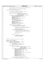```
1073 /*
1074 * Save the value stored in the inode record and then clear it.
1075 *1076 stored_parent_inonum = ino_recptr->parent_inonum;<br>1077 ino recptr->parent_inonum = 0;
1077 ino_recptr->parent_inonum = 0;<br>1078 else {
               1078 } else {
1079 \begin{array}{ccc} \cdot & \cdot & \cdot & \cdot \\ \cdot & \cdot & \cdot & \cdot \\ \hline \end{array} /* not a dir with multiple parents */
1080 / *
1081 * the 1st parent observed is in the inode record.<br>
* Any others are in extension records.
1082 * Any others are in extension records.
1083 * /
1084 resps_rc = get_inorecptr(aggregate_inode, alloc_ifnull,<br>1085 1085 1085 1085 ino recptr->parent inonum,
1085 ino_recptr->parent_inonum,<br>1086 ino_recptr->parent_inonum,<br>6) ino_recptr->parent_inonum,
1086<br>
1086 \frac{1086}{1007}<br>
1087 if ((resps rd == FSCK OK) && (parent inorecptr)
                         if ((resps_rc == FSCK_OK) \&& (parent_inorecptr == NULL)) {
1088 resps_rc = FSCK_INTERNAL_ERROR_15;
1089 sprintf(message_parm_0, "%d", resps_rc);
1090 msgprms[0] = message_parm_0;
1091 msgprmidx[0] = 0;
1092 sprintf(message_parm_1, "%d", ino_idx);<br>msgprms[1] = message_parm_1;
                                    msgprms[1] = message_parm_1;
\text{msgprmid}x[1] = 0;<br>
\text{msgprmid}x[1] = 0;<br>
\text{sprint}(\text{message } p)1095 sprintf(message_parm_2, "%d",<br>1096 ino_recptr->parent_in
1096 ino_recptr−>parent_inonum);<br>1097 msqprms[2] = messaqe parm 2;
1097 msgprms[2] = message_parm_2;
1098 msgprmidx[2] = 0;
1099 sprintf(message_parm_3, "%d", 0);
1100 msgprms[3] = message_parm_3;
1101 msgprmidx[3] = 0;
1102 fsck_send_msg(fsck_INTERNALERROR, 4);
1103
1104 } else if (resps_rc == FSCK_OK) {
1105 if ((ino_recptr->parent_inonum == ROOT_I)<br>1106 6& (agg_recptr->rootdir_rebuilt)) {
1107 \frac{1}{\sqrt{2}}1107 \overline{t}<br>
1108 \overline{t} \overline{t} special case: if the parent is root and root<br>
\overline{t} is a special case: if the parent is root and root
\frac{1109}{x} was rebuilt, then this is an orphan<br>\frac{1}{x}1110 * /
1111 ino_recptr->parent_inonum = 0;<br>1112 ino recptr->link count--;
1112 ino_recptr−>link_count−−;
1113 } else if ((!parent_inorecptr−>selected_to_rls)
1114 x^* x^* (!parent_inorecptr−>ignore_alloc_blks)) {<br>
1115
1115 \frac{1}{\sqrt{2}}1116 and the same of the state of the same of the state of the state of the state of the state of the state of the state of the state of the state of the state of the state of the state of the state of the state of the sta
                                               * tree to be corrupt
1118 * /
1119 parent_count++;
1120
1121 else {
1122 /* releasing this parent */
1123 ino_recptr−>parent_inonum = 0;
1124 ino_recptr−>link_count−−;<br>
1125 }
\left\{ \begin{array}{ccc} 1 & 1 & 1 & 1 & 1 \ 1 & 1 & 1 & 1 & 1 \ 1 & 1 & 1 & 1 & 1 \ 1 & 1 & 1 & 1 & 1 \ 1 & 1 & 1 & 1 & 1 \ 1 & 1 & 1 & 1 & 1 \ 1 & 1 & 1 & 1 & 1 \ 1 & 1 & 1 & 1 & 1 \ 1 & 1 & 1 & 1 & 1 \ 1 & 1 & 1 & 1 & 1 \ 1 & 1 & 1 & 1 & 1 \ 1 & 1 & 1 & 1 & 1 \ 1 & 1 & 1 & 1 & 1 \ 1 & 1 & 1 & 1 & 11126 }
1127 }
1128<br>1129
                * detach the extensions list from the inode record
1130<br>1131
1131 this_ext = ino_recptr->ext_rec;<br>1132 ino recptr−>ext rec = NIIIJ;
1132 ino_recptr−>ext_rec = NULL;
1133 while ((resps_rc == FSCK_OK) && (this_ext != NULL)) {
1134 /* there may be more parents */
1135 rest_of_list = this_ext−>next;
1136 if (this_ext->ext_type != parent_extension) {<br>
1137 /* not a parent */<br>
1138 this_ext->next = ino_recptr->ext_rec;
1139 ino_recptr−>ext_rec = this_ext;<br>1140 else {
1140 } else {
1141 \gamma parent extension \gamma parent extension \gamma parent extension \gamma1142 resps_rc = get_inorecptr(aggregate_inode, alloc_ifnull,
1143 this_ext−1144<br>this_ext−>inonum,<br>sparent_inonecotr
<sup>1144</sup> \& parent_inorecptr);<br>1145 1145 if ((resps rc == FSCK OK) \& (parent inorecp
1145 if ((resps_rc == FSCK_OK) && (parent_inorecptr == NULL)) {
1146 resps_rc = FSCK_INTERNAL_ERROR_16;
1147 sprintf(message_parm_0, "%d", resps_rc);
1148 msgprms[0] = message_parm_0;
\begin{array}{rcl}\n \text{msgprmidx}[0] & = & 0; \\
 \text{msgprmidx}[0] & = & 0; \\
 \text{49} & \text{59} & \text{59} \\
 \text{50} & \text{60} & \text{60} \\
 \text{60} & \text{60} & \text{60} \\
 \text{71} & \text{72} & \text{73} \\
 \text{82} & \text{83} & \text{74} \\
 \text{84} & \text{85} & \text{75} \\
 \text{86} & \text{87} & \text{76} \\
 \text{88} & \text{88} & \text{77} \\
 \text{88} &1150 \text{srintf}(\text{message\_param\_1}, \text{ "%d", inc\_idx});<br>
\text{msomrmf}[1] = \text{message\_param\_1};1151 msgprms[1] = message_parm_1;
1152 msgprmidx[1] = 0;
1153 sprintf(message_parm_2, "%d", this_ext−>inonum);
1154 msgprms[2] = message_parm_2;<br>msgprms[2] = 0;<br>msgprm\frac{1}{2};
\frac{1155}{\text{m}} msgprmidx[2] = 0;<br>
\frac{1156}{\text{m}} sprintf(message p
\frac{1156}{\text{sprinting}} sprintf(message_parm_3, "%d", 0);<br>\frac{1157}{\text{spainting}} sprintf(message_parm_3, "%d", 0);
1157 msgprms[3] = message_parm_3;
1158 msgprmidx[3] = 0;
1159 fsck_send_msg(fsck_INTERNALERROR, 4);
1160
1161 } else if (resps_rc == FSCK_OK) {
1162 if ((ino_recptr−>parent_inonum == ROOT_I)
Registered Version: Journaled File System fsckconn.c Exhibit 10.1−2 pg 13/14
```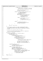```
1163 && (agg_recptr−>rootdir_rebuilt)) {
1164 / *
1165 * special case: if the parent is root and
1166 * root was rebuilt, then this is an orphan * \sim1167 * /
1168 release inode extension(this ext);
1169 ino_recptr−>link_count−−;
1170
1171 else if ((!parent_inorecptr->selected_to_rls)<br>1172 a k<sup>6</sup> (!parent_inorecptr->
1172 && (!parent_inorecptr−>
1173 ignore_alloc_blks)) {
1174 /* keeping this parent */
\frac{1175}{1176} parent_count++;<br>\frac{1}{16} (ino recptr-
1176 if (ino_recptr−>parent_inonum == 0) {
                                                         1177 ino_recptr−>parent_inonum =
1178 this_ext−>inonum;
1179 release_inode_extension
\begin{array}{c} \text{1180} \\ \text{1181} \end{array} (this_ext);
1181 } else {
1182 /* put it back on the list */
1183 this_ext−>next =
1184 ino_recptr−>ext_rec;<br>1185 ino_recptr−>ext_rec;<br>1185 ino_recptr−>ext_rec;
1185 ino_recptr−>ext_rec = this_ext;<br>
1186 and 1186
\{1186 \}1187
1188 } else {
1189 /* releasing this parent */
1190 release_inode_extension(this_ext);
1191 ino_recptr−>link_count−−;
\left\{\right. \right\}1193 \Big\}1194 }
1195 this_ext = rest_of_list;
1196 }
1197<br>1198
1198 * at this point, if there is at least 1 observed parent which
1199 * is not being released, then a parent inode number is stored in
1200 * the inode record and any other parents are described in extension<br>1201 * records.
              * records.
1202
1203 * if this is not a directory inode, we're done.
1204 *<br>1205 *
1205 * if this is a directory inode, need to recheck for illegal hard<br>1206 * links and incorrect parent inode entry.
              * links and incorrect parent inode entry.
1207
1208 if ((resps_rc == FSCK_OK)<br>1209 ie (ino recptr->inode
1209 x = \sqrt{\frac{24}{\pi}} \left( \frac{100}{\pi} \right) \text{ erg} = \frac{1}{\pi} \left( \frac{1}{\pi} \right) \left( \frac{1}{\pi} \right) (* a directory */
1210 \overline{t} a directory \overline{t} a directory \overline{t} 1711
1211 if (parent_count == 1) {<br>\begin{array}{c} \n \text{if} \begin{array}{c} \n \text{if} \begin{array}{c} \n \text{if} \n \end{array} \\
 \text{if} \begin{array}{c} \n \text{if} \n \end{array} \\
 \text{if} \begin{array}{c} \n \text{if} \n \end{array} \\
 \text{if} \begin{array}{c} \n \text{if} \n \end{array} \\
 \text{if} \begin{array}{c} \n \text{if} \n \end{array} \\
 \text{if} \begin{array}{c} \n \text{if} \n \end{array} \\
 \text{1212 /* 1 parent now */
1213 if (ino_recptr−>unxpctd_prnts) {
1214 /* entered with multiple links */
1215 /* reset flag */
1216 ino_recptr−>unxpctd_prnts = 0;<br>1217 if (ino recptr−>parent inonum
                                        1217 if (ino_recptr−>parent_inonum !=
1218 stored_parent_inonum) {
1219 / *
1220 * Remaining parent doesn't match the one<br>1221 * The on-device inode savs owns it.
1221 the on-device inode says owns it.<br>1221 the on-device inode says owns it.
1222 * /
1223 ino_recptr−>crrct_prnt_inonum = 1;
1224 agg_recptr−>corrections_needed = 1;<br>1225 agg recptr−>corrections approved =
1225 agg_recptr−>corrections_approved = 1;<br>1226 agg_recptr−>corrections_approved = 1;
\left\{\right\}1227 }
1228 } else if (parent_count == 0) {
1229 \qquad \qquad \qquad \qquad \qquad \qquad \qquad \qquad \qquad \qquad \qquad \qquad \qquad \qquad \qquad \qquad \qquad \qquad \qquad \qquad \qquad \qquad \qquad \qquad \qquad \qquad \qquad \qquad \qquad \qquad \qquad \qquad \qquad \qquad \qquad \qquad \qquad \qquad \qquad \qquad \qquad \qquad \qquad \qquad \qquad \qquad \qquad \qquad1230 \text{ino\_reoptr}-\text{correct\_print\_inonum} = 0;<br>
1231 ino recptr−>unxpctd prnts = 0;
1231 ino_recptr−>unxpctd_prnts = 0;<br>
12321232 } else {
1233 \left(1234\right) \left(1234\right) \left(124\right) \left(124\right) \left(124\right) \left(129\right) \left(129\right) \left(129\right) \left(129\right) \left(129\right) \left(129\right) \left(129\right) \left(129\right) \left(129\right) \left(129\right) \left(129\right) \left(129\right) \left(129\right)1234 ino_recptr−>unxpctd_prnts = 1;<br>1235 agg recptr−>corrections needed
1235 agg_recptr−>corrections_needed = 1;<br>1236 resps rc = get inode extension(&thi
                               1236 resps_rc = get_inode_extension(&this_ext);
1237 if (resps_rc == FSCK_OK) {<br>1238 this_ext->ext_type = parent_extension;
1239 this_ext−>inonum = ino_recptr−>parent_inonum;<br>
1240 this_ext->next = ino_recptr−>ext_rec;
1241 ino_recptr−>ext_rec = this_ext;
1242 ino_recptr−>parent_inonum =
1243 stored_parent_inonum;
1244 \}1245 }
1246<br>1247
            1247 return (resps_rc);
1248 }
Registered Version: Journaled File System fsckconn.c Exhibit 10.1−2 pg 14/14
```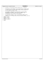$\frac{1}{2}$  /\* <sup>2</sup> \* Copyright (c) International Business Machines Corp., 2000−2002  $\begin{array}{ccc}\n3 & & * \\
4 & & * \n\end{array}$ <sup>4</sup> \* This program is free software; you can redistribute it and/or modify <sup>5</sup> \* it under the terms of the GNU General Public License as published by <sup>6</sup> \* the Free Software Foundation; either version 2 of the License, or <sup>7</sup> \* (at your option) any later version.  $\begin{matrix} 8 & * \\ 9 & * \end{matrix}$ \* This program is distributed in the hope that it will be useful,<br>"but WITHOUT ANY WARRANTY; without even the implied warranty of<br>"\* MERCHANTABILITY or FITNESS FOR A PARTICULAR PURPOSE. See<br>"\* the GNU General Public Licens  $\begin{array}{ccc} 11 & * \\ 13 & * \\ 14 & * \end{array}$ <sup>14</sup> \* You should have received a copy of the GNU General Public License <sup>15</sup> \* along with this program; if not, write to the Free Software <sup>16</sup> \* Foundation, Inc., 59 Temple Place, Suite 330, Boston, MA 02111−1307 USA  $17 + 7$ <br> $18 + 15$ <sup>18</sup> **#ifndef** H\_FSCKPFS <sup>19</sup> **#define** H\_FSCKPFS 20 <sup>21</sup> **#define** fsck\_READ 1 <sup>22</sup> **#define** fsck\_WRITE 2  $\frac{23}{24}$ <sup>24</sup> **#endif** Registered Version: Journaled File System **fsckpfs.h** Exhibit 10.1–3 pg 1/1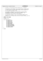$\frac{1}{1}$ <sup>2</sup> \* Copyright (c) International Business Machines Corp., 2000−2002  $\begin{array}{ccc} 3 & & * \\ 4 & & * \end{array}$ <sup>4</sup> \* This program is free software; you can redistribute it and/or modify <sup>5</sup> \* it under the terms of the GNU General Public License as published by <sup>6</sup> \* the Free Software Foundation; either version 2 of the License, or <sup>7</sup> \* (at your option) any later version. <sup>8</sup> \* \* This program is distributed in the hope that it will be useful,<br>"but WITHOUT ANY WARRANTY; without even the implied warranty of<br>"\* MERCHANTABILITY or FITNESS FOR A PARTICULAR PURPOSE. See<br>"\* the GNU General Public Licens  $13$ <br> $14$ <sup>14</sup> \* You should have received a copy of the GNU General Public License <sup>15</sup> \* along with this program; if not, write to the Free Software <sup>16</sup> \* Foundation, Inc., 59 Temple Place, Suite 330, Boston, MA 02111−1307 USA  $\frac{10}{17}$  \*/<br>18 #if <sup>18</sup> **#ifndef** H\_PUFS\_CHKDSK <sup>19</sup> **#define** H\_PUFS\_CHKDSK 20 <sup>21</sup> **#include** "xfsck.h" 22 23 enum xchkdsk\_options {<br>
UFS\_CHKDSK\_LEV <sup>24</sup> UFS\_CHKDSK\_LEVEL0,<br>25 UFS\_CHKDSK\_LEVEL1, 25 UFS\_CHKDSK\_LEVEL1,<br>26 UFS\_CHKDSK\_LEVEL2,<br>27 UFS\_CHKDSK\_LEVEL3, <sup>26</sup> UFS\_CHKDSK\_LEVEL2, <sup>27</sup> UFS\_CHKDSK\_LEVEL3, 28 UFS\_CHKDSK\_IFDIRTY,<br>29 UFS\_CHKDSK\_VERBOSE, <sup>29</sup> UFS\_CHKDSK\_VERBOSE, <sup>30</sup> UFS\_CHKDSK\_DEBUG, <sup>31</sup> UFS\_CHKDSK\_CLRBDBLKLST, <sup>32</sup> UFS\_CHKDSK\_SKIPLOGREDO, 33 UFS\_CHKDSK\_BLOCK\_NUMBER,<br>34 UFS\_CHKDSK\_INODE\_NUMBER, 34 UFS\_CHKDSK\_INODE\_NUMBER,<br>35 UFS\_CHKDSK\_FILENAME, <sup>35</sup> UFS\_CHKDSK\_FILENAME, <sup>36</sup> UFS\_CHKDSK\_OPTIONS <sup>37</sup> };  $\begin{array}{c} 38 \\ 39 \end{array}$ Registered Version: Journaled File System **xchkdsk.h** Exhibit 10.1−4 pg 1/1

<sup>39</sup> **#endif**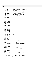```
/*
2 * Copyright (c) International Business Machines Corp., 2000−2002
\frac{3}{4}4 * This program is free software; you can redistribute it and/or modify
5 * it under the terms of the GNU General Public License as published by
6 * the Free Software Foundation; either version 2 of the License, or 
7 * (at your option) any later version.
 8 * 
 * This program is distributed in the hope that it will be useful,<br>"but WITHOUT ANY WARRANTY; without even the implied warranty of<br>"* MERCHANTABILITY or FITNESS FOR A PARTICULAR PURPOSE. See<br>"* the GNU General Public Licens
13<br>1414 * You should have received a copy of the GNU General Public License
15 * along with this program; if not, write to the Free Software 
16 * Foundation, Inc., 59 Temple Place, Suite 330, Boston, MA 02111−1307 USA
17 + 1718 #ifndef H_XFSCK
     19 #define H_XFSCK
20
21
22 −−−−−−−−−−−−−−−−−−−−−−−−−− system includes −−−−−−−−−−−−−−−−−−−−−−−−−−
    \star /
24
25 #include <stdarg.h>
26 #include <stddef.h>
27
28 #ifndef _JFS_FSCKDIRE
29 #include <stdio.h>
     30 #endif
31
32 #include <string.h>
33 #include <stdlib.h>
34
35 / *36 −−−−−−−−−−−−−−−−−−−−−−−−−−−− JFS includes −−−−−−−−−−−−−−−−−−−−−−−−−−−−
\frac{37}{37} */
38
 39 #include "jfs_types.h"
40 #include "jfs_dinode.h"
40 #include "jfs_dmap.h"<br>42 #include "jfs filsys.h"
     42 #include "jfs_filsys.h"
 43 #include "jfs_imap.h"
44 #include "jfs_superblock.h"
45 #include "fsck_base.h"
46 #include "fsckcbbl.h"
47
48<br>49<sup>49</sup> * jfs library routine includes<br>
50 */
 50 */
51 #include "libjufs.h"
 52 #include "devices.h"
53 #include "diskmap.h"
54 #include "inode.h"
     55 #include "logform.h"
56 #include "logredo.h"<br>57 #include "message.h
     57 #include "message.h"
58 #include "super.h"
59
60 /* Stuff for handling extended attributes. */
61 #ifndef OS2
62
\begin{array}{ll}\n\text{63} & \text{struct } \text{FEA} \\
\text{64} & \text{uint8}\n\end{array} \begin{array}{ll}\n\text{65} \\
\text{66} \\
\text{77} & \text{flags}\n\end{array}64 uint8_t fEA; /* flags */
65 uint8_t cbName; /* name length not including NULL */
66 uint16_t cbValue; /* value length */
67};
68
 69 /* flags for FEA.fEA */
70 #define FEA_NEEDEA 0x80 /* need EA bit */
71
72 struct FEALIST {<br>
73 uint32_t cbList;
 73 uint32_t cbList; /* total bytes of structure including full list */
74 struct FEA list[1]; /* variable length FEA structures */
75 };
76
77 #define ERROR_EA_LIST_INCONSISTENT 255
78
79 #endif
80
81 extern int jfs_ValidateFEAList(struct FEALIST *, unsigned long *);
82
83 /* ***** IMPORTANT ***** IMPORTANT ***** IMPORTANT ***** IMPORTANT *****
84<br>8585 * fsck_first_msgid
 86 * MUST be set to the first message id for fsck, according
87 * to jfs.txt. Will be used to locate the text for any
88 * message which is displayed in the local language.
89 *
90 * fsck_highest_msgid_defined
Registered Version: Journaled File System xfsck.h Exhibit 10.1−5 pg 1/8
```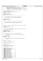```
91 * MUST be maintained in synch with the
92 * message id constants (defined in fsckmsgc.h) since the
ext array and the message attributes array (declared<br>
\frac{93}{4} * message text array and the message attributes array (declared<br>
\frac{94}{4} * in fsckmsgp.h) are both dimensioned using it.
                in fsckmsgp.h) are both dimensioned using it.
95<br>96
      96 * ***** IMPORTANT ***** IMPORTANT ***** IMPORTANT ***** IMPORTANT ***** */
97
98 #define fsck_msgid_offset 50<br>99 #define fsck highest msgid defined 599
    99 #define fsck_highest_msgid_defined 599
100
101 #define MAXPARMLEN 64
102
103 #define fscklog_var_text 1<br>104 #define fscklog literal 2
    104 #define fscklog_literal 2
105
106 /* + + + + + + + + + + + + + + + + + + + + + + + + + + + + + +
107 *
108 * The following are used to access the columns of<br>109 * MsqProtocol[][], which is defined in fsckmsqp.h
       * MsgProtocol[][], which is defined in fsckmsgp.h
110<br>111\star /
112 #define MP_MSGLVL 0<br>113 #define MP_MSGFILE 1
    113 #define MP_MSGFILE 1
114
      115 /* + + + + + + + + + + + + + + + + + + + + + + + + + + + + + +
116 *
117 * The following are the possible values effective fsck
118 * messaging level and for implied response level.
119
120121
122 /*<sup>123</sup> * special cases (must not match any other constants in the table)
124 */
125 #define fsck_hrtbt 130
126 #define fsck_txtins 131
127
128<br>129
<sup>129</sup> * The lowest messaging level (dictated by input parms) at which<br><sup>130</sup> * the message is displayed.
     * the message is displayed.
131
132 #define fsck_quiet 2<br>133 #define fsck verbose 8
<sup>133</sup> #define fsck_verbose 8<br><sup>134</sup> #define fsck debug 32
    #define fsck_debug
135
\begin{array}{c} 136 \\ 137 \end{array}* The message file to use for local language lookup
138<br>139<sup>139</sup> * These are determined by the array message_file_name[]<br><sup>140</sup> * in messages.c
           in messages.c
141142 #define no_msgfile -1<br>143 #define ifs msgfile 1
    #define jfs_msgfile
144
145 /* + + + + + + + + + + + + + + + + + + + + + + + + + + + + + +
<sup>146</sup> * The following are used for reporting storage allocation<br><sup>147</sup> * failures.
       * failures.
148
149
    150 #ifndef _JFS_FSCKDIRE
151
152 void report_dynstg_error(void);
153
154 #define dynstg_unknown 0
155
156 /* the actions */
157
158 #define dynstg_allocation 1
    159 #define dynstg_initialization 2
160
161 /* the objects */162
163 #define dynstg_unknown_object 0
164 #define dynstg_blkmap 1<br>165 #define dynstg blkmap buf 2
165 #define dynstg_blkmap_buf 2
166 #define dynstg_blkmap_hdr 3
167 #define dynstg_inomap 4<br>168 #define dynstg fer 5
168 #define dynstg_fer 5<br>169 #define dynstg wspext 6
    #define dynstg_wspext 6<br>
#define dynstg_pathbuffer 7
170 #define dynstg_pathbuffer 7
171 #define dynstg_inoextrec 8
172 #define dynstg_inorec 9<br>173 #define dynstg dtree0 elem 10
173 #define dynstg_dtreeQ_elem 10<br>174 #define dynstg treeO elem 11
174 #define dynstg_treeQ_elem 11<br>175 #define dynstg ait map 12
    175 #define dynstg_ait_map 12
176 #define dynstg_fsit_map 13<br>177 #define dynstg dupall blkrec 14
177 #define dynstg_dupall_blkrec 14<br>178 #define dynstg_dupall_inorec 15
178 #define dynstg_dupall_inorec 15
    179 #define dynstg_agg_agtbl 16
180 #define dynstg_agg_iagtbl 17
Registered Version: Journaled File System xfsck.h Exhibit 10.1–5 pg 2/8
```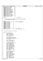| Registered Version: Journaled File System                                                                                                                                                                                                                                                                                                                                                                                                                                                                                                                                                                                           |                                                                                                                                     | xfsck.h | Exhibit 10.1-5 pg 3/8 |
|-------------------------------------------------------------------------------------------------------------------------------------------------------------------------------------------------------------------------------------------------------------------------------------------------------------------------------------------------------------------------------------------------------------------------------------------------------------------------------------------------------------------------------------------------------------------------------------------------------------------------------------|-------------------------------------------------------------------------------------------------------------------------------------|---------|-----------------------|
| #define dynstg_fs_agtbl<br>181<br>#define dynstg_fs_iagtbl<br>182<br>#define dynstg_iobufs<br>183<br>#define dynstg_eaiobuf<br>184<br>#define dynstg_tmpinoiobuf<br>185<br>#define dynstg_recondnodebuf<br>186<br>#define dynstg_xtreebuf<br>187<br>#define dynstg_xtreepagebuf<br>188<br>#define dynstg_treeStack_elem<br>189<br>#define dynstg_fsckcbblbuf1<br>190<br>#define dynstg_fsckcbblbuf2<br>191<br>#define dynstg_inotbl<br>192<br>#define dynstg_inoexttbl<br>193<br>#define dynstg_fsit_iagtbl<br>194<br>#define dynstg_fsit_inoexttbl<br>195<br>#define dynstg_fsit_inotbl<br>196<br>#define dynstg_ait_inotbl<br>197 | 18<br>19<br>20<br>21<br>22<br>23<br>24<br>25<br>26<br>27<br>28<br>29<br>30<br>31<br>32<br>33<br>34                                  |         |                       |
| 198<br>#endif<br>199<br>200                                                                                                                                                                                                                                                                                                                                                                                                                                                                                                                                                                                                         | _JFS_FSCKDIRE */<br>$/$ * !                                                                                                         |         |                       |
| 201<br>202<br>* which is declared in xchkdsk.c<br>203<br>$\star$<br>204<br>$\star$ /<br>205                                                                                                                                                                                                                                                                                                                                                                                                                                                                                                                                         | * The following are the possible values for current_fsck_phase                                                                      |         |                       |
| #define fsck_entry<br>16<br>206<br>#define fsck_phase_initial 17<br>207<br>#define fsck_phase0<br>0<br>208<br>1<br>#define fsck_phase1<br>209<br>$\overline{c}$<br>#define fsck_phase2<br>210<br>3<br>#define fsck_phase3<br>211<br>4<br>#define fsck_phase4<br>212<br>5<br>#define fsck_phase5<br>213<br>6<br>#define fsck_phase6<br>214<br>7<br>#define fsck_phase7<br>215<br>8<br>#define fsck_phase8<br>216<br>9<br>#define fsck_phase9<br>217<br>32<br>#define fsck_phase_final<br>218<br>33<br>#define fsck_exit<br>219                                                                                                       | /* x10 => entry linkage<br>$\star/$<br>$/* x11 => initialization */$<br>$/* x20 => clearup$<br>* /<br>/* x21 => exit linkage<br>* / |         |                       |
| 220<br>$/* +$<br>221<br>$\star$                                                                                                                                                                                                                                                                                                                                                                                                                                                                                                                                                                                                     | $+$ + + +                                                                                                                           |         |                       |
| 222<br>used during blockmap verify/rebuild<br>223                                                                                                                                                                                                                                                                                                                                                                                                                                                                                                                                                                                   |                                                                                                                                     |         |                       |
| $^\star$<br>224<br>$^{\star}$ /<br>225<br>struct fsck_bmap_record {<br>226<br>char eyecatcher[8];<br>227<br>int64_t total_blocks;<br>228<br>int64_t free_blocks;<br>229<br>int8_t ctl_fctl_error;<br>230<br>int8_t ctl_other_error;<br>231<br>$char$ $rsvd0[2]$ ;<br>232<br>233<br>char bmpctlinf_eyecatcher[8];<br>234<br>$struct$ dbmap *bmpctl_bufptr;<br>235                                                                                                                                                                                                                                                                    |                                                                                                                                     |         |                       |
| int64_t bmpctl_agg_fsblk_offset;<br>236<br>$char$ $rsvd1[4]$ ;<br>237<br>238<br><i>char</i> AGinf_eyecatcher[8];<br>239                                                                                                                                                                                                                                                                                                                                                                                                                                                                                                             |                                                                                                                                     |         |                       |
| int64 t *AGFree tbl;<br>240<br>int8_t AGActive[MAXAG];<br>241<br>242                                                                                                                                                                                                                                                                                                                                                                                                                                                                                                                                                                |                                                                                                                                     |         |                       |
| <i>char</i> dmapinf_eyecatcher[8];<br>243<br>uint32_t dmappg_count;<br>244<br>uint32_t dmappg_ordno;<br>245                                                                                                                                                                                                                                                                                                                                                                                                                                                                                                                         |                                                                                                                                     |         |                       |
| uint32_t dmappg_idx;<br>246<br>int8_t *dmap_wsp_stree;<br>247                                                                                                                                                                                                                                                                                                                                                                                                                                                                                                                                                                       |                                                                                                                                     |         |                       |
| int8_t *dmap_wsp_sleafs;<br>248<br>struct dmap *dmap_bufptr;<br>249                                                                                                                                                                                                                                                                                                                                                                                                                                                                                                                                                                 |                                                                                                                                     |         |                       |
| <i>int</i> 64_t dmap_agg_offset;<br>250<br><i>int</i> 64_t dmap_1stblk;<br>251                                                                                                                                                                                                                                                                                                                                                                                                                                                                                                                                                      |                                                                                                                                     |         |                       |
| int8_t dmap_pmap_error;<br>252<br>int8_t dmap_slfv_error;<br>253<br>int8_t dmap_slnv_error;<br>254                                                                                                                                                                                                                                                                                                                                                                                                                                                                                                                                  |                                                                                                                                     |         |                       |
| int8_t dmap_other_error;<br>255<br>$char$ $rsvd2[4]$ ;<br>256                                                                                                                                                                                                                                                                                                                                                                                                                                                                                                                                                                       |                                                                                                                                     |         |                       |
| 257<br><i>char</i> L0inf_eyecatcher[8];<br>258                                                                                                                                                                                                                                                                                                                                                                                                                                                                                                                                                                                      |                                                                                                                                     |         |                       |
| uint32_t L0pg_count;<br>259<br>uint32_t L0pg_ordno;<br>260                                                                                                                                                                                                                                                                                                                                                                                                                                                                                                                                                                          |                                                                                                                                     |         |                       |
| uint32_t L0pg_idx;<br>261<br>int8_t *L0_wsp_stree;<br>262                                                                                                                                                                                                                                                                                                                                                                                                                                                                                                                                                                           |                                                                                                                                     |         |                       |
| int8_t *LO_wsp_sleafs;<br>263<br>struct dmapctl *LO_bufptr;<br>264                                                                                                                                                                                                                                                                                                                                                                                                                                                                                                                                                                  |                                                                                                                                     |         |                       |
| int64_t L0pg_agg_offset;<br>265<br>$int64_t$ LOpg_1stblk;<br>266                                                                                                                                                                                                                                                                                                                                                                                                                                                                                                                                                                    |                                                                                                                                     |         |                       |
| int8_t L0_rsvd;<br>267<br>int8_t L0pg_slfv_error;<br>268                                                                                                                                                                                                                                                                                                                                                                                                                                                                                                                                                                            |                                                                                                                                     |         |                       |
| int8_t L0pg_slnv_error;<br>269<br>int8_t L0pg_other_error;<br>270                                                                                                                                                                                                                                                                                                                                                                                                                                                                                                                                                                   |                                                                                                                                     |         |                       |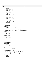|            | Registered Version: Journaled File System                                                    | xfsck.h                                                                                                         | Exhibit 10.1-5 pg 4/8 |
|------------|----------------------------------------------------------------------------------------------|-----------------------------------------------------------------------------------------------------------------|-----------------------|
| 271        | $char$ $rsvd3[4]$ ;                                                                          |                                                                                                                 |                       |
| 272        |                                                                                              |                                                                                                                 |                       |
| 273<br>274 | char Llinf_eyecatcher[8];<br>uint32_t L1pg_count;                                            |                                                                                                                 |                       |
| 275        | uint32_t L1pg_ordno;                                                                         |                                                                                                                 |                       |
| 276<br>277 | uint32_t L1pg_idx;<br>int8_t *L1_wsp_stree;                                                  |                                                                                                                 |                       |
| 278        | int8_t *L1_wsp_sleafs;                                                                       |                                                                                                                 |                       |
| 279        | struct dmapctl *L1_bufptr;                                                                   |                                                                                                                 |                       |
| 280<br>281 | int64_t Llpg_agg_offset;<br>int64_t L1pg_1stblk;                                             |                                                                                                                 |                       |
| 282        | int8_t L1_rsvd;                                                                              |                                                                                                                 |                       |
| 283        | int8_t L1pg_slfv_error;                                                                      |                                                                                                                 |                       |
| 284<br>285 | int8_t L1pg_slnv_error;<br>int8_t L1pg_other_error;                                          |                                                                                                                 |                       |
| 286        | $char$ $rsvd4[4]$ ;                                                                          |                                                                                                                 |                       |
| 287<br>288 | <i>char</i> L2inf_eyecatcher[8];                                                             |                                                                                                                 |                       |
| 289        | uint32_t L2pg_count;                                                                         |                                                                                                                 |                       |
| 290        | int8_t *L2_wsp_stree;                                                                        |                                                                                                                 |                       |
| 291<br>292 | int8_t *L2_wsp_sleafs;<br>struct dmapctl *L2_bufptr;                                         |                                                                                                                 |                       |
| 293        | $int64_t$ L2pg_agg_offset;                                                                   |                                                                                                                 |                       |
| 294<br>295 | int64_t L2pg_1stblk;<br>int8_t L2pg_slfv_error;                                              |                                                                                                                 |                       |
| 296        | int8_t L2pg_slnv_error;                                                                      |                                                                                                                 |                       |
| 297        | int8_t L2pg_other_error;                                                                     |                                                                                                                 |                       |
| 298<br>299 | $char$ rsvd $5[5]$ ;<br>$\}$ ;                                                               |                                                                                                                 |                       |
| 300        |                                                                                              |                                                                                                                 |                       |
| 301<br>302 | $\star$                                                                                      |                                                                                                                 |                       |
| 303        | $^\star$<br>unicharacter name structure                                                      |                                                                                                                 |                       |
| 304        | $^*/$                                                                                        |                                                                                                                 |                       |
| 305<br>306 | struct uniname {<br>uint32_t len_in_UniChars;                                                |                                                                                                                 |                       |
| 307        | UniChar name_in_UniChars[256];                                                               |                                                                                                                 |                       |
| 308<br>309 | $\}$ ;                                                                                       |                                                                                                                 |                       |
| 310        | $/$ *<br>$+$ $+$                                                                             | $^{+}$<br>$^{+}$<br>$+$ $+$<br>$+$ $+$<br>$+$ $+$<br>$+$<br>$+$<br>$+$ $+$<br>$^{+}$<br>$^{+}$<br>$^{+}$<br>$+$ |                       |
| 311        | $\star$                                                                                      |                                                                                                                 |                       |
| 312<br>313 | $^*/$                                                                                        | * used to pass message inserts from one routine to another economically                                         |                       |
| 314        | struct fsck_ino_msg_info {                                                                   |                                                                                                                 |                       |
| 315<br>316 | uint32_t msg_inonum;<br>int msg_inopfx;                                                      |                                                                                                                 |                       |
| 317        | int msg_inotyp;                                                                              |                                                                                                                 |                       |
| 318        | int msg_dxdtyp;                                                                              |                                                                                                                 |                       |
| 319<br>320 | $\}$ ;                                                                                       |                                                                                                                 |                       |
| 321        | struct fsck_imap_msg_info {                                                                  |                                                                                                                 |                       |
| 322<br>323 | <i>int</i> 32_t msg_iagnum;<br>$int32_t$ msg_agnum;                                          |                                                                                                                 |                       |
| 324        | int msg_mapowner;                                                                            |                                                                                                                 |                       |
| 325        |                                                                                              |                                                                                                                 |                       |
| 326<br>327 | $/$ *<br>$+$ + + + +                                                                         |                                                                                                                 |                       |
| 328        |                                                                                              |                                                                                                                 |                       |
| 329<br>330 | * used to specify what action should be performed by routing<br>* process_extent             |                                                                                                                 |                       |
| 331        | $\star$ /                                                                                    |                                                                                                                 |                       |
| 332<br>333 | #define FSCK_RECORD<br>#define FSCK_RECORD_DUPCHECK                                          | 1<br>2                                                                                                          |                       |
| 334        | #define FSCK_UNRECORD                                                                        | 3                                                                                                               |                       |
| 335        | #define FSCK_QUERY                                                                           | 4                                                                                                               |                       |
| 336<br>337 | #define FSCK_GET_OBJNAME<br>#define FSCK_FSIM_RECORD_DUPCHECK                                | 5<br>6                                                                                                          |                       |
| 338        | #define FSCK_FSIM_UNRECORD                                                                   | 7                                                                                                               |                       |
| 339<br>340 | #define FSCK_FSIM_QUERY                                                                      | 8                                                                                                               |                       |
| 341        |                                                                                              |                                                                                                                 |                       |
| 342        |                                                                                              |                                                                                                                 |                       |
| 343<br>344 | * The following are the values which may be displayed in<br>* message fsck_INOINLINECONFLICT |                                                                                                                 |                       |
| 345        | $\star$                                                                                      |                                                                                                                 |                       |
| 346<br>347 | $\star/$<br>#define fsck_longdata_and_otherinline 1                                          |                                                                                                                 |                       |
| 348        |                                                                                              |                                                                                                                 |                       |
| 349        | $/$ *<br>$\star$                                                                             |                                                                                                                 |                       |
| 350<br>351 | * The following define exit codes passed back by fsck.jfs                                    |                                                                                                                 |                       |
| 352        | * and return codes passed internally in fsck.jfs.<br>$\star$                                 |                                                                                                                 |                       |
| 353<br>354 | $*$ /                                                                                        |                                                                                                                 |                       |
| 355        |                                                                                              |                                                                                                                 |                       |
| 356<br>357 | /* exit codes */                                                                             |                                                                                                                 |                       |
| 358        | #define FSCK_OK                                                                              | 0                                                                                                               |                       |
| 359<br>360 | #define FSCK_CORRECTED<br>#define FSCK_REBOOT                                                | $\mathbf{1}$<br>2                                                                                               |                       |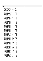|            | Registered Version: Journaled File System                          |                | xfsck.h | Exhibit 10.1-5 pg 5/8 |
|------------|--------------------------------------------------------------------|----------------|---------|-----------------------|
| 361        | #define FSCK_ERRORS_UNCORRECTED                                    | 4<br>8         |         |                       |
| 362<br>363 | #define FSCK_OP_ERROR<br>#define FSCK_USAGE_ERROR                  | 16             |         |                       |
| 364        | /* informational return codes */                                   |                |         |                       |
| 365<br>366 |                                                                    |                |         |                       |
| 367        | #define FSCK_FAILED                                                | $-00001$       |         |                       |
| 368<br>369 | #define FSCK_AGFS_INOBAD                                           | 10001          |         |                       |
| 370        | #define FSCK_AGGAITINOBAD                                          | 10002          |         |                       |
| 371<br>372 | #define FSCK_AGGFSINOBAD<br>#define FSCK_BADAGFSSIZ                | 10003<br>10004 |         |                       |
| 373        | #define FSCK_BADBLKCTTTL                                           | 10005          |         |                       |
| 374<br>375 | #define FSCK_BADEADESCRIPTOR<br>#define FSCK_BADMDDATA             | 10006<br>10007 |         |                       |
| 376        | #define FSCK_BADMDDATAEXT                                          | 10008          |         |                       |
| 377        | #define FSCK_BADMDDATAIDX<br>#define FSCK_BADMDDATAINLN            | 10009<br>10010 |         |                       |
| 378<br>379 | #define FSCK_BADREAD_FBLKMP                                        | 10011          |         |                       |
| 380        | #define FSCK_BADREAD_FSCKLOG                                       | 10012          |         |                       |
| 381<br>382 | #define FSCK_BADSBAGSIZ<br>#define FSCK_BADSBFJLA                  | 10013<br>10014 |         |                       |
| 383        | #define FSCK_BADSBFJLL                                             | 10015          |         |                       |
| 384<br>385 | #define FSCK_BADSBFSSIZ<br>#define FSCK_BADSBFWSA                  | 10016<br>10017 |         |                       |
| 386        | #define FSCK_BADSBFWSL                                             | 10018          |         |                       |
| 387<br>388 | #define FSCK_BADSBFWSL1<br>#define FSCK_BADSBMGC                   | 10019<br>10020 |         |                       |
| 389        | #define FSCK_BADSBVRSN                                             | 10021          |         |                       |
| 390        | #define FSCK_BADSBOTHR1                                            | 10022<br>10023 |         |                       |
| 391<br>392 | #define FSCK_BADSBOTHR2<br>#define FSCK_BADSBOTHR3                 | 10024          |         |                       |
| 393        | #define FSCK_BADSBOTHR4                                            | 10025          |         |                       |
| 394<br>395 | #define FSCK_BADSBOTHR5<br>#define FSCK_BADSBOTHR6                 | 10026<br>10027 |         |                       |
| 396        | #define FSCK_BADSBOTHR7                                            | 10028          |         |                       |
| 397<br>398 | #define FSCK_BADSBOTHR8<br>#define FSCK_BADSBOTHR9                 | 10029<br>10030 |         |                       |
| 399        | #define FSCK_BADSBOTHR10                                           | 10031          |         |                       |
| 400<br>401 | #define FSCK_BADSBOTHR11<br>#define FSCK_BADSBOTHR12               | 10032<br>10033 |         |                       |
| 402        | #define FSCK_BADSBOTHR13                                           | 10034          |         |                       |
| 403        | #define FSCK_BADWRITE_FSCKLOG<br>#define FSCK_BADWRITE_FBLKMP      | 10035<br>10036 |         |                       |
| 404<br>405 | #define FSCK_BBINOBAD                                              | 10037          |         |                       |
| 406        | #define FSCK_BLSIZLTLVBLSIZ                                        | 10038          |         |                       |
| 407<br>408 | #define FSCK_BMINOBAD<br>#define FSCK_CANT_ALLOC_INOREC            | 10039<br>10040 |         |                       |
| 409        | #define FSCK_CANT_ALLOC_LSFN                                       | 10041          |         |                       |
| 410<br>411 | #define FSCK_CANT_EXTEND_ROOTDIR<br>#define FSCK_CANTREADEAITEXT1  | 10042<br>10043 |         |                       |
| 412        | #define FSCK_CANTREADAITEXT1                                       | 10044          |         |                       |
| 413<br>414 | #define FSCK CANTREADAITEXT2<br>#define FSCK CANTREADAITEXT3       | 10045<br>10046 |         |                       |
| 415        | #define FSCK_CANTREADAITEXT4                                       | 10047          |         |                       |
| 416<br>417 | #define FSCK_CANTREADAGGFSINO<br>#define FSCK_CANTREADBBINO        | 10048<br>10049 |         |                       |
| 418        | #define FSCK_CANTREADBMINO                                         | 10050          |         |                       |
| 419<br>420 | #define FSCK_CANTREADEA<br>#define FSCK_CANTREADFSEXT              | 10051<br>10052 |         |                       |
| 421        | #define FSCK_CANTREADFSRTDR                                        | 10053          |         |                       |
| 422<br>423 | #define FSCK CANTREADLOGINO<br>#define FSCK_CANTREADRECONDNODE     | 10054<br>10055 |         |                       |
| 424        | #define FSCK_CANTREADRECONDNODE1                                   | 10056          |         |                       |
| 425        | #define FSCK_CANTREADSELFINO<br>#define FSCK_CANTWRITRECONDNODE    | 10057<br>10058 |         |                       |
| 426<br>427 | #define FSCK_CANTWRITRECONDNODE1                                   | 10059          |         |                       |
| 428        | #define FSCK_DUPMDBLKREF                                           | 10060          |         |                       |
| 429<br>430 | #define FSCK_FSETEXTBAD<br>#define FSCK FSRTDRBAD                  | 10061<br>10062 |         |                       |
| 431        | #define FSCK_IAGNOOOAGGBOUNDS                                      | 10063          |         |                       |
| 432<br>433 | #define FSCK_IAGNOOOFSETBOUNDS<br>#define FSCK_INOEXTNOTALLOC      | 10064<br>10065 |         |                       |
| 434        | #define FSCK_INOINLINECONFLICT1                                    | 10066          |         |                       |
| 435<br>436 | #define FSCK_INOINLINECONFLICT2<br>#define FSCK_INOINLINECONFLICT3 | 10067<br>10068 |         |                       |
| 437        | #define FSCK_INOINLINECONFLICT4                                    | 10069          |         |                       |
| 438<br>439 | #define FSCK_INOINLINECONFLICT5<br>#define FSCK_LOGINOBAD          | 10070<br>10071 |         |                       |
| 440        | #define FSCK_RIBADTREE                                             | 10072          |         |                       |
| 441        | #define FSCK_RIDATAERROR<br>#define FSCK_RINOTDIR                  | 10073<br>10074 |         |                       |
| 442<br>443 | #define FSCK_RIUNALLOC                                             | 10075          |         |                       |
| 444        | #define FSCK_SELFINOBAD                                            | 10076          |         |                       |
| 445<br>446 | #define FSCK_INSUFDSTG4RECON<br>#define FSCK_INSUFDSTG4RECON1      | 10077<br>10078 |         |                       |
| 447        | #define FSCK_BLKSNOTAVAILABLE                                      | 10079          |         |                       |
| 448<br>449 | #define FSCK_BADREADTARGET<br>#define FSCK_BADREADTARGET1          | 10080<br>10081 |         |                       |
| 450        | #define FSCK_BADREADTARGET2                                        | 10082          |         |                       |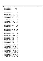|            | Registered Version: Journaled File System                                  |                      | xfsck.h | Exhibit 10.1-5 pg 6/8 |
|------------|----------------------------------------------------------------------------|----------------------|---------|-----------------------|
| 451        | #define FSCK_ENOMEMBDBLK1                                                  | 10083                |         |                       |
| 452        | #define FSCK_ENOMEMBDBLK2                                                  | 10084                |         |                       |
| 453<br>454 | #define FSCK_ENOMEMBDBLK3<br>#define FSCK_ENOMEMBDBLK4                     | 10085<br>10086       |         |                       |
| 455        | #define FSCK_PARENTNULLIFIED                                               | 10087                |         |                       |
| 456<br>457 | #define FSCK_IOTARGETINJRNLLOG                                             | 10088                |         |                       |
| 458<br>459 | /* fatal condition return codes */                                         |                      |         |                       |
| 460<br>461 | #define FSCK_FAILED_SEEK<br>#define FSCK_FAILED_BADSEEK                    | $-10001$<br>$-10002$ |         |                       |
| 462        | #define FSCK FAILED NODE BADFLUSH                                          | $-10003$             |         |                       |
| 463<br>464 | #define FSCK_FAILED_NODE_FLUSH                                             | $-10004$             |         |                       |
| 465        | #define FSCK_FAILED_BADREAD_NODE                                           | $-10005$             |         |                       |
| 466<br>467 | #define FSCK_FAILED_BADREAD_NODE1<br>#define FSCK_FAILED_READ_NODE         | $-10006$<br>$-10007$ |         |                       |
| 468        | #define FSCK_FAILED_READ_NODE2                                             | $-10008$             |         |                       |
| 469        | #define FSCK_FAILED_READ_NODE3                                             | $-10009$             |         |                       |
| 470<br>471 | #define FSCK_FAILED_READ_NODE4                                             | $-10010$             |         |                       |
| 472        | #define FSCK_FAILED_BADREAD_DNODE                                          | $-10011$             |         |                       |
| 473<br>474 | #define FSCK_FAILED_READ_DNODE                                             | $-10012$             |         |                       |
| 475        | #define FSCK_FAILED_INODE_BADFLUSH                                         | $-10013$<br>$-10014$ |         |                       |
| 476<br>477 | #define FSCK_FAILED_INODE_FLUSH<br>#define FSCK_FAILED_BADREAD_INODE       | $-10015$             |         |                       |
| 478        | #define FSCK_FAILED_BADREAD_INODE1                                         | $-10016$             |         |                       |
| 479        | #define FSCK_FAILED_READ_INODE                                             | $-10017$             |         |                       |
| 480<br>481 | #define FSCK_FAILED_IAG_BADFLUSH                                           | $-10018$             |         |                       |
| 482        | #define FSCK_FAILED_IAG_FLUSH                                              | -10019               |         |                       |
| 483        | #define FSCK_FAILED_BADREAD_IAG                                            | $-10020$             |         |                       |
| 484<br>485 | #define FSCK_FAILED_BADREAD1_IAG<br>#define FSCK_FAILED_READ_IAG           | $-10021$<br>$-10022$ |         |                       |
| 486        | #define FSCK_FAILED_IAG_CORRUPT_PXD                                        | $-10023$             |         |                       |
| 487<br>488 | #define FSCK_FAILED_FBMAP_FLUSH                                            | -10024               |         |                       |
| 489        | #define FSCK_FAILED_FBMAP_BADFLUSH                                         | $-10025$             |         |                       |
| 490        | #define FSCK_FAILED_BADREAD_FBLKMP                                         | -10026               |         |                       |
| 491<br>492 | #define FSCK_FAILED_READ_FBLKMP<br>#define FSCK_FAILED_WRITE_FBLKMP        | -10027<br>$-10028$   |         |                       |
| 493        | #define FSCK_FAILED_BADWRITE_FBLKMP                                        | -10029               |         |                       |
| 494<br>495 | #define FSCK_FAILED_PSBLK_WRITE                                            | -10030               |         |                       |
| 496        | #define FSCK_FAILED_SSBLK_WRITE                                            | -10031               |         |                       |
| 497        | #define FSCK_FAILED_BTHSBLK_WRITE                                          | -10032               |         |                       |
| 498<br>499 | #define FSCK_FAILED_BTHSBLK_BAD                                            | $-10033$             |         |                       |
| 500        | #define FSCK_FAILED_FSSIEXT_READ2                                          | $-10034$             |         |                       |
| 501        | #define FSCK_FAILED_FSRTDIR_READ2                                          | $-10035$             |         |                       |
| 502<br>503 | #define FSCK_FAILED_BADBLK_READ2<br>#define FSCK_FAILED_BMAP_READ2         | $-10036$<br>$-10037$ |         |                       |
| 504        | #define FSCK_FAILED_LOG_READ2                                              | $-10038$             |         |                       |
| 505<br>506 | #define FSCK_FAILED_SELF_READ2<br>#define FSCK_FAILED_SELF_READ3           | $-10039$<br>$-10040$ |         |                       |
| 507        | #define FSCK_FAILED_SELF_READ4                                             | $-10041$             |         |                       |
| 508        | #define FSCK_FAILED_SELF_READ5                                             | $-10042$             |         |                       |
| 509<br>510 | #define FSCK_FAILED_SELF_NOWBAD<br>#define FSCK_FAILED_AGFS_READ2          | $-10043$<br>$-10044$ |         |                       |
| 511        | #define FSCK_FAILED_AGFS_READ3                                             | $-10045$             |         |                       |
| 512        | #define FSCK_FAILED_AGFS_READ4                                             | $-10046$             |         |                       |
| 513<br>514 | #define FSCK_FAILED_AGFS_READ5<br>#define FSCK_FAILED_AGFS_NOWBAD          | $-10047$<br>$-10048$ |         |                       |
| 515        |                                                                            |                      |         |                       |
| 516<br>517 | #define FSCK_FAILED_BOTHAITBAD<br>#define FSCK_FAILED_CANTREADAITEXT1      | $-10049$<br>$-10050$ |         |                       |
| 518        | #define FSCK FAILED CANTREADAITEXT2                                        | $-10051$             |         |                       |
| 519        | #define FSCK_FAILED_CANTREADAITEXT3                                        | $-10052$             |         |                       |
| 520<br>521 | #define FSCK_FAILED_CANTREADAITEXT4<br>#define FSCK_FAILED_CANTREADAITEXT5 | $-10053$<br>$-10054$ |         |                       |
| 522        | #define FSCK_FAILED_CANTREADAITEXT6                                        | $-10055$             |         |                       |
| 523        | #define FSCK_FAILED_CANTREADAITEXT7                                        | $-10056$             |         |                       |
| 524<br>525 | #define FSCK_FAILED_CANTREADAITEXT8<br>#define FSCK_FAILED_CANTREADAITEXT9 | $-10057$<br>$-10058$ |         |                       |
| 526        | #define FSCK_FAILED_CANTREADAITEXTA                                        | $-10059$             |         |                       |
| 527        | #define FSCK_FAILED_CANTREADAITEXTB<br>#define FSCK_FAILED_CANTREADAITEXTC | $-10060$<br>$-10061$ |         |                       |
| 528<br>529 | #define FSCK_FAILED_CANTREADAITEXTD                                        | $-10062$             |         |                       |
| 530        | #define FSCK_FAILED_CANTREADAITEXTE                                        | $-10063$             |         |                       |
| 531<br>532 | #define FSCK_FAILED_CANTREADAITEXTF<br>#define FSCK_FAILED_CANTREADAITEXTG | $-10064$<br>$-10065$ |         |                       |
| 533        | #define FSCK_FAILED_CANTREADAITEXTH                                        | $-10066$             |         |                       |
| 534        | #define FSCK_FAILED_CANTREADAITEXTJ                                        | $-10067$             |         |                       |
| 535<br>536 | #define FSCK_FAILED_CANTREADAITEXTK<br>#define FSCK_FAILED_CANTREADAITCTL  | $-10068$<br>$-10069$ |         |                       |
| 537        | #define FSCK_FAILED_CANTREADAITS                                           | $-10070$             |         |                       |
| 538        | #define FSCK_FAILED_CANTREADAIMNOW                                         | $-10071$             |         |                       |
| 539<br>540 | #define FSCK_FAILED_IMPLF_BADFLUSH                                         | $-10072$             |         |                       |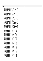|            | Registered Version: Journaled File System                                                |                      | xfsck.h | Exhibit 10.1-5 pg 7/8 |
|------------|------------------------------------------------------------------------------------------|----------------------|---------|-----------------------|
| 541        | #define FSCK_FAILED_IMPLF_FLUSH                                                          | $-10073$             |         |                       |
| 542<br>543 | #define FSCK_FAILED_BADREAD_IMPLF<br>#define FSCK_FAILED_READ_IMPLF                      | $-10074$<br>$-10075$ |         |                       |
| 544<br>545 | #define FSCK_FAILED_CANTREAD_DIRNOW                                                      | $-10076$             |         |                       |
| 546        | #define FSCK_FAILED_DIRGONEBAD                                                           | $-10077$             |         |                       |
| 547<br>548 | #define FSCK_FAILED_DIRGONEBAD2<br>#define FSCK_FAILED_DIRENTRYGONE                      | $-10078$<br>-10079   |         |                       |
| 549        | #define FSCK_FAILED_DIRENTRYBAD                                                          | $-10080$             |         |                       |
| 550<br>551 | #define FSCK_FAILED_MAPCTL_BADFLUSH                                                      | $-10081$             |         |                       |
| 552        | #define FSCK_FAILED_MAPCTL_FLUSH<br>#define FSCK_FAILED_BADREAD_MAPCTL                   | -10082<br>$-10083$   |         |                       |
| 553<br>554 | #define FSCK_FAILED_READ_MAPCTL                                                          | $-10084$             |         |                       |
| 555<br>556 | #define FSCK_FAILED_CANTREADBMPCTL                                                       | $-10085$             |         |                       |
| 557        |                                                                                          |                      |         |                       |
| 558<br>559 | #define FSCK_FAILED_BMPLV_BADFLUSH<br>#define FSCK_FAILED_BMPLV_FLUSH                    | -10086<br>$-10087$   |         |                       |
| 560        | #define FSCK_FAILED_BADREAD_BMPLV                                                        | $-10088$             |         |                       |
| 561<br>562 | #define FSCK_FAILED_READ_BMPLV                                                           | -10089               |         |                       |
| 563        | #define FSCK_FAILED_BMPDM_BADFLUSH                                                       | $-10090$             |         |                       |
| 564<br>565 | #define FSCK_FAILED_BMPDM_FLUSH<br>#define FSCK_FAILED_BADREAD_BMPDM                     | -10091<br>-10092     |         |                       |
| 566        | #define FSCK_FAILED_READ_BMPDM                                                           | $-10093$             |         |                       |
| 567<br>568 | #define FSCK_FAILED_DYNSTG_EXHAUST1<br>#define FSCK_FAILED_DYNSTG_EXHAUST2               | $-10094$<br>$-10095$ |         |                       |
| 569        | #define FSCK_FAILED_DYNSTG_EXHAUST3                                                      | $-10096$             |         |                       |
| 570<br>571 | #define FSCK_FAILED_DYNSTG_EXHAUST4<br>#define FSCK_FAILED_DYNSTG_EXHAUST5               | $-10097$<br>$-10098$ |         |                       |
| 572        | #define FSCK_FAILED_DYNSTG_EXHAUST6                                                      | $-10099$             |         |                       |
| 573<br>574 | #define FSCK_FAILED_DYNSTG_EXHAUST7<br>#define FSCK_FAILED_DYNSTG_EXHAUST8               | $-10100$<br>$-10101$ |         |                       |
| 575        | #define FSCK_FAILED_DYNSTG_EXHAUST9                                                      | $-10102$             |         |                       |
| 576<br>577 | #define FSCK_FAILED_DYNSTG_EXHAUSTA<br>#define FSCK_FAILED_REREAD_AGGINO                 | $-10103$<br>$-10104$ |         |                       |
| 578        |                                                                                          |                      |         |                       |
| 579<br>580 | /* catastrophic error return codes */                                                    |                      |         |                       |
| 581        | #define FSCK_INTERNAL_ERROR_1<br>$-11001$                                                |                      |         |                       |
| 582<br>583 | #define FSCK_INTERNAL_ERROR_2<br>$-11002$<br>#define FSCK_INTERNAL_ERROR_3<br>$-11003$   |                      |         |                       |
| 584        | #define FSCK_INTERNAL_ERROR_4<br>$-11004$                                                |                      |         |                       |
| 585<br>586 | #define FSCK_INTERNAL_ERROR_5<br>$-11005$<br>#define FSCK_INTERNAL_ERROR_6<br>$-11006$   |                      |         |                       |
| 587        | #define FSCK_INTERNAL_ERROR_7<br>$-11007$<br>#define FSCK_INTERNAL_ERROR_8<br>$-11008$   |                      |         |                       |
| 588<br>589 | #define FSCK_INTERNAL_ERROR_9<br>$-11009$                                                |                      |         |                       |
| 590<br>591 | #define FSCK_INTERNAL_ERROR_10<br>$-11010$<br>#define FSCK_INTERNAL_ERROR_11<br>$-11011$ |                      |         |                       |
| 592        | #define FSCK_INTERNAL_ERROR_12<br>$-11012$                                               |                      |         |                       |
| 593<br>594 | #define FSCK_INTERNAL_ERROR_13<br>$-11013$<br>#define FSCK_INTERNAL_ERROR_14<br>$-11014$ |                      |         |                       |
| 595        | #define FSCK_INTERNAL_ERROR_15<br>$-11015$                                               |                      |         |                       |
| 596<br>597 | #define FSCK_INTERNAL_ERROR_16<br>$-11016$<br>$-11017$<br>#define FSCK_INTERNAL_ERROR_17 |                      |         |                       |
| 598        | $-11018$<br>#define FSCK_INTERNAL_ERROR_18                                               |                      |         |                       |
| 599<br>600 | #define FSCK_INTERNAL_ERROR_19<br>$-11019$<br>#define FSCK_INTERNAL_ERROR_20<br>$-11020$ |                      |         |                       |
| 601        | #define FSCK_INTERNAL_ERROR_21<br>$-11021$                                               |                      |         |                       |
| 602<br>603 | #define FSCK_INTERNAL_ERROR_22<br>$-11022$<br>#define FSCK_INTERNAL_ERROR_23<br>$-11023$ |                      |         |                       |
| 604        | #define FSCK_INTERNAL_ERROR_24<br>$-11024$<br>#define FSCK_INTERNAL_ERROR_25<br>$-11025$ |                      |         |                       |
| 605<br>606 | #define FSCK_INTERNAL_ERROR_26<br>$-11026$                                               |                      |         |                       |
| 607        | #define FSCK_INTERNAL_ERROR_27<br>$-11027$<br>#define FSCK_INTERNAL_ERROR_28<br>$-11028$ |                      |         |                       |
| 608<br>609 | #define FSCK INTERNAL ERROR 29<br>$-11029$                                               |                      |         |                       |
| 610<br>611 | #define FSCK_INTERNAL_ERROR_30<br>$-11030$<br>#define FSCK_INTERNAL_ERROR_31<br>$-11031$ |                      |         |                       |
| 612        | #define FSCK_INTERNAL_ERROR_32<br>$-11032$                                               |                      |         |                       |
| 613<br>614 | #define FSCK_INTERNAL_ERROR_33<br>$-11033$<br>#define FSCK_INTERNAL_ERROR_34<br>$-11034$ |                      |         |                       |
| 615        | #define FSCK_INTERNAL_ERROR_35<br>$-11035$                                               |                      |         |                       |
| 616<br>617 | #define FSCK_INTERNAL_ERROR_36<br>$-11036$<br>#define FSCK_INTERNAL_ERROR_37<br>$-11037$ |                      |         |                       |
| 618        | #define FSCK_INTERNAL_ERROR_38<br>$-11038$                                               |                      |         |                       |
| 619<br>620 | #define FSCK_INTERNAL_ERROR_39<br>-11039<br>#define FSCK_INTERNAL_ERROR_40<br>$-11040$   |                      |         |                       |
| 621        | #define FSCK_INTERNAL_ERROR_41<br>$-11041$                                               |                      |         |                       |
| 622<br>623 | #define FSCK_INTERNAL_ERROR_42<br>$-11042$<br>#define FSCK_INTERNAL_ERROR_43<br>$-11043$ |                      |         |                       |
| 624        | #define FSCK_INTERNAL_ERROR_44<br>$-11044$                                               |                      |         |                       |
| 625<br>626 | #define FSCK_INTERNAL_ERROR_45<br>$-11045$<br>#define FSCK_INTERNAL_ERROR_46<br>$-11046$ |                      |         |                       |
| 627        | #define FSCK_INTERNAL_ERROR_47<br>$-11047$                                               |                      |         |                       |
| 628<br>629 | #define FSCK_INTERNAL_ERROR_48<br>$-11048$<br>#define FSCK_INTERNAL_ERROR_49<br>$-11049$ |                      |         |                       |
| 630        | #define FSCK_INTERNAL_ERROR_50<br>$-11050$                                               |                      |         |                       |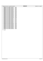|     | Registered Version: Journaled File System |          | xfsck.h | Exhibit 10.1-5 pg 8/8 |
|-----|-------------------------------------------|----------|---------|-----------------------|
| 631 | #define FSCK_INTERNAL_ERROR_51            | $-11051$ |         |                       |
| 632 | #define FSCK_INTERNAL_ERROR_52            | $-11052$ |         |                       |
| 633 | #define FSCK_INTERNAL_ERROR_53            | $-11053$ |         |                       |
| 634 | #define FSCK_INTERNAL_ERROR_54            | $-11054$ |         |                       |
| 635 | #define FSCK_INTERNAL_ERROR_55            | $-11055$ |         |                       |
| 636 | #define FSCK INTERNAL ERROR 56            | $-11056$ |         |                       |
| 637 | #define FSCK_INTERNAL_ERROR_57            | $-11057$ |         |                       |
| 638 | #define FSCK INTERNAL ERROR 58            | $-11058$ |         |                       |
| 639 | #define FSCK_INTERNAL_ERROR_59            | $-11059$ |         |                       |
| 640 | #define FSCK_INTERNAL_ERROR_60            | $-11060$ |         |                       |
| 641 | #define FSCK_INTERNAL_ERROR_61            | $-11061$ |         |                       |
| 642 | #define FSCK_INTERNAL_ERROR_62            | $-11062$ |         |                       |
| 643 | #define FSCK_INTERNAL_ERROR_63            | $-11063$ |         |                       |
| 644 | #define FSCK_INTERNAL_ERROR_64            | $-11064$ |         |                       |
| 645 | #define FSCK_INTERNAL_ERROR_65            | $-11065$ |         |                       |
| 646 | #define FSCK_INTERNAL_ERROR_66            | $-11066$ |         |                       |
| 647 | #define FSCK INTERNAL ERROR 67            | $-11067$ |         |                       |
| 648 | #define FSCK INTERNAL ERROR 68            | $-11068$ |         |                       |
| 649 | #define FSCK_INTERNAL_ERROR_69            | $-11069$ |         |                       |
| 650 | #define FSCK_INTERNAL_ERROR_70            | $-11070$ |         |                       |
| 651 | #define FSCK_INTERNAL_ERROR_71            | $-11071$ |         |                       |
| 652 | #define FSCK_INTERNAL_ERROR_72            | $-11072$ |         |                       |
| 653 | #define FSCK_INTERNAL_ERROR_73            | $-11073$ |         |                       |
| 654 | #define FSCK_INTERNAL_ERROR_74            | $-11074$ |         |                       |
| 655 | #define FSCK INTERNAL ERROR 75            | $-11075$ |         |                       |
| 656 | #define FSCK_INTERNAL_ERROR_76            | $-11076$ |         |                       |
| 657 | #define FSCK_INTERNAL_ERROR_77            | $-11077$ |         |                       |
| 658 | #define FSCK_INTERNAL_ERROR_78            | $-11078$ |         |                       |
| 659 | #define FSCK_INTERNAL_ERROR_79            | $-11079$ |         |                       |
| 660 | #define FSCK_INTERNAL_ERROR_80            | $-11080$ |         |                       |
| 661 | #define FSCK_INTERNAL_ERROR_81            | $-11081$ |         |                       |
| 662 | #define FSCK_INTERNAL_ERROR_82            | $-11082$ |         |                       |
| 663 | #define FSCK INTERNAL ERROR 83            | $-11083$ |         |                       |
| 664 | #define FSCK_INTERNAL_ERROR_84            | $-11084$ |         |                       |
| 665 | #define FSCK INTERNAL ERROR 85            | $-11085$ |         |                       |
| 666 | #define FSCK INTERNAL ERROR 86            | $-11086$ |         |                       |
| 667 | #define FSCK_INTERNAL_ERROR_87            | $-11087$ |         |                       |
| 668 | #define FSCK_INTERNAL_ERROR_88            | $-11088$ |         |                       |
| 669 | #define FSCK INTERNAL ERROR 89            | $-11089$ |         |                       |
| 670 |                                           |          |         |                       |

<sup>671</sup> **#endif**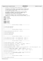```
/*
2 * Copyright (c) International Business Machines Corp., 2000−2002
3 *
          This program is free software; you can redistribute it and/or modify
 5 * it under the terms of the GNU General Public License as published by
6 * the Free Software Foundation; either version 2 of the License, or 
7 * (at your option) any later version.
 8 * 
9 * This program is distributed in the hope that it will be useful,
10 * but WITHOUT ANY WARRANTY; without even the implied warranty of
11 * MERCHANTABILITY or FITNESS FOR A PARTICULAR PURPOSE. See
12 * the GNU General Public License for more details.
13<br>14<sup>14</sup> * You should have received a copy of the GNU General Public License<br><sup>15</sup> * along with this program: if not, write to the Free Software
15 * along with this program; if not, write to the Free Software 
16 * Foundation, Inc., 59 Temple Place, Suite 330, Boston, MA 02111−1307 USA
17 + /18 #ifndef H_XFSCKINT
    19 #define H_XFSCKINT
20
21 #ifndef _JFS_FSCKDIRE
22 #include "xfsck.h"
23 #endif
24
25 #include "xchkdsk.h"
26 #include "fsckmsgc.h"<br>27 #include "fsckpfs.h"
   27 #include "fsckpfs.h"
28 #include "fsckwsp.h"
29 #include "jfs_endian.h"
30
31 /<sup>*</sup><br>3232 −−−−−−−−−−−−−−−−−−−−−− functions defined in fsckbmap −−−−−−−−−−−−−−−−−−−−−
33 */
34
35 int rebuild_blkall_map(void);
36
37 int verify blkall map(void);
38
\begin{array}{cc} 39 & \end{array} 40
               40 −−−−−−−−−−−−−−−−−−−−−− functions defined in fsckconn −−−−−−−−−−−−−−−−−−−−−
41 + /42
43 int adjust_parents(struct fsck_inode_record *, uint32_t);
44
45 int check connectedness(void);
rac{46}{47}int \, check\_dir\_integrity(void);48
   int check_link_counts(void);
50
51 /*
52 −−−−−−−−−−−−−−−−−−−−−− functions defined in fsckdire −−−−−−−−−−−−−−−−−−−−−
   \star /
54
55 int fsck_dtDelete(struct dinode *, struct component_name *, uint32_t *);
56
57 int fsck_dtInsert(struct dinode *, struct component_name *, uint32_t *);
58
59 /*
60 −−−−−−−−−−−−−−−−−−−−−− functions defined in fsckdtre −−−−−−−−−−−−−−−−−−−−−
61 + 162
63 int direntry_add(struct dinode *, uint32_t, UniChar *);
64
   int direntry_get_inonum(uint32_t, int, UniChar *, int, UniChar *, uint32_t *);
66
67 int direntry_get_objnam(uint32_t, uint32_t, int *, UniChar *);
68
69 int direntry_remove(struct dinode *, uint32_t);
70
71 int dTree_processing(struct dinode *, uint32_t, struct fsck_inode_record *, struct fsck_ino_msg_info *, int);
72
73 int dTree_search(struct dinode *, UniChar *, uint32_t, UniChar *,
74 uint32_t, struct dtslot **, int8_t *, struct fsck_inode_record *);
75
76 int find_first_dir_leaf(struct dinode *, dtpage_t **, int64_t *, int8_t *, int8_t *);
77
78 void init_dir_tree(dtroot_t *);
79
80 int process_valid_dir_data(struct dinode *, uint32_t, struct fsck_inode_record *,
81 struct fsck_ino_msg_info *, int);
82
83 int reconnect_fs_inodes(void);
84
85 /*86 −−−−−−−−−−−−−−−−−−−−−− functions defined in fsckimap −−−−−−−−−−−−−−−−−−−−−
   \star /
88
89 int AIS_redundancy_check(void);
Registered Version: Journaled File System xfsckint.h Exhibit 10.1−6 pg 1/5
```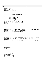```
91 int AIS_replication(void);
9293 int rebuild_agg_iamap(void);
94
95 int rebuild_fs_iamaps(void);
96
97 int record dupchk inode extents(void);
98
99 int verify_agg_iamap(void);
100
101 int verify_fs_iamaps(void);
102
103 /*<br>104
   104 −−−−−−−−−−−−−−−−−−−−−− functions defined in fsckino −−−−−−−−−−−−−−−−−−−−−
105
106
107 #define inode_type_recognized(iptr)\
108 (ISDIR(iptr->di_mode)<br>109 ISREG(iptr->di_mode)
                    109 ISREG(iptr−>di_mode) || \
110 ISLNK(iptr->di_mode) || \<br>111 ISBLK(iptr->di_mode) || \
                    111 ISBLK(iptr−>di_mode) || \
112 ISCHR(iptr−>di_mode) || \
113 ISFIFO(iptr−>di_mode)|| \
114 ISSOCK(iptr−>di_mode) )
115
116 int backout_ACL(struct dinode *, struct fsck_inode_record *);
117
118 int backout_EA(struct dinode *, struct fsck_inode_record *);
119
120 int calculate dasd used(void);
121
122 int clear_ACL_field(struct fsck_inode_record *, struct dinode *);
123
124 int clear_EA_field(struct fsck_inode_record *, struct dinode *);
125
126 int display_path(uint32_t, int, uint32_t, char *, struct fsck_inode_record *);
127
128 int display_paths(uint32_t, struct fsck_inode_record *, struct fsck_ino_msg_info *);
129
130 int first_ref_check_inode(struct dinode *, uint32_t, struct fsck_inode_record *, struct fsck_ino_msg_info *);
131
132 int get_path(uint32_t, uint32_t, char **, struct fsck_inode_record *);
133
134 int in_inode_data_check(struct fsck_inode_record *, struct fsck_ino_msg_info *);
135
136 int inode_is_in_use(struct dinode *, uint32_t);
137
138 int parent count(struct fsck inode record *);
139
140 int record_valid_inode(struct dinode *, uint32_t, struct fsck_inode_record *, struct fsck_ino_msg_info *);
141
142 int release inode(uint32 t, struct fsck inode record *, struct dinode *);
143
144 int unrecord_valid_inode(struct dinode *, uint32_t, struct fsck_inode_record *, struct fsck_ino_msg_info *);
145
146 int validate_ACL(struct dinode *, uint32_t, struct fsck_inode_record *, struct fsck_ino_msg_info *);
147
148 int validate_dasd_used(void);
149
150 int validate_data(struct dinode *, uint32_t, struct fsck_inode_record *, struct fsck_ino_msg_info *);
151
152 int validate_dir_data(struct dinode *, uint32_t, struct fsck_inode_record *, struct fsck_ino_msg_info *);
153
154 int validate_EA(struct dinode *, uint32_t, struct fsck_inode_record *, struct fsck_ino_msg_info *);
155
<sup>156</sup> int validate record fileset inode(uint32 t, uint32 t, struct dinode *, struct fsck ino msg info *);
157
158 /*
159 −−−−−−−−−−−−−−−−−−−−−− functions defined in fsckmeta −−−−−−−−−−−−−−−−−−−−−
   \star161
162 int agg_clean_or_dirty(void);
163
164 int fatal_dup_check(void);
165
166 int first_ref_check_agg_metadata(void);
167
168 int first_ref_check_fixed_metadata(void);
169
170 int first ref check fs metadata(void);
171
172 int first_ref_check_inode_extents(void);
173
174 int record_fixed_metadata(void);
175
176 int replicate superblock(void);
177
178 int validate_fs_metadata(void);
179
180 int validate_repair_superblock(void);
Registered Version: Journaled File System xfsckint.h Exhibit 10.1–6 pg 2/5
```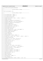$\frac{1}{182}$  int validate select agg inode table(void); 184  $/*$  −−−−−−−−−−−−−−−−−−−−−− functions defined in fsckmsgs −−−−−−−−−−−−−−−−−−−−−  $\star$  / void fsck\_send\_msg(int, int); /\* ------------------ functions defined in fsckpfs ------------------ $192 + /$  int ait\_node\_get(int64\_t, xtpage\_t \*); 196 int ait node put(int64 t, xtpage t \*); int ait\_special\_read\_ext1(int); 200 int blkmap\_find\_bit(int64\_t, int64\_t \*, uint32\_t \*, uint32\_t \*); int blkmap\_flush(void); int blkmap\_get\_ctl\_page(struct fsck\_blk\_map\_hdr \*); int blkmap\_get\_page(int64\_t, struct fsck\_blk\_map\_page \*\*); int blkmap\_put\_ctl\_page(struct fsck\_blk\_map\_hdr \*); int blkmap\_put\_page(int64\_t); int blktbl\_ctl\_page\_put(struct dbmap \*); int blktbl\_dmap\_get(int64\_t, struct dmap \*\*); <sup>216</sup> int blktbl\_dmap\_put(struct dmap \*); <sup>218</sup> int blktbl\_dmaps\_flush(void); int blktbl\_Ln\_page\_get(int8\_t, int64\_t, struct dmapctl \*\*); int blktbl\_Ln\_page\_put(struct dmapctl \*); int blktbl\_Ln\_pages\_flush(void); int close\_volume(void); int default\_volume(void); int dnode\_get(int64\_t, uint32\_t, dtpage\_t \*\*); 232 int ea qet(int64 t, uint32 t, char \*, uint32 t \*, uint32 t \*, int64 t \*); int fscklog\_put\_buffer(void); 236 int iag\_get(int, int, int, int32\_t, struct iag \*\*); int iag\_get\_first(int, int, int, struct iag \*\*); int iag\_get\_next(struct iag \*\*); int iag\_put(struct iag \*); int iags\_flush(void); int inodes flush(void); int inode\_get(int, int, uint32\_t, struct dinode \*\*); int inode\_get\_first\_fs(int, uint32\_t \*, struct dinode \*\*); int inode\_get\_next(uint32\_t \*, struct dinode \*\*); int inode\_put(struct dinode \*); int inotbl\_get\_ctl\_page(int, struct dinomap \*\*); int inotbl\_put\_ctl\_page(int, struct dinomap \*); int mapctl\_get(int64\_t, void \*\*); int mapctl\_put(void \*); int mapctl\_flush(void); int node\_get(int64\_t, xtpage\_t \*\*); int open\_volume(char \*); int readwrite\_device(int64\_t, uint32\_t, uint32\_t \*, void \*, int); Registered Version: Journaled File System **xfsckint.h** Exhibit 10.1–6 pg 3/5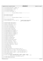```
271
272 int recon dnode assign(int64 t, dtpage t **);
273
274 int recon_dnode_get(int64_t, dtpage_t **);
275
276 int recon dnode put(dtpage t *);
277
278 int recon_dnode_release(dtpage_t *);
279
280 /*<br>281
            281 −−−−−−−−−−−−−−−−−−−−−− functions defined in fsckruns −−−−−−−−−−−−−−−−−−−−−
282 + /283
284 void fsck_hbeat_start(void);
285
286 void fsck_hbeat_stop(void);
287
288 / *289 −−−−−−−−−−−−−−−−−−−−−− functions defined in fsckwsp −−−−−−−−−−−−−−−−−−−−−
290 */
291
292 int alloc_vlarge_buffer(void);
293
294 int alloc_wrksp(uint32_t, int, int, void **); v_{295}/* called from both fsck modules<br>* and from logredo modules
296 * /
297
298 int blkall_decrement_owners(int64_t);
299
<sup>200</sup> int blkall increment owners(int64 t);
301<br>302
   int blkall_ref_check(int64_t, int *);
303<br>304
   int dire_buffer_alloc(dtpage_t **);
305
<sup>306</sup> int dire buffer release(dtpage t *);
307
308 int directory_buffers_alloc(void);
309
310 int directory_buffers_release(void);
311
312 int dtreeQ_dequeue(struct dtreeQelem **);
313
314 int dtreeQ_enqueue(struct dtreeQelem *);
315
316 int dtreeQ_get_elem(struct dtreeQelem **);
317
318 int dtreeQ rel elem(struct dtreeQelem *);
319
320 int establish_agg_workspace(void);
321
322 int establish ea iobuf(void);
323
324 int establish_fs_workspace(void);
325
326 int establish_io_buffers(void);
327
328 int establish_wsp_block_map_ctl(void);
329
330 int extent_record(int64_t, int64_t);
331
332 int extent_unrecord(int64_t, int64_t);
333
   int fsck_alloc_fsblks(int32_t, int64_t *);
335
<sup>336</sup> int fsck dealloc fsblks(int32 t, int64 t);
337
338 int fscklog_end(void);
339
340 int fscklog_init(void);
341
342 int fscklog_start(void);
343
344 int get_inode_extension(struct fsck_inode_ext_record **);
345
346 int get_inorecptr(int, int, uint32_t, struct fsck_inode_record **);
347
348 int get_inorecptr_first(int, uint32_t *, struct fsck_inode_record **);
349
350 int get_inorecptr_next(int, uint32_t *, struct fsck_inode_record **);
351
352 int init_agg_record(void);
353
354 int process_extent(struct fsck_inode_record *, uint32_t, int64_t, int8_t,
355 int8_t, struct fsck_ino_msg_info *, uint32_t *, int8_t *, int);
356
357 int release_inode_extension(struct fsck_inode_ext_record *);
358
359 int release_logredo_allocs(void);
360
Registered Version: Journaled File System xfsckint.h Exhibit 10.1–6 pg 4/5
```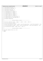|                          |                       | Registered Version: Journaled File System                                                                       | xfsckint.h | Exhibit 10.1-6 pg 5/5 |
|--------------------------|-----------------------|-----------------------------------------------------------------------------------------------------------------|------------|-----------------------|
| 361                      |                       | $int$ temp_inode_buf_alloc(char **);                                                                            |            |                       |
| 362<br>363<br>364        |                       | int temp_inode_buf_release(char *);                                                                             |            |                       |
| 365<br>366               |                       | int temp_node_buf_alloc(char **);                                                                               |            |                       |
| 367<br>368               |                       | int temp_node_buf_release(char *);                                                                              |            |                       |
| 369<br>370               |                       | int treeQ_dequeue(struct treeQelem **);                                                                         |            |                       |
| 371<br>372               |                       | int treeQ_enqueue(struct treeQelem *);                                                                          |            |                       |
| 373<br>374               |                       | int treeQ_get_elem(struct treeQelem **);                                                                        |            |                       |
| 375<br>376               |                       | int treeQ_rel_elem(struct treeQelem *);                                                                         |            |                       |
| 377<br>378               |                       | int treeStack_pop(struct fsck_inode_record **);                                                                 |            |                       |
| 379<br>380               |                       | int treeStack_push(struct fsck_inode_record *);                                                                 |            |                       |
| 381<br>382               |                       | int workspace_release(void);                                                                                    |            |                       |
| 383<br>384<br>385<br>386 | $/$ *<br>$^{\star}$ / | --------------- functions defined in fsckxtre ---------------------                                             |            |                       |
| 387<br>388               |                       | int find first leaf(struct dinode *, xtpage_t **, int64_t *, int8_t *, int8_t *);                               |            |                       |
| 389<br>390               |                       | int init xtree root(struct dinode *);                                                                           |            |                       |
| 391<br>392               |                       | int process_valid_data(struct dinode *, uint32_t, struct fsck_inode_record *, struct fsck_ino_msq_info *, int); |            |                       |
| 393<br>394               |                       | int xTree_processing(struct dinode *, uint32_t, struct fsck_inode_record *, struct fsck_ino_msq_info *, int);   |            |                       |
| 395<br>396               |                       | int xTree_search(struct dinode *, int64_t, xad_t **, int8_t *);                                                 |            |                       |
| 397                      | $/$ *                 |                                                                                                                 |            |                       |
| 398<br>399               |                       | ------------- functions defined in xchkdsk.c    --------------------                                            |            |                       |
| 400<br>401<br>402        |                       | void report_readait_error(int, int, int);                                                                       |            |                       |
| 403                      | #endif                |                                                                                                                 |            |                       |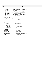$\frac{1}{1}$ <sup>2</sup> \* Copyright (c) International Business Machines Corp., 2000−2002  $\begin{matrix} 3 & * \\ 4 & * \end{matrix}$ <sup>4</sup> \* This program is free software; you can redistribute it and/or modify <sup>5</sup> \* it under the terms of the GNU General Public License as published by <sup>6</sup> \* the Free Software Foundation; either version 2 of the License, or <sup>7</sup> \* (at your option) any later version. <sup>8</sup> \* \* This program is distributed in the hope that it will be useful,<br>"but WITHOUT ANY WARRANTY; without even the implied warranty of<br>"\* MERCHANTABILITY or FITNESS FOR A PARTICULAR PURPOSE. See<br>"\* the GNU General Public Licens  $13$ <br> $14$ <sup>14</sup> \* You should have received a copy of the GNU General Public License <sup>15</sup> \* along with this program; if not, write to the Free Software <sup>16</sup> \* Foundation, Inc., 59 Temple Place, Suite 330, Boston, MA 02111−1307 USA <sup>17</sup> \*/ <sup>18</sup> **#ifndef** \_H\_JFS\_BTREE <sup>19</sup> **#define** \_H\_JFS\_BTREE 20 /\* ifs\_btree.h: B+−tree 22<br>23 <sup>23</sup> \* JFS B+−tree (dtree and xtree) common definitions  $\star$  / 25  $\frac{26}{27}$  /\* basic btree page - btpage  $28$  \*/  $29$  struct btpage {<br>30  $int64$ \_t next; <sup>30</sup> int64\_t next; /\* 8: right sibling bn \*/ <sup>31</sup> int64\_t prev; /\* 8: left sibling bn \*/ <sup>32</sup> 33 uint8\_t flag;<br>34 uint8\_t rsrvd[7]; 33 uint8\_t flag;<br>34 uint8\_t rsrvd[7]; /\* 7: type specific \*/<br>35 int64\_t self; /\* 8: self address \*/  $\frac{1}{8}$  integrals of the self address \*/ 36  $\begin{array}{c} 37 \\ 38 \end{array}$  int8\_t entry[4064];  $\frac{3}{4}$   $\frac{4064}{100}$  \*/ 39  $40$  /\* btpage flag \*/ <sup>41</sup> **#define** BT\_TYPE 0x07 /\* B+−tree index \*/ 41 **#define** BT\_TYPE 0x07<br>42 **#define** BT\_ROOT 0x01<br>43 **#define** BT\_LEAF 0x02 <sup>43</sup> **#define** BT\_LEAF 0x02 /\* leaf page \*/ <sup>44</sup> **#define** BT\_INTERNAL 0x04 /\* internal page \*/ <sup>45</sup> **#define** BT\_RIGHTMOST 0x10 /\* rightmost page \*/ <sup>46</sup> **#define** BT\_LEFTMOST 0x20 /\* leftmost page \*/ 44 **#define** Bi\_iNIERWALL 0X04<br>
46 **#define** BT\_RIGHTMOST 0x10 /\* rightmost page \*/<br>
46 **#define** BT\_SWAPPED 0x80 /\* endian swapped when read from disk \*/<br> **#define** BT\_SWAPPED 0x80 /\* endian swapped when read from disk \*/  $48$ <br> $49$ <sup>49</sup> **#endif** /\* \_H\_JFS\_BTREE \*/ Registered Version: Journaled File System **ifs\_btree.h jfs\_btree.h** Exhibit 10.1−7 pg 1/1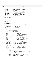```
/*
2 * Copyright (c) International Business Machines Corp., 2000−2002
\frac{3}{4}4 * This program is free software; you can redistribute it and/or modify
5 * it under the terms of the GNU General Public License as published by
6 * the Free Software Foundation; either version 2 of the License, or 
7 * (at your option) any later version.
 8 * 
* This program is distributed in the hope that it will be useful,<br>"but WITHOUT ANY WARRANTY; without even the implied warranty of<br>"* MERCHANTABILITY or FITNESS FOR A PARTICULAR PURPOSE. See<br>"* the GNU General Public Licens
13<br>14<sup>14</sup> * You should have received a copy of the GNU General Public License
15 * along with this program; if not, write to the Free Software 
16 * Foundation, Inc., 59 Temple Place, Suite 330, Boston, MA 02111−1307 USA
17 + 7<br>18 + 1518 #ifndef _H_JFS_DINODE
19 #define _H_JFS_DINODE
20
21 /*
22 * jfs_dinode.h: on−disk inode manager
\frac{23}{24}24 */<br>25 #in
25 #include "jfs_types.h"
26 #include "jfs_dtree.h"
27 #include "jfs_xtree.h"
28
29 #define INODESLOTSIZE 128<br>30 #define L2INODESLOTSIZE 7
    30 #define L2INODESLOTSIZE 7
31 #define log2INODESIZE 9 /* log2(bytes per dinode) */
32
33
\begin{array}{ccc} 34 & / \ast \\ & 35 & \ast \end{array}on-disk inode (struct dinode): 512 bytes
36 *
37 * note: align 64−bit fields on 8−byte boundary.
38<br>39
39 struct dinode {
             \frac{1}{\ast}41 * I. base area (128 bytes)<br>42 * ------------------------
42 * −−−−−−−−−−−−−−−−−−−−−−−−
43 *
44 * define generic/POSIX attributes<br>45 */
45 *46 uint32_t di_inostamp; /* 4: stamp to show inode belongs to fileset */
47 int32_t di_fileset; /* 4: fileset number */
48 uint32_t di_number; /* 4: inode number, aka file serial number */
49 uint32_t di_gen; /* 4: inode generation number */
50
51 pxd_t di_ixpxd; /* 8: inode extent descriptor */
\frac{52}{53}53 int64_t di_size; /* 8: size */
                                              1 /* 8: number of blocks allocated */
55
56 uint32_t di_nlink; /* 4: number of links to the object */
57
58 uint32_t di_uid; /* 4: user id of owner */
59 uint32_t di_gid; /* 4: group id of owner */
60
61 uint32 t di mode; \frac{1}{4}: attribute, format and permission */
62
63 struct timestruc_t di_atime; /* 8: time last data accessed */
64 struct timestruc_t di_ctime; /* 8: time last status changed */
64 struct timestruc_t di_ctime; /* 8: time last status changed *<br>66 struct timestruc_t di_mtime; /* 8: time last data modified */<br>66 struct timestruc_t di_otime; /* 8: time created */
              struct timestruc_t di_mtime;<br>struct timestruc t di otime;
67
68 dxd_t di_acl; /* 16: acl descriptor */
69
\frac{32}{70} dxd t diea; \frac{32}{70} /* 16: ea descriptor */
71
72 int32_t di_next_index;/* 4: Next available dir_table index */
73
74 int32_t di_acltype; /* 4: Type of ACL */
75
76 / *
<sup>77</sup> * Extension Areas.<br><sup>77</sup> * Extension Areas.
78 *
79 * Historically, the inode was partitioned into 4 128−byte areas,
80 * the last 3 being defined as unions which could have multiple
81 * uses. The first 96 bytes had been completely unused until
82 * an index table was added to the directory. It is now more<br>83 * useful to describe the last 3/4 of the inode as a single
83 * useful to describe the last 3/4 of the inode as a single
84 * union. We would probably be better off redesigning the
85 * entire structure from scratch, but we don't want to break
86 * commonality with OS/2's JFS at this time.
87 *88 union {
                         struct {
90 \overline{)}Registered Version: Journaled File System ifs dinode.h Exhibit 10.1–8 pg 1/2
```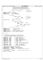<sup>91</sup> \* This table contains the information needed to <sup>92</sup> \* find a directory entry from a 32−bit index. <sup>93</sup> \* If the index is small enough, the table is inline, 94 \* otherwise, an x−tree root overlays this table<br>95 \*/ 95  $\star$  / <sup>96</sup> struct dir\_table\_slot \_table[12]; /\* 96: inline \*/ 97 98 dtroot\_t dtroot\_t dtroot; /\* 288: dtree root \*/<br>99 dir; /\* (384) \*/ 99  $\frac{1}{2}$  dir;  $\frac{1}{2}$  dir;  $\frac{1}{2}$  dir;  $\frac{1}{2}$  dir;  $\frac{1}{2}$  direction  $\frac{1}{2}$  direction  $\frac{1}{2}$  direction  $\frac{1}{2}$  direction  $\frac{1}{2}$  direction  $\frac{1}{2}$  direction  $\frac{1}{2}$  direction  $\frac{1}{2}$  directio 100 **#define** di\_dirtable<br>101 **#define** di\_dtroot<br>102 **#define** di parent <sup>101</sup> **#define** di\_dtroot u.\_dir.\_dtroot <sup>102</sup> **#define** di\_parent di\_dtroot.header.idotdot <sup>103</sup> **#define** di\_DASD di\_dtroot.header.DASD 104 105 struct { 106 **union** { 107 uint8\_t \_data[96]; /\* 96: unused \*/<br>108 struct {<br>109 void \*\_imap; /\* 4: unused \*/ 108<br>100 uint32\_t  $\frac{1}{2}$  void \*\_imap; /\* 4: unused \*/<br>110 uint32\_t \_gengen; /\* 4: generator \*/<br>311  $\}$  \_imap; <sup>112</sup> } \_u1; /\* 96: \*/ <sup>113</sup> **#define** di\_gengen u.\_file.\_u1.\_imap.\_gengen 114 <sup>115</sup> **union** { <sup>116</sup> uint8\_t \_xtroot[288]; <sup>117</sup> struct {  $118$ <br>
118 uint8\_t unused[16]; /\* 16: \*/<br>
119 dxd\_t \_dxd; /\* 16: \*/ <sup>119</sup> dxd\_t \_dxd; /\* 16: \*/ <sup>120</sup> **union** { 121 uint32\_t \_rdev; /\* 4: \*/<br>
122 uint8\_t \_fastsymlink[128]; 123<br>
124<br>
125 uint8\_t \_inlineea[128];<br>
125<br>
127 128 **#define** di\_xtroot<br>
128 **#define** di\_xtroot<br>
128 **#define** di\_xtroot<br>
128 **u.\_file.\_u2.\_xtroot** 129 **#define** di\_dxd u.\_file.\_u2.\_special.\_dxd<br>130 **#define** di\_btroot di\_xtroot<br>131 **#define** di\_inlinedata u.\_file.\_u2.\_special.\_u<br>132 **#define** di\_rdev u.\_file.\_u2.\_special.\_u.\_rdev <sup>133</sup> **#define** di\_fastsymlink u.\_file.\_u2.\_special.\_u.\_fastsymlink <sup>134</sup> **#define** di\_inlineea u.\_file.\_u2.\_special.\_inlineea 135  $\overline{u}$ ; <sup>136</sup> }; 137 138 /\* di\_mode \*/  $\begin{array}{ccc}\n139 & / \star \\
140 & \star\n\end{array}$ <sup>140</sup> \* The utilities that are dealing directly with the disk <sup>141</sup> \* i−node define the modes as follows. The filesystem itself 142 \* should use the standard S\_IFMT, etc. defines in stat.h<br>
142 \* Should use the standard S\_IFMT, etc. defines in stat.h 143  $*/$ <br>144 **#define** IFMT <sup>144</sup> **#define** IFMT 0xF000 /\* S\_IFMT − mask of file type \*/ <sup>145</sup> **#define** IFDIR 0x4000 /\* S\_IFDIR − directory \*/ <sup>146</sup> **#define** IFREG 0x8000 /\* S\_IFREG − regular file \*/ 147 **#define** IFLNK 0xA000 /\* S\_IFLNK – symbolic link \*/<br>148 **#define** IFBLK 0x6000 /\* S\_IFBLK – block special fi <sup>148</sup> **#define** IFBLK 0x6000 /\* S\_IFBLK − block special file \*/ <sup>149</sup> **#define** IFCHR 0x2000 /\* S\_IFCHR − character special file \*/ <sup>150</sup> **#define** IFFIFO 0x1000 /\* S\_IFFIFO − FIFO \*/ <sup>151</sup> **#define** IFSOCK 0xC000 /\* S\_IFSOCK − socket \*/ 152 <sup>153</sup> **#define** ISUID 0x0800 /\* S\_ISUID − set user id when exec'ing \*/ <sup>154</sup> **#define** ISGID 0x0400 /\* S\_ISGID − set group id when exec'ing \*/ 155 <sup>156</sup> **#define** IREAD 0x0100 /\* S\_IRUSR – read permission \*/<br>157 **#define** IWRITE 0x0080 /\* S\_IWUSR – write permission \* <sup>157</sup> **#define** IWRITE 0x0080 /\* S\_IWUSR − write permission \*/ <sup>158</sup> **#define** IEXEC 0x0040 /\* S\_IXUSR − execute permission \*/ 159 <sup>160</sup> /\* extended mode bits (on−disk inode di\_mode) \*/ 161 **#define** IFJOURNAL 0x00010000 /\* journalled file \*/<br>162 **#define** ISPARSE 0x00020000 /\* sparse file enabled \*/<br>163 **#define** INLINEEA 0x00040000 /\* inline EA area free \*/<br>164 **#define** ISWAPFILE 0x00800000 /\* file ope 165 166  $/*$  more extended mode bits  $*/$ <br>167 **#define** IDIRECTORY 0x20000000 <sup>167</sup> **#define** IDIRECTORY 0x20000000 /\* directory (shadow of real bit) \*/ 168 <sup>169</sup> **#endif** /\*\_H\_JFS\_DINODE \*/ Registered Version: Journaled File System **ifs dinode.h** Exhibit 10.1−8 pg 2/2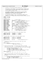$/$  \* \* Copyright (c) International Business Machines Corp., 2000−2002  $\frac{3}{4}$  \* This program is free software; you can redistribute it and/or modify <sup>5</sup> \* it under the terms of the GNU General Public License as published by <sup>6</sup> \* the Free Software Foundation; either version 2 of the License, or \* (at your option) any later version. \* \* This program is distributed in the hope that it will be useful,<br>"but WITHOUT ANY WARRANTY; without even the implied warranty of<br>"\* MERCHANTABILITY or FITNESS FOR A PARTICULAR PURPOSE. See<br>"\* the GNU General Public Licens <br> $14$ <sup>14</sup>  $*$  You should have received a copy of the GNU General Public License \* along with this program; if not, write to the Free Software <sup>16</sup> \* Foundation, Inc., 59 Temple Place, Suite 330, Boston, MA 02111−1307 USA  $17 + 7$ <br> $18 + 15$ <sup>18</sup> **#ifndef** \_H\_JFS\_DMAP **#define** \_H\_JFS\_DMAP **#include** "jfs\_types.h" 23 **#define** BMAPVERSION 1 /\* version number \*/<br>24 **#define** TREESIZE (256+64+16+4+1) /\* size of a % #define TREESIZE (256+64+16+4+1) /\* size of a dmap tree \*/<br>28 #define LEAFIND (64+16+4+1) /\* index of 1st leaf of a dmap tree \*/<br>28 #define LPERDMAP 256 /\* num leaves per dmap tree \*/<br>27 #define L2LPERDMAP 8 /\* 12 number % **#define** DBWORD 32 /\* # of blks covered by a map word \*/<br>% **#define** L2DBWORD 5 /\* 12 # of blks covered by a mword \*/<br>% **#define** BUDMIN L2DBWORD /\* max free string in a map word \*/<br>\$1 **#define** BPERDMAP (LPERDMAP \* DBW 32 **#define** L2BPERDMAP 13 /\* 12 num of blks per dmap \*/<br>33 **#define** CTLTREESIZE (1024+256+64+16+4+1) /\* size of a 43 **#define** CTLTREESIZE (1024+256+64+16+4+1) /\* size of a dmapctl tree \*/<br>34 **#define** CTLLEAFIND (256+64+16+4+1) /\* idx of 1st leaf of a dmapctl tree \*/<br>36 **#define** LPERCTL 1024 /\* num of leaves per dmapctl tree \*/<br>36 % **#define** ROOT<br>  $\begin{array}{lllllllllllll} & 0 & \nearrow & i \text{ index of the root of a tree } \star \neq & 0 \\ \texttt{\#define NORREE} & ((int8_t) -1) & \nearrow & no \text{ blocks free } \star \neq & 128 & \nearrow & \text{ max number of all location groups } \star \neq & 128 & \nearrow & \text{ max number of all location groups } \star \neq & 128 & \nearrow & 12 \text{ max num of AG } \star \neq & 128 & \nearrow & 12 \text{ of minimum AG size in bytes } \star \neq & 128 & \nearrow & 128 & \nearrow &$  **#define** BMAPBLKNO 0 /\* lblkno of bmap within the map \*/ 44<br>45 \* maximum l2 number of disk blocks at the various dmapctl levels.  $*$  /<br> $47$  #define L2MAXL0SIZE **#define** L2MAXL0SIZE (L2BPERDMAP + 1 \* L2LPERCTL) <sup>48</sup> **#define** L2MAXL1SIZE (L2BPERDMAP + 2 \* L2LPERCTL) **#define** L2MAXL2SIZE (L2BPERDMAP + 3 \* L2LPERCTL) /\* \* maximum number of disk blocks at the various dmapctl levels. 53  $*/$ <br>54 #define MAXL0SIZE <sup>54</sup> **#define** MAXL0SIZE ((int64\_t)1 << L2MAXL0SIZE) <sup>55</sup> **#define** MAXL1SIZE ((int64\_t)1 << L2MAXL1SIZE) **#define** MAXL2SIZE ((int64\_t)1 << L2MAXL2SIZE) **#define** MAXMAPSIZE MAXL2SIZE /\* maximum aggregate map size \*/ /\* \* determine the maximum free string for four (lower level) nodes \* of the tree. \*/<br> $64$  **#define** TREEMAX(cp) 64 **#define** TREEMAX(cp)<br>
65 ((signed char)(MAX(MAX(\*(cp),\*((cp)+1)),<br>
MAX(\*((cp)+2),\*((cp)+3))))) /\* \* convert disk block number to the logical block number of the dmap <sup>70</sup> \* describing the disk block. s is the log2(number of logical blocks per page) 71<br>72 \* The calculation figures out how many logical pages are in front of the dmap.<br> $73$  \* - the number of dmaps preceding it \* − the number of dmaps preceding it <sup>74</sup> \* − the number of L0 pages preceding its L0 page \* − the number of L1 pages preceding its L1 page <sup>76</sup> \* − 3 is added to account for the L2, L1, and L0 page for this dmap <sup>77</sup> \* − 1 is added to account for the control page of the map. <sup>78</sup> \*/ <sup>79</sup> **#define** BLKTODMAP(b,s) \ ((((b) >> 13) + ((b) >> 23) + ((b) >> 33) + 3 + 1) << (s))  $\begin{matrix} 82 \\ 83 \end{matrix}$  /\* \* convert disk block number to the logical block number of the LEVEL 0 <sup>84</sup> \* dmapctl describing the disk block. s is the log2(number of logical blocks  $85 \times per \cdot \text{para}$ 86<br>87 \* The calculation figures out how many logical pages are in front of the L0.<br> $88$  \* - the number of dmap pages preceding it  $\begin{array}{ccc} 88 & * & - \text{ the number of } \text{dmap pages preceding it} \\ * & - \text{ the number of } L0 \text{ pages preceding it} \end{array}$  \* − the number of L0 pages preceding it \* − the number of L1 pages preceding its L1 page Registered Version: Journaled File System **ifs dmap.h jfs iffer the Exhibit 10.1−9** pg 1/3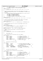```
91 * − 2 is added to account for the L2, and L1 page for this L0
92 * − 1 is added to account for the control page of the map.
93<br>94
     94 #define BLKTOL0(b,s) \
95 ((((b) \rightarrow 23) \le (10) + ((b) \rightarrow 23) + ((b) \rightarrow 33) + (2 + 1) \le (s))96
97
98 * convert disk block number to the logical block number of the LEVEL 1<br>99 * dmapctl describing the disk block. s is the log2(number of logical
\frac{99}{100} * dmapctl describing the disk block. \overline{S} is the log2(number of logical blocks \frac{1}{100} * per page)
       * per page)
101 *
102 * The calculation figures out how many logical pages are in front of the L1.
103 * − the number of dmap pages preceding it
104 * - the number of L0 pages preceding it<br>105 * - the number of L1 pages preceding it
105 * − the number of L1 pages preceding it
106 * − 1 is added to account for the L2 page
107 * − 1 is added to account for the control page of the map.
108 */<br>109 #de
     109 #define BLKTOL1(b,s) \
110 ( ( ( ) > > 33) ) \le ( 20) ) + ( ( ) > > 33) \le ( 10) + ( ( ) > > 33) + 1 + 1) \le ( \le ) )111
112 /*
<sup>113</sup> * convert disk block number to the logical block number of the dmapctl<br><sup>114</sup> * at the specified level which describes the disk block.
      * at the specified level which describes the disk block.<br>*/
115
116 #define BLKTOCTL(b,s,l) \
117 (((l) == 2) ? 1 : ((l) == 1) ? BLKTOL1((b),(s)) : BLKTOL0((b),(s)))
118
119<br>120* convert aggregate map size to the zero origin dmapctl level of the
121 * top dmapctl.
122123 #define BMAPSZTOLEV(size)<br>124 ((size) <= MAXLO
                  124 (((size) <= MAXL0SIZE) ? 0 : ((size) <= MAXL1SIZE) ? 1 : 2)
125
126 /* convert disk block number to allocation group number.
127<br>128
     128 #define BLKTOAG(b,sb) ((b) >> ((sb)−>s_jfs_bmap−>db_agl2size))
129
130 /* convert allocation group number to starting disk block
131 * number.132 + /133 #define AGTOBLK(a,ip)<br>134 ((int64 t)(a)
                 AGTOBLK(a,ip)<br>((int64_t)(a) << ((ip)->i_sb->s_jfs_bmap->db_agl2size))
135
136 / *<br>137 / ** dmap summary tree
138<br>139
<sup>139</sup> * struct dmaptree must be consistent with struct dmapctl.<br><sup>140</sup> */
140 */
141 struct dmaptree {
142 int32_t nleafs; /* 4: number of tree leafs */
143 int32_t l2nleafs; /* 4: l2 number of tree leafs */
144 int32_t leafidx; /* 4: index of first tree leaf */
145 int32_t height; /* 4: height of the tree */
146 int8_t budmin; /* 1: min l2 tree leaf value to combine */
146 int8_t int8_t budmin; \frac{1}{47} /* 1: min 12 tree leaf value to co<br>
147 int8_t stree[TREESIZE]; /* TREESIZE: tree */<br>
148 uint8_t pad[2]; /* 2: pad to word boundary */
148 uint\overline{8}_t pad[2]; <br>
\begin{array}{ccc} \n\overline{8}_t & \text{rad } 2 \\
\end{array}; \begin{array}{ccc} \n\overline{8}_t & \text{rad } 2 \\
\end{array}; \begin{array}{ccc} \n\overline{8}_t & \text{rad } 2 \\
\end{array} + /
                                                 /* - 360 -150
151 \frac{*}{*}152 * dmap page per 8K blocks bitmap<br>153 */153 */<br>154 Str
    struct dmap {<br>int32_t<br>int32_t
155 int32_t nblocks; /* 4: num blks covered by this dmap */
156 int32_t nfree; /* 4: num of free blks in this dmap */
157 int64_t start; // and the starting blkno for this dmap int64_t start; // 8: starting blkno for this dmap \frac{1}{5} struct dmaptree tree; /* 360: dmap tree \frac{1}{5} //
                 struct dmaptree tree;<br>uint8_t pad[1672];<br>uint32_t wmap[LPERD
159 uint8_t pad[1672]; /* 1672: pad to 2048 bytes */<br>
160 uint32_t wmap[LPERDMAP]; /* 1024: bits of the working map */<br>
162 }; 1024: https://* 1024: bits of the persistent map */<br>
162 }; 1024: https://* − 4096 − */
163
164 /*<br>165 *
                 disk map control page per level.
166
\frac{*}{t} struct dmapctl must be consistent with struct dmaptree.
\frac{168}{169}struct dmapctl {<br>int32_t<br>int32_t
170 int32_t nleafs; /* 4: number of tree leafs */
171 int32_t l2nleafs; /* 4: l2 number of tree leafs */
172 int32_t leafidx; /* 4: index of the first tree leaf */
173 int32_t height; /* 4: height of tree */
174 int8_t budmin; /* 1: minimum l2 tree leaf value */
175 int8_t stree[CTLTREESIZE];/* CTLTREESIZE: dmapctl tree */
176 uint8_t pad[2714]; \begin{array}{ccc}\n & \times & \times & \times \\
 & \times & \times & \times \\
 & \times & \times & \times \\
 & \times & \times & \times\n\end{array} +/
                                                        /* - 4096 -178
179 / *180 * common definition for dmaptree within dmap and dmapctl
Registered Version: Journaled File System jfs_dmap.h Exhibit 10.1−9 pg 2/3
```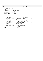181  $* /$  **typedef union** { struct dmaptree t1; struct dmapctl t2;<br> $185$  dmtree\_t; } dmtree\_t; /\* macros for accessing fields within dmtree\_t \*/ <sup>188</sup> **#define** dmt\_nleafs t1.nleafs **#define** dmt\_l2nleafs t1.l2nleafs **#define** dmt\_leafidx t1.leafidx **#define** dmt\_height t1.height **#define** dmt\_budmin t1.budmin **#define** dmt\_stree t1.stree  $\frac{1}{\cancel{106}}$   $\frac{1}{\cancel{106}}$  \* on−disk aggregate disk allocation map descriptor. \*/<br>198 Stru struct dbmap {<br> $199$   $int64$ \_t 199 int64\_t dn\_mapsize;  $\begin{array}{ccc} 199 & 1000 \\ 1000 & 1000 \\ 1000 & 1000 \\ 1000 & 1000 \\ 1000 & 1000 \\ 1000 & 1000 \\ 1000 & 1000 \\ 1000 & 1000 \\ 1000 & 1000 \\ 1000 & 1000 \\ 1000 & 1000 \\ 1000 & 1000 \\ 1000 & 1000 \\ 1000 & 1000 \\ 1000 & 1000 \\ 1000 & 1000$  int64\_t dn\_nfree; /\* 8: num free blks in aggregate map \*/ int32\_t dn\_l2nbperpage; /\* 4: number of blks per page \*/ 201 int32\_t dn\_12nbperpage; /\* 4: number of blks per page  $\frac{1}{202}$   $\frac{1}{202}$  int32\_t dn\_numag; /\* 4: total number of ags  $\frac{1}{203}$   $\frac{1}{204}$   $\frac{1}{204}$  dn\_numag;  $\frac{1}{204}$   $\frac{1}{204}$   $\frac{1}{204}$  and  $\frac{1}{204}$  int32\_t dn\_maxlevel; /\* 4: number of active ags \*/ <sup>204</sup> int32\_t dn\_maxag; /\* 4: max active alloc group number \*/ <sup>205</sup> int32\_t dn\_agpref; /\* 4: preferred alloc group (hint) \*/ <sup>206</sup> int32\_t dn\_aglevel; /\* 4: dmapctl level holding the AG \*/ <sup>207</sup> int32\_t dn\_agheigth; /\* 4: height in dmapctl of the AG \*/ <sup>208</sup> int32\_t dn\_agwidth; /\* 4: width in dmapctl of the AG \*/ <sup>209</sup> int32\_t dn\_agstart; /\* 4: start tree index at AG height \*/ int32\_t dn\_agl2size; /\* 4: l2 num of blks per alloc group \*/ <sup>211</sup> int64\_t dn\_agfree[MAXAG]; /\* 8\*MAXAG: per AG free count \*/ <sup>212</sup> int64\_t dn\_agsize; /\* 8: num of blks per alloc group \*/ <sup>213</sup> int8\_t dn\_maxfreebud; /\* 1: max free buddy system \*/ <sup>214</sup> uint8\_t pad[3007]; /\* 3007: pad to 4096 \*/ <sup>215</sup> }; /\* − 4096 − \*/ Registered Version: Journaled File System **ifs dmap.h jfs iffer the Exhibit 10.1−9 pg 3/3** 

<br> $217$  #endif

 $/$ \*  $H$  JFS DMAP \*/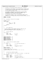```
\frac{1}{1}2 * Copyright (c) International Business Machines Corp., 2000−2002
\frac{3}{4}4 * This program is free software; you can redistribute it and/or modify
5 * it under the terms of the GNU General Public License as published by
6 * the Free Software Foundation; either version 2 of the License, or 
7 * (at your option) any later version.
 8 * 
* This program is distributed in the hope that it will be useful,<br>"but WITHOUT ANY WARRANTY; without even the implied warranty of<br>"* MERCHANTABILITY or FITNESS FOR A PARTICULAR PURPOSE. See<br>"* the GNU General Public Licens
13<br>1414 * You should have received a copy of the GNU General Public License
15 * along with this program; if not, write to the Free Software 
16 * Foundation, Inc., 59 Temple Place, Suite 330, Boston, MA 02111−1307 USA
17 + 7<br>18 + 1518 #ifndef _H_JFS_DTREE
19 #define _H_JFS_DTREE
20
\begin{array}{ccc} 21 & / & \star \\ 22 & & \star \end{array}22 * jfs_dtree.h: directory B+−tree manager
23 */<br>24 #in
    24 #include "jfs_btree.h"
25
26 typedef union {
                struct {int28 int tid;
29 struct inode *ip;<br>30 struct inode *ip;
                            uint32 t
\begin{array}{ccc} 31 & & \text{} \\ 32 & & \text{} \end{array} leaf;
                pxd_t xd;
33 \} ddata_t34
35
36 /*37 * entry segment/slot
38<br>39
39 * an entry consists of type dependent head/only segment/slot and
        additional segments/sliots linked vi next field;<sup>41</sup> * N.B. last/only segment of entry is terminated by next = -1;<br><sup>42</sup> */
42 */
43 /*
44 * directory page slot<br>45 */
     \star /
46 struct dtslot {<br>47 int8_t47 int8_t next; /* 1: */
48 int8_t cnt; /* 1: */
49 UniChar name [15];
                                                       (32) */
51
52
    53 #define DATASLOTSIZE 16
54 #define L2DATASLOTSIZE 4
    55 #define DTSLOTSIZE 32
56 #define L2DTSLOTSIZE 5
    #define DTSLOTHDRSIZE 2<br>#define DTSLOTDATASIZE 30
58 #define DTSLOTDATASIZE 30
    \#define DTSLOTDATALEN
60
61 /*
62 * internal node entry head/only segment<br>63 */
63 */<br>64 str
    struct idtentry {<br>
pxd + xd;
65 pxd_t xdi /* 8: child extent descriptor */
66
67 int8_t next; /* 1: */
                uint\overline{8}_t namlen;<br>UniChar name[11];
69 UniChar name[11]; /* 22: 2−byte aligned */
70 }; /* (32) */
71
72 #define DTIHDRSIZE 10<br>73 #define DTIHDRDATALEN 11
    #define DTIHDRDATALEN
74
75 /* compute number of slots for entry */
76 #define NDTINTERNAL(klen) ( ((4 + (klen)) + (15 − 1)) / 15 )
77
78
79 /*
80 * leaf node entry head/only segment
81 *
82 * For legacy filesystems, name contains 13 unichars −− no index field
83 */
84 struct ldtentry {
85 uint32_t inumber; /* 4: 4-byte aligned */<br>86 int8_t next; /* 1: */<br>87 uint8_t namlen; /* 1: */
88 Unichar namientili; 1922: 2−byte aligned */<br>88 UniChar name[11]; 1/* 22: 2−byte aligned */<br>89 Unit32 t index; 1/* 4: index into dir tab
\begin{array}{lll}\n\text{so} & \text{unit32}_t \text{ index}; \\
\text{so} & \text{unit32}_t \text{ index}; \\
\end{array} /* 4: index into dir_table */
                                                   /* (32) * /Registered Version: Journaled File System ifs dtree.h Exhibit 10.1−10 pg 1/3
```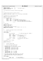```
91
<sup>92</sup> #define DTLHDRSIZE 6<br>93 #define DTLHDRDATALEN LEGACY 13
e a series of the define DTLHDRDATALEN_LEGACY 13 /* Old (OS/2) format */<br>94 #define DTLHDRDATALEN 11
     #define DTLHDRDATALEN
95
96 /*
97 * dir_table used for directory traversal during readdir
98 */
99
100<br>101* Keep persistent index for directory entries
102<br>103
    103 #define DO_INDEX(INODE) ((INODE)−>i_sb−>s_jfs_mntflag & JFS_DIR_INDEX)
104
105 /*
106 * Maximum entry in inline directory table
107
108 #define MAX_INLINE_DIRTABLE_ENTRY 13
109
110 struct dir_table_slot {
111 uint8_t rsrvd; /* 1: */<br>
112 uint8_t flag; /* 1: 0 if free */<br>
113 uint8_t slot; /* 1: slot within leaf page of entry */<br>
114 uint8_t addr1: /* 1: upper 8 bits of leaf page address */<br>
115 uint32_t addr2; /* 4: lower 3
118
119 / ** flag values
121<br>122
    122 #define DIR_INDEX_VALID 1
123 #define DIR_INDEX_FREE 0
124
125 /* compute number of slots for entry */
126 #define NDTLEAF_LEGACY(klen) ( ((2 + (klen)) + (15 − 1)) / 15 )
127 #define NDTLEAF NDTINTERNAL
128
129
130 /*<br>131 *
131 * directory root page (in−line in on−disk inode):
132<br>133
      * cf. dtpage_t below.
134<br>135
   135 typedef union {
136 struct {
                                                                   /* 16: DASD limit/usage info F226941 */
138
139 139 uint8_t flag; /* 1: */<br>140 1nt8_t nextindex;/* 1: next free entry in stbl */<br>141 1118_t freelist; /* 1: freelist header */<br>112 1nt8_t freelist; /* 1: freelist header */
143
144 uint32_t idotdot; /* 4: parent inode number */
145
146 int8_t stbl[8]; /* 8: sorted entry index table */
147 } header; /* (32) */
148
149 struct dtslot slot[9];<br>150 } dtroot_t;
    } dtroot_t;
151
152 #define DTROOTMAXSLOT 9
153<br>154\frac{1}{10}155 * directory regular page:
\begin{array}{ccc} 156 & & \star \\ 157 & & \star \end{array}entry slot array of 32 byte slot
158<br>159
159 * sorted entry slot index table (stbl):
160 * contiguous slots at slot specified by stblindex,
161 * 1−byte per entry
162 * 512 byte block: 16 entry tbl (1 slot)<br>163 * 1024 byte block: 32 entry tbl (1 slot)
163 * 1024 byte block: 32 entry tbl (1 slot)
164 * 2048 byte block: 64 entry tbl (2 slot)
165 * 4096 byte block: 128 entry tbl (4 slot)
166
167 * data area:<br>168 * 512 byte
168 * 512 byte block: 16 − 2 = 14 slot
169 * 1024 byte block: 32 − 2 = 30 slot
170 * 2048 byte block: 64 − 3 = 61 slot
171 * 4096 byte block: 128 − 5 = 123 slot
172<br>173
173 * N.B. index is 0−based; index fields refer to slot index
174 * except nextindex which refers to entry index in stbl;
175 * end of entry stot list or freelist is marked with −1.
176 + 7<br>177 + 177177 typedef union {<br>178 struct
178 struct {int 64<sup>t</sup> next;
                                                        14 8: next sibling */
180 180 int64_t prev; /* 8: previous sibling */
Registered Version: Journaled File System ifs dtree.h Exhibit 10.1−10 pg 2/3
```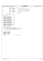uint $8_t$  flag; /<br>183  $int8_t$  nextindex; <sup>183</sup> int8\_t nextindex; /\* 1: next entry index in stbl \*/ int8\_t freecnt; /\* 1: \*/ 184  $int8_t^t$  freecht;  $\begin{array}{ccc} & \end{array}$  /\* 1: \*/<br>185  $int8_t^t$  freelist;  $\end{array}$  /\* 1: slot index of head of freelist \*/ <sup>187</sup> uint8\_t maxslot; /\* 1: number of slots in page slot[] \*/ int8\_t stblindex; /\* 1: slot index of start of stbl \*/ 187 uint8\_t maxslot;<br>
188 int8\_t stblindex;<br>
189 uint8\_t rsrvd[2]; pxd\_t self; /\* 8: self pxd \*/ <sup>192</sup> } header; /\* (32) \*/ struct dtslot slot[128]; } dtpage\_t; **#define** DTPAGEMAXSLOT 128 **#define** DT8THPGNODEBYTES 512 200 **#define** DT8THPGNODETSLOTS 1<br>201 **#define** DT8THPGNODESLOTS 16 #define DT8THPGNODESLOTS **#define** DTQTRPGNODEBYTES 1024 204 **#define** DTQTRPGNODETSLOTS 1<br>205 **#define** DTOTRPGNODESLOTS 32 #define DTQTRPGNODESLOTS <sup>207</sup> **#define** DTHALFPGNODEBYTES 2048<br>208 **#define** DTHALFPGNODETSLOTS 2 **#define** DTHALFPGNODETSLOTS 209 **#define** DTHALFPGNODETSLOTS 64 #define DTHALFPGNODESLOTS 211 **#define** DTFULLPGNODEBYTES 4096<br>212 **#define** DTFULLPGNODETSLOTS 4 212 **#define** DTFULLPGNODETSLOTS 4<br>213 **#define** DTFULLPGNODESLOTS 128 #define DTFULLPGNODESLOTS **#define** DTENTRYSTART 1 /\* get sorted entry table of the page<br>  $218$  #define DT\_GETSTBL(p) ( ((p)->header.f **#define** DT\_GETSTBL(p) ( ((p)->header.flag & BT\_ROOT) ?\<br>219 ((dtroot\_t \*)(p))->header.stbl : \<br>220 (*int8*\_t \*)&(p)->slot[(p)->header.stblindex])  $\begin{array}{ccc}\n & \cdot & \cdot & \cdot \\
222 & & \star & \star \\
223 & & \star & \end{array}$  \* Flags for dtSearch <sup>224</sup> \*/ **#define** JFS\_CREATE 1 <sup>226</sup> **#define** JFS\_LOOKUP 2 <sup>227</sup> **#define** JFS\_REMOVE 3 **#define** JFS\_RENAME 4 **#endif** /\* !\_H\_JFS\_DTREE \*/ Registered Version: Journaled File System **ifs dtree.h** Exhibit 10.1−10 pg 3/3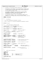$/$ \* \* Copyright (c) International Business Machines Corp., 2000−2002  $\frac{3}{4}$  \* This program is free software; you can redistribute it and/or modify <sup>5</sup> \* it under the terms of the GNU General Public License as published by <sup>6</sup> \* the Free Software Foundation; either version 2 of the License, or \* (at your option) any later version. \* \* This program is distributed in the hope that it will be useful,<br>"but WITHOUT ANY WARRANTY; without even the implied warranty of<br>"\* MERCHANTABILITY or FITNESS FOR A PARTICULAR PURPOSE. See<br>"\* the GNU General Public Licens <br> $14$ <sup>14</sup>  $*$  You should have received a copy of the GNU General Public License \* along with this program; if not, write to the Free Software <sup>16</sup> \* Foundation, Inc., 59 Temple Place, Suite 330, Boston, MA 02111−1307 USA  $17 + 7$ <br> $18 + 15$ <sup>18</sup> **#ifndef** \_H\_JFS\_FILSYS **#define** \_H\_JFS\_FILSYS 22  $*$  jfs\_filsys.h  $\frac{23}{24}$  \* file system (implementation−dependent) constants \* \* refer to <limits.h> for system wide implementation−dependent constants \*/ **#include** "jfs\_types.h" 31 /\*<br>32 \* file system option (superblock flag) 33  $*/$ <br>34 /\* /\* platform option (conditional compilation) \*/ **#define** JFS\_AIX 0x80000000 /\* AIX support \*/ <sup>36</sup> /\* POSIX name/directory support \*/ 38 **#define** JFS\_OS2 0x40000000 /\* OS/2 support \*/<br>39 /\* case-insensitive name/directory support \*/ /\* case−insensitive name/directory support \*/ **#define** JFS\_DFS 0x20000000 /\* DCE DFS LFS support \*/ <sup>43</sup> **#define** JFS\_LINUX 0x10000000 /\* Linux support \*/<br><sup>44</sup> /\* Case-sensitive name/directory support \*/ /\* case−sensitive name/directory support \*/ /\* directory option \*/<br>47 **#define** JFS\_UNICODE 0x00000001 /\* unicode name \*/ <br> $49$ % commit option \*/<br> **#define** JFS\_COMMIT 0x000000<br>
#define JFS\_GROUPCOMMIT 0x00000100 **#define** JFS\_COMMIT 0x00000f00 /\* commit option mask \*/ <sup>51</sup> **#define** JFS\_GROUPCOMMIT 0x00000100 /\* group (of 1) commit \*/ 52 **#define** JFS\_LAZYCOMMIT 0x00000200<br>53 **#define** JFS\_TMPFS 0x00000400 **#define** JFS\_TMPFS 0x00000400 /\* temporary file system −  $\frac{1}{54}$   $\frac{1}{20}$   $\frac{1}{20}$   $\frac{1}{20}$   $\frac{1}{20}$   $\frac{1}{20}$   $\frac{1}{20}$   $\frac{1}{20}$   $\frac{1}{20}$   $\frac{1}{20}$   $\frac{1}{20}$   $\frac{1}{20}$   $\frac{1}{20}$   $\frac{1}{20}$   $\frac{1}{20}$   $\frac{1}{20}$   $\frac{1}{20}$   $\frac{1}{20}$   $\frac{1}{20}$   $\frac{1}{20}$   $\star$ / /\* log logical volume option \*/ 58 **#define** JFS\_INLINELOG 0x0000800 /\* inline log within file system \*/<br>59 **#define** JFS\_INLINEMOVE 0x00001000 /\* inline log being moved \*/  $\begin{array}{ll}\n\text{Hdefine JFS\_INLINELOG} & 0 \times 00000800 \\
\text{Hdefine JFS\_INLINEMOVE} & 0 \times 00001000\n\end{array}$  /\* Secondary aggregate inode table \*/ <sup>62</sup> **#define** JFS\_BAD\_SAIT 0x00010000 /\* current secondary ait is bad \*/ % sparse regular file support \*/<br>#define JFS\_SPARSE 0x000 **#define** JFS\_SPARSE 0x00020000 /\* sparse regular file \*/ /\* DASD Limits F226941 \*/<br> $68$  **#define** JFS DASD ENABLED 0x00040000 **#define** JFS\_DASD\_ENABLED 0x00040000<br>**#define** JFS\_DASD\_PRIME 0x00080000 68 **#define** JES\_DASD\_ENABLED 0x00040000 /\* DASD limits enabled \*/<br>69 **#define** JFS\_DASD\_PRIME 0x00080000 /\* Prime DASD usage on boot \*/ /\* Directory index \*/ <sup>72</sup> **#define** JFS\_DIR\_INDEX 0x00200000 /\* Persistant index for \*/ /\* directory entries \*/ 76  $/*$  $77 \times$  buffer cache configuration<br> $78 \times$ / \*/ <sup>79</sup> /\* page size \*/ **#ifdef** PSIZE **#undef** PSIZE **#endif** <sup>83</sup> **#define** PSIZE 4096 /\* page size (in byte) \*/ **#define** L2PSIZE 12 /\* log2(PSIZE) \*/ **#define** POFFSET 4095 /\* offset within page \*/ 87 /\* buffer page size \*/<br>88 #define BPSIZE PSIZE **#define** BPSIZE PSIZE /\* Registered Version: Journaled File System **ifs filsys.h** Exhibit 10.1−11 pg 1/3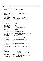\* fs fundamental size \* PSIZE >= file system block size >= PBSIZE >= DISIZE  $^{94}$   $^{*/}$ <br> $^{95}$  #define PBSIZE 95 **#define** PBSIZE 512 /\* physical block size (in byte) \*/<br>96 **#define** L2PBSIZE 9 /\* log2(PBSIZE) \*/ #define L2PBSIZE <sup>98</sup> **#define** DISIZE 512 /\* on−disk inode size (in byte) \*/<br>99 **#define** L2DISIZE 9 /\* log2(DISIZE) \*/ **#define** L2DISIZE 9 /\* log2(DISIZE) \*/ **#define** IDATASIZE 256 /\* inode inline data size \*/ <sup>102</sup> **#define** IXATTRSIZE 128 /\* inode inline extended attribute size \*/ **#define** XTPAGE\_SIZE 4096 **#define** log2\_PAGESIZE 12 **#define** IAG\_SIZE 4096 **#define** IAG\_EXTENT\_SIZE 4096 109 **#define** INOSPERIAG 1096 /\* number of disk inodes per iag \*/<br>110 **#define** L2INOSPEREXT 12 /\* 12 number of disk inodes per iag \*/<br>111 **#define** INOSPEREXT 32 /\* number of disk inode per extent \*/<br>112 **#define** L2INOSP 113 **#define** INOSPEREXT 5 /\* Illumber of disk inode per extent \*<br> **113 #define** IXSIZE (DISIZE \* INOSPEREXT) /\* inode extent size \*/<br>
114 **#define** INOSPEREXT 8 /\* number of disk inodes per 4K<br> **114 #define** INOSPEREXT 8 <sup>114</sup> **#define** INOSPERPAGE 8 /\* number of disk inodes per 4K page \*/ **#define** L2INOSPERPAGE 3 /\* log2(INOSPERPAGE) \*/ **#define** IAGFREELIST\_LWM 64 <sup>119</sup> **#define** INODE\_EXTENT\_SIZE IXSIZE /\* inode extent size \*/ **#define** NUM\_INODE\_PER\_EXTENT INOSPEREXT <sup>121</sup> **#define** NUM\_INODE\_PER\_IAG INOSPERIAG 123 **#define** MINBLOCKSIZE 512<br>124 **#define** MAXBLOCKSIZE 4096 124 **#define** MAXBLOCKSIZE<br>125 **#define** MAXFILESIZE **#define** MAXFILESIZE ((int64\_t)1 << 52) **#define** JFS LINK MAX 65535 /\* nlink t is unsigned short \*/ /\* Minimum number of bytes supported for a JFS partition \*/ <sup>130</sup> **#define** MINJFS (0x1000000) **#define** MINJFSTEXT "16" 133<br>134  $^{\prime}$  \* fixed physical block address (physical block size = 512 byte) \* \* NOTE: since we can't guarantee a physical block size of 512 bytes the use of these macros should be removed and the byte offset macros used instead. \*/ <sup>139</sup> **#define** SUPER1\_B 64 /\* primary superblock \*/ <sup>140</sup> **#define** AIMAP\_B (SUPER1\_B + 8) /\* 1st extent of aggregate inode map \*/ **#define** AITBL\_B (AIMAP\_B + 16) /\*  $143$ <br>142  $144$ <br>143 <sup>143</sup> \*/ <sup>144</sup> **#define** SUPER2\_B (AITBL\_B + 32) /\* 2ndary superblock pbn \*/ **#define** BMAP\_B (SUPER2\_B + 8) /\* block allocation map \*/  $147 /$  \* SIZE\_OF\_SUPER defines the total amount of space reserved on disk for the \* superblock. This is not the same as the superblock structure, since all of \* this space is not currently being used. **#define** SIZE\_OF\_SUPER PSIZE /\* \* SIZE\_OF\_AG\_TABLE defines the amount of space reserved to hold the AG table **#define** SIZE\_OF\_AG\_TABLE PSIZE <br> $160$ \* SIZE\_OF\_MAP\_PAGE defines the amount of disk space reserved for each page of \* the inode allocation map (to hold iag) **#define** SIZE\_OF\_MAP\_PAGE PSIZE 166 \* fixed byte offset address \*/ **#define** SUPER1\_OFF 0x8000 /\* primary superblock \*/ <sup>169</sup> **#define** AIMAP\_OFF (SUPER1\_OFF + SIZE\_OF\_SUPER) /\* \* Control page of aggregate inode map  $^{172}$  \* followed by 1st extent of map  $^{*}$  /  $*/$ **#define** AITBL\_OFF (AIMAP\_OFF + (SIZE\_OF\_MAP\_PAGE << 1))  $/$  \* **\*** 1st extent of aggregate inode table  $*$ **#define** SUPER2\_OFF (AITBL\_OFF + INODE\_EXTENT\_SIZE) /\* 180 \* secondary superblock Registered Version: Journaled File System **ifs filsys.h** Exhibit 10.1−11 pg 2/3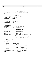<sup>181</sup> \*/ **#define** BMAP\_OFF (SUPER2\_OFF + SIZE\_OF\_SUPER) 183  $/$ \* 184 and 184 and 184 and 184 and 184 and 184 and 184 and 184 and 184 and 184 and 184 and 184 and 184 and 184 and 184 and 184 and 184 and 184 and 184 and 184 and 184 and 184 and 184 and 184 and 184 and 184 and 184 and 184 an  $\star$  / /\* \* The following macro is used to indicate the number of reserved disk blocks at \* the front of an aggregate, in terms of physical blocks. This value is <sup>190</sup> \* currently defined to be 32K. This turns out to be the same as the primary \* superblock's address, since it directly follows the reserved blocks. 192<br>193 **#define** AGGR\_RSVD\_BLOCKS SUPER1\_B 195  $/$ \* \* The following macro is used to indicate the number of reserved bytes at the <sup>197</sup> \* front of an aggregate. This value is currently defined to be 32K. This \* turns out to be the same as the primary superblock's byte offset, since it \* directly follows the reserved blocks.  $\frac{200}{201}$  **#define** AGGR\_RSVD\_BYTES SUPER1\_OFF 203<br>204 \* The following macro defines the byte offset for the first inode extent in <sup>205</sup> \* the aggregate inode table. This allows us to find the self inode to find the <sup>206</sup> \* rest of the table. Currently this value is 44K.  $207 +$  **#define** AGGR\_INODE\_TABLE\_START AITBL\_OFF 210  $/$ \* \* fixed reserved inode number<br> $212$  \*/  $*$ 213 /\* aggregate inode \*/<br>214 #define AGGR RESERVED I 0 **#define** AGGR\_RESERVED\_I 0 /\* aggregate inode (reserved) \*/ <sup>215</sup> **#define** AGGREGATE\_I 1 /\* aggregate inode map inode \*/ <sup>216</sup> **#define** BMAP\_I 2 /\* aggregate block allocation map inode \*/ **#define** LOG\_I 3 /\* aggregate inline log inode \*/ <sup>218</sup> **#define** BADBLOCK\_I 4 /\* aggregate bad block inode \*/ <sup>219</sup> #**define** FILESYSTEM\_I 16 /\* 1st/only fileset inode in ait:<br>220 \* fileset inode map inode  $*$  / 223 /\* per fileset inode \*/<br>224 **#define** FILESET\_RSVD\_I 0 **#define** FILESET\_RSVD\_I 0 /\* fileset inode (reserved) \*/ <sup>225</sup> **#define** FILESET\_EXT\_I 1 /\* fileset inode extension \*/ <sup>226</sup> **#define** ROOT\_I 2 /\* fileset root inode \*/ **#define** ACL\_I 3 /\* fileset ACL inode \*/ **#define** FILESET\_OBJECT\_I 4 /\* the first fileset inode available for a file  $\times$   $230$   $\times$   $\frac{1}{200}$   $\times$   $\frac{1}{200}$   $\times$   $\frac{1}{200}$   $\times$   $\frac{1}{200}$   $\times$   $\frac{1}{200}$   $\times$   $\frac{1}{200}$   $\times$   $\frac{1}{200}$   $\times$   $\frac{1}{200}$   $\times$   $\frac{1}{200}$   $\times$   $\frac{1}{200}$   $\times$   $\frac{1}{200}$   $\times$   $\frac{1}{200}$  <sup>231</sup><br>232 **#define** FIRST FILESET INO 16 **#define** FIRST\_FILESET\_INO 16 /\* the first aggregate inode which describes <sup>233</sup> \* an inode. (To fsck this is also the first 234  $*$  inode in part 2 of the agg inode table.)<br> $*$ /  $*$ / 237  $\frac{*}{*}$  \* directory configuration<br> $239$  \*/  $\star$  / **#define** JFS\_NAME\_MAX 255 <sup>241</sup> **#define** JFS\_PATH\_MAX BPSIZE <br> $244$  $\frac{1}{10}$  \* file system state (superblock state)<br> $246$  \*/  $*$ /<br>#define FM\_CLEAN 0x000000000 **#define** FM\_CLEAN 0x00000000 /\* file system is unmounted and clean \*/ <sup>248</sup> **#define** FM\_MOUNT 0x00000001 /\* file system is mounted cleanly \*/ **#define** FM\_DIRTY 0x00000002 /\* file system was not unmounted and clean <sup>250</sup> \* when mounted or \* commit failure occurred while being mounted: <sup>252</sup> \* fsck() must be run to repair 253<br>254 #define FM\_LOGREDO 0x000000004 **#define** FM\_LOGREDO 0x00000004 /\* log based recovery (logredo()) failed:  $*$  fsck() must be run to repair \*/ <sup>257</sup> **#define** FM\_EXTENDFS 0x00000008 /\* file system extendfs() in progress \*/ <br> $259$  #endif  $/$ \*  $H$  *JFS* FILSYS \*/ Registered Version: Journaled File System **jfs\_filsys.h** Exhibit 10.1−11 pg 3/3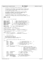$/$ \* <sup>2</sup> \* Copyright (c) International Business Machines Corp., 2000−2002  $\frac{3}{4}$ <sup>4</sup> \* This program is free software; you can redistribute it and/or modify <sup>5</sup> \* it under the terms of the GNU General Public License as published by <sup>6</sup> \* the Free Software Foundation; either version 2 of the License, or <sup>7</sup> \* (at your option) any later version. <sup>8</sup> \* % \* This program is distributed in the hope that it will be useful,<br>"but WITHOUT ANY WARRANTY; without even the implied warranty of<br>"\* MERCHANTABILITY or FITNESS FOR A PARTICULAR PURPOSE. See<br>"\* the GNU General Public Lice  $13$ <br> $14$ <sup>14</sup>  $*$  You should have received a copy of the GNU General Public License <sup>15</sup> \* along with this program; if not, write to the Free Software <sup>16</sup> \* Foundation, Inc., 59 Temple Place, Suite 330, Boston, MA 02111−1307 USA  $17 + 7$ <br> $18 + 15$ <sup>18</sup> **#ifndef** \_H\_JFS\_IMAP <sup>19</sup> **#define** \_H\_JFS\_IMAP 20  $\frac{21}{22}$   $\frac{7}{1}$  $22 \times 7 = jfs\_imap.h: disk \text{ inode manager}$  $*$  / 24 <sup>25</sup> **#define** EXTSPERIAG 128 /\* number of disk inode extent per iag \*/ <sup>26</sup> **#define** IMAPBLKNO 0 /\* lblkno of dinomap within inode map \*/ <sup>27</sup> **#define** SMAPSZ 4 /\* number of words per summary map \*/ er **#define** SPAR-S2<br>28 **#define** EXTSPERSUM 32 /\* number of extents per summary map entry \*/<br>29 **#define** L2EXTSPERSUM 5 /\* 12 number of extents per summary map \*/ <sup>29</sup> **#define** L2EXTSPERSUM 5 /\* l2 number of extents per summary map \*/ <sup>30</sup> **#define** PGSPERIEXT 4 /\* number of 4K pages per dinode extent \*/ <sup>31</sup> **#define** MAXIAGS ((1<<20)−1) /\* maximum number of iags \*/ <sup>32</sup> **#define** MAXAG 128 /\* maximum number of allocation groups \*/ 33 <sup>34</sup> **#define** AMAPSIZE 512 /\* bytes in the IAG allocation maps \*/ <sup>34</sup> **#define** SMAPSIZE 16 /\* bytes in the IAG summary maps \*/ 36 <sup>37</sup> /\* convert inode number to iag number \*/ <sup>38</sup> **#define** INOTOIAG(ino) ((ino) >> L2INOSPERIAG) 39 40 /\* convert iag number to logical block number of the iag page \*/<br>41 **#define** IAGTOLBLK(iagno, l2nbperpg) (((iagno) + 1) << (l2nbperpg)) 41 **#define** IAGTOLBLK(iagno, 12nbperpg) 42 43 /\* get the starting block number of the 4K page of an inode extent<br> $\star$  that contains ino. \* that contains ino. <sup>45</sup> \*/ <sup>46</sup> **#define** INOPBLK(pxd,ino,l2nbperpg) (addressPXD((pxd)) + \ <sup>47</sup> ((((ino) & (INOSPEREXT−1)) >> L2INOSPERPAGE) << (l2nbperpg)))  $48$ <br> $49$  $\frac{1}{\epsilon}$ <sup>50</sup> \* inode allocation map: 51<br>52 <sup>52</sup> \* inode allocation map consists of . the inode map control page and <sup>54</sup> \* . inode allocation group pages (per 4096 inodes) <sup>55</sup> \* which are addressed by standard JFS xtree. 56<br>57  $\frac{1}{\epsilon}$  $\frac{*}{58}$   $\frac{*}{\sqrt{58}}$  inode allocation group page (per 4096 inodes of an AG)  $\star$  /  $\begin{array}{c} 60 \\ 61 \end{array}$  struct iag {<br> $\begin{array}{c} 61 \\ int64 \end{array}$ 61 int64\_t agstart;  $\begin{array}{ccc} 61 & .64 \\ 62 & .62 \end{array}$  int32\_t iagnum;  $\begin{array}{ccc} 61 & .64 \\ 62 & .62 \end{array}$  int32\_t iagnum; <sup>62</sup> int32\_t iagnum; /\* 4: inode allocation group number \*/ <sup>63</sup> int32\_t inofreefwd; /\* 4: ag inode free list forward \*/ <sup>64</sup> int32\_t inofreeback; /\* 4: ag inode free list back \*/ <sup>65</sup> int32\_t extfreefwd; /\* 4: ag inode extent free list forward \*/ <sup>66</sup> int32\_t extfreeback; /\* 4: ag inode extent free list back \*/  $\frac{60}{67}$  int32\_t iagfree;  $\frac{1}{2}$  /\* 4: iag free list 68 69  $\overrightarrow{A}$  summary map: 1 bit per inode extent \*/<br>
70  $int32_t$  inosmap[SMAPSZ];  $\overrightarrow{A}$  16:  $7$  intact increases in thanps in  $7$  in  $16$ : sum map of mapwords w/ free inodes; <sup>71</sup> \* note: this indicates free and backed <sup>72</sup> \* inodes, if the extent is not backed the <sup>73</sup> <sup>\*</sup> value will be 1. if the extent is<br><sup>\*</sup> backed but all inodes are being use backed but all inodes are being used the <sup>75</sup> \* value will be 1. if the extent is <sup>76</sup> \* backed but at least one of the inodes is  $\begin{array}{ccc}\n\text{77} \\
\text{78}\n\end{array}$   $\begin{array}{ccc}\n\text{77} \\
\text{78}\n\end{array}$  $\star/$ 79 int32\_t extsmap[SMAPSZ]; /\* 16: sum map of mapwords w/ free extents \*/<br>80 int32\_t nfreeinos; /\* 4: number of free inodes \*/<br>81 int32\_t nfreeexts; /\* 4: number of free extents \*/ <sup>80</sup> int32\_t nfreeinos; /\* 4: number of free inodes \*/ <sup>81</sup> int32\_t nfreeexts; /\* 4: number of free extents \*/ 82  $/*(72)*/$ <br>83 uint8 t % uint8\_t pad[1976];<br>
/\* allocation bit map: 1 bit per inode (0 - free, 1 - allocated) \*/<br>
uint32\_t wmap[EXTSPERIAG]; /\* 512: working allocation map \*/<br>
uint32\_t pmap[EXTSPERIAG]; /\* 512: persistent allocation map \*/<br>
pxd\_ 88 };  $\frac{1}{2}$  =  $\frac{1}{2}$   $\frac{1}{2}$  (4096) \*/ 89 <sup>90</sup> /\* Registered Version: Journaled File System **ifs imap.h ifs imap.h** Exhibit 10.1−12 pg 1/2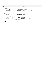|                        | Registered Version: Journaled File System              | jfs_imap.h                                                                         | Exhibit $10.1 - 12$ pg $2/2$ |
|------------------------|--------------------------------------------------------|------------------------------------------------------------------------------------|------------------------------|
| $^{\star}$<br>91       | per AG control information (in inode map control page) |                                                                                    |                              |
| $\star$ /<br>92        |                                                        |                                                                                    |                              |
| 93                     | struct iagctl                                          |                                                                                    |                              |
| 94                     | $int32_t$<br>inofree;                                  | $/* 4:$ free inode list anchor                                                     | $^*/$                        |
| 95                     | int32 t<br>extfree;                                    | $/* 4:$ free extent list anchor                                                    | $\star$ /                    |
| 96                     | <i>int</i> 32 t numinos;                               | $\frac{1}{2}$ 4: number of backed inodes                                           | $\star$ /                    |
| 97                     | int32 t numfree;                                       | $/* 4: number of free inodes$                                                      | $*$ /                        |
| $\}$ ;<br>98           | $/* (16) * /$                                          |                                                                                    |                              |
| 99                     |                                                        |                                                                                    |                              |
| $/$ *<br>100<br>$\ast$ |                                                        |                                                                                    |                              |
| 101                    | per fileset/aggregate inode map control page           |                                                                                    |                              |
| $\star$ /<br>102       |                                                        |                                                                                    |                              |
| 103                    | struct dinomap {                                       |                                                                                    |                              |
| 104                    | $int32_t$<br>in_freeiag;<br>$int32$ t<br>in nextiag;   | $/* 4:$ free iag list anchor<br>$^*/$<br>$\star$ /<br>$/* 4: next free iag number$ |                              |
| 105                    | $int32$ t<br>in numinos;                               | $\frac{1}{2}$ 4: num of backed inodes */                                           |                              |
| 106<br>107             | $int32_t$<br>in numfree;                               | $/* 4: num of free backed inodes */$                                               |                              |
| 108                    | $int32_t$                                              | in nbperiext; $\frac{1}{4}$ : num of blocks per inode extent */                    |                              |
| 109                    | in_l2nbperiext;<br>int32_t                             | $/* 4: 12 of in_n$ operiext */                                                     |                              |
| 110                    | int32 t                                                | in diskblock; $\frac{1}{4}$ : for standalone test driver */                        |                              |
| 111                    | $int32_t$<br>in_maxag;                                 | $/* 4:$ for standalone test driver $*/$                                            |                              |
| 112                    | $pad[2016]$ ;<br>uint8_t                               | $\frac{\times}{}$ 2016: pad to 2048 */                                             |                              |
| 113                    |                                                        | struct iagctl in_agctl[MAXAG]; /* 2048: AG control information */                  |                              |
| $\}$ ;<br>114          | $\frac{1}{2}$ (4096) */                                |                                                                                    |                              |
| 115                    |                                                        |                                                                                    |                              |
| 116 #endif             |                                                        | $/*$ H JFS IMAP $*/$                                                               |                              |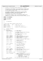$/$ \* <sup>2</sup> \* Copyright (c) International Business Machines Corp., 2000−2002  $\frac{3}{4}$ <sup>4</sup> \* This program is free software; you can redistribute it and/or modify <sup>5</sup> \* it under the terms of the GNU General Public License as published by <sup>6</sup> \* the Free Software Foundation; either version 2 of the License, or <sup>7</sup> \* (at your option) any later version. <sup>8</sup> \* % \* This program is distributed in the hope that it will be useful,<br>"but WITHOUT ANY WARRANTY; without even the implied warranty of<br>"\* MERCHANTABILITY or FITNESS FOR A PARTICULAR PURPOSE. See<br>"\* the GNU General Public Lice  $13$ <br> $14$ <sup>14</sup> \* You should have received a copy of the GNU General Public License<br><sup>15</sup> \* along with this program: if not, write to the Free Software <sup>15</sup> \* along with this program; if not, write to the Free Software <sup>16</sup> \* Foundation, Inc., 59 Temple Place, Suite 330, Boston, MA 02111−1307 USA  $17 + 17$ <sup>18</sup> **#ifndef** \_H\_JFS\_SUPERBLOCK <sup>19</sup> **#define** \_H\_JFS\_SUPERBLOCK 20 <sup>21</sup> **#ifndef** \_H\_JFS\_LOGMGR <sup>22</sup> #include<sup>{-1}</sup> <uuid<sup>7</sup> uuid.h> <sup>23</sup> **#endif** 24 25  $/*$  $26 \times 15$  jfs\_superblock.h  $\star$  / 28  $\frac{29}{30}$ \* make the magic number something a human could read  $31$   $*$  /<br> $32$  **#define** JFS MAGIC <sup>32</sup> **#define** JFS\_MAGIC "JFS1" /\* Magic word: JFS 1 \*/ 33 <sup>34</sup> **#define** JFS\_VERSION 2 /\* Version number: Version 2 \*/ 35 <sup>36</sup> **#define** LV\_NAME\_SIZE 11 /\* MUST BE 11 for OS/2 boot sector \*/ 37  $\begin{array}{ccccc}\n38 & & / & \star \\
39 & & & \star\n\end{array}$ 39  $*$  aggregate superblock<br>40  $*/$  $\star$  / 41 struct superblock {<br>42 char s\_magic[4]; <sup>42</sup> char s\_magic[4]; /\* 4: magic number \*/ <sup>43</sup> uint32\_t s\_version; /\* 4: version number \*/ 44 <sup>45</sup> int64\_t s\_size; /\* 8: aggregate size in hardware/LVM blocks;  $\frac{46}{47}$   $\frac{47}{47}$   $\frac{48}{47}$   $\frac{47}{47}$ 47  $\star$  / <sup>48</sup> int32\_t s\_bsize; /\* 4: aggregate block size in bytes; <sup>49</sup> \* VFS: fragment size  $\frac{50}{51}$   $int16$  t s l2bsize;  $51$  int16\_t s\_12bsize;  $\begin{array}{ccc} 51 & .51 & .51 \\ 52 & .52 & .51 & .51 \\ 53 & .52 & .51 & .51 \\ 54 & .52 & .51 & .51 \\ 56 & .53 & .51 & .51 \\ 57 & .53 & .51 & .51 \\ 58 & .54 & .51 & .51 \\ 59 & .51 & .51 & .51 \\ 50 & .51 & .51 & .51 \\ 50 & .51 & .51 & .51 \\ 51 & .51 & .51 & .51 \\ 52 & .52 & .51 & .51 \\$ <sup>52</sup> int16\_t s\_l2bfactor; /\* 2: log2(s\_bsize/hardware block size) \*/ <sup>53</sup> int32\_t s\_pbsize; /\* 4: hardware/LVM block size in bytes \*/ <sup>54</sup> int16\_t s\_l2pbsize; /\* 2: log2 of s\_pbsize \*/ <sup>55</sup> int16\_t pad; /\* 2: padding necessary for alignment \*/ 56 <sup>57</sup> uint32\_t s\_agsize; /\* 4: allocation group size in aggr. blocks \*/ 58 59 uint32\_t s\_flag;  $\begin{array}{ccc} \n 59 & \text{unit}32 \text{ t s} \\ \n 60 & \text{inter} \quad \text{inter} \\ \n 60 & \text{inter} \quad \text{inter} \\ \n 60 & \text{inter} \quad \text{inter} \\ \n 60 & \text{inter} \quad \text{inter} \\ \n 60 & \text{inter} \quad \text{inter} \\ \n 60 & \text{inter} \quad \text{inter} \\ \n 60 & \text{inter} \quad \text{inter} \\ \n 61 & \text{inter} \quad \text{inter} \\ \n 62 & \text{inter} \quad \text{inter} \\ \n$ \* see  $jfs\_filsys.h$ 61  $*$  / 62 uint32\_t s\_state;  $\begin{array}{r} \n \downarrow^* 4: \text{ mount/unmount/recovery state:} \\
 * \text{see } jfs\_filsys.h\n \end{array}$  $\frac{1}{\pi}$  see jfs\_filsys.h <br>  $\frac{1}{\pi}$  see jfs\_filsys.h  $\mathfrak{b}_4$  \*/ 65 int32\_t s\_compress;  $\frac{1}{4}$ : > 0 if data compression \*/ 66 or<br>  $67$  pxd\_t s\_ait2;  $47$  8: first extent of secondary<br>  $47$  aggregate inode table  $\begin{array}{ccc} 68 & 1 & - & - & \end{array}$   $\begin{array}{ccc} * & 2 & 3 & \end{array}$  aggregate inode table  $\mathbf{69}$   $\mathbf{*}$  / 70  $71$  pxd\_t s\_aim2;  $\begin{array}{ccc} \n71 & \text{grad} & \text{d} & \text{d} \\
72 & \text{d} & \text{d} & \text{d} \\
\end{array}$   $\begin{array}{ccc} \n72 & \text{d} & \text{d} & \text{d} \\
\end{array}$  pxd\_t s\_aim2;  $72$ <br>  $73$ <br>  $\star$  aggregate inode map<br>  $\star$  /  $\mathbf{r}$   $\mathbf{r}$   $\mathbf{r}$   $\mathbf{r}$   $\mathbf{r}$   $\mathbf{r}$   $\mathbf{r}$   $\mathbf{r}$   $\mathbf{r}$   $\mathbf{r}$   $\mathbf{r}$   $\mathbf{r}$   $\mathbf{r}$   $\mathbf{r}$   $\mathbf{r}$   $\mathbf{r}$   $\mathbf{r}$   $\mathbf{r}$   $\mathbf{r}$   $\mathbf{r}$   $\mathbf{r}$   $\mathbf{r}$   $\mathbf{r}$   $\mathbf{r}$   $\mathbf{$ 74 uint32\_t s\_logdev; <br>75 int32\_t s\_logserial; /\* 4: log serial number at aggi<br>76 pxd\_t s\_logpxd; /\* 8: inline log extent \*/ <sup>75</sup> int32\_t s\_logserial; /\* 4: log serial number at aggregate mount \*/ <sup>76</sup> pxd\_t s\_logpxd; /\* 8: inline log extent \*/ 77 <sup>78</sup> pxd\_t s\_fsckpxd; /\* 8: inline fsck work space extent \*/ 79 80 struct timestruc t s time;  $\frac{1}{2}$  /\* 8: time last updated \*/ 81 82 int32\_t s\_fsckloglen; /\* 4: Number of filesystem blocks reserved for<br>83  $\begin{array}{ccccccc}\n & - & - & \rightarrow & \ast & \text{the fsck service log.} \\
\ast & \ast & N.B. \text{ These blocks are}\n\end{array}$  $\begin{array}{ccc}\n\text{84} \\
\text{85}\n\end{array}$   $\begin{array}{ccc}\n\text{86} \\
\text{87} \\
\text{88}\n\end{array}$   $\begin{array}{ccc}\n\text{88} \\
\text{89} \\
\text{80}\n\end{array}$ versions kept. This is not a per <sup>86</sup> \* version size. <sup>87</sup> \* N.B. These blocks are included in the  $\begin{array}{ccc}\n & & \ast & \\
\ast & & \ast \\
\ast & & \\
\end{array}$  length field of s\_fsckpxd. 89  $\star$  / <sup>90</sup> int8\_t s\_fscklog; /\* 1: which fsck service log is most recent Registered Version: Journaled File System **ifs superblock.h** Exhibit 10.1−13 pg 1/2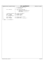|                              | Registered Version: Journaled File System | jfs_superblock.h                                           | Exhibit $10.1 - 13$ pg $2/2$ |
|------------------------------|-------------------------------------------|------------------------------------------------------------|------------------------------|
| 91                           |                                           | $\star$<br>$0 \Rightarrow$ no service log data yet         |                              |
| 92                           |                                           | $1 \Rightarrow$ the first one<br>$^{\star}$                |                              |
| 93                           |                                           | $\star$<br>$2 \Rightarrow$ the 2nd one                     |                              |
| 94                           |                                           | $\star$ /                                                  |                              |
| 95                           | $char$ s_fpack[11];                       | $/*$ 11: file system volume name                           |                              |
| 96                           |                                           | N.B. This must be 11 bytes to                              |                              |
| 97                           |                                           | conform with the OS/2 BootSector<br>$\ast$                 |                              |
| 98                           |                                           | $\star$<br>requirements                                    |                              |
| 99                           |                                           | $\star$<br>Only used when s version is 1                   |                              |
| 100                          |                                           | $\star$ /                                                  |                              |
| 101                          |                                           |                                                            |                              |
| 102                          |                                           | /* extendfs() parameter under s_state & FM_EXTENDFS */     |                              |
| 103                          |                                           | int64 t s xsize; $\frac{1}{2}$ /* 8: extendfs s size */    |                              |
| 104                          |                                           | pxd_t s_xfsckpxd; /* 8: extendfs fsckpxd */                |                              |
| 105                          |                                           | pxd t s xloqpxd; $/* 8: extends 10$ qpxd */                |                              |
| 106                          | $/* - 128$ byte boundary - */             |                                                            |                              |
| 107                          |                                           |                                                            |                              |
| 108                          |                                           | uuid t s uuid; $\frac{1}{26}$ . 128-bit uuid for volume */ |                              |
| 109                          | $char s$ label[16];                       | $/*$ 16: volume label */                                   |                              |
| 110                          | uuid_t s_loguuid;                         | $\frac{1}{3}$ /* 16: 128-bit uuid for log device */        |                              |
| $\vert \cdot \rangle$<br>111 |                                           |                                                            |                              |
| 112                          |                                           |                                                            |                              |

<sup>113</sup> **#endif** /\*\_H\_JFS\_SUPERBLOCK \*/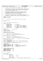```
/*
2 * Copyright (c) International Business Machines Corp., 2000−2002
\frac{3}{4}4 * This program is free software; you can redistribute it and/or modify
5 * it under the terms of the GNU General Public License as published by
6 * the Free Software Foundation; either version 2 of the License, or 
7 * (at your option) any later version.
 8 * 
% * This program is distributed in the hope that it will be useful,<br>"but WITHOUT ANY WARRANTY; without even the implied warranty of<br>"* MERCHANTABILITY or FITNESS FOR A PARTICULAR PURPOSE. See<br>"* the GNU General Public Lice
13<br>1414 * You should have received a copy of the GNU General Public License
15 * along with this program; if not, write to the Free Software 
16 * Foundation, Inc., 59 Temple Place, Suite 330, Boston, MA 02111−1307 USA
17 + 7<br>18 + 1518 #ifndef _H_JFS_XTREE
19 #define _H_JFS_XTREE
20
\frac{21}{22} /*
22 * jfs_xtree.h: extent allocation descriptor B+−tree manager
      \star /
24
25 #include "jfs_btree.h"
26
27 / *28 * extent allocation descriptor (xad)
29 + 7<br>30 t vp
    30 typedef struct xad {
31 unsigned flag:8; \frac{1}{3} /* 1: flag */<br>32 unsigned rsvrd:16; \frac{1}{3} /* 2: reserved */
                 unsigned rsvrd:16;<br>unsigned off1:8;
33 unsigned off1:8; /* 1: offset in unit of fsblksize */
34 unit32_t off2; <br>35 unit32_t off2; <br>35 unsigned len:24; <br>35 /* 3: length in unit of fsblksize */
35 unsigned len:24; /* 3: length in unit of fsblksize */
36 unsigned addr1:8; /* 1: address in unit of fsblksize */
\frac{37}{37} uint32_t addr2; \frac{1}{2} /* 4: address in unit of fsblksize */<br>38 } xad_t; \frac{1}{2} /* (16) */
                                                      \frac{1}{16} \frac{1}{16} \frac{1}{16}39
40 #define MAXXLEN ((1 << 24) − 1)
41
42 #define XTSLOTSIZE 16
43 #define L2XTSLOTSIZE 4
44
45 /* xad_t field construction */
46 #define XADoffset(xad, offset64)\
47 \{\setminus<br>48
48 (xad)->off1 = ((uint64_t)offset64) >> 32;\<br>(xad)->off2 = cpu to le32((offset64) & 0
                 (xad) ->off2 = _cpu_to_le32((offset64) & 0xffffffff);\
5051 #define XADaddress(xad, address64)\
\begin{matrix} 52 \\ 53 \end{matrix} { \
                 (xad) ->addr1 = ((uint64_t)address64) >> 32;\
54 (xad)−>addr2 = __cpu_to_le32((address64) & 0xffffffff);\
55 }<br>56 #define XADlength(xad, length32)
56 #define XADlength(xad, length32) (xad)−>len = __cpu_to_le24(length32)
57
58 /* xad_t field extraction */<br>59 #define offsetXAD(xad)\
     59 #define offsetXAD(xad)\
60 ( ((int64_t)((xad)−>off1)) << 32 | __le32_to_cpu((xad)−>off2))
61 #define addressXAD(xad)\
62 ( ((int64_t)((xad)−>addr1)) << 32 | __le32_to_cpu((xad)−>addr2))
63 #define lengthXAD(xad) __le24_to_cpu((xad)−>len)
64
65 /* xad_t flags */
66 #define XAD_NEW 0x01 /* new */
67 #define XAD_EXTENDED 0x02<br>68 #define XAD_COMPRESSED 0x04
     #define XAD_EXTENDED<br>
#define XAD_EXTENDED 0x02 /* extended */<br>
#define XAD_COMPRESSED 0x04 /* compressed with recorded length */<br>
#define XAD_NOTRECORDED 0x08 /* allocated but not recorded */
69 #define XAD_NOTRECORDED 0x08 /* allocated but not recorded */
70 #define XAD_COW 0x10 /* copy−on−write */
71
72
73 /* possible values for maxentry */<br>74 #define XTROOTINITSLOT_DIR 6
    74 #define XTROOTINITSLOT_DIR 6
75 #define XTROOTINITSLOT 10<br>76 #define XTROOTMAXSLOT 18
76 #define XTROOTMAXSLOT 18<br>77 #define XTPAGEMAXSLOT 256
77 #define XTPAGEMAXSLOT 256
     78 #define XTENTRYSTART 2
79
\begin{array}{ccccc}\n80 & & \nearrow & \star \\
81 & & \star\n\end{array}xtree page:
rac{*}{83} frac{*}{tvp}83 typedef union {
\begin{array}{cc} 84 & -8 \\
\text{struct } \text{xtheader} & \{\\ 85 & \text{int64 } + n \end{array}85 int64_t next; /* 8: */
int64_t prev;
87
88 uint8_t flag; /* 1: */
                             uint8_t rsrvd1;<br>int16_t nextindex;
int16_t nextindex; \frac{1}{2}: next index = number of entries */
Registered Version: Journaled File System ifs xtree.h Exhibit 10.1−14 pg 1/2
```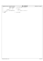|     | Registered Version: Journaled File System | jfs_xtree.h                        | Exhibit $10.1 - 14$ pg $2/2$ |
|-----|-------------------------------------------|------------------------------------|------------------------------|
| 91  | int16_t maxentry;                         | $/*$ 2: max number of entries $*/$ |                              |
| 92  | intl6 t rsrvd2;                           | $/* 2: */$                         |                              |
| 93  |                                           |                                    |                              |
| 94  | self;<br>pxd_t                            | /* 8: self */                      |                              |
| 95  | header;                                   | $/* (32) * /$                      |                              |
| 96  |                                           |                                    |                              |
| 97  | xad t xad[XTPAGEMAXSLOT];                 | /* 16 * maxentry: xad array */     |                              |
| 98  | xtpage_t;                                 |                                    |                              |
| 99  |                                           |                                    |                              |
| 100 | #endif                                    | $/*$ ! H JFS XTREE $*/$            |                              |
|     |                                           |                                    |                              |
|     |                                           |                                    |                              |
|     |                                           |                                    |                              |
|     |                                           |                                    |                              |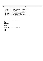| Registered Version: Journaled File System                                                                                                                                                                                                                                                                                                                          | debug.h | Exhibit 10.1-15 pg 1/1 |
|--------------------------------------------------------------------------------------------------------------------------------------------------------------------------------------------------------------------------------------------------------------------------------------------------------------------------------------------------------------------|---------|------------------------|
| $/$ *<br>$\mathbf{1}$                                                                                                                                                                                                                                                                                                                                              |         |                        |
| $\star$<br>Copyright (c) International Business Machines Corp., 2000-2002<br>$\overline{2}$                                                                                                                                                                                                                                                                        |         |                        |
| $\star$<br>3<br>$\star$<br>This program is free software; you can redistribute it and/or modify<br>$\overline{4}$<br>it under the terms of the GNU General Public License as published by<br>$\star$<br>5<br>the Free Software Foundation; either version 2 of the License, or<br>$\star$<br>6<br>$\star$<br>(at your option) any later version.<br>$\overline{7}$ |         |                        |
| $\star$<br>8<br>$\star$<br>This program is distributed in the hope that it will be useful,<br>9<br>$\star$<br>but WITHOUT ANY WARRANTY; without even the implied warranty of<br>10<br>$\star$<br>MERCHANTABILITY Or FITNESS FOR A PARTICULAR PURPOSE. See<br>11<br>$\star$<br>the GNU General Public License for more details.<br>12<br>$\star$<br>13              |         |                        |
| $\star$<br>You should have received a copy of the GNU General Public License<br>14<br>along with this program; if not, write to the Free Software<br>$\star$<br>15<br>$\star$<br>Foundation, Inc., 59 Temple Place, Suite 330, Boston, MA 02111-1307 USA<br>16<br>$\star$ /                                                                                        |         |                        |
| 17<br>#ifndef H DEBUG<br>18                                                                                                                                                                                                                                                                                                                                        |         |                        |
| 19<br>#define H_DEBUG<br>20<br>21                                                                                                                                                                                                                                                                                                                                  |         |                        |
| #include <stdio.h><br/>22</stdio.h>                                                                                                                                                                                                                                                                                                                                |         |                        |
| 23<br>#ifdef TRACE<br>24<br>#define DBG_TRACE(a) {printf a; fflush(stdout);}<br>25<br>#else<br>26<br>#define DBG_TRACE $(a)$ ;<br>27<br>#endif<br>28                                                                                                                                                                                                               |         |                        |
| 29<br>#ifdef TRACE IO<br>30                                                                                                                                                                                                                                                                                                                                        |         |                        |
| <b>#define</b> DBG $I0(a)$ {printf a; fflush(stderr); }<br>31                                                                                                                                                                                                                                                                                                      |         |                        |
| #else<br>32                                                                                                                                                                                                                                                                                                                                                        |         |                        |
| #define DBG $IO(a)$ ;<br>33                                                                                                                                                                                                                                                                                                                                        |         |                        |
| #endif<br>34<br>35                                                                                                                                                                                                                                                                                                                                                 |         |                        |
| #ifdef TRACE ERROR<br>36<br><b>#define</b> DBG_ERROR(a) {printf a; fflush(stdout);}<br>37<br>#else<br>38<br>#define DBG_ERROR(a) $i$<br>39<br>#endif<br>40                                                                                                                                                                                                         |         |                        |
| 41<br>#endif<br>42                                                                                                                                                                                                                                                                                                                                                 |         |                        |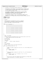```
\frac{1}{1}2 * Copyright (c) International Business Machines Corp., 2000−2002
\frac{3}{4}4 * This program is free software; you can redistribute it and/or modify
 5 * it under the terms of the GNU General Public License as published by
6 * the Free Software Foundation; either version 2 of the License, or 
7 * (at your option) any later version.
 8 * 
* This program is distributed in the hope that it will be useful,<br>"but WITHOUT ANY WARRANTY; without even the implied warranty of<br>"* MERCHANTABILITY or FITNESS FOR A PARTICULAR PURPOSE. See<br>"* the GNU General Public Licens
13<br>14<sup>14</sup> * You should have received a copy of the GNU General Public License
15 * along with this program; if not, write to the Free Software 
16 * Foundation, Inc., 59 Temple Place, Suite 330, Boston, MA 02111−1307 USA
\frac{10}{17} */<br>18 #in
18 #include "jfs_types.h"
19 #include "jfs_dmap.h"
20 #include "diskmap.h"
21
\begin{matrix} 22 & / \ \end{matrix}* budtab[]
rac{24}{25}* used to determine the maximum free string in a character<br>* of a wmap word. the actual bit values of the character<br>* * serve as the index into this array and the value of the<br>* array at that index is the max free string.
rac{29}{30}30 */
31 static int8_t budtab[256] = {
32 3, 2, 2, 2, 2, 2, 2, 2, 2, 2, 2, 2, 2, 2, 2, 2,
33 2, 1, 1, 1, 1, 1, 1, 1, 1, 1, 1, 1, 1, 1, 1, 1,
34 2, 1, 1, 1, 1, 1, 1, 1, 1, 1, 1, 1, 1, 1, 1, 1,
35 2, 1, 1, 1, 1, 1, 1, 1, 1, 1, 1, 1, 1, 1, 1, 1,
36 2, 1, 1, 1, 1, 1, 1, 1, 1, 1, 1, 1, 1, 1, 1, 1,
37 2, 1, 1, 1, 1, 0, 0, 0, 1, 0, 0, 0, 1, 0, 0, 0,
38 2, 1, 1, 1, 1, 0, 0, 0, 1, 0, 0, 0, 1, 0, 0, 0,
39 2, 1, 1, 1, 1, 0, 0, 0, 1, 0, 0, 0, 1, 0, 0, 0,
40 2, 1, 1, 1, 1, 1, 1, 1, 1, 1, 1, 1, 1, 1, 1, 1,
41 2, 1, 1, 1, 1, 0, 0, 0, 1, 0, 0, 0, 1, 0, 0, 0,
42 2, 1, 1, 1, 1, 0, 0, 0, 1, 0, 0, 0, 1, 0, 0, 0,
43 2, 1, 1, 1, 1, 0, 0, 0, 1, 0, 0, 0, 1, 0, 0, 0,
44 2, 1, 1, 1, 1, 1, 1, 1, 1, 1, 1, 1, 1, 1, 1, 1,
45 2, 1, 1, 1, 1, 0, 0, 0, 1, 0, 0, 0, 1, 0, 0, 0,
46 2, 1, 1, 1, 1, 0, 0, 0, 1, 0, 0, 0, 1, 0, 0, 0,
47 2, 1, 1, 1, 1, 0, 0, 0, 1, 0, 0, 0, 1, 0, 0, −1
48 };
49
50 /*
51 * NAME: ujfs maxbuddy
52<br>53
         FUNCTION: Determines the maximum string of free blocks within a word of the
54 * wmap or pmap consistent with binary buddy.
55 * 
56 * PRE CONDITIONS:
57 *
58 * POST CONDITIONS:
59 *
        60 * PARAMETERS:
61 * cp − Pointer to wmap or pmap word.
62<br>63
      * NOTES:
6465 * DATA STRUCTURES:
66<br>67
      * RETURNS: Maximum string of free blocks within word.
68<br>69
     int8_t ujfs_maxbuddy(unsigned char *cp)
70 {
71 / *
72 * Check if the wmap or pmap word is all free. If so, the free buddy size is
73 * BUDMIN.<br>
74 * /
74 */
75 if (*((uint32_t *) cp) == 0) {
76 return (BUDMIN);
\frac{1}{77} }
78
79 /*
\begin{array}{lll} \tilde{s} & \tilde{s} & \tilde{s} \end{array} * Check if the wmap or pmap word is half free. If so, the free buddy size \tilde{s} & \tilde{s} & \tilde{s} & \tilde{s} & \tilde{s} & \tilde{s} & \tilde{s} & \tilde{s} & \tilde{s} & \tilde{s} & \tilde{s} & \tilde{s} & \tilde{s} & \tilde{s} & \tilde{s} & \tilde{s} & \tilde{s} & \tilde{s} & \tilde{s}81 * is BUDMIN-1.<br>82 */82 */
83 if (*((uint16_t *) cp) == 0 || *((uint16_t *) cp + 1) == 0) {
84 return (BUDMIN − 1);
85 }
86
\begin{matrix} 87 & 7 \\ 88 & 7 \end{matrix}<sup>*</sup> Not all free or half free. Determine the free buddy size through table<br><sup>88</sup> * lookup using quarters of the wmap or pmap word.
                   * lookup using quarters of the wmap or pmap word.<br>*/
90 * /
Registered Version: Journaled File System diskmap.c Exhibit 10.1−16 pg 1/4
```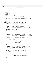```
91 return (MAX(MAX(budtab[*cp], budtab[*(cp + 1)]),
92 MAX(budtab[*(cp + 2)], budtab[*(cp + 3)])));
93 }
94
95 / *
        NAME: ujfs_adjtree
97 * 
98 * FUNCTION: Calculate the tree of a dmap or dmapctl.
99<br>100
        PRE CONDITIONS .
101 *
102 * POST CONDITIONS:
103<br>104
104 * PARAMETERS:<br>105 * CD
105 * cp − Pointer to the top of the tree
106 * l2leaves− Number of leaf nodes as a power of 2
107 * l2min − Number of disk blocks actually covered by a leaf of the tree;
108 * specified as a power of 2
109 *
110 * NOTES: This routine first works against the leaves of the tree to calculate
111 * the maximum free string for leaf buddys. Once this is accomplished the
112 * values of the leaf nodes are bubbled up the tree.
113<br>114
         DATA STRUCTURES:
115 *
116 * RETURNS:
117
118 int8_t ujfs_adjtree(int8_t * treep, int32_t l2leaves, int32_t l2min)
119 \{<br>120120 int32_t nleaves, leaf_index, l2max, nextb, bsize, index;<br>
121 int32_t l2free, leaf, num_this_level, nextp;<br>
122 int8_t *cp0, *cp1, *cp = treep;
123<br>124124 / *
125 * Determine the number of leaves of the tree and the
126 * index of the first leaf.
<sup>127</sup> * Note: I don't know why the leaf_index calculation works, but it does.
128<br>129
129 120 nleaves = (1 << 121eaves);<br>130 1eaf index = (nleaves - 1)
                leaf\_index = (nleaves - 1) / 3;131
132<br>133
                 * Determine the maximum free string possible for the leaves.
134<br>135
                12max = 12min + 12leaves;136
* Try to combine buddies starting with a buddy size of 1 (i.e. two leaves).<br>* At a buddy size of 1 two buddy leaves can be combined if both buddies<br>* At a buddy size of 1 two buddy leaves can be combined if both buddies<br>* 
144 * (current free + 1). This continues until the maximum possible buddy
145 * combination yields maximum free.
146 * /
147 for (12free = 12min, bsize = 1; 12free < 12max; 12free++, bsize = nextb) {
148 nextb = bsize << 1;
149
150 for (cp0 = cp + leaf_index, index = 0; index < nleaves;<br>
151<br>
152 if (*cp0 == l2free && *(cp0 + bsize) == l2free) {<br>
153 *cp0 = l2free && *(cp0 + bsize) == l2free \
154 *(cp0 + bsize) = -1;<br>155
\left\{\right. \right\}156 }
\left\{\n \begin{array}{ccc}\n 157 & & & \n \end{array}\n \right\}158
159<br>160* With the leaves reflecting maximum free values bubble this information up
* the tree. Starting at the leaf node level, the four nodes described by<br>* the higher level parent node are compared for a maximum free and this<br>* maximum becomes the value of the parent node. All lower level nodes are<br>* p
165 * becomes a lower level node) and continue the process for that level.
<sup>166</sup><br>
for (leaf = leaf_index, num_this_level = nleaves >> 2; num_this_level > 0;<br>
num_this_level >>= 2, leaf = nextp) {<br>
nextp = (leaf − 1) >> 2;
170
171 \frac{1}{\sqrt{2}}<sup>172</sup> * Process all lower level nodes at this level setting the value of the<br><sup>173</sup> * parent node as the maximum of the four lower level nodes.
112<br>
173 * parent node as the maximum of the four lower level nodes.<br>
\star/
174 * /
f_{75} for (cp0 = cp + leaf, cp1 = cp + nextp, index = 0;<br>\frac{176}{176} index < num_this_level; index++, cp0 += 4, cp1++) {
*{\rm cp1} = {\tt TREEMAX}({\rm cp0}); 178
\left\{\right. \right\}179 }
Registered Version: Journaled File System diskmap.c diskmap.c Exhibit 10.1–16 pg 2/4
```
180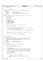```
181 return (*cp);
182
183
184 /*
185 * NAME: ujfs_complete_dmap
186
187 * FUNCTION: Fill in rest of dmap fields from wmap/pmap already initialized.
\begin{array}{ccc}\n188 & & \star \\
189 & & \star\n\end{array}189 * PARAMETERS:<br>190 * dmap_page
190 * dmap_page - dmap to complete<br>191 * blkno - starting block n
191 * blkno − starting block number for this dmap
192 * treemax − will be filled in with max free for this dmap
193<br>194
       RETURNS: NONE
195 */
196 void ujfs_complete_dmap(struct dmap *dmap_page, int64_t blkno, int8_t *treemax)
197 {
198 struct dmaptree *tp;<br>
199 int8 t * cp;199 1nt8_t *cp;<br>200 1nt32_t index;
201
202 dmap_page−>start = blkno;
203
204 tp = &dmap_page->tree;<br>205 tp->height = 4;
             tp->height = 4;
206 tp−>leafidx = LEAFIND;
207 tp−>nleafs = LPERDMAP;
208 tp−>l2nleafs = L2LPERDMAP;
209 tp−>budmin = BUDMIN;
210211<br>212* Pick up the pointer to the first leaf of the dmap tree.
213<br>214cp = tp->stree + tp->leafidx;215
216 / *
217 * Set the initial state for the leaves of the dmap tree. They will reflect
218 * the current allocation state of the wmap words.
\frac{219}{220}for (index = 0; index < LPERDMAP; index++) {
221 * (cp + index) = ujfs_maxbuddy((unsigned char *) &dmap_page->wmap[index]);<br>222 }
222 }
223
224 /*
              * With the leaves of the dmap initialized adjust (initialize) the dmap's
226 * tree.<br>227 */
227 * /
228 *treemax = ujfs_adjtree(tp−>stree, L2LPERDMAP, BUDMIN);
   \}230
231 /*
232 * NAME: ujfs idmap page
233 * 
       FUNCTION: Initialize one dmap page
235236 * POST CONDITIONS: Blocks which don't actually exist in the aggregate will be
237 * marked as allocated in the dmap page. The total number of blocks will
238 * only account for the actually existing blocks.
239<br>240
      PARAMETERS:<br>map page
241 * map_page − pointer to page of map
242 * nblocks − number of blocks this page
243<br>244244 * RETURNS: NONE
rac{245}{246}\overline{v}void uifs idmap page(struct dmap *map page, uint32 t nblocks)
247 \begin{cases} 248 \end{cases}uint32_t index, nwords, bit;
249
250 map_page−>nblocks = map_page−>nfree = nblocks;
251
252 /*<br>253 *
253 * Partial dmap page?
254 * If there are not enough blocks to cover an entire dmap page the ones
255 * which represent blocks which don't exist will be marked as allocated.
256 *257 * nwords will indicate the first word beyond the end of existing blocks
258 * bit will indicate if this block does not fall on a 32-bit boundary<br>259 * /
259 * /
260 nwords = nblocks / DBWORD;<br>261 bit = nblocks % DBWORD;
             \frac{1}{2} bit = nblocks % DBWORD;
262<br>263
263 if (bit) {
264 /*
<sup>264</sup> * Need to mark a partial word allocated<br><sup>266</sup> * /
266 * /
267 map_page−>wmap[nwords] = map_page−>pmap[nwords] = ONES >> bit;
268 nwords++;<br>
269 269Registered Version: Journaled File System diskmap.c diskmap.c Exhibit 10.1–16 pg 3/4
```
 $\left\{ \right\}$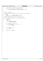```
271 /*
272 * Set the rest of the words in the page to ONES.
273 */
274 for (index = nwords; index < LPERDMAP; index++) {<br>
275 map_page->pmap[index] = map_page->wmap[in
275 map_page−>pmap[index] = map_page−>wmap[index] = ONES;<br>276 }
              \}277 }
278
279 /*<br>280 ** NAME: ujfs_getagl2size
281<br>282
      282 * FUNCTION: Determine log2(allocation group size) based on size of aggregate
283<br>284284 * PARAMETERS:<br>285 * Size
285 * size − Number of blocks in aggregate
286 * aggr_block_size − Aggregate block size
287 *<br>288 *
      * RETURNS: log2(allocation group size) in aggregate blocks
289<br>290
290 int32_t ujfs_getagl2size(int64_t size, int32_t aggr_block_size)<br>291 {
    \{292 int64_t sz;
293 int64_t m;
294 int32_t l2sz;
295
296 if (size < BPERDMAP * MAXAG) {
297 return (L2BPERDMAP);
\begin{array}{c} \n \text{298} \\
 \end{array}299
300 m = ((uint64_t) 1 << (64 − 1));
301 for (l2sz = 64; l2sz >= 0; l2sz−−, m >>= 1) {
302 if (m & size) {
303 break;
304 }
\begin{array}{c} 305 \\ 305 \end{array}306
307 sz = (int64_t) 1 << l2sz;
308 if (sz < size) {
309 \begin{cases} 300 \\ 310 \end{cases} \begin{cases} 2sz +2 \ 1; \end{cases}310 }
311
312 return (l2sz − L2MAXAG);
313 }
Registered Version: Journaled File System diskmap.c Exhibit 10.1−16 pg 4/4
```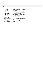$\frac{1}{1}$  \* Copyright (c) International Business Machines Corp., 2000−2002  $\begin{array}{ccc} 3 & & * \\ 4 & & * \end{array}$  \* This program is free software; you can redistribute it and/or modify <sup>5</sup> \* it under the terms of the GNU General Public License as published by <sup>6</sup> \* the Free Software Foundation; either version 2 of the License, or \* (at your option) any later version. \* \* This program is distributed in the hope that it will be useful,<br>"but WITHOUT ANY WARRANTY; without even the implied warranty of<br>"\* MERCHANTABILITY or FITNESS FOR A PARTICULAR PURPOSE. See<br>"\* the GNU General Public Licens <br> $14$  \* You should have received a copy of the GNU General Public License <sup>15</sup> \* along with this program; if not, write to the Free Software <sup>16</sup> \* Foundation, Inc., 59 Temple Place, Suite 330, Boston, MA 02111−1307 USA  $\frac{10}{17}$  \*/<br>18 #if **#ifndef** H\_DISKMAP **#define** H\_DISKMAP **#include** <jfs\_types.h> /\* int8\_t, int32\_t, int64\_t, uint32\_t \*/ 23  $int8_t$  ujfs\_maxbuddy(unsigned char \*);<br>24  $int8_t$  ujfs\_adjtree(int8\_t \*, int32\_t, int8\_t ujfs\_adjtree(int8\_t \*, int32\_t, int32\_t); <sup>25</sup> void ujfs\_complete\_dmap(struct dmap \*, int64\_t, int8\_t \*); <sup>26</sup> void ujfs\_idmap\_page(struct dmap \*, uint32\_t); <sup>27</sup> int32\_t ujfs\_getagl2size(int64\_t, int32\_t); **#endif** /\* H\_DISKMAP \*/ Registered Version: Journaled File System **diskmap.h** Exhibit 10.1−17 pg 1/1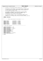$\frac{1}{1}$ <sup>2</sup> \* Copyright (c) International Business Machines Corp., 2000−2002  $\begin{matrix} 3 & * \\ 4 & * \end{matrix}$ <sup>4</sup> \* This program is free software; you can redistribute it and/or modify <sup>5</sup> \* it under the terms of the GNU General Public License as published by <sup>6</sup> \* the Free Software Foundation; either version 2 of the License, or <sup>7</sup> \* (at your option) any later version. <sup>8</sup> \* \* This program is distributed in the hope that it will be useful,<br>"but WITHOUT ANY WARRANTY; without even the implied warranty of<br>"\* MERCHANTABILITY or FITNESS FOR A PARTICULAR PURPOSE. See<br>"\* the GNU General Public Licens  $\begin{array}{ccc}\n13 & & * \\
14 & & * \\
\end{array}$ <sup>14</sup> \* You should have received a copy of the GNU General Public License <sup>15</sup> \* along with this program; if not, write to the Free Software <sup>16</sup> \* Foundation, Inc., 59 Temple Place, Suite 330, Boston, MA 02111−1307 USA <sup>17</sup> \*/ <sup>18</sup> **#ifndef** \_FSCK\_BASE\_H\_ <sup>19</sup> **#define** \_FSCK\_BASE\_H\_ 20  $21 /$ 22 −−−−−−−−−−− Defines shared among the fsck modules ---------<br>23 \*/  $\star$  / 24 <sup>25</sup> **#define** ISDIR(m) (((m)&(IFMT)) == (IFDIR)) <sup>26</sup> **#define** ISREG(m) (((m)&(IFMT)) == (IFREG)) **#define** ISLNK(m) (((m)&(IFMT)) = (IFLNK))<br>**#define** ISBLK(m) (((m)&(IFMT)) = (IFBLK)) <sup>28</sup> **#define** ISBLK(m) (((m)&(IFMT)) == (IFBLK)) 29 **#define** ISCHR(m)  $((m) \& (IFMT)) == (IFCHR)$ <br>30 **#define** ISFIFO(m)  $(((m) \& (IFMT)) == (IFFIFO)$ **#define** ISFIFO(m)  $((m)\&(IFMT)) == (IFFIFO))$ <br>**#define** ISSOCK(m)  $((m)\&(IFMT)) == (IFSOCK)$ <sup>31</sup> **#define** ISSOCK(m) (((m)&(IFMT)) == (IFSOCK)) 32 <sup>33</sup> /\* + + + + + + + + + + + + + + + + + + + + + + + + + + + + + + +  $33$   $\overline{\phantom{0}}$   $*$  some useful constants  $35$   $*/$ <br> $36$   $#$ de <sup>36</sup> **#define** BYTESPERPAGE 4096 37 **#define** log2BYTESPERPAGE 12<br>38 **#define** BITSPERPAGE (4096\*8) 38 **#define** BITSPERPAGE (40<br>39 **#define** log2BITSPERPAGE 15 39 **#define** log2BITSPERPAGE 15<br>40 **#define** BITSPERDWORD 32 **#define** BITSPERDWORD 3<br>#define log2BITSPERDWORD 5 41 **#define** log2BITSPERDWORD<br>42 **#define** BYTESPERDWORD <sup>42</sup> **#define** BYTESPERDWORD 4 <sup>43</sup> **#define** log2BYTESPERDWORD 2 <sup>44</sup> **#define** BITSPERBYTE 8 <sup>45</sup> **#define** log2BITSPERBYTE 3 46 **#define** MEMSEGSIZE<br>47 **#define** log2BYTESPI <sup>47</sup> **#define** log2BYTESPERKBYTE 10  $48$ <br> $49$ <sup>49</sup> **#endif** Registered Version: Journaled File System **fsck base.h** Exhibit 10.1−18 pg 1/1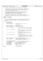$/$ \* <sup>2</sup> \* Copyright (c) International Business Machines Corp., 2000−2002  $\frac{3}{4}$ <sup>4</sup> \* This program is free software; you can redistribute it and/or modify <sup>5</sup> \* it under the terms of the GNU General Public License as published by <sup>6</sup> \* the Free Software Foundation; either version 2 of the License, or <sup>7</sup> \* (at your option) any later version. <sup>8</sup> \* \* This program is distributed in the hope that it will be useful,<br>"but WITHOUT ANY WARRANTY; without even the implied warranty of<br>"\* MERCHANTABILITY or FITNESS FOR A PARTICULAR PURPOSE. See<br>"\* the GNU General Public Licens  $13$ <br> $14$ <sup>14</sup>  $*$  You should have received a copy of the GNU General Public License <sup>15</sup> \* along with this program; if not, write to the Free Software <sup>16</sup> \* Foundation, Inc., 59 Temple Place, Suite 330, Boston, MA 02111−1307 USA  $17 + 7$ <br> $18 + 15$ <sup>18</sup> **#ifndef** \_H\_JFS\_FSCKCBBL <sup>19</sup> **#define** \_H\_JFS\_FSCKCBBL 20 21 <sup>22</sup> \* This structure resides in the first page (aka the block map control page) <sup>23</sup> \* of the fsck in−aggregate workspace. JFS Clear Bad Block List utility <sup>24</sup> \* processing writes to this record, then fsck reads it and reports to the<br><sup>25</sup> \* caller.  $calI$  $\begin{array}{ccc} 26 & & \star \end{array}$ <br>27 Str struct fsckcbbl record { <sup>28</sup> char eyecatcher[8]; <sup>29</sup> char avail\_1[4]; /\* 4 \*/ <sup>30</sup> int32\_t cbbl\_retcode; /\* JFS Clear Bad Block List utility  $\begin{array}{ccc}\n & \text{---} & \text{---} & \text{---} \\
\text{31} & & \text{+} & \text{return code} \\
\text{32} & & & \text{+}\n\end{array}$ int32\_t fs\_blksize;<br>int32\_t lv\_blksize; <sup>33</sup> int32\_t fs\_blksize; /\* aggregate block size \*/ <sup>34</sup> int32\_t lv\_blksize; /\* device block size \*/ 35 int32\_t fs\_lv\_ratio; /\* fs\_blksize/lv\_blksize \*/<br>36 int32\_t fs\_lv\_ratio; /\* fs\_blksize/lv\_blksize \*/ 36 int32\_t fs\_lv\_ratio;<br>36 int32\_t fs\_lv\_ratio;<br>37 int64\_t fs\_last\_metablk; <sup>37</sup> \* last fs block we won't try to relocate 38 \* because it holds fixed-location metadata<br>38 \* because it holds fixed-location metadata  $\star/$ <sup>40</sup> int64\_t fs\_first\_wspblk; /\* <sup>41</sup> \* first fs block we won't try to relocate <sup>42</sup> \* because it holds fsck workspace or the 43  $*$  inline journal log  $*$   $*$   $*/$  $44$ <sup>45</sup> int32\_t total\_bad\_blocks; /\* count of bad blocks in LVM's list <sup>46</sup> \* at beginning of Bad Block List utility <sup>47</sup> \* processing  $48$  \*/ 49 int32\_t resolved\_blocks;  $\overrightarrow{A}$  /\* count of bad blocks:<br>50  $\overrightarrow{A}$  - for which the data <sup>50</sup> \* − for which the data has been relocated, <sup>51</sup> \* − which are now allocated to the bad block  $\begin{array}{ccc} 52 & \star & \text{inode, and} \\ 53 & \star & - \text{which the} \end{array}$ 53  $* - which the LVM has been told to forget$ <br> $*/$ <sup>54</sup> \*/ <sup>55</sup> int32\_t reloc\_extents; /\* count of relocated extents \*/ <sup>56</sup> int64\_t reloc\_blocks; /\* count of blocks in relocated extents \*/ 57 int32\_t LVM\_lists;  $\frac{1}{5}$  /\* count of bad block lists maintained by LVM<br>58  $\frac{1}{58}$  =  $\frac{1}{58}$  \* according to the last query <sup>59</sup> \*/ <sup>60</sup> char bufptr\_eyecatcher[8]; 61 void \*clrbblks\_agg\_recptr; /\* addr of clrbblks aggregate record \*/<br>62 void \*ImapInoPtr; /\* addr of imap inode buffer \*/ % woid \*ImapInoPtr; /\* addr of imap inode buffer \*/<br>woid \*ImapCtlPtr; /\* addr of imap control page buffer \*/<br>woid \*ImapLeafPtr; /\* addr of imap leaf page buffer \*/<br>woid \*iagPtr; /\* addr of iag buffer \*/<br>woid \*InoExtPtr; /\*  $67$  char avail\_2[28];  $\frac{1}{28}$  /\* 28 \*/<br> $68$  };  $\frac{1}{28}$  /\* total =  $/*$  total = 128 bytes \*/ 69 <sup>70</sup> **#endif** /\* \_H\_JFS\_FSCKCBBL \*/ Registered Version: Journaled File System **fsckcbbl.h** Exhibit 10.1−19 pg 1/1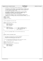```
\frac{1}{1}2 * Copyright (c) International Business Machines Corp., 2000−2002
\frac{3}{4}4 * This program is free software; you can redistribute it and/or modify
5 * it under the terms of the GNU General Public License as published by
6 * the Free Software Foundation; either version 2 of the License, or 
7 * (at your option) any later version.
 8 * 
 * This program is distributed in the hope that it will be useful,<br>"but WITHOUT ANY WARRANTY; without even the implied warranty of<br>"* MERCHANTABILITY or FITNESS FOR A PARTICULAR PURPOSE. See<br>"* the GNU General Public Licens
13<br>1414 * You should have received a copy of the GNU General Public License
15 * along with this program; if not, write to the Free Software 
16 * Foundation, Inc., 59 Temple Place, Suite 330, Boston, MA 02111−1307 USA
17 + 7<br>18 + 1518 #ifndef H_FSCKLOG
     19 #define H_FSCKLOG
20
21 #include <jfs_types.h>
22
 23 /*−−−−−−−−−−−−−−−−−−−−−−−−−−−−−−−−−−−−−−−−−−−−−−−−−−−−−−−−−−−−−−−−−−−−−−−−−−−−
\frac{24}{25}25 * The in−aggregate fsck service log
\frac{1}{26} */
27
28 #define flog_eyecatcher_string "fscklog "
29
30 struct fscklog_entry_hdr {
 31 int16_t entry_length;<br>32 int16_t msg_num;
int16<sup>t</sup> num<sup>parms;</sup><br>34 };
    34 };
35
 % struct fscklog_error {<br>
int64 \text{ t} \text{ err\_offset}; /* 8 -- start of attempted write */<br>
int32 \text{ t} \text{ bytes\_written}; /* 4 -- number actually written */<br>
int32 \text{ t} \text{ i} \text{o\_retcode}; /* 4 -- return code from write */<br>
40 }; /* total: 16 bytes */
41
42 /* + + + + + + + + + + + + + + + + + + + + + + + + + + + + + + + + + + + +
43<br>44The first log message number for the JFS fsck Service Log
45 *
\frac{46}{47}\star/
48<br>49
     49 #define JFSCHKLOG_FIRSTMSGNUM 10000
50
51 /* + + + + + + + + + + + + + + + + + + + + + + + + + + + + + + + + + + + +
52<br>53
       * The format of the log entry in the file created by
 54 * extracting the contents of the fsck service log
55 * (stored in the fsck workspace) into a file.
56 *
57 *
 58 * N.B. The log entries are blocked such that no log entry crosses
59 * an XCHKLOG_BUFSIZE byte boundary in the file.
60 *61
62 #define XCHKLOG_BUFSIZE 8192
63
     64 #define jfs_chklog_eyecatcher "JFS chkdskSvcLog"
65
66 struct chklog_entry_hdr {<br>67 intl6 t entry len
 67 int16_t entry_length;<br>68 int16_t msg_num;
69 int16<sup>-</sup>t num<sub>-</sub>parms;
    70 };
71
72 #endif
Registered Version: Journaled File System fscklog.h Exhibit 10.1−20 pg 1/1
```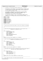```
\frac{1}{1}2 * Copyright (c) International Business Machines Corp., 2000−2002
\frac{3}{4}4 * This program is free software; you can redistribute it and/or modify
 5 * it under the terms of the GNU General Public License as published by
6 * the Free Software Foundation; either version 2 of the License, or 
7 * (at your option) any later version.
 8 * 
* This program is distributed in the hope that it will be useful,<br>"but WITHOUT ANY WARRANTY; without even the implied warranty of<br>"* MERCHANTABILITY or FITNESS FOR A PARTICULAR PURPOSE. See<br>"* the GNU General Public Licens
13<br>14<sup>14</sup> * You should have received a copy of the GNU General Public License
15 * along with this program; if not, write to the Free Software 
16 * Foundation, Inc., 59 Temple Place, Suite 330, Boston, MA 02111−1307 USA
17 + 7<br>18 + 1518 #ifndef H_FSCKWSP
     19 #define H_FSCKWSP
20
21 #include "fscklog.h"
22 #include <jfs_dmap.h>
23 #include <jfs_dtree.h>
<sup>24</sup> #include <jfs_xtree.h><br>25 #include <jfs_filsys.h
    25 #include <jfs_filsys.h>
26 #include <jfs_imap.h>
27 #include <jfs_dinode.h>
28 #include "fsck_base.h"
29 #include "fsckcbbl.h"
30
31 /*++++++++++++++++++++++++++++++++++++++++++++++++++++++++++++++++++++++++
32 *
33 * fsck uses the structures and types in this file to define its workspace.
34<br>35
      35 *++++++++++++++++++++++++++++++++++++++++++++++++++++++++++++++++++++++++
3637
38 /*−−−−−−−−−−−−−−−−−−−−−−−−−−−−−−−−−−−−−−−−−−−−−−−−−−−−−−−−−−−−−−−−−−−−−−−−−−−−
39 * type dtree_Q_elem describes one node which is to be visited in the
40 * traversal of a directory B+ Tree
\frac{41}{42}\star /
43 struct dtreeQelem {
44 struct dtreeQelem *next;<br>45 struct dtreeQelem *prev;
45 struct dtreeQelem *prev;
46 int64_t node_addr;
47 pxd_t node_pxd;<br>48 uint8 t node key
48 uint8_t node_key_len;<br>49 UniChar node key[JFS
49 UniChar node_key[JFS_NAME_MAX];<br>50 1nt8 t node level;
50 int8_t node_level;
51 uint32_t node_size;
52 \; | \; j53
54 #define dtreeQ_elem_length sizeof(struct dtreeQelem)
55
56 /*−−−−−−−−−−−−−−−−−−−−−−−−−−−−−−−−−−−−−−−−−−−−−−−−−−−−−−−−−−−−−−−−−−−−−−−−−−−−
57 * type tree_Q_elem describes one node which is to be visited in the
58 * traversal of a non−directory B+ Tree
59<br>60
      \star61 struct treeQelem {
62 struct treeQelem *next;
63 struct treeQelem *prev;
int64 int64<sub>k</sub> node_addr;
65 int64_t node_first_offset;
66 pxd_t node_pxd;
67 int8_t node_level;<br>68 int8 t last ext un
\begin{array}{ll}\n\text{...} & \text{...} \\
\text{...} & \text{...} \\
\text{...} & \text{...} \\
\text{...} & \text{...} \\
\text{...} & \text{...} \\
\text{...} & \text{...} \\
\text{...} & \text{...} \\
\text{...} & \text{...} \\
\text{...} & \text{...} \\
\text{...} & \text{...} \\
\text{...} & \text{...} \\
\text{...} & \text{...} \\
\text{...} & \text{...} \\
\text{...} & \text{...} \\
\text{...} & \text{...} \\
\text{...} & \text{...} \\
\text{...} & \text{...} \\
\text{...} & \text69 };
70
71 #define treeQ_elem_length sizeof(struct treeQelem)
72
73 /*−−−−−−−−−−−−−−−−−−−−−−−−−−−−−−−−−−−−−−−−−−−−−−−−−−−−−−−−−−−−−−−−−−−−−−−−−−−−
74 * type dupall_blkrec describes one aggregate block which has been found to
75 * have more than 1 inode claiming to own it.
76 *
\begin{array}{ccc} 77 & & * \end{array}<br>78 Str
78 struct dupall_blkrec {
79 int64_t blk_number;
80 uint8_t first_ref_resolved;
81 uint8_t avail_byte;
82 uint16_t owner_count;
83 struct dupall_blkrec *next;
84 };
85
86 #define dupall_blkrec_length sizeof(struct dupall_blkrec)
87
88 /*−−−−−−−−−−−−−−−−−−−−−−−−−−−−−−−−−−−−−−−−−−−−−−−−−−−−−−−−−−−−−−−−−−−−−−−−−−−−
89 *
90 * Each (4096 byte) page in the block map describes 32768
Registered Version: Journaled File System fsckwsp.h Exhibit 10.1−21 pg 1/10
```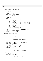```
91 * blocks in the aggregate.
9293
94
95 * the fsck Workspace Block Map control page
96 *
\frac{1}{97} */
98
99 struct fsck_blk_map_hdr {
100<br>101\star the 1st 1024 bytes are the clrbblks to fsck
102 * communication area
\begin{array}{ccc} \n103 & & \star \n\end{array}<br>104 Str
104 struct fsckcbbl_record cbblrec; /* 128 */
105 char avail_0[896]; /* 896 */
106 /* 1024 byte boundary */
107<br>
108<br>
*108 * the next 2048 bytes are the fsck block map<br>109 * header area
109 * header area<br>110 */
\frac{110}{111} \frac{t}{5}struct {
112 char eyecatcher<br>
113 int32_t last_entry_pos; /* 4*/114<br>
114 int32_t next_entry_pos; /* 4*/114<br>
115 char start_time<br>
120]; /* 20*/14<br>
116 char and_time<br>
117 int32_t return_code; /* 4*/14<br>
117 int32_t return_code; /
113 int32_t last_entry_pos; \begin{array}{ccc} & /* & 4 \ */ \end{array}<br>114 int32_t hext_entry_pos; \begin{array}{ccc} & /* & 4 \ */ \end{array}114 int32_t next_entry_pos; /* 4 */
115 char start_time[20]; /* 20 */
116 char end_time[20]; /* 20 */
int32 \text{ t return code}; \begin{array}{ccc} \sqrt{117} & 20 \end{array}, \begin{array}{ccc} \sqrt{117} & 4 \end{array}118 char *super_buff_addr; /* 4 −− for the dump reader */
119 char *agg_record_addr; \frac{1}{4} - for the dump reader */<br>char *bman record_addr; \frac{1}{4} - for the dump reader */
                                                                                       120 char */<br>120 char */<br>120 char */<br>120 char */
118
118
119
110<br>
char *super_buff_addr;<br>
char *super_buff_addr;<br>
char *supercord_addr;<br>
char *supercord_addr;<br>
char *map_record_addr;<br>
int \frac{4}{4} -<br>
int \frac{4}{4} -<br>
int \frac{4}{12}<br>
int \frac{4}{12}<br>
int \frac{4}{12}<br>
int \frac{4int64_t fscklog_agg_offset;  /* 8 */<br>
int8_t fscklog_agg_offset;  /* 8 */<br>
int8_t fscklog_buf_allocated;  /* 1 */
123 int8_t fiscklog_full; x^* 1 */<br>124 int8_t fiscklog buf allocated; x^* 1 */
124 int8_t fscklog_buf_allocated; /* 1 */<br>125 int8_t fscklog_buf_alloc_err; /* 1 */<br>126 char avail_2[1]; /* 1 */
125 int8_t fscklog_buf_alloc_err;<br>
126 char avail 2.11;
                                char avail_2[1]; \begin{array}{ccc} \n\sqrt{2} & \text{if } 1 \neq j \n\end{array}<br>
int32 t num logwrite errors; \begin{array}{ccc} \n\sqrt{2} & \text{if } 4 \neq j \n\end{array}127 int32_t num_logwrite_errors; \begin{array}{ccc} \n\sqrt{12} & \text{if } 1/2 \\
\text{if } 1/2 & \text{if } 1/2\n\end{array} (http://doi.org/inte_errors; \begin{array}{ccc} \n\sqrt{12} & \text{if } 4 \neq \n\sqrt{12} \\
\text{if } 2/2 & \text{if } 1/2 & \text{if } 2/2\n\end{array}128 char avail_3[32]; /* 32 */
129 struct fscklog_error logerr[125]; /* 1920 = 120 * 16 */
130 } hdr; /* subtotal, 2048 bytes */
131 / *
132 * the last 1024 bytes are available
133<br>134
134 char avail_5[1024]; /* 1024 */<br>135 }; /* total:
                                                           \frac{1352}{15} total: 4096 bytes */
136
     137 #define fbmh_eyecatcher_string "wspblkmp"
138
139<br>140
       * a page in the fsck Workspace Block Map
141 + 14142 struct fsck_blk_map_page {
                   \text{uint32}_t fsck_blkmap_words[1024]; /* 4096 bytes */
144 };
145
146 /*−−−−−−−−−−−−−−−−−−−−−−−−−−−−−−−−−−−−−−−−−−−−−−−−−−−−−−−−−−−−−−−−
147 * structure blkmap_wspace describes the portion of the aggregate
148 * 100 \times 100 record allocated for use when verifying 149 *
                                                   the aggregate block map.
150
151 + 1152 struct blkmap_wspace {<br>153 uint32 t dmap i
153 uint32_t dmap_map[LPERDMAP]; /* bit map of blk allocations */
154 int8_t dmap_wsp_tree[TREESIZE − LPERDMAP];
155 int8_t dmap_wsp_leafs[LPERDMAP];
156 int8_t L0_wsp_tree[CTLTREESIZE − LPERCTL];
157 int8_t L0_wsp_leafs[LPERCTL];
158 int8_t L1_wsp_tree[CTLTREESIZE - LPERCTL];<br>159 int8 t L1 wsp leafs[LPERCTL];
159 int8_t L1_wsp_leafs[LPERCTL];
160 int8_t L2_wsp_tree[CTLTREESIZE − LPERCTL];
161 int8_t L2_wsp_leafs[LPERCTL];
int64_t AG_free[MAXAG];
163 };
164
165 /*−−−−−−−−−−−−−−−−−−−−−−−−−−−−−−−−−−−−−−−−−−−−−−−−−−−−−−−−−−−−−−−−
166 * structure fsck_iag_record describes one Inode Allocation
167 *<br>
167 *<br>
168 *<br>
168 *<br>
168 *<br>
168 *<br>
168 *<br>
168 *<br>
168 *<br>
261 the aggregate
                                                       the aggregate
169 *
170 */<br>171 Str
171 struct fsck_iag_record {<br>172 uint32_t AG_num;
172 uint32_t AG_num;
173 uint32_t backed_inodes;
174 uint32_t unused_backed_inodes;
175 uint32_t unbacked_extents;
176 };
177
178 #define iag_record_length sizeof(struct fsck_iag_record)
179
180 /*−−−−−−−−−−−−−−−−−−−−−−−−−−−−−−−−−−−−−−−−−−−−−−−−−−−−−−−−−−−−−−−−
Registered Version: Journaled File System fsckwsp.h Exhibit 10.1−21 pg 2/10
```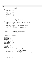```
181 * structure fsck_ag_record describes one Allocation Group
182 * as it relates to an inode table in the
183 * aggregate
184 *
185 */
186 struct fsck_ag_record {
187 uint32_t backed_inodes;
188 uint32_t unused_backed_inodes;
189 int32_t frext_list_first;<br>190 int32_t frext_list_last;
190 int32_t frext_list_last;<br>191 int32 t frext list len;
191 int32_t frext_list_len;
192 int32_t frino_list_first;
193 int32_t frino_list_last;
194 int32^-t frino_list_len;<br>195 int8 t frext list had:
195 int8_t frext_list_bad;
196 int8_t frino_list_bad;
197 char unused[14];
198 };
199
200 #define ag_record_length sizeof(struct fsck_ag_record)
201
202 /*−−−−−−−−−−−−−−−−−−−−−−−−−−−−−−−−−−−−−−−−−−−−−−−−−−−−−−−−−−−−−−−−
203 * structure fsck_iam_record describes one Inode Allocation Map
204 * and the aggregate
205 *
206 */<br>207 Str
   struct fsck_iam_record {<br>int64_t first_leaf_offset;
208 int64_t first_leaf_offset; /* offset of first leaf for imap inode */
209 int8_t imap_is_rootleaf;
210 int8_t friag_list_bad;
211 char unused[2];
211 char dinased(2)?<br>212 int32_t bkd_inodes; /* count of backed inodes
213 int32_t unused_bkd_inodes; /* count of available backed inodes */
214 int32_t num_iags; /* number of IAGs in the inode tbl */
215 int32_t friag_list_last;
216 int32_t friag_list_len;
217 struct fsck_iag_record *iag_tbl; /* ptr to info by iag */
218 struct fsck_ag_record *ag_tbl; /* ptr to info by ag */
219 };
220
221 #define iam_record_length sizeof(struct fsck_iam_record)
222
223 /*−−−−−−−−−−−−−−−−−−−−−−−−−−−−−−−−−−−−−−−−−−−−−−−−−−−−−−−−−−−−−−−−
<sup>224</sup> * structure fsck_inode_record describes one inode belonging to<br><sup>225</sup> * <br>the aggregate or to a fileset
                                             the aggregate or to a fileset
226 * in the aggregate
227<br>228
     *229230 /*231 * the possible values for inode_type
232 * (since inode_type is 4 bits wide, valid range is 0-15)<br>232 * (since inode_type is 4 bits wide, valid range is 0-15)
233 */
234 #define unused_inode 0<br>235 #define file inode 0 1
235 #define file_inode 1
236 #define strm_descr_inode 2
237 #define stream_inode 3<br>238 #define directory inode 4
238 #define directory_inode 4<br>239 #define symlink inode 5
239 #define symlink_inode<br>240 #define block special
240 #define block_special_inode 6
241 #define char_special_inode 7
242 #define FIFO_inode 8
243 #define SOCK_inode 9
244 #define metadata_inode 14
245 #define unrecognized_inode 15
246
247 #define add_direntry_extension 'A'
    248 #define rmv_direntry_extension 'R'
249 #define rmv_badentry_extension 'B'
250 #define parent_extension 'P'
251
252 struct fsck_inode_ext_record {
253 char ext_type; \begin{array}{ccc} \n\sqrt{3} & 1 & : \text{extends type (see constants above)} \n\end{array} /* 1 : extens type (see constants above) */
                                                  .5: see constants above
255 * describes the inonum inode.
256 * This is only interesting when
257 \star type is rmv_direntry_extension.<br>258 \star type is rmv_direntry_extension.
258 */
259 unsigned unused_byte:20; /* 2.5: unused */
260 struct fsck_inode_ext_record *next; /* 2.5: unused struct fsck_inode_ext_record *next; /* 4 :
                                                                   4 * 4 : addr next extension record
262 * /
263 uint32_t inonum; /* 4 : inode number */
264 };
265
266<br>267
268 * the inode record data<br>268 */
268 */<br>269 Str
    struct fsck_inode_record {
270 uint32_t inonum;    /* 4.0 : key    */
Registered Version: Journaled File System fsckwsp.h File fsckwsp.h Exhibit 10.1−21 pg 3/10
```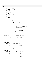```
271 /* 3 : 24 flag bits */
272 unsigned in_use:1;
273 unsigned selected_to_rls:1;<br>274 unsigned crrct_link_count:1
274 unsigned crrct_link_count:1;<br>275 unsigned crrct prnt inonum:1
              unsigned crrct_prnt_inonum:1;
276
277 unsigned adj_entries:1;<br>278 unsigned cant chkea:1;
278 unsigned cant_chkea:1;<br>279 unsigned clr ea fld:1;
279 unsigned clr_ea_fld:1;<br>280 unsigned clr acl fld:1
              unsigned clr_acl_fld:1;
281
282 unsigned ignore_ea_blks:1;
283 unsigned ignore_acl_blks:1;
284 unsigned ignore_alloc_blks:1;<br>285 unsigned inline data err:1;
              unsigned inline_data_err:1;
286
<sup>287</sup> unsigned reconnect:1;<br><sup>288</sup> unsigned unxpctd prnt
288 unsigned unxpctd_prnts:1;
<sup>289</sup> unsigned badblk_inode:1;<br><sup>290</sup> unsigned involved in dup
              unsigned involved_in_dups:1;
291
292 unsigned crrct_cumm_blks:1;
293 unsigned avail_flagbit_1:1;
294 unsigned inlineea_on:1;
              unsigned inlineea_off:1;
296
297 unsigned avail_flagbits:4;<br>298 /* end of flag bits
298 /* end of flag bits */
299 int8_t inode_type; /* 1 : see constants above */
300301 int32_t link_count; \begin{array}{ccc} \n \sqrt{4} & 4 & \n \end{array} : Stored link count is added to this.<br>302 south that the secremented for each observed link.
                                                     Decremented for each observed link.
303 */
304 uint32_t parent_inonum; /* 4 : If this is a directory inode and
305 * the unxpctd_prnts bit is set, then
306 * this field contains the inode number
307 * stored in the parent field on disk.
308 * Otherwise, this is the inode number
\begin{array}{c}\n\ast \circ f \text{ the first observed parent.} \\
\star \circ f\n\end{array}310 * /
311 int64_t cumm_blocks; /* 8 : number of blocks allocated to the
312 * inode and, if this is a directory, to each
313 * inode described in an entry * /
314 * /
315 int32_t dtree_level; /* 4 : distance, in the fileset directory tree,
316 * from the root (inode 2)
317 */
318 struct fsck_inode_ext_record *ext_rec; /* 4.0: extension record address */
319 };
320
321 #define inode_record_length sizeof(struct fsck_inode_record)
322<br>323
    323 #define inode_is_metadata( X ) \
324 (\overline{int8_t}) (\overline{X}) - \overline{inde\_type}) = (int8_t) metadata\_inode)325
326 /*−−−−−−−−−−−−−−−−−−−−−−−−−−−−−−−−−−−−−−−−−−−−−−−−−−−−−−−−−−−−−−−−−−−−−−−−−−−−
327 * type inode_tbl_t is an array of pointers to inode records
328<br>329
<sup>329</sup> * There is one of these tables for each allocated inode extent which<br><sup>339</sup> * has at least one inode in use.
    * has at least one inode in use.
331 *
332 */<br>333 str
333 struct inode_tbl_t {<br>334char eyecatcher[8]; \frac{3}{4} /* 8.0 */
\frac{335}{335} struct fsck_inode_record *inorectbl[32]; /* 128 */
336 };
337
338 #define inode_tbl_length sizeof( struct inode_tbl_t )
339
340 /*−−−−−−−−−−−−−−−−−−−−−−−−−−−−−−−−−−−−−−−−−−−−−−−−−−−−−−−−−−−−−−−−−−−−−−−−−−−−
341 * type inode_ext_tbl_t is an array of pointers to inode tables
342<br>343
343 * There is one of these tables for each allocated IAG which
344 * has at least one allocated extent with an inode in use.
345346 */
347 struct inode_ext_tbl_t {<br>348 char eyecatcher
348 char eyecatcher[8]; /* 8.0 */
349 struct inode_tbl_t *inotbl[128]; /* 512 */
350 };
351
352 #define inode_ext_tbl_length sizeof( struct inode_ext_tbl_t )
353
354 /*−−−−−−−−−−−−−−−−−−−−−−−−−−−−−−−−−−−−−−−−−−−−−−−−−−−−−−−−−−−−−−−−−−−−−−−−−−−−
355 * type IAG_tbl_t is an array of pointers to inode extent tables
356<br>357
357 * There is one of these tables for each fileset in the aggregate,<br>358 * and is allocated dynamically when the number of IAGs in the
358 * and is allocated dynamically when the number of IAGs in the 359 * fileset Inode Map is known.
       fileset Inode Map is known.
360
Registered Version: Journaled File System fsckwsp.h Exhibit 10.1−21 pg 4/10
```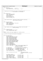```
361 + /\frac{1}{362} struct IAG tbl t {
363 char eyecatcher[8]; /* 8.0 *<br>364 struct inode_ext_tbl_t *inoext_t
                 struct inode_ext_tbl_t *inoext_tbl[1]; /* 4.0 */
365 };
366
367 /*−−−−−−−−−−−−−−−−−−−−−−−−−−−−−−−−−−−−−−−−−−−−−−−−−−−−−−−−−−−−−−−−−−−−−−−−−−−−
368 * type wsp_ext_rec describes one extent of storage which fsck
369 * has allocated for its workspace.
370 *<br>371 */
371 */
372 struct wsp_ext_rec {
373 struct wsp_ext_rec *next;
374 int8_t from_high_memory;
375 int8_t for_logredo;
\frac{376}{276} char avail[2];
377 uint32_t extent_length;
378 char *extent_addr;<br>379 uint32 t last byte
                uint32_t last_byte_used;
380 };
381
382 /*−−−−−−−−−−−−−−−−−−−−−−−−−−−−−−−−−−−−−−−−−−−−−−−−−−−−−−−−−−−−−−−−−−−−−−−−−−−−
383 * type recon_buf_record describes one dnode I/O buffer used during
384 * inode reconnect processing
385 *
386
387 struct recon buf record {
388 dtpage_t dnode_buf;
389 struct recon_buf_record *stack_next;
390 int64_t dnode_blkoff;
391 int64_t dnode_byteoff;
392 char reserved[12];
393 };
394
395 /*−−−−−−−−−−−−−−−−−−−−−−−−−−−−−−−−−−−−−−−−−−−−−−−−−−−−−−−−−−−−−−−−−−−−−−−−−−−−
396 * type treeStack_record describes one stack element used during DASD
397 * limits processing
398 *
399 400struct treeStack_record {
401 struct fsck_inode_record *inorec;<br>402 struct treeStack record *next;
                struct treeStack_record *next;
403 };
404
405 #define treeStack_elem_length sizeof(struct treeStack_record)
406
407 /*−−−−−−−−−−−−−−−−−−−−−−−−−−−−−−−−−−−−−−−−−−−−−−−−−−−−−−−−−−−−−−−−−−−−−−−−−−−−
408 * structure fsck_agg_record describes the aggregate
400 * /
410
411 struct fsck_agg_record {
412 char eyecatcher[8];
413 uint32_t ondev_jlog_fsblk_length;
414 int64_t ondev jlog_f fshk_f offset;<br>415 int64 + ondev wsp byte length;
415 int64_t ondev_wsp_byte_length;
416 int64_t ondev_wsp_byte_offset;
417 uint32_t ondev_wsp_fsblk_length;
418 int64_t ondev_wsp_fsblk_offset;
419 \frac{1}{420} uint\frac{32}{15} ondev \frac{5}{15}cklog \frac{5}{15}cklog \frac{1}{15}cklog \frac{1}{15}cklog \frac{1}{15}cklog \frac{1}{15}cklog \frac{1}{15}cklog \frac{1}{15}cklog \frac{1}{15}cklog \frac{1}{15}cklog \frac{1}{15}cklog \frac{1}{1420 int64_t ondev_fscklog_fsblk_offset;
421 int64_t ondev_fscklog_byte_length;
422 int64_t ondev_fscklog_byte_offset;
423 uint32_t log2_blksize;
424 uint32_t blksperpg;
425 uint32_t log2_blksperpg;
426 uint32_t log2_blksperag;
427 int64 t sb_agg_fsblk_length;<br>428 uint32_t inode_stamp; /* t
428 uint32_t inode_stamp; /* taken from the agg self inode, every
429 * in−use, valid inode must have a
429<br>430 * matching di_inostamp.
431 */
432 int inode_count; /* num inodes owned by the aggregate */
433 int inodes_inuse; /* num aggregate nodes now in use */
434 int fset_inodes_inuse; /* num fileset inodes in use */
435 int fset_inodes_seen; /* num fileset inodes scanned. */
436 int fset_inode_count; /* num inodes in the filesets */
437 int64_t dup_block_count; /* num multiply−allocated
438 * blocks seen
439 \star /
440 int64_t unresolved_1stref_count;
440 int64_t unresolved_1stref_count;<br>
441 degree int64_t unresolved_1stref_count;<br>
\star references to multiply allocated<br>
\star blocks
^{*} blocks ^{*} blocks ^{*}443 \star /
444 char aggrec_rsvd0[4];<br>
445 int64 t blocks for in
445 int64_t blocks_for_inodes; /* by fsck's count */
446 int64_t blocks_for_files; /* by fsck's count */
447 int64_t blocks_for_dirs; /* by fsck's count */
444<br>
446 int64_t blocks_for_indes; /* by fsck's count<br>
446 int64_t blocks_for_files; /* by fsck's count<br>
449 int64_t blocks_for_eas; /* by fsck's count<br>
449 int64_t blocks_for_eas; /* by fsck's count<br>
449 int64_t blocks_fo
                 \begin{array}{lll} \textit{int64\_t blocks\_for\_acls:} & \textit{ /* by fsck's count} \\ \textit{uint64\_t inodes\_in\_aggregate:} & \textit{ /* by fsck's count} \end{array}450 uint64_t inodes_in_aggregate;
Registered Version: Journaled File System fsckwsp.h Exhibit 10.1−21 pg 5/10
```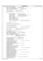<sup>451</sup> uint64\_t files\_in\_aggregate; /\* by fsck's count \*/ <sup>452</sup> uint64\_t dirs\_in\_aggregate; /\* by fsck's count \*/ 442 unit 64\_t dirs\_in\_aggregate; /\* by fsck's count \*/<br>453 int64\_t free\_blocks\_in\_aggregate; /\* by fsck's count \*/<br>454 int64\_t blocks\_used\_in\_aggregate; /\* by fsck's count \*/ int64\_t blocks\_used\_in\_aggregate; <br>wint64\_t blocks\_this\_fset; /\* by fsck's count \*/<br> $\frac{4}{5}$ 455 uint64\_t blocks\_this\_fset; 456 <sup>457</sup> int32\_t logredo\_rc; /\* logredo return code \*/ <sup>458</sup> int32\_t logformat\_rc; /\* logformat return code \*/ 459 char  $q = \frac{1}{2}$  char  $q = \frac{1}{2}$  subsets and  $q = 8$  ; 460  $461$  struct {  $\frac{1}{4}$   $\frac{1}{4}$  data for the current inode  $\frac{1}{4}$ 462 char eyecatcher[8];<br>463 int64\_t all\_blks; 463 int64\_t all\_blks; /\* all blocks allocated  $int64$ <sup>46</sup> int64\_t all\_blks; /\* blocks allocated to c <sup>464</sup> int64\_t data\_blks; /\* blocks allocated to data \*/ <sup>465</sup> uint64\_t data\_size; /\* byte offset of last data if file \*/ <sup>466</sup> int64\_t ea\_blks; /\* blocks allocated to EAs \*/ <sup>467</sup> int64\_t acl\_blks; /\* blocks allocated to ACLs \*/ 466 anti-bending the contract of the same states interesting the set of the set of the set of the set of the set of the set of the set of the set of the set of the set of the set of the set of the set of the set of the set  $\frac{469}{470}$  uint16<sup>-</sup>t in<sup>1</sup>ine\_ea\_offset;<br>470 uint16 t inline ea length; <sup>470</sup> uint16\_t inline\_ea\_length; <sup>471</sup> uint16\_t acl\_inline; <sup>472</sup> uint16\_t inline\_acl\_offset; <sup>473</sup> uint16\_t inline\_acl\_length; <sup>474</sup> uint16\_t in\_inode\_data\_length; /\* length of inline data or of <sup>475</sup> \* xad list in the inode 476  $* /$ 477 char aggrec rsvd4[2]; 478 } this\_inode; 479 <sup>480</sup> struct wsp\_ext\_rec \*recon\_buf\_extent; 481 struct recon\_buf\_record \*recon\_buf\_stack; 482 483 char agg\_imap\_eyecatcher[8];<br>484 struct fsck\_iam\_record agg\_imap; /\* describes the aggregate imap  $*/$ 485 486 char fset\_imap\_eyecatcher[8];<br>487 struct fsek iam record fset imap; 487 struct fisck iam record fiset imap;  $\frac{1}{487}$  /\* describes the fileset imap \*/ 488 <sup>489</sup> uint32\_t num\_ag; /\* number of AGs in the aggregate \*/ <sup>490</sup> int ag\_blk\_size; /\* aggregate block size \*/ 491 492 short int aggrec\_rsvd6[1];<br>
das char delim\_char; /\* 493 char delim\_char;  $\begin{array}{ccc} \hline \end{array}$  /\* path delimiter char  $\hline$  \*/ 494 /\* unicharacter equivalents<br>
495 UniChar \*UniChar\_lsfn\_name; /\* equiv to lost+found \*/<br>
496 UniChar \*UniChar\_LSFN\_NAME; /\* equiv to LOST+FOUND \*/<br>
496 UniChar \*UniChar\_LSFN\_NAME; /\* equiv to LOST+FOUND \*/ <sup>495</sup> UniChar \*UniChar\_lsfn\_name; /\* equiv to lost+found \*/ <sup>496</sup> UniChar \*UniChar\_LSFN\_NAME; /\* equiv to LOST+FOUND \*/ 497 /\* end of unicharacter equivalents<br>
498 *int*64 t lsfn dasdused adjustment; 498  $int64_t$  lsfn\_dasdused\_adjustment;<br>
499  $int32 + 1$ sfn\_inonum; /\* inode <sup>499</sup> uint32\_t lsfn\_inonum; /\* inode number of /lost+found/ \*/ <sup>500</sup> uint32\_t avail\_inonum; /\* inode number of an inode <sup>501</sup> \* observed to be allocated and not  $\frac{302}{10}$  \* in use (if any)<br> $\frac{1}{2}$  \* in use (if any) 503<br>
504 short int parm\_options[16]; /\* parms specified thar aggrec\_rsvd7[2]; /\* pad to quadword boundary the the<br>
506 char effective\_msg\_level; the discussed boundary the charaggrec\_rsvd8[7]; /\* pad to quadword boundary t <sup>508</sup> char flags\_eyecatcher[8]; <sup>509</sup> /\* 4 bytes of flags \*/ <sup>510</sup> unsigned parm\_options\_nologredo:1; /\* first byte, first nibble \*/ <sup>511</sup> unsigned processing\_readonly:1; <sup>512</sup> unsigned processing\_readwrite:1; <sup>513</sup> unsigned messaging\_verbose:1; <sup>514</sup> unsigned superblk\_ok:1; /\* first byte, second nibble \*/ <sup>515</sup> unsigned aggregate\_is\_mounted:1; <sup>516</sup> unsigned ag\_modified:1; 517 unsigned ag\_dirty:1;<br>518 unsigned lsfn\_ok:1;  $14$  second byte, first nibble \*/ 519 unsigned cant\_write\_primary\_sb:1;<br>520 unsigned cant write secondary sb: <sup>520</sup> unsigned cant\_write\_secondary\_sb:1; <sup>521</sup> unsigned cant\_write\_primary\_ait:1; 522 unsigned nonmeta\_write\_error\_msg:1; /\* second byte, second nibble \*/<br>523 unsigned fsck is done:1; 523 unsigned fsck\_is\_done:1;<br>524 unsigned device is open:  $unsigned$  device\_is\_open:1; <sup>525</sup> unsigned device\_is\_locked:1; <sup>526</sup> unsigned primary\_ait\_4part1:1; /\* third byte, first nibble \*/ <sup>527</sup> unsigned primary\_ait\_4part2:1; <sup>528</sup> unsigned ait\_aim\_update\_failed:1; <sup>529</sup> unsigned corrections\_needed:1; <sup>530</sup> unsigned corrections\_approved:1; /\* third byte, second nibble \*/ <sup>531</sup> unsigned avail\_inode\_found:1; 532 unsigned initializing\_fscklog:1;<br>533 unsigned warning pending:1; 533 unsigned warning\_pending:1;<br>534 unsigned high mem allocated <sup>534</sup> unsigned high\_mem\_allocated:1; /\* fourth byte, first nibble \*/ <sup>535</sup> unsigned rootdir\_rebuilt:1; <sup>536</sup> unsigned active\_dasd\_limits:1; <sup>537</sup> unsigned stdout\_redirected:1; 538 unsigned prime\_dasd\_limits:1; /\* fourth byte, second nibble \*/<br>539 unsigned unused 4 2:3; /\* <sup>539</sup> unsigned unused\_4\_2:3; /\* \*/ <sup>540</sup> /\* end of flag bytes \*/ Registered Version: Journaled File System **fsckwsp.h** Exhibit 10.1−21 pg 6/10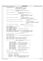<sup>541</sup> int path\_buffer\_length; /\* length of path\_buffer \*/ <sup>542</sup> char \*path\_buffer; /\* storage allocated (if any) for 544 Chain packing carrier,  $\frac{3}{4}$  assembling the string containing<br>  $\frac{4}{4}$  an inode's path for a message  $*$  an inode's path for a message <sup>545</sup> \*/ <sup>546</sup> xtpage\_t \*prim\_nodeptr; /\* storage allocated (if any) for <sup>547</sup> \* an xtpage of an inode in the Primary Agg \* Inode table<br>548 \* /<br>\*/  $\frac{1}{2}$  549 550 xtpage\_t \*second\_nodeptr;  $\frac{1}{2}$  /\* storage allocated (if any) for<br>551 xtpage of an inode in the Set <sup>551</sup> \* an xtpage of an inode in the Secondary <sup>552</sup> \* Agg Inode table <sup>553</sup> \*/ <sup>554</sup> int64\_t lowest\_valid\_fset\_datablk; /\* the lowest (aggregate 554 int64\_t lowest\_valid\_fset\_datablk; <br>555 the lowest (aggregate the aggregate the aggregate the aggregate the aggregate the aggregate the blocks used for initial the blocks used for initial the state of the state of the state of the state of the state of the state of the state of the state of the state of the state of the state of the state of the state  $\begin{array}{ccc}\n 557 & \star & \star & \star & \star \\
 558 & \star & \star & \star\n \end{array}$  $\star$  / 559 int64\_t highest\_valid\_fset\_datablk;  $\frac{1}{2}$  /\* the highest (aggregate<br>560 \* blocksized) block in t <sup>560</sup> \* blocksized) block in the aggregate before <sup>561</sup> \* the beginning of the fsck workspace <sup>562</sup> \*/ <sup>563</sup> struct fsck\_inode\_ext\_record \*free\_inode\_extens; /\* available workspace inode record 563 Struct fsck\_inode\_ext\_record \*free\_inode\_extens;<br>564 \* extensions.<br>565  $\mathcal{L}$  565  $\mathcal{L}$ 556 struct fsck\_inode\_ext\_record \*inode\_reconn\_extens; /\* list of inode record<br>567 sextensions describing 567 between the corrections describing the directory<br>568 \* extensions describing the directory<br>\$68 \* entries to be added when reconnecti entries to be added when reconnecting<br>inodes <sup>569</sup> \* inodes  $\mathbf{570}$   $\mathbf{*}$  / 571 struct treeStack\_record \*treeStack; /\* head of the stack used during tree<br>
\* traversal \* traversal 573  $* /$ <sup>574</sup> struct treeStack\_record \*free\_treeStack; /\* available tree stack elements \*/ 575 int32\_t tree\_height;<br>576 5*truct* dtree0elem \*d struct dtreeOelem \*dtreeO front; <sup>577</sup> struct dtreeQelem \*dtreeQ\_back; <sup>578</sup> struct dtreeQelem \*free\_dtreeQ; /\* available dtree stack elements \*/ <sup>579</sup> struct treeQelem \*treeQ\_front; <sup>580</sup> struct treeQelem \*treeQ\_back; 581 struct treeQelem \*free\_treeQ; /\* available tree stack elements \*/<br>struct dupall\_blkrec \*dup\_alloc\_lst; /\* list of multiply allocated blocks \*/<br>struct dupall\_blkrec \*free\_dupall\_blkrec; /\* free dupall\_blkrec records<br>str  $585$   $564$   $564$   $564$   $565$   $566$   $565$   $565$   $566$   $567$   $568$   $569$   $569$   $569$   $569$   $569$   $569$   $569$   $569$   $569$   $569$   $569$   $569$   $569$   $569$   $569$   $569$   $569$   $569$   $569$   $569$   $569$   $569$   $569$   $569$   $569$   $569$ <sup>586</sup> \*/ <sup>587</sup> char aggrec\_rsvda[4]; /\* pad to quadword boundary \*/ 588<br>589 <sup>589</sup> char AIT\_eyecatcher[8]; /\* \*/ <sup>590</sup> struct inode\_tbl\_t \*AIT\_ext0\_tbl; /\* ptr to table for Agg Inode Extent 0 \*/ <sup>591</sup> int32\_t agg\_last\_inoidx; /\* used for find first, find next \*/ 592 char FSIT\_eyecatcher[8]; 594 Struct IAG\_tbl\_t \*FSIT\_IAG\_tbl; /\* ptr to table for FSet IAGs \*/<br>595 int32\_t fs\_last\_iagidx; /\* used for find first, find next \*/<br>596 int32\_t fs\_last\_extidx; /\* used for find first, find next \*/<br>597 int32\_t fs\_last\_ino 598 599 struct {  $\frac{7}{100}$  struct {  $\frac{7}{1000}$  table sequentially \* inode table sequentially 601  $*$  / 602 char eyecatcher[8];<br>603 contract int32 t this iagnum %% and int32\_t this\_iagnum; <br>
uint32\_t this\_inoidx; /\* ordinal of the current inode<br>
uint32\_t rootleaf\_imap; /\* 0 => not a rootleaf imape<br>
wint32\_t rootleaf\_imap; /\* 0 => not a rootleaf imaper<br>
wtpage\_t \*this\_mapleaf; /\* c 607 int32\_t isgidx\_now; /\* index into current mapleaf \*/<br>608 int32 t iagidx max; /\* index into current mapleaf \*/  $int32$ <sup>t</sup> iagidx\_max;<br> $int32$  t iagidx\_max;<br>struct iag \*iagphr; <sup>609</sup> struct iag \*iagptr; /\* current iag in buffer \*/ <sup>610</sup> uint32\_t extidx\_now; /\* index into current iag \*/ 606<br>
609 struct iag \*iaght;<br>
610 uint32\_t extidx\_now;<br>
611 uint32\_t extidx\_max;<br>
612 struct dinode \*extptr; <sup>612</sup> struct dinode \*extptr; /\* current inode extent in buffer \*/ <sup>613</sup> uint32\_t inoidx\_now; /\* index into current inode extent \*/ 614  $\n \text{unit32\_t } \text{inoidx\_max};$ <br>  $\text{first} \text{th} \text{th} \text{th} \text{th} \text{th} \text{th} \text{th}$ <br>  $\text{first} \text{th} \text{th} \text{th} \text{th} \text{th}$ <sup>615</sup> struct dinode \*inoptr; /\* current inode in buffer \*/ <sup>616</sup> } fais; /\* (For Allocated Inodes Sequentially \*/ 617 <sup>618</sup> char aggrec\_rsvde[4]; /\* pad to quadword boundary \*/ 619 620  $/$  \* <sup>621</sup> \* The fsck I/O buffer information is below. Certain information  $622$  \* is kept for each of the buffers:<br> $\frac{623}{523}$  \*  $623$  \*  $624$  \*  $%$ \_buf\_ptr = buffer address<br> $625$ <br> $*$   $%$  buf length = buffer length <sup>625</sup> \* %\_buf\_length = buffer length <sup>626</sup> \* %\_buf\_data\_len = length of data read into buffer at last read 627 \*  $\frac{8}{6}$  agg\_offset = byte offset in aggregate of buffer contents<br>628 \*  $\frac{8}{6}$ buf\_write = flag: !0 => buffer contents modified since 628  $*$   $*$   $*$   $\frac{1}{2}$   $\frac{1}{2}$   $\frac{1}{2}$   $\frac{1}{2}$   $\frac{1}{2}$   $\frac{1}{2}$   $\frac{1}{2}$   $\frac{1}{2}$   $\frac{1}{2}$   $\frac{1}{2}$   $\frac{1}{2}$   $\frac{1}{2}$   $\frac{1}{2}$   $\frac{1}{2}$   $\frac{1}{2}$   $\frac{1}{2}$   $\frac{1}{2}$   $\frac{1}{2}$   $\frac{1}{2}$   $\frac{1}{2}$   $\frac{1$ last write to device  $630$  \* Registered Version: Journaled File System **fsckwsp.h** Exhibit 10.1−21 pg 7/10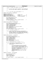$\stackrel{*}{\text{where}}$   $\stackrel{*}{\text{else}}$   $\stackrel{*}{\text{otherwise}}$  = {blkmp, iag, mapleaf, ino, node, wsp} \* \* \* N.B. To ensure proper boundary alignment, each IO buffersize  $\stackrel{*}{\bullet}$  must be an even number of pages (i.e. 4096 byte pages). \*  $*$  /\* \*\*\*\*\*\* very large, multi purpose BUFFER \*\*\*\*\* \*/ **#define** VLARGE\_BUFSIZE (2 \* MEMSEGSIZE) 642<br>643 \*\*\*<br>643 **#define** NOT\_CURRENTLY\_USED 0<br>644 **#define** USED FOR EA BUF 1 <sup>644</sup> **#define** USED\_FOR\_EA\_BUF 1 /\* phase 1 late \*/ **#define** USED\_FOR\_DIRPAGE\_BUFS 2 /\* phase 6 \*/ <sup>646</sup> **#define** USED\_FOR\_INOEXT\_BUF 3 /\* phase 1 early, phase 7 \*/ **#define** USED\_FOR\_SUPER\_VALIDATION 4 /\* initial processing \*/ char vlarge\_info\_eyecatcher[8]; char \*vlarge\_buf\_ptr; <sup>651</sup> uint32\_t vlarge\_buf\_length; uint32\_t vlarge\_current\_use; <sup>653</sup> char aggrec\_rsvdf[4]; /\* pad to quadword boundary \*/ /\* \*\*\*\*\*\* fsck log BUFFER \*\*\*\*\* \*/ **#define** FSCKLOG\_BUFSIZE (2 \* BYTESPERPAGE) char fscklog\_info\_eyecatcher[8]; <sup>660</sup> struct fsck\_blk\_map\_page \*fscklog\_buf\_ptr; <sup>661</sup> uint32\_t fscklog\_buf\_length; <sup>662</sup> uint32\_t fscklog\_buf\_data\_len; int64\_t fscklog\_agg\_offset; <sup>664</sup> int64\_t fscklog\_log\_offset; struct fscklog\_entry\_hdr \*fscklog\_last\_msghdr; <sup>666</sup> int8\_t fscklog\_full; int8\_t fscklog\_buf\_allocated; <sup>668</sup> int8\_t fscklog\_buf\_alloc\_err; char aggrec\_rsvdg[5]; /\* pad to quadword boundary \*/ /\* \*\*\*\*\*\* fsck block map BUFFER \*\*\*\*\* \* \* N.B. If the fsck workspace block map is instantiated in<br> $674$  \* dynamic storage, then the following describe the ex- \* dynamic storage, then the following describe the entire<br> $675$  \* block map. However, if the fsck workspace block map \* block map. However, if the fsck workspace block map <sup>676</sup> \* is instantiated within the aggregate, then the following 677 **\*** describe the I/O buffer associated with it.<br>678 **\*** describe the I/O buffer associated with it.  $* /$  **#define** BLKMP\_IO\_BUFSIZE 4 \* BYTESPERPAGE 682 char blkmp\_info\_eyecatcher[8];<br>683 struct fsck blk map page \*blkm struct fsck\_blk\_map\_page \*blkmp\_buf\_ptr; uint32\_t blkmp\_buf\_length; <sup>685</sup> uint32\_t blkmp\_buf\_data\_len; int64\_t blkmp\_agg\_offset; <sup>687</sup> int64\_t blkmp\_blkmp\_offset; int8\_t blkmp\_buf\_write; <sup>689</sup> struct fsck\_blk\_map\_hdr \*blkmp\_ctlptr; 690 int32\_t blkmp\_pagecount; /\* \*\*\*\*\*\* BLOCK MAP DMAP PAGE I/O BUFFER \*\*\*\*\*\* \*/ 693<br>694 \* note: The EA buffer is treated differently from the \* other I/O buffers allocated for fsck. <sup>696</sup> \* Specifically, 697<br>698 - it is larger than any other fsck I/O buffer \* (sized to accomodate the largest legal ea) <sup>700</sup> \* − since it is exactly 1 memory segment, it is <sup>701</sup> \* not allocated as a normal wsp extent (described  $*$  by an fer on the wsp\_extent\_list) but is<br> $703$   $*$  allocated as a special case. 703 **\*** allocated as a special case.<br>704 **\*** - this buffer is released as s - this buffer is released as soon as phase 1 is \* completed (does not persist until fsck has <sup>706</sup> \* finished processing)  $*$   $-FSW$  the EA data is read by fsck, but never  $708$  \* written. 709  $*$  / **#define** EA\_IO\_BUFSIZE 16\*BYTESPERPAGE 713 char ea\_info\_eyecatcher[8];<br>
714 char \*ea\_buf\_ptr;<br>
1715 uint32\_t ea\_buf\_data\_len;<br>
716 uint34\_t ea\_agg\_offset;<br>
717 int64\_t ea\_agg\_offset; char aggrec\_rsvdh[4]; /\* pad to quadword boundary \*/ Registered Version: Journaled File System **fsckwsp.h** File **fsckwsp.h** Exhibit 10.1−21 pg 8/10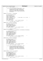```
721 /* ****** IAG I/O BUFFER ****** */
722 *723 * note: This is not actually a unique buffer. Since
                            the Inode Allocation Maps verification is
725 * completed before the Block Allocation Map
726 * verification, buffer space is allocated and
727 * used first for Inode Alloc Map verification
728 * processing and then for Block Allocation Map
729 * verification.
730 * /
731
732 #define IAG_IO_BUFSIZE 4 * BYTESPERPAGE
733
734 char iag_info_eyecatcher[8];
735 char *iag_buf_ptr;
736 uint32_t iag_buf_length;
737 uint32_t iag_buf_data_len;
738 int64_t iag_agg_offset;<br>739 uint32_t iag_buf_1st_inode;
739 uint 32 t iag_buf_1st_inode; \frac{73}{4} /* inode number of 1st in buffer */<br>740 uint 32 t iag fsnum;
740 uint32_t iag_fsnum;
741 int8_t iag_for_aggregate;
742 int8_t iag_which_it;
743 int8_t iag_buf_write;
744 char aggrec_rsvdi[9]; /* pad to quadword boundary */
745
746 /* ****** MAP CONTROL PAGE I/O BUFFER ****** */
747
748 #define MAPCTL_IO_BUFSIZE BYTESPERPAGE
749
750 char mapctl_info_eyecatcher[8];<br>751 char *mapctl_buf_ptr;<br>752 uint32_t mapctl_buf_length;
753 uint32<sup>-</sup>t mapctl-buf-data-len;<br>754 10164 t mapctl agg offset;
754 int64 mapctl agg offset;<br>755 int8 t mapctl buf write;
755 int8_t mapctl_buf_write;
756 char aggrec_rsvdk[3]; /* pad to quadword boundary */
757
758 /* ****** MAP LEAF I/O BUFFER ****** */
759
760 #define MAPLEAF_IO_BUFSIZE \
761 ((((XTPAGE_SIZE*4)+BYTESPERPAGE−1)/BYTESPERPAGE)*BYTESPERPAGE)
762
763 char maplf_info_eyecatcher[8];
764 char *mapleaf_buf_ptr;
766 uint32_t mapleaf_buf_length;<br>
767 int64_t mapleaf_agg_offset;<br>
767 int64_t mapleaf_agg_offset;<br>
int8_t mapleaf_vhich_it;<br>
769 int8_t mapleaf_which_it;
770 int8_t mapleaf_buf_write;
771 char aggrec_rsvdm[1]; /* pad to quadword boundary */
772
                773 /* ****** BLOCK MAP LEVEL PAGE I/O BUFFER ****** */
774
775 #define BMAPLV_IO_BUFSIZE BYTESPERPAGE
776
777 char bmplv_info_eyecatcher[8];
778 char *bmaply_buf_ptr;<br>779 uint32 t bmaply buf 1
779                uint32_t bmaplv_buf_length;<br>780                 uint32_t bmaplv_buf_data_le
780 uint32_t bmaplv_buf_data_len;<br>781 int64_t bmaplv_agg_offset;<br>782 int64_t bmaplv_logical_offset;<br>783 int8_t bmaplv_current_level;
784 int8<sup>-</sup> bmaplv_buf_write;
785 char aggrec_rsvdo[10]; /* pad to quadword boundary */
786
787 /* ****** BLOCK MAP DMAP PAGE I/O BUFFER ****** */
\begin{array}{ccc}\n788 & & & \rightarrow & \\
789 & & & \star\n\end{array}789 * note: This is not actually a unique buffer. Since
790 * the Inode Allocation Maps verification is
791 * completed before the Block Allocation Map
792 * verification, buffer space is allocated and
793 * used first for Inode Alloc Map verification<br>794 * processing and then for Block Allocation Ma
                            processing and then for Block Allocation Map
795 * verification.
796 */
797
798 #define BMAPDMP_IO_BUFSIZE IAG_IO_BUFSIZE
799
800 char bmpdm_info_eyecatcher[8];
801 char *bmapdm_buf_ptr;
802 uint32_t bmapdm_buf_length;<br>803 uint32 t bmapdm_buf_data_le
\begin{array}{ll}\n\text{803} & \text{uint32}_t \text{ bmapdm\_buf\_data\_len;} \\
\text{804} & \text{int64} t \text{ bmapdm\_aqq} \text{ offset:}\n\end{array}804 int64_t bmapdm_agg_offset;
805 int64_t bmapdm_logical_offset;
806 int8_t bmapdm_buf_write;
807 char aggrec_rsvdq[11]; /* pad to quadword boundary */
808
809 /* ****** INODE I/O BUFFER ****** */
810
Registered Version: Journaled File System fsckwsp.h Exhibit 10.1−21 pg 9/10
```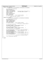| #define INODE_IO_BUFSIZE<br>811<br>(((INODE_EXTENT_SIZE+BYTESPERPAGE-1)/BYTESPERPAGE)*BYTESPERPAGE)<br>812<br>813<br><i>char</i> inobuf info eyecatcher[8];<br>814<br>char *ino_buf_ptr;<br>815<br>uint32_t ino_buf_length;<br>816<br>uint32_t ino_buf_data_len;<br>817<br>int64_t ino_buf_agg_offset;<br>/* agg byte offset of buf contents */<br>818<br>uint32 t ino buf 1st ino;<br>/* 1st inode number in buffer<br>$^{\star}$ /<br>819<br>uint32 t ino fsnum;<br>820<br>pxd_t_ino_ixpxd;<br>821<br>int8_t ino_for_aggregate;<br>822<br>int8_t ino_which_it;<br>823<br>int8_t ino_buf_write;<br>824<br>$\star$ /<br>char aggrec_rsvds[1]; /* pad to quadword boundary<br>825<br>826<br>/* ****** INTERNAL/LEAF NODE I/O BUFFER ****** */<br>827<br>828<br>#define NODE_IO_BUFSIZE<br>829<br>$\lambda$<br>$($ ( $($ $(XTPAGE\_SIZE*4) + BYTESPERPAGE-1) / BYTESPERPAGE) * BYTESPERPAGE)$<br>830<br>831<br>$char$ nodbuf_info_eyecatcher[8];<br>832<br>char *node_buf_ptr;<br>833<br>uint32_t node_buf_length;<br>834<br>uint32_t_node_buf_data_len;<br>835<br>int64 t node agg offset;<br>836<br>int8 t node buf write;<br>837<br>char aggrec_rsvdu[3]; $\prime$ * pad to quadword boundary<br>$^{\star}$ /<br>838<br>839<br>/* *************************** instantiation of imap AG tables */<br>840<br>841<br><i>char</i> agg AGTbl eyecatcher[8];<br>842<br>char aggrec_rsvdw[8]; /* pad to quadword boundary<br>$*$ /<br>843<br>struct fsck_ag_record agg_AGTbl[MAXAG];<br>844<br>845<br>char fset_AGTbl_eyecatcher[8];<br>846<br>char aggrec_rsvdy[8]; /* pad to quadword boundary<br>$^*/$<br>847<br>struct fsck_ag_record fset_AGTbl[MAXAG];<br>848<br>849<br>/* ********************* instantiation of imap IAG workspace */<br>850<br>$char$ amap_eyecatcher[8];<br>851<br>uint32_t amap[EXTSPERIAG];<br>$\frac{1}{2}$ 512 : inode allocation map<br>$^{\star}$ /<br>852<br>char aggrec $rsvd00[8]$ ; /* pad to quadword boundary<br>$^{\star}$ /<br>853<br>char fextsumm eyecatcher[8];<br>854<br>$/*$ 16 : free extent summary map */<br>int32 t fextsumm[SMAPSZ];<br>855<br>char aggrec_rsvd02[8]; $\prime\star$ pad to quadword boundary<br>$^*/$<br>856<br>$char$ finosumm_eyecatcher[8];<br>857<br>int32_t finosumm[SMAPSZ];<br>$\frac{1}{5}$ 16 : free inode summary map */<br>858<br>859<br>/* ********************* instantiation of blockmap workspace */<br>860<br>861<br>struct blkmap_wspace blkmap_wsp;<br>862<br>$\vert \cdot \rangle$<br>863<br>864 | fsckwsp.h<br>Registered Version: Journaled File System |  |  |  |
|---------------------------------------------------------------------------------------------------------------------------------------------------------------------------------------------------------------------------------------------------------------------------------------------------------------------------------------------------------------------------------------------------------------------------------------------------------------------------------------------------------------------------------------------------------------------------------------------------------------------------------------------------------------------------------------------------------------------------------------------------------------------------------------------------------------------------------------------------------------------------------------------------------------------------------------------------------------------------------------------------------------------------------------------------------------------------------------------------------------------------------------------------------------------------------------------------------------------------------------------------------------------------------------------------------------------------------------------------------------------------------------------------------------------------------------------------------------------------------------------------------------------------------------------------------------------------------------------------------------------------------------------------------------------------------------------------------------------------------------------------------------------------------------------------------------------------------------------------------------------------------------------------------------------------------------------------------------------------------------------------------------------------------------------------------------------------------------------------------------------------------------------------------------------------------------------------------------------------------------------------------------------------------------------------------------------------------------------------------------------------------------------------------------------------------------------------------------------------------|--------------------------------------------------------|--|--|--|
|                                                                                                                                                                                                                                                                                                                                                                                                                                                                                                                                                                                                                                                                                                                                                                                                                                                                                                                                                                                                                                                                                                                                                                                                                                                                                                                                                                                                                                                                                                                                                                                                                                                                                                                                                                                                                                                                                                                                                                                                                                                                                                                                                                                                                                                                                                                                                                                                                                                                                 |                                                        |  |  |  |
|                                                                                                                                                                                                                                                                                                                                                                                                                                                                                                                                                                                                                                                                                                                                                                                                                                                                                                                                                                                                                                                                                                                                                                                                                                                                                                                                                                                                                                                                                                                                                                                                                                                                                                                                                                                                                                                                                                                                                                                                                                                                                                                                                                                                                                                                                                                                                                                                                                                                                 |                                                        |  |  |  |
|                                                                                                                                                                                                                                                                                                                                                                                                                                                                                                                                                                                                                                                                                                                                                                                                                                                                                                                                                                                                                                                                                                                                                                                                                                                                                                                                                                                                                                                                                                                                                                                                                                                                                                                                                                                                                                                                                                                                                                                                                                                                                                                                                                                                                                                                                                                                                                                                                                                                                 |                                                        |  |  |  |
|                                                                                                                                                                                                                                                                                                                                                                                                                                                                                                                                                                                                                                                                                                                                                                                                                                                                                                                                                                                                                                                                                                                                                                                                                                                                                                                                                                                                                                                                                                                                                                                                                                                                                                                                                                                                                                                                                                                                                                                                                                                                                                                                                                                                                                                                                                                                                                                                                                                                                 |                                                        |  |  |  |
|                                                                                                                                                                                                                                                                                                                                                                                                                                                                                                                                                                                                                                                                                                                                                                                                                                                                                                                                                                                                                                                                                                                                                                                                                                                                                                                                                                                                                                                                                                                                                                                                                                                                                                                                                                                                                                                                                                                                                                                                                                                                                                                                                                                                                                                                                                                                                                                                                                                                                 |                                                        |  |  |  |
|                                                                                                                                                                                                                                                                                                                                                                                                                                                                                                                                                                                                                                                                                                                                                                                                                                                                                                                                                                                                                                                                                                                                                                                                                                                                                                                                                                                                                                                                                                                                                                                                                                                                                                                                                                                                                                                                                                                                                                                                                                                                                                                                                                                                                                                                                                                                                                                                                                                                                 |                                                        |  |  |  |
|                                                                                                                                                                                                                                                                                                                                                                                                                                                                                                                                                                                                                                                                                                                                                                                                                                                                                                                                                                                                                                                                                                                                                                                                                                                                                                                                                                                                                                                                                                                                                                                                                                                                                                                                                                                                                                                                                                                                                                                                                                                                                                                                                                                                                                                                                                                                                                                                                                                                                 |                                                        |  |  |  |
|                                                                                                                                                                                                                                                                                                                                                                                                                                                                                                                                                                                                                                                                                                                                                                                                                                                                                                                                                                                                                                                                                                                                                                                                                                                                                                                                                                                                                                                                                                                                                                                                                                                                                                                                                                                                                                                                                                                                                                                                                                                                                                                                                                                                                                                                                                                                                                                                                                                                                 |                                                        |  |  |  |
|                                                                                                                                                                                                                                                                                                                                                                                                                                                                                                                                                                                                                                                                                                                                                                                                                                                                                                                                                                                                                                                                                                                                                                                                                                                                                                                                                                                                                                                                                                                                                                                                                                                                                                                                                                                                                                                                                                                                                                                                                                                                                                                                                                                                                                                                                                                                                                                                                                                                                 |                                                        |  |  |  |
|                                                                                                                                                                                                                                                                                                                                                                                                                                                                                                                                                                                                                                                                                                                                                                                                                                                                                                                                                                                                                                                                                                                                                                                                                                                                                                                                                                                                                                                                                                                                                                                                                                                                                                                                                                                                                                                                                                                                                                                                                                                                                                                                                                                                                                                                                                                                                                                                                                                                                 |                                                        |  |  |  |
|                                                                                                                                                                                                                                                                                                                                                                                                                                                                                                                                                                                                                                                                                                                                                                                                                                                                                                                                                                                                                                                                                                                                                                                                                                                                                                                                                                                                                                                                                                                                                                                                                                                                                                                                                                                                                                                                                                                                                                                                                                                                                                                                                                                                                                                                                                                                                                                                                                                                                 |                                                        |  |  |  |
|                                                                                                                                                                                                                                                                                                                                                                                                                                                                                                                                                                                                                                                                                                                                                                                                                                                                                                                                                                                                                                                                                                                                                                                                                                                                                                                                                                                                                                                                                                                                                                                                                                                                                                                                                                                                                                                                                                                                                                                                                                                                                                                                                                                                                                                                                                                                                                                                                                                                                 |                                                        |  |  |  |
|                                                                                                                                                                                                                                                                                                                                                                                                                                                                                                                                                                                                                                                                                                                                                                                                                                                                                                                                                                                                                                                                                                                                                                                                                                                                                                                                                                                                                                                                                                                                                                                                                                                                                                                                                                                                                                                                                                                                                                                                                                                                                                                                                                                                                                                                                                                                                                                                                                                                                 |                                                        |  |  |  |
|                                                                                                                                                                                                                                                                                                                                                                                                                                                                                                                                                                                                                                                                                                                                                                                                                                                                                                                                                                                                                                                                                                                                                                                                                                                                                                                                                                                                                                                                                                                                                                                                                                                                                                                                                                                                                                                                                                                                                                                                                                                                                                                                                                                                                                                                                                                                                                                                                                                                                 |                                                        |  |  |  |
|                                                                                                                                                                                                                                                                                                                                                                                                                                                                                                                                                                                                                                                                                                                                                                                                                                                                                                                                                                                                                                                                                                                                                                                                                                                                                                                                                                                                                                                                                                                                                                                                                                                                                                                                                                                                                                                                                                                                                                                                                                                                                                                                                                                                                                                                                                                                                                                                                                                                                 |                                                        |  |  |  |
|                                                                                                                                                                                                                                                                                                                                                                                                                                                                                                                                                                                                                                                                                                                                                                                                                                                                                                                                                                                                                                                                                                                                                                                                                                                                                                                                                                                                                                                                                                                                                                                                                                                                                                                                                                                                                                                                                                                                                                                                                                                                                                                                                                                                                                                                                                                                                                                                                                                                                 |                                                        |  |  |  |
|                                                                                                                                                                                                                                                                                                                                                                                                                                                                                                                                                                                                                                                                                                                                                                                                                                                                                                                                                                                                                                                                                                                                                                                                                                                                                                                                                                                                                                                                                                                                                                                                                                                                                                                                                                                                                                                                                                                                                                                                                                                                                                                                                                                                                                                                                                                                                                                                                                                                                 |                                                        |  |  |  |
|                                                                                                                                                                                                                                                                                                                                                                                                                                                                                                                                                                                                                                                                                                                                                                                                                                                                                                                                                                                                                                                                                                                                                                                                                                                                                                                                                                                                                                                                                                                                                                                                                                                                                                                                                                                                                                                                                                                                                                                                                                                                                                                                                                                                                                                                                                                                                                                                                                                                                 |                                                        |  |  |  |
|                                                                                                                                                                                                                                                                                                                                                                                                                                                                                                                                                                                                                                                                                                                                                                                                                                                                                                                                                                                                                                                                                                                                                                                                                                                                                                                                                                                                                                                                                                                                                                                                                                                                                                                                                                                                                                                                                                                                                                                                                                                                                                                                                                                                                                                                                                                                                                                                                                                                                 |                                                        |  |  |  |
|                                                                                                                                                                                                                                                                                                                                                                                                                                                                                                                                                                                                                                                                                                                                                                                                                                                                                                                                                                                                                                                                                                                                                                                                                                                                                                                                                                                                                                                                                                                                                                                                                                                                                                                                                                                                                                                                                                                                                                                                                                                                                                                                                                                                                                                                                                                                                                                                                                                                                 |                                                        |  |  |  |
|                                                                                                                                                                                                                                                                                                                                                                                                                                                                                                                                                                                                                                                                                                                                                                                                                                                                                                                                                                                                                                                                                                                                                                                                                                                                                                                                                                                                                                                                                                                                                                                                                                                                                                                                                                                                                                                                                                                                                                                                                                                                                                                                                                                                                                                                                                                                                                                                                                                                                 |                                                        |  |  |  |
|                                                                                                                                                                                                                                                                                                                                                                                                                                                                                                                                                                                                                                                                                                                                                                                                                                                                                                                                                                                                                                                                                                                                                                                                                                                                                                                                                                                                                                                                                                                                                                                                                                                                                                                                                                                                                                                                                                                                                                                                                                                                                                                                                                                                                                                                                                                                                                                                                                                                                 |                                                        |  |  |  |
|                                                                                                                                                                                                                                                                                                                                                                                                                                                                                                                                                                                                                                                                                                                                                                                                                                                                                                                                                                                                                                                                                                                                                                                                                                                                                                                                                                                                                                                                                                                                                                                                                                                                                                                                                                                                                                                                                                                                                                                                                                                                                                                                                                                                                                                                                                                                                                                                                                                                                 |                                                        |  |  |  |
|                                                                                                                                                                                                                                                                                                                                                                                                                                                                                                                                                                                                                                                                                                                                                                                                                                                                                                                                                                                                                                                                                                                                                                                                                                                                                                                                                                                                                                                                                                                                                                                                                                                                                                                                                                                                                                                                                                                                                                                                                                                                                                                                                                                                                                                                                                                                                                                                                                                                                 |                                                        |  |  |  |
|                                                                                                                                                                                                                                                                                                                                                                                                                                                                                                                                                                                                                                                                                                                                                                                                                                                                                                                                                                                                                                                                                                                                                                                                                                                                                                                                                                                                                                                                                                                                                                                                                                                                                                                                                                                                                                                                                                                                                                                                                                                                                                                                                                                                                                                                                                                                                                                                                                                                                 |                                                        |  |  |  |
|                                                                                                                                                                                                                                                                                                                                                                                                                                                                                                                                                                                                                                                                                                                                                                                                                                                                                                                                                                                                                                                                                                                                                                                                                                                                                                                                                                                                                                                                                                                                                                                                                                                                                                                                                                                                                                                                                                                                                                                                                                                                                                                                                                                                                                                                                                                                                                                                                                                                                 |                                                        |  |  |  |
|                                                                                                                                                                                                                                                                                                                                                                                                                                                                                                                                                                                                                                                                                                                                                                                                                                                                                                                                                                                                                                                                                                                                                                                                                                                                                                                                                                                                                                                                                                                                                                                                                                                                                                                                                                                                                                                                                                                                                                                                                                                                                                                                                                                                                                                                                                                                                                                                                                                                                 |                                                        |  |  |  |
|                                                                                                                                                                                                                                                                                                                                                                                                                                                                                                                                                                                                                                                                                                                                                                                                                                                                                                                                                                                                                                                                                                                                                                                                                                                                                                                                                                                                                                                                                                                                                                                                                                                                                                                                                                                                                                                                                                                                                                                                                                                                                                                                                                                                                                                                                                                                                                                                                                                                                 |                                                        |  |  |  |
|                                                                                                                                                                                                                                                                                                                                                                                                                                                                                                                                                                                                                                                                                                                                                                                                                                                                                                                                                                                                                                                                                                                                                                                                                                                                                                                                                                                                                                                                                                                                                                                                                                                                                                                                                                                                                                                                                                                                                                                                                                                                                                                                                                                                                                                                                                                                                                                                                                                                                 |                                                        |  |  |  |
|                                                                                                                                                                                                                                                                                                                                                                                                                                                                                                                                                                                                                                                                                                                                                                                                                                                                                                                                                                                                                                                                                                                                                                                                                                                                                                                                                                                                                                                                                                                                                                                                                                                                                                                                                                                                                                                                                                                                                                                                                                                                                                                                                                                                                                                                                                                                                                                                                                                                                 |                                                        |  |  |  |
|                                                                                                                                                                                                                                                                                                                                                                                                                                                                                                                                                                                                                                                                                                                                                                                                                                                                                                                                                                                                                                                                                                                                                                                                                                                                                                                                                                                                                                                                                                                                                                                                                                                                                                                                                                                                                                                                                                                                                                                                                                                                                                                                                                                                                                                                                                                                                                                                                                                                                 |                                                        |  |  |  |
|                                                                                                                                                                                                                                                                                                                                                                                                                                                                                                                                                                                                                                                                                                                                                                                                                                                                                                                                                                                                                                                                                                                                                                                                                                                                                                                                                                                                                                                                                                                                                                                                                                                                                                                                                                                                                                                                                                                                                                                                                                                                                                                                                                                                                                                                                                                                                                                                                                                                                 |                                                        |  |  |  |
|                                                                                                                                                                                                                                                                                                                                                                                                                                                                                                                                                                                                                                                                                                                                                                                                                                                                                                                                                                                                                                                                                                                                                                                                                                                                                                                                                                                                                                                                                                                                                                                                                                                                                                                                                                                                                                                                                                                                                                                                                                                                                                                                                                                                                                                                                                                                                                                                                                                                                 |                                                        |  |  |  |
|                                                                                                                                                                                                                                                                                                                                                                                                                                                                                                                                                                                                                                                                                                                                                                                                                                                                                                                                                                                                                                                                                                                                                                                                                                                                                                                                                                                                                                                                                                                                                                                                                                                                                                                                                                                                                                                                                                                                                                                                                                                                                                                                                                                                                                                                                                                                                                                                                                                                                 |                                                        |  |  |  |
|                                                                                                                                                                                                                                                                                                                                                                                                                                                                                                                                                                                                                                                                                                                                                                                                                                                                                                                                                                                                                                                                                                                                                                                                                                                                                                                                                                                                                                                                                                                                                                                                                                                                                                                                                                                                                                                                                                                                                                                                                                                                                                                                                                                                                                                                                                                                                                                                                                                                                 |                                                        |  |  |  |
|                                                                                                                                                                                                                                                                                                                                                                                                                                                                                                                                                                                                                                                                                                                                                                                                                                                                                                                                                                                                                                                                                                                                                                                                                                                                                                                                                                                                                                                                                                                                                                                                                                                                                                                                                                                                                                                                                                                                                                                                                                                                                                                                                                                                                                                                                                                                                                                                                                                                                 |                                                        |  |  |  |
|                                                                                                                                                                                                                                                                                                                                                                                                                                                                                                                                                                                                                                                                                                                                                                                                                                                                                                                                                                                                                                                                                                                                                                                                                                                                                                                                                                                                                                                                                                                                                                                                                                                                                                                                                                                                                                                                                                                                                                                                                                                                                                                                                                                                                                                                                                                                                                                                                                                                                 |                                                        |  |  |  |
|                                                                                                                                                                                                                                                                                                                                                                                                                                                                                                                                                                                                                                                                                                                                                                                                                                                                                                                                                                                                                                                                                                                                                                                                                                                                                                                                                                                                                                                                                                                                                                                                                                                                                                                                                                                                                                                                                                                                                                                                                                                                                                                                                                                                                                                                                                                                                                                                                                                                                 |                                                        |  |  |  |
|                                                                                                                                                                                                                                                                                                                                                                                                                                                                                                                                                                                                                                                                                                                                                                                                                                                                                                                                                                                                                                                                                                                                                                                                                                                                                                                                                                                                                                                                                                                                                                                                                                                                                                                                                                                                                                                                                                                                                                                                                                                                                                                                                                                                                                                                                                                                                                                                                                                                                 |                                                        |  |  |  |
|                                                                                                                                                                                                                                                                                                                                                                                                                                                                                                                                                                                                                                                                                                                                                                                                                                                                                                                                                                                                                                                                                                                                                                                                                                                                                                                                                                                                                                                                                                                                                                                                                                                                                                                                                                                                                                                                                                                                                                                                                                                                                                                                                                                                                                                                                                                                                                                                                                                                                 |                                                        |  |  |  |
|                                                                                                                                                                                                                                                                                                                                                                                                                                                                                                                                                                                                                                                                                                                                                                                                                                                                                                                                                                                                                                                                                                                                                                                                                                                                                                                                                                                                                                                                                                                                                                                                                                                                                                                                                                                                                                                                                                                                                                                                                                                                                                                                                                                                                                                                                                                                                                                                                                                                                 |                                                        |  |  |  |
|                                                                                                                                                                                                                                                                                                                                                                                                                                                                                                                                                                                                                                                                                                                                                                                                                                                                                                                                                                                                                                                                                                                                                                                                                                                                                                                                                                                                                                                                                                                                                                                                                                                                                                                                                                                                                                                                                                                                                                                                                                                                                                                                                                                                                                                                                                                                                                                                                                                                                 |                                                        |  |  |  |
|                                                                                                                                                                                                                                                                                                                                                                                                                                                                                                                                                                                                                                                                                                                                                                                                                                                                                                                                                                                                                                                                                                                                                                                                                                                                                                                                                                                                                                                                                                                                                                                                                                                                                                                                                                                                                                                                                                                                                                                                                                                                                                                                                                                                                                                                                                                                                                                                                                                                                 |                                                        |  |  |  |
|                                                                                                                                                                                                                                                                                                                                                                                                                                                                                                                                                                                                                                                                                                                                                                                                                                                                                                                                                                                                                                                                                                                                                                                                                                                                                                                                                                                                                                                                                                                                                                                                                                                                                                                                                                                                                                                                                                                                                                                                                                                                                                                                                                                                                                                                                                                                                                                                                                                                                 |                                                        |  |  |  |
|                                                                                                                                                                                                                                                                                                                                                                                                                                                                                                                                                                                                                                                                                                                                                                                                                                                                                                                                                                                                                                                                                                                                                                                                                                                                                                                                                                                                                                                                                                                                                                                                                                                                                                                                                                                                                                                                                                                                                                                                                                                                                                                                                                                                                                                                                                                                                                                                                                                                                 |                                                        |  |  |  |
|                                                                                                                                                                                                                                                                                                                                                                                                                                                                                                                                                                                                                                                                                                                                                                                                                                                                                                                                                                                                                                                                                                                                                                                                                                                                                                                                                                                                                                                                                                                                                                                                                                                                                                                                                                                                                                                                                                                                                                                                                                                                                                                                                                                                                                                                                                                                                                                                                                                                                 |                                                        |  |  |  |
|                                                                                                                                                                                                                                                                                                                                                                                                                                                                                                                                                                                                                                                                                                                                                                                                                                                                                                                                                                                                                                                                                                                                                                                                                                                                                                                                                                                                                                                                                                                                                                                                                                                                                                                                                                                                                                                                                                                                                                                                                                                                                                                                                                                                                                                                                                                                                                                                                                                                                 |                                                        |  |  |  |
|                                                                                                                                                                                                                                                                                                                                                                                                                                                                                                                                                                                                                                                                                                                                                                                                                                                                                                                                                                                                                                                                                                                                                                                                                                                                                                                                                                                                                                                                                                                                                                                                                                                                                                                                                                                                                                                                                                                                                                                                                                                                                                                                                                                                                                                                                                                                                                                                                                                                                 |                                                        |  |  |  |
|                                                                                                                                                                                                                                                                                                                                                                                                                                                                                                                                                                                                                                                                                                                                                                                                                                                                                                                                                                                                                                                                                                                                                                                                                                                                                                                                                                                                                                                                                                                                                                                                                                                                                                                                                                                                                                                                                                                                                                                                                                                                                                                                                                                                                                                                                                                                                                                                                                                                                 |                                                        |  |  |  |
|                                                                                                                                                                                                                                                                                                                                                                                                                                                                                                                                                                                                                                                                                                                                                                                                                                                                                                                                                                                                                                                                                                                                                                                                                                                                                                                                                                                                                                                                                                                                                                                                                                                                                                                                                                                                                                                                                                                                                                                                                                                                                                                                                                                                                                                                                                                                                                                                                                                                                 |                                                        |  |  |  |
|                                                                                                                                                                                                                                                                                                                                                                                                                                                                                                                                                                                                                                                                                                                                                                                                                                                                                                                                                                                                                                                                                                                                                                                                                                                                                                                                                                                                                                                                                                                                                                                                                                                                                                                                                                                                                                                                                                                                                                                                                                                                                                                                                                                                                                                                                                                                                                                                                                                                                 |                                                        |  |  |  |
|                                                                                                                                                                                                                                                                                                                                                                                                                                                                                                                                                                                                                                                                                                                                                                                                                                                                                                                                                                                                                                                                                                                                                                                                                                                                                                                                                                                                                                                                                                                                                                                                                                                                                                                                                                                                                                                                                                                                                                                                                                                                                                                                                                                                                                                                                                                                                                                                                                                                                 |                                                        |  |  |  |
|                                                                                                                                                                                                                                                                                                                                                                                                                                                                                                                                                                                                                                                                                                                                                                                                                                                                                                                                                                                                                                                                                                                                                                                                                                                                                                                                                                                                                                                                                                                                                                                                                                                                                                                                                                                                                                                                                                                                                                                                                                                                                                                                                                                                                                                                                                                                                                                                                                                                                 |                                                        |  |  |  |



Registered Version: Journaled File System **fsckwsp.h** Exhibit 10.1−21 pg 10/10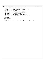| inode.h<br>Registered Version: Journaled File System |                 |                    |                                                                                                              |  | Exhibit 10.1–22 pg 1/1 |
|------------------------------------------------------|-----------------|--------------------|--------------------------------------------------------------------------------------------------------------|--|------------------------|
|                                                      |                 | $/$ *              |                                                                                                              |  |                        |
|                                                      | $\overline{2}$  | $^{\star}$         | Copyright (c) International Business Machines Corp., 2000-2002                                               |  |                        |
|                                                      | 3               | $\star$            |                                                                                                              |  |                        |
|                                                      |                 |                    | This program is free software; you can redistribute it and/or modify                                         |  |                        |
|                                                      |                 |                    | it under the terms of the GNU General Public License as published by                                         |  |                        |
|                                                      |                 |                    | the Free Software Foundation; either version 2 of the License, or                                            |  |                        |
|                                                      |                 |                    | (at your option) any later version.                                                                          |  |                        |
|                                                      | 8               | $\star$            |                                                                                                              |  |                        |
|                                                      |                 | $\star$            | This program is distributed in the hope that it will be useful,                                              |  |                        |
|                                                      | 10              | $\star$<br>$\star$ | but WITHOUT ANY WARRANTY; without even the implied warranty of                                               |  |                        |
|                                                      | 11              | $\star$            | MERCHANTABILITY or FITNESS FOR A PARTICULAR PURPOSE. See<br>the GNU General Public License for more details. |  |                        |
|                                                      | 12              | $\star$            |                                                                                                              |  |                        |
|                                                      | 13<br>14        | $\star$            | You should have received a copy of the GNU General Public License                                            |  |                        |
|                                                      | 15              | $\star$            | along with this program; if not, write to the Free Software                                                  |  |                        |
|                                                      | 16              |                    | Foundation, Inc., 59 Temple Place, Suite 330, Boston, MA 02111-1307 USA                                      |  |                        |
|                                                      | 17              | $\star$ /          |                                                                                                              |  |                        |
|                                                      | #ifndef H INODE |                    |                                                                                                              |  |                        |
|                                                      | 19              |                    | #define H INODE                                                                                              |  |                        |
|                                                      | 20              |                    |                                                                                                              |  |                        |
|                                                      | 21              |                    | #include <jfs_types.h></jfs_types.h>                                                                         |  |                        |
|                                                      | 22              |                    | #include "devices.h"                                                                                         |  |                        |
|                                                      | 23              |                    |                                                                                                              |  |                        |
|                                                      | 24              |                    | int ujfs_rwinode(HFILE, struct dinode *, uint32_t, int32_t, int32_t, uint32_t, uint32_t);                    |  |                        |
|                                                      |                 |                    | int ujfs_rwdaddr(HFILE, int64_t *, struct dinode *, int64_t, int32_t, int32_t);                              |  |                        |
|                                                      | 26              |                    |                                                                                                              |  |                        |

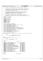```
1 /*
2 * Copyright (c) International Business Machines Corp., 2000−2002
\frac{3}{4}4 * This program is free software; you can redistribute it and/or modify
5 * it under the terms of the GNU General Public License as published by
6 * the Free Software Foundation; either version 2 of the License, or 
7 * (at your option) any later version.
8 * 
* This program is distributed in the hope that it will be useful,<br>"but WITHOUT ANY WARRANTY; without even the implied warranty of<br>"* MERCHANTABILITY or FITNESS FOR A PARTICULAR PURPOSE. See<br>"* the GNU General Public Licens
13<br>14<sup>14</sup> * You should have received a copy of the GNU General Public License
15 * along with this program; if not, write to the Free Software 
16 * Foundation, Inc., 59 Temple Place, Suite 330, Boston, MA 02111−1307 USA
17 + /18 #ifndef _H_UJFS_ENDIAN
19 #define _H_UJFS_ENDIAN
20
21 #include "jfs_types.h"
22 #include "jfs_byteorder.h"
23 #include "jfs_superblock.h"
24 #include "jfs_dmap.h"<br>25 #include "jfs_imap.h"
    25 #include "jfs_imap.h"
26 #include "jfs_dinode.h"
27 #include "jfs_logmgr.h"
28 #include "fsckwsp.h"
29
30 #if __BYTE_ORDER == __BIG_ENDIAN
31 void ujfs_swap_dbmap(struct dbmap *);
32 void ujfs_swap_dinode(struct dinode *, int32_t, uint32_t);
33 void ujfs_swap_dinomap(struct dinomap *);<br>34 void ujfs swap dmap(struct dmap *);
    void ujfs_swap_dmap(struct dmap *);
35 void ujfs_swap_dmapctl(struct dmapctl *);
36 void ujfs_swap_dtpage_t(dtpage_t *, uint32_t);
37 void ujfs_swap_fsck_blk_map_hdr(struct fsck_blk_map_hdr *);
38 void ujfs_swap_fsck_blk_map_page(struct fsck_blk_map_page *);
39 void ujfs_swap_fscklog_entry_hdr(struct fscklog_entry_hdr *);
40 void ujfs_swap_iag(struct iag *);
41 void ujfs_swap_logpage(struct logpage *, uint8_t);
42 void ujfs_swap_logsuper(struct logsuper *);
43 void ujfs_swap_lrd(struct lrd *);<br>44 void ujfs swap superblock(struct;
    void ujfs_swap_superblock(struct superblock *);
45 void ujfs_swap_xtpage_t(xtpage_t *);
46
47 static inline void ujfs_swap_inoext(struct dinode *ptr, int32_t mode, uint32_t flag)
\begin{matrix} 48 \\ 49 \end{matrix} {
49 int \text{ in } t;<br>50 for \text{ } t;
50 for (i = 0; i < INOSPEREXT; i++, ptr++)<br>
ujfs_swap_dinode(ptr, mode, flag);
52 }
53
54 #define swap_multiple(swap_func, ptr, num) \
55 do { \
56 int i;<br>57 for (i = 0; i < num; i++, (ptr)++) \
58 swap_func(ptr);<br>59 \text{ while } (0)59 } while (0)
60
61 #else /* Little endian */
62
63 #define ujfs_swap_dbmap(dbmap) do {} while (0)
    #define ujfs_swap_dinode(dinode, mode, flag)
65 #define ujfs_swap_dinomap(dinomap) do {} while (0)
66 #define ujfs_swap_dmap(dmap) do {} while (0)
67 #define ujfs_swap_dmapctl(dmapctl) do {} while (0)
    68 #define ujfs_swap_dtpage_t(dtpage, flag) do {} while (0)
% #define ujfs_swap_fsck_blk_map_hdr(map_hdr) do {} while (0)<br>70 #define ujfs_swap_fsck_blk_map_page(map_page) do {} while (0)<br>71 #define ujfs_swap_fscklog_entry_hdr(ent_hdr) do {} while (0)<br>72 #define ujfs_swap_iag(iag) d
73 #define ujfs_swap_inoext(inoext, mode, flag) do {} while (0)
    #define ujfs_swap_logpage(logpage, pages)
75 #define ujfs_swap_logsuper(logsuper) do {} while (0)
76 #define ujfs_swap_lrd(lrd) do {} while (0)
77 #define ujfs_swap_superblock(sb) do {} while (0)
78 #define ujfs_swap_xtpage_t(xtpage) do {} while (0)
    #define swap_multiple(swap_func, ptr, num)
80
81 #endif
82
83 #endif /* _H_UJFS_ENDIAN */
Registered Version: Journaled File System ifs endian.h Exhibit 10.1−23 pg 1/1
```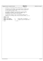| Registered Version: Journaled File System                                                                                                                                                                                                                                         |                                                                                                                                                                                                                                                   | libjufs.h                                                                                                                                    | Exhibit $10.1 - 24$ pg $1/1$ |  |
|-----------------------------------------------------------------------------------------------------------------------------------------------------------------------------------------------------------------------------------------------------------------------------------|---------------------------------------------------------------------------------------------------------------------------------------------------------------------------------------------------------------------------------------------------|----------------------------------------------------------------------------------------------------------------------------------------------|------------------------------|--|
| $/$ *<br>$^\star$<br>Copyright (c) International Business Machines Corp., 2000-2002<br>$\overline{2}$<br>$\star$<br>3                                                                                                                                                             |                                                                                                                                                                                                                                                   |                                                                                                                                              |                              |  |
| $\star$<br>$\star$<br>5<br>the Free Software Foundation; either version 2 of the License, or<br>$\star$<br>$\star$<br>(at your option) any later version.<br>$\overline{7}$<br>$\star$<br>8                                                                                       |                                                                                                                                                                                                                                                   | This program is free software; you can redistribute it and/or modify<br>it under the terms of the GNU General Public License as published by |                              |  |
| $\star$<br>9<br>$\star$<br>10<br>$\star$<br>11<br>$\star$<br>12<br>$\star$<br>13                                                                                                                                                                                                  | This program is distributed in the hope that it will be useful,<br>but WITHOUT ANY WARRANTY; without even the implied warranty of<br>MERCHANTABILITY or FITNESS FOR A PARTICULAR PURPOSE. See<br>the GNU General Public License for more details. |                                                                                                                                              |                              |  |
| $\star$<br>You should have received a copy of the GNU General Public License<br>14<br>along with this program; if not, write to the Free Software<br>$\star$<br>15<br>Foundation, Inc., 59 Temple Place, Suite 330, Boston, MA 02111-1307 USA<br>$\star$<br>16<br>$\star$ /<br>17 |                                                                                                                                                                                                                                                   |                                                                                                                                              |                              |  |
| #ifndef H LIBFS<br>#define H LIBFS<br>19<br>20                                                                                                                                                                                                                                    |                                                                                                                                                                                                                                                   |                                                                                                                                              |                              |  |
| #define LIBFS_BADMAGIC<br>#define LIBFS BADVERSION<br>#define LIBFS CORRUPTSUPER                                                                                                                                                                                                  | $-10$                                                                                                                                                                                                                                             | -5 /* magic number not recognized<br>$-6$ /* magic num ok, incompatible vers */<br>/* fragsize, agsize, or iagsize bad */                    | $\star$ /                    |  |
| 24<br>#endif<br>25                                                                                                                                                                                                                                                                | $/* H LIBFS * /$                                                                                                                                                                                                                                  |                                                                                                                                              |                              |  |

#endif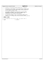|                |                                                                     | Registered Version: Journaled File System                               | logform.h | Exhibit 10.1–25 pg 1/1 |
|----------------|---------------------------------------------------------------------|-------------------------------------------------------------------------|-----------|------------------------|
|                | $/$ *                                                               |                                                                         |           |                        |
| $\overline{2}$ | $\star$                                                             | Copyright (c) International Business Machines Corp., 2000-2002          |           |                        |
| 3              | $\star$                                                             |                                                                         |           |                        |
|                | $\star$                                                             | This program is free software; you can redistribute it and/or modify    |           |                        |
| 5              | $\star$                                                             | it under the terms of the GNU General Public License as published by    |           |                        |
|                | $\star$                                                             | the Free Software Foundation; either version 2 of the License, or       |           |                        |
|                | $\star$                                                             | (at your option) any later version.                                     |           |                        |
| 8              | $\star$                                                             |                                                                         |           |                        |
| 9              | $\star$                                                             | This program is distributed in the hope that it will be useful,         |           |                        |
| 10             | $\star$                                                             | but WITHOUT ANY WARRANTY; without even the implied warranty of          |           |                        |
| 11             | $\star$                                                             | MERCHANTABILITY or FITNESS FOR A PARTICULAR PURPOSE. See                |           |                        |
| 12             | $\star$                                                             | the GNU General Public License for more details.                        |           |                        |
| 13             | $\star$                                                             |                                                                         |           |                        |
| 14             | $\star$                                                             | You should have received a copy of the GNU General Public License       |           |                        |
| 15             | $\star$                                                             | along with this program; if not, write to the Free Software             |           |                        |
| 16             | $\star$                                                             | Foundation, Inc., 59 Temple Place, Suite 330, Boston, MA 02111-1307 USA |           |                        |
| 17             | $\star$ /                                                           |                                                                         |           |                        |
|                | #ifndef H LOGFORM                                                   |                                                                         |           |                        |
| 19             | #define H LOGFORM                                                   |                                                                         |           |                        |
| 20             | int jfs_logform(int, int, int, uint, int64_t, int, uuid_t, char *); |                                                                         |           |                        |
| 21<br>22       |                                                                     |                                                                         |           |                        |
| 23             | #endif                                                              | $/* H LORFORM * /$                                                      |           |                        |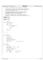```
\frac{1}{1}2 * Copyright (c) International Business Machines Corp., 2000−2002
\frac{3}{4}4 * This program is free software; you can redistribute it and/or modify
5 * it under the terms of the GNU General Public License as published by
6 * the Free Software Foundation; either version 2 of the License, or 
7 * (at your option) any later version.
 8 * 
 * This program is distributed in the hope that it will be useful,<br>"but WITHOUT ANY WARRANTY; without even the implied warranty of<br>"* MERCHANTABILITY or FITNESS FOR A PARTICULAR PURPOSE. See<br>"* the GNU General Public Licens
13<br>1414 * You should have received a copy of the GNU General Public License
15 * along with this program; if not, write to the Free Software 
16 * Foundation, Inc., 59 Temple Place, Suite 330, Boston, MA 02111−1307 USA
17 + 7<br>18 + in18 #include <stdio.h>
19 #include <stdlib.h>
20 #include <string.h>
21
 22 #include "jfs_types.h"
23 #include "utilsubs.h"
24
25 /*<br>26 *<br>27 *
                     log2shift()
\frac{27}{28} */<br>28 int
     int32_t log2shift(uint32_t n)
29 \{30uint32 t shift = 0;
\frac{31}{32}32 while (n > 1) {
\frac{33}{33} \qquad \qquad \qquad \qquad \qquad \qquad \qquad \qquad \qquad \qquad \qquad \qquad \qquad \qquad \qquad \qquad \qquad \qquad \qquad \qquad \qquad \qquad \qquad \qquad \qquad \qquad \qquad \qquad \qquad \qquad \qquad \qquad \qquad \qquad \qquad \qquad \qquad \qquad \qquad \qquad \qquad \qquad \qquad \qquad \qquad \qquad \34 if (n & 1)
                                                  35 return −1;
36<br>37
\begin{array}{ccc}\n\text{snift++;} \\
\text{snift++;} \\
\text{n} >>= 1; \n\end{array}\begin{cases}\n 38 \\
 39\n \end{cases} n >>= 1;
                     \}40
41 return shift;
     \rightarrow43
\begin{matrix}44 & \end{matrix} \begin{matrix} \star \\ \star \end{matrix}\begin{array}{ccc}\n\star & & \text{u}i \\
\star & & \text{v}\n\end{array}46 * ==
47 */<br>48 /*
\begin{matrix}48 & \end{matrix} \begin{matrix} \star \\ 49 & \end{matrix}* prompt()
50<br>51char prompt(char *str)
\begin{matrix} 52 \\ 53 \end{matrix}char cmd[81];
54
55 fputs(str, stdout);
56 fflush(stdout);
57
58 \frac{7}{5} /* get NULL terminated input */<br>59 fgets(cmd, 81, stdin);
                     fgets(cmd, 81, stdin);
60
61 return cmd[0]; /* return response letter */
62 }
63
      /* ^{\prime}\begin{array}{ccc} 65 & * & \text{more()} \\ \hline 66 & * & \end{array}\begin{array}{cc} 66 & * \end{array}<br>67 int
      int \nvert \text{more}(void)68 {
                     char cmd[81];
70
71 fputs("− hit Enter to continue, e[x]it −", stdout);<br>fflush(stdout);
                     fflush(stdout);
73
74 /* get NULL terminated input */
75 fgets(cmd, 80, stdin);
76
77 if (\text{cmd}[0] == 'x')<br>78 return 1;
78 return 1; /* do NOT continue */
                     79 else
80 return 0; /* continue */
     81 }
Registered Version: Journaled File System utilsubs.c Exhibit 10.1−26 pg 1/1
```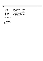$\frac{1}{2}$  /\* <sup>2</sup> \* Copyright (c) International Business Machines Corp., 2000−2002  $\begin{array}{ccc} 3 & & * \\ 4 & & * \end{array}$ <sup>4</sup> \* This program is free software; you can redistribute it and/or modify <sup>5</sup> \* it under the terms of the GNU General Public License as published by <sup>6</sup> \* the Free Software Foundation; either version 2 of the License, or <sup>7</sup> \* (at your option) any later version.  $\begin{matrix}8 & *\\ 9 & * \end{matrix}$ \* This program is distributed in the hope that it will be useful,<br>"but WITHOUT ANY WARRANTY; without even the implied warranty of<br>"\* MERCHANTABILITY or FITNESS FOR A PARTICULAR PURPOSE. See<br>"\* the GNU General Public Licens  $\begin{array}{ccc} 11 & * \\ 13 & * \\ 14 & * \end{array}$ <sup>14</sup> \* You should have received a copy of the GNU General Public License <sup>15</sup> \* along with this program; if not, write to the Free Software <sup>16</sup> \* Foundation, Inc., 59 Temple Place, Suite 330, Boston, MA 02111−1307 USA  $17 + 7$ <br> $18 + 15$ <sup>18</sup> **#ifndef** \_H\_UJFS\_UTILSUBS <sup>19</sup> **#define** \_H\_UJFS\_UTILSUBS 20 21 /\*<br>22 \* 22  $*$  utilsubs.h  $*$ 24 25 /\*<br>26 \*<br>27 \* function prototypes  $\frac{27}{28}$  \*/<br>28 int: <sup>28</sup> int32\_t log2shift(uint32\_t n); <sup>29</sup> char prompt(char \*str); <sup>30</sup> int more(void); 31 <sup>32</sup> **#endif** /\* \_H\_UJFS\_UTILSUBS \*/ Registered Version: Journaled File System **utilsubs.h** Exhibit 10.1−27 pg 1/1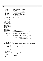```
/*
2 * Copyright (c) International Business Machines Corp., 2000−2002
\frac{3}{4}4 * This program is free software; you can redistribute it and/or modify
 5 * it under the terms of the GNU General Public License as published by
6 * the Free Software Foundation; either version 2 of the License, or 
7 * (at your option) any later version.
 8 * 
* This program is distributed in the hope that it will be useful,<br>"but WITHOUT ANY WARRANTY; without even the implied warranty of<br>"* MERCHANTABILITY or FITNESS FOR A PARTICULAR PURPOSE. See<br>"* the GNU General Public Licens
13<br>14<sup>14</sup> * You should have received a copy of the GNU General Public License<br><sup>15</sup> * along with this program: if not, write to the Free Software
15 * along with this program; if not, write to the Free Software 
16 * Foundation, Inc., 59 Temple Place, Suite 330, Boston, MA 02111−1307 USA
\begin{array}{ccc} 10 & * & / \\ 17 & / & / \\ 18 & / & \end{array}\begin{array}{ccc}\n18 & & \nearrow \\
19 & & \star\n\end{array}19 * FUNCTIONS: no−frills substitutes for fsck routines
20 * used by logredo modules outside of fsck<br>21 */
21 */
22 #include <stdio.h>
23 #include <stdlib.h>
24 #include <string.h>
25
26 #include "jfs_types.h"
27 #include "fsckmsgc.h"
28 #include "fsckmsge.h"
29
30 #define STDOUT_HANDLE 1
31 #define STDERR_HANDLE 2
32
33 extern short MsgProtocol[][2];
34
35 extern char *Vol_Label;
36
37 extern char *verbose msg ptr;
38
39 extern char *msgprms[];
    40 extern short msgprmidx[];
41
42 extern unsigned long msgs_txt_maxlen;
43
44 /****************************************************************************
      * NAME: alloc_wrksp
rac{46}{47}47 * FUNCTION: Allocates and initializes (to guarantee the storage is backed)<br>48 * dynamic storage for the caller.
                        dynamic storage for the caller.
\frac{49}{50}PARAMETERS:<br>length
51 * length − input − the number of bytes of storage which are needed
52 * dynstg_object − input − a constant (see xfsck.h) identifying the purpose
                                                    for which the storage is needed (Used in error
54 * message if the request cannot be satisfied.
55 * addr_wrksp_ptr − input − the address of a variable in which this routine
56 * will return the address of the dynamic storage
57 * allocated for the caller
58<br>59
     * NOTES:
60 *
61 * RETURNS:
62 * success: 0<br>63 * failure: s
63 * failure: something else
      \star /
65 int alloc_wrksp(unsigned length, int dynstg_object, int for_logredo, void **addr_wrksp_ptr)
66 {
\begin{array}{lll} 67 & \text{int awsp\_rc} = 0; \\ 68 & \text{unsigned min len} \end{array}unsigned min_length;
69
70 *addr_wrksp_ptr = NULL; /* initialize return value */
71 min_length = ((length + 7) / 4) * 4; /* round up to an 4 byte boundary */
72
73 *addr_wrksp_ptr = (char *) malloc(min_length);
74
75 return (awsp_rc);<br>76 }
76 } \uparrow \uparrow \uparrow \uparrow \uparrow \uparrow \uparrow \uparrow \uparrow \uparrow \uparrow \uparrow \uparrow \uparrow \uparrow \uparrow \uparrow \uparrow \uparrow \uparrow \uparrow \uparrow \uparrow \uparrow \uparrow \uparrow \uparrow \uparrow \uparrow \uparrow \uparrow \uparrow \uparrow \uparrow \uparrow \uparrow77
78 /*****************************************************************************
      * NAME: fsck_send_msg
\begin{array}{c} 80 \\ 81 \end{array}FUNCTION: Issue an fsck message, depending on the message's protocol
82 * according to the fsck message arrays.
83<br>8484 * PARAMETERS:
                85 * ? − input −
86 * ? − returned −
\begin{array}{c} 87 \\ 88 \end{array}* NOTES: none
89 *
90 * RETURNS:
Registered Version: Journaled File System helpers.c Exhibit 10.1−28 pg 1/2
```
./JFS/jfsutils/logdump/helpers.c Page 96/130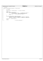Registered Version: Journaled File System **helpers.c** Exhibit 10.1−28 pg 2/2

<sup>91</sup> \* nothing <sup>92</sup> \*/ 93 void fsck\_send\_msg(int msg\_num, int num\_inserts)<br>94 {  $\begin{matrix} 94 \\ 95 \end{matrix}$  $int$  prmidx; 96 97 memset((void \*) verbose\_msg\_ptr, '\0', msgs\_txt\_maxlen); 98 99  $\text{prmidx} = 0;$ <br>100  $\text{while } (\text{prmi})$ 100 **while** (prmidx < num\_inserts) {<br>
101 **if** (msgprmidx[prmidx] != 0) { /\* variable text insert \*/<br>
102 msgprms[prmidx] = MsgText[msgprmidx[prmidx]];<br>
104 prmidx += 1;  $\begin{array}{c} 104 \\ 105 \end{array}$ 106<br>107 <sup>107</sup> sprintf(verbose\_msg\_ptr, MsgText[msg\_num], <sup>108</sup> msgprms[0], msgprms[1], msgprms[2], msgprms[3], msgprms[4], <sup>109</sup> msgprms[5], msgprms[6], msgprms[7], msgprms[8], msgprms[9]); 110 111 printf("%s", verbose\_msg\_ptr); 112 <sup>113</sup> **return**;  $14$  end fsck\_send\_msg() \*/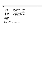$\frac{1}{1}$  \* Copyright (c) International Business Machines Corp., 2000−2002  $\begin{array}{ccc} 3 & & * \\ 4 & & * \end{array}$  \* This program is free software; you can redistribute it and/or modify <sup>5</sup> \* it under the terms of the GNU General Public License as published by <sup>6</sup> \* the Free Software Foundation; either version 2 of the License, or <sup>7</sup> \* (at your option) any later version. \* \* This program is distributed in the hope that it will be useful,<br>"but WITHOUT ANY WARRANTY; without even the implied warranty of<br>"\* MERCHANTABILITY or FITNESS FOR A PARTICULAR PURPOSE. See<br>"\* the GNU General Public Licens <br> $14$  \* You should have received a copy of the GNU General Public License <sup>15</sup> \* along with this program; if not, write to the Free Software <sup>16</sup> \* Foundation, Inc., 59 Temple Place, Suite 330, Boston, MA 02111−1307 USA  $17 + 7$ <br> $18 + 15$  **#ifndef** H\_INITMAP **#define** H\_INITMAP **#define** ALLOC 0x1 <sup>22</sup> **#define** FREE 0x2 **#define** BADBLOCK 0x4 int calc\_map\_size(int64\_t, struct dinode \*, int, int \*, unsigned); <sup>26</sup> int markit(int, unsigned); <sup>27</sup> int record\_LVM\_BadBlks( int, int, int, struct dinode \*, int64\_t ); int verify\_last\_blocks( int, int, struct dinode \* ); <sup>29</sup> int write\_block\_map(int, int64\_t, int); **#endif**  $/* H_INTMAP$  \*/ Registered Version: Journaled File System **initmap.h** Exhibit 10.1−29 pg 1/1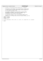| inodemap.h<br>Registered Version: Journaled File System |                                            |                                                                                                                                                                                                                                                          | Exhibit 10.1-30 pg 1/1 |  |
|---------------------------------------------------------|--------------------------------------------|----------------------------------------------------------------------------------------------------------------------------------------------------------------------------------------------------------------------------------------------------------|------------------------|--|
| $\overline{a}$<br>3                                     | $/$ *<br>$\star$                           | Copyright (c) International Business Machines Corp., 2000-2002                                                                                                                                                                                           |                        |  |
| 8                                                       | $\ast$<br>$\star$                          | This program is free software; you can redistribute it and/or modify<br>it under the terms of the GNU General Public License as published by<br>the Free Software Foundation; either version 2 of the License, or<br>(at your option) any later version. |                        |  |
| 9<br>10<br>11<br>12<br>13                               | $\star$<br>$\star$<br>$\star$              | This program is distributed in the hope that it will be useful,<br>but WITHOUT ANY WARRANTY; without even the implied warranty of<br>MERCHANTABILITY or FITNESS FOR A PARTICULAR PURPOSE. See<br>the GNU General Public License for more details.        |                        |  |
| 14<br>15<br>16<br>17                                    | $\star$<br>$\star$<br>$\star$<br>$\star$ / | You should have received a copy of the GNU General Public License<br>along with this program; if not, write to the Free Software<br>Foundation, Inc., 59 Temple Place, Suite 330, Boston, MA 02111-1307 USA                                              |                        |  |
| 19<br>20                                                | #ifndef H INODEMAP<br>#define H INODEMAP   |                                                                                                                                                                                                                                                          |                        |  |
| 21<br>22                                                | #include "devices.h"                       |                                                                                                                                                                                                                                                          |                        |  |
| 23<br>24                                                |                                            | int init_inode_map(int, HFILE, int64_t, int, int64_t, int, unsigned short, int, unsigned);                                                                                                                                                               |                        |  |

<sup>25</sup> **#endif**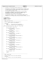```
/*
2 * Copyright (c) International Business Machines Corp., 2000−2002
\frac{3}{4}4 * This program is free software; you can redistribute it and/or modify
5 * it under the terms of the GNU General Public License as published by
6 * the Free Software Foundation; either version 2 of the License, or 
7 * (at your option) any later version.
 8 * 
* This program is distributed in the hope that it will be useful,<br>"but WITHOUT ANY WARRANTY; without even the implied warranty of<br>"* MERCHANTABILITY or FITNESS FOR A PARTICULAR PURPOSE. See<br>"* the GNU General Public Licens
13<br>14<sup>14</sup> * You should have received a copy of the GNU General Public License<br><sup>15</sup> * along with this program: if not, write to the Free Software
15 * along with this program; if not, write to the Free Software 
16 * Foundation, Inc., 59 Temple Place, Suite 330, Boston, MA 02111−1307 USA
17 + 1718
19 /* JFS includes */
20 #include "jfs_filsys.h"
21 #include "jfs_superblock.h"
22 #include "jfs_logmgr.h"
23
24 /*−−−−−−−−−−−−−−−−−−−−−−−−−−−−−−−−−−−−−−−−−−−−−−−−−−−−−−−−−−−−−−−−−−−−
25 * NAME: build_flag_string
26<br>27
<sup>27</sup> * FUNCTION: build a string of text descriptions of<br><sup>28</sup> * the set flags in the superblock
                      the set flags in the superblock
rac{29}{30}PARAMETERS:<br>flags
31 * flags − flags field from the superblock
32 * flag_string − returned string of flag descriptions
\frac{33}{34}void build_flag_string(uint32_t flags, char *flag_string)
35 {
                char *string_ptr = flag_string;
37
38 if (flags & JFS_LINUX) {<br>39 if strepy(string_pt
39 strcpy(string_ptr, "JFS_LINUX ");
40 string_ptr += 11;
41 }
42 if (flags & JFS_0S2) {<br>43 if strepy(string
43 strcpy(string_ptr, "JFS_OS2 ");
44 string_ptr += 9;
45 }
46 if (flags & JFS_COMMIT) {<br>
strcpy(string_ptr, "JFS_COMMIT ");<br>
string_ptr += 12;
49 }
50 if (flags & JFS_GROUPCOMMIT) {<br>51 strcpy(string_ptr, "JFS_GROUPCOMMIT ");<br>52 string_ptr += 17;
53 }
54 if (flags & JFS_LAZYCOMMIT) {
55 strcpy(string_ptr, "JFS_LAZYCOMMIT ");
\begin{array}{c|c}\n 56 & \text{string\_ptr} & \n \end{array} += 16;
57 }
58 if (flags & JFS_INLINELOG) {
59 strcpy(string_ptr, "JFS_INLINELOG ");
60 string_ptr += 15;
61 }
62 if (flags & JFS_BAD_SAIT) {<br>
\begin{array}{r} \text{stropy}(\text{string\_ptr}, \text{ "JFS\_BAD\_SAIT ")}; \\ \text{s4} \text{ string\_ptr} & = 14; \end{array}65 }
<sup>56</sup> if (flags & JFS_SPARSE) {<br>67 b strcpy(string_ptr
67 strcpy(string_ptr, "JFS_SPARSE ");<br>
string_ptr += 12;
69 }
70 if (flags & JFS_DASD_ENABLED) {
71 strcpy(string_ptr, "JFS_DASD_ENABLED ");<br>
31 string_ptr += 18;
73 }
74 if (flags & JFS_DASD_PRIME) {
75 strcpy(string_ptr, "JFS_DASD_PRIME ");
76 string_ptr += 16;
77 }
78 strcpy(string_ptr, "\0");
79
80 return;<br>81 }
    81 }
82
83 /*−−−−−−−−−−−−−−−−−−−−−−−−−−−−−−−−−−−−−−−−−−−−−−−−−−−−−−−−−−−−−−−−−−−−
84 * NAME: display_super
85
86 * FUNCTION: display the JFS file system superblock
\begin{array}{c} 87 \\ 88 \end{array}88 * PARAMETERS:<br>89 * Sb -
               sb - pointer to the file system superblock
90Registered Version: Journaled File System super.c Exhibit 10.1−31 pg 1/3
```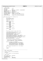91 \* SAMPLE OUTPUT: 92 93 JFS magic number: 'JFS1'<br>94 JFS version: 2 JFS version: 2<br>JFS state: 2 clean 95 JFS state:<br>96 JFS flags: JFS\_LINUX JFS\_COMMIT JFS\_GROUPCOMMIT<br>4096 bytes 97 Aggregate block size: 4096 bytes<br>98 Aggregate size: 2055784 blocks 98 Aggregate size: 2055784 b<br>99 Physical block size: 512 bytes 99 Physical block size:<br>100 Allocation group size 100 Allocation group size: 8192 aggregate blocks<br>101 Log device number: 0x3f06 Log device number:<br>Filesystem creation: <sup>102</sup> Filesystem creation: Fri Aug 2 14:48:53 2002 <sup>103</sup> File system UUID: 7940a3b8−0bb0−4c0d−a389−630619783c6e 104 Volume label:<br>
105 External log UUID: <sup>105</sup> External log UUID: 47c80a1d−7f25−4c61−9596−f33e463e5b38 106  $107 + 107$ 108 void display\_super(struct superblock \*sb)<br>109 { 109<br>110 110 char \*state;<br>111 char uuid un char uuid\_unparsed[37];  $112$  char flag\_string[142];<br>113 time\_t tm; time t  $tm$ ; 114 <sup>115</sup> **switch** (sb−>s\_state) { <sup>116</sup> **case** FM\_CLEAN: 117  $\overline{\text{state}} = \text{"clean"};$ <br>
118 **break**; break; <sup>119</sup> **case** FM\_MOUNT:  $state = "monoted"$ ; 121 **break**;<br>122 **case** FM DIRTY: <sup>122</sup> **case** FM\_DIRTY: 123 state = "dirty";<br> $124$  break; 124 **break**;<br>125 **case** FM LOGREDC <sup>125</sup> **case** FM\_LOGREDO:  $^{\sim}$ state = "logredo"; <sup>127</sup> **break**; 128 **default:**<br>129  $129$  state = "unknown";<br> $130$  **break**; <sup>130</sup> **break**;  $\left\{\n \begin{array}{ccc}\n 131 & & \\
 & & \\
 & & \\
 & & \\
 & & \\
 & & \\
 & & \\
 & & \\
 & & \\
 & & \\
 & & \\
 & & \\
 & & \\
 & & \\
 & & \\
 & & \\
 & & \\
 & & \\
 & & \\
 & & \\
 & & \\
 & & \\
 & & \\
 & & \\
 & & \\
 & & \\
 & & \\
 & & \\
 & & \\$ 132 <sup>133</sup> build\_flag\_string(sb−>s\_flag, flag\_string); 134 135 printf ("NJFS filesystem superblock:\n\n");<br>
printf ("JFS magic number:\t'%4.4s'\n", sb->s\_magic);<br>
printf ("JFS version:\t\t\t\d\n", sb->s\_version);<br>
138 printf ("JFS state:\t\t\%\n", sb->s\_version);<br>
printf ("JFS sta 144 printf("Log device number:\t0x%x\n", sb->s\_logdev);<br>  $\lim_{x \to \infty} \frac{\sinh(x)}{x} = \sinh(x) + \sinh(x)$ tm = sb->s\_time.tv\_sec; 146 printf("Filesystem creation:\t%s", ctime(&tm)); 147<br>148 <sup>148</sup> \* JFS version 2 incorporated new fields for 149 \* UUID, log UUID, and a 16 char volume label<br>150 \* into the superblock. Account for those he. \* into the superblock. Account for those here. 151  $*$  / <sup>152</sup> **if** (sb−>s\_version == JFS\_VERSION) { 153<br>154 printf("File system UUID:\t%s\n", uuid\_unparsed);<br>155 printf("Volume label:\t\t`%16s`\n", sb−>s\_label);<br>156 uuid\_unparse(sb−>s\_loguuid, uuid\_unparsed); 157 printf("External log UUID:\t%s\n", uuid\_unparsed);<br>158 **else** { <sup>158</sup> } **else** { printf("Volume label:\t\t'%11s'\n", sb->s\_fpack); <sup>160</sup> } 161  $\overrightarrow{printf}(\sqrt[m]{n})$ ; 162 163 **return**;<br>164 } <sup>164</sup> } 165 <sup>166</sup> /\*−−−−−−−−−−−−−−−−−−−−−−−−−−−−−−−−−−−−−−−−−−−−−−−−−−−−−−−−−−−−−−−−−−−− <sup>167</sup> \* NAME: display\_logsuper  $168$ <br> $169$ FUNCTION: display the JFS log superblock Registered Version: Journaled File System **super.c** Exhibit 10.1−31 pg 2/3

## 170<br>171 PARAMETERS: <sup>172</sup> \* lsp − pointer to the log superblock <sup>173</sup> \* \* SAMPLE OUTPUT: 175 176 JFS log magic number: 0x87654321<br>177 JFS log version: 1 177 JFS log version: 1<br>178 Log opened/mounted: 3 178 Log opened/mounted: 3<br>179 Logical block size: 4096 bytes

<sup>180</sup> Log size: 32768 blocks

Logical block size: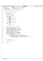```
181 Log flags: JFS_LINUX JFS_COMMIT JFS_GROUPCOMMIT<br>182 Log state: LOGMOUNT
181 Log flags:<br>
182 Log state:<br>
183 Log device UUID:
183 Log device UUID: 47c80a1d−7f25−4c61−9596−f33e463e5b38
184 Log volume label:<br>185 Active file syste
185 Active file systems:
186 active[0]: 7940a3b8−0bb0−4c0d−a389−630619783c6e
187<br>188 *
188<br>189
    void display_logsuper(struct logsuper * lsp)
190 {
               char *state;
192 char uuid_unparsed[37];<br>
193 int i;
193 int i;<br>194 bool as
194 bool active_fs = false;
195 char flag_string[142];
196
197 switch (lsp−>state) {<br>198 case LOGMOUNT:
198 case LOGMOUNT:<br>199 case LOGMOUNT:
199
199
199
199
200
break;
200 break;<br>201 case LOGREDONE
               201 case LOGREDONE:
202 state = "LOGREDONE";<br>203 break;
203 break;
204 case LOGWRAP:
                          state = "LOGWRAP";
206 break;<br>207 case LOGREADER
207 case LOGREADERR:
208 state = "LOGREADERR";<br>
209 break;
209 break;
               210 default:
211<br>
212<br>
212<br>
212<br>
212<br>
212<br>
212212 break;
213 }
214215 build_flag_string(lsp−>flag, flag_string);
216
printf("\nJFS external log superblock:\n\n");<br>
printf("JFS log magic number:\t0x%x\n", lsp->magic);<br>
printf("JFS log wersion:\t%d\n", lsp->version);<br>
printf("Log opened/mounted:\t%d\n", lsp->version);<br>
printf("Log opened/m
228 printf("Active file systems:");<br>
229 for (i = 0; i < \text{MAX } \text{ACTT}229 for (i = 0; i < MAX_ACTIVE; i++) {<br>230 uuid unparse (lsp->active i
230 uuid_unparse(lsp−>active[i], uuid_unparsed);
231 /* only print active (non−zero uuid) file systems */
232 if (strncmp(uuid_unparsed, "00000000−0000−0000−0000−000000000000", 36)) {
233 printf("\n active[%d]: %s", i, uuid_unparsed);
234 active_fs = true;<br>235 active_fs = true;
235 \Big\}236 }
237
238 if (!active_fs) {<br>
printf("\tNone active.\n");
240 }
241 printf("\ln");
242
243 return;
   \}Registered Version: Journaled File System super.c Exhibit 10.1−31 pg 3/3
```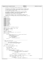```
\frac{1}{1}2 * Copyright (c) International Business Machines Corp., 2000−2002
\frac{3}{4}4 * This program is free software; you can redistribute it and/or modify
 5 * it under the terms of the GNU General Public License as published by
6 * the Free Software Foundation; either version 2 of the License, or 
7 * (at your option) any later version.
 8 * 
* This program is distributed in the hope that it will be useful,<br>"but WITHOUT ANY WARRANTY; without even the implied warranty of<br>"* MERCHANTABILITY or FITNESS FOR A PARTICULAR PURPOSE. See<br>"* the GNU General Public Licens
13<br>14<sup>14</sup> * You should have received a copy of the GNU General Public License<br><sup>15</sup> * along with this program: if not, write to the Free Software
15 * along with this program; if not, write to the Free Software 
16 * Foundation, Inc., 59 Temple Place, Suite 330, Boston, MA 02111−1307 USA
17 + 1718 #include "config.h"
19
20 #include <fcntl.h>
21 #include <unistd.h>
22 #include <sys/stat.h><br>23 #include <string.h>
23 #include <string.h><br>24 #include <stdlib.h>
24 #include <stdlib.h>
    25 #include <stdio.h>
26 #include <time.h><br>27 #include <ctvpe.h
    27 #include <ctype.h>
28 #include "jfs_types.h"
29 #include "jfs_endian.h"
30 #include "jfs_filsys.h"
31 #include "jfs_superblock.h"
32 #include "inode.h"
33 #include "super.h"
    34 #include "jfs_version.h"
35
36 #define EXIT(fd, rc) {close(fd); exit(rc);}
37
38 static int J_flag, l_flag, L_flag, U_flag;
39 char *new_label, *new_UUID;
40 char *device;
41 char logdev[255] = { \sqrt{0'} };<br>42 int log fd = -1;
    int log_f d = -1;43
44 extern int LogOpenMode;<br>45 extern int open by labe
    extern int open_by_label(uuid_t, int, int, char *);
\frac{46}{47}void tune_usage()
\begin{matrix} 48 \\ 49 \end{matrix}49 printf("\nUsage: jfs_tune [-J options] [-l] [-L vol_label] [-U uuid] [-V] device\n"<br>50 m\lenergency help:\n"
50 "\nEmergency help:\n"
51 " −J options Set external journal options.\n"
= \begin{array}{ccc}\n 52 & -1 \\
 -1 & \text{Display superblock} \\
 53 & -1 & \text{Vol label Set volume label}\n\end{array}" −L vol_label Set volume label.\n"<br>" −U uuid Set UUID.\n"
54 " −U uuid Set UUID.\n"<br>" −V Print version inf
                                       Print version information only.\ln");
56 exit(−1);
    57 }
58
59 /*−−−−−−−−−−−−−−−−−−−−−−−−−−−−−−−−−−−−−−−−−−−−−−−−−−−−−−−−−−−−−−−−−−−−
60 * NAME: parse_journal_opts
6162 * FUNCTION: parse journal (−J) options 
63 * set log file descriptor (global log_fd)<br>64 * set log device name (global logdev)
                        set log device name (global logdev)
65 *
66 * PARAMETERS:<br>67 * Opts -
67 \times 7 = 67 opts – options string
68 */
    69 void parse_journal_opts(const char *opts)
70 {
71 int journal_usage = 0;<br>72 uuid t log uuid;
                uuid_t log_uuid;
73
74 LogOpenMode = O_RDWR | O_EXCL;
75
if (strncmp(opts, "device=", 7) = 0) {<br>
if (strncmp(opts + 7, "UUID=", 5) == 0) {<br>
if (uuid_parse((char *) opts + 7 + 5, log_uuid)) {<br>
fputs("\mEror: UUID entered in improper format.\n",<br>
stderr);
\begin{array}{c} \text{gcd} \\ \text{est}(-1); \end{array}82 } else {
83 log_fd = open_by_label(log_uuid, 0, 1, logdev);
84<br>
85 else if (strncmp(opts + 7, "LABEL=", 6) == 0) {<br>
log_f d = open_by_label(<i>char</i> *) opts + 7 + 6, 1, 1, logdev);87 } else {
88 strcpy(logdev, ((char *) opts + 7));<br>\mathbf{if} (\text{loadev}) \{if (logdev)
90 log_fd = open(logdev, LogOpenMode, 0);
Registered Version: Journaled File System tune.c Exhibit 10.1−32 pg 1/5
```
./JFS/jfsutils/tune/tune.c Page 103/130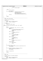<sup>91</sup> } **else** {  $\begin{array}{ccc} \text{92} & \text{93} \\ \text{94} & \text{96} \\ \text{98} & \text{97} \end{array}$ 93  $\Big\}$  $94$  } <sup>95</sup> } **else** journal\_usage++; 97 <sup>98</sup> **if** (journal\_usage) { <sup>99</sup> fprintf(stderr, "\nInvalid journal option(s) specified.\n\n" <sup>100</sup> "Valid options for −J are:\n" <sup>101</sup> "\tdevice=<journal device>\n" <sup>102</sup> "\tdevice=UUID=<UUID of journal device>\n" 103 "\tdevice=LABEL=<label of journal device>\n\n");<br>
104 exit(1);  $\begin{aligned} \mathsf{exit}(1); \end{aligned}$ <sup>105</sup> } 106  $107$  **return**; <sup>108</sup> } 109 <sup>110</sup> /\*−−−−−−−−−−−−−−−−−−−−−−−−−−−−−−−−−−−−−−−−−−−−−−−−−−−−−−−−−−−−−−−−−−−− <sup>111</sup> \* NAME: parse\_tune\_options  $\begin{matrix} 112 & * \\ 113 & * \end{matrix}$ FUNCTION: parse tune options 114<br>115 PARAMETERS: <sup>116</sup> \* argc − number of passed arguments <sup>117</sup> \* argv − string of arguments 118 119  $*$  RETURNS:<br>120  $*$  SUC  $size: 0$ 121  $*$  failure: any other value  $122$ <sup>123</sup> **static** void parse\_tune\_options(int argc, char \*argv[]) <sup>124</sup> { int c; 126 127 **while** ((c = getopt(argc, argv, "J:lL:U:V")) !=  $EOF$ ) {<br>128 **switch** (c) { 128 **switch** (c) {<br>129 **case** 'J': 129 **case** 'J':  $1$ <sup>\*</sup> attach external journal device \*/ 131 parse\_journal\_opts(optarg);<br>
132 J\_flag = 1; 133 **break**;<br>
134 **case** '*l'*: 134 **case** 'l': 135 /\* display superblock \*/<br>
126 136 11 136 11 136 1 15 16 17 18 19 18 19 18 19 18 19 18 19 18 19 18 19 18 19 19 19 19 19 19 19 1 137 **break**;<br>
138 **case** 'L': 138 **case** 'L':  $139$   $139$   $140$   $140$   $120$   $150$   $120$   $120$   $120$   $120$   $120$   $120$   $120$   $120$   $120$   $120$   $120$   $120$   $120$   $120$   $120$   $120$   $120$   $120$   $120$   $120$   $120$   $120$   $120$   $120$   $120$   $120$   $120$   $120$   $120$   $120$   $120$ <sup>140</sup> new\_label = optarg; <sup>141</sup> L\_flag = 1; <sup>142</sup> **break**; <sup>143</sup> **case** 'U': <sup>144</sup> /\* set UUID \*/ <sup>145</sup> new\_UUID = optarg; <sup>146</sup> U\_flag = 1; **break;**<br>
148 **case** 'V':<br>
2<sup>t</sup> print version and exit \*/<br>
exit(0);<br>
exit(0); <sup>151</sup> **break**; <sup>152</sup> **default**: 153  $tune\_usage()$ ;<br>154 **break**;  $\text{break}$ ;  $\left\{\right.}$  155  $\left.\right\}$  $\begin{array}{ccc} 156 & & & \end{array}$ 157 **if** (optind != argc − 1) {<br>printf("\nError: Device not specified or command format error.\n");  $\frac{160}{161}$  tune\_usage(); <sup>161</sup> } 162 163 **if** (!J\_flag && !l\_flag && !L\_flag && !U\_flag) {<br>printf("\nError: No options selected.\n"); 164<br>
165<br>
166<br>
166<br>
166<br>
165<br>
165<br>
2010<br>
2010<br>
2010<br>
2010<br>
2010<br>
2010<br>
2010<br>
2010<br>
2010<br>
2010<br>
2010<br>
2010<br>
2010<br>
2010<br>
2010<br>
2010<br>
2010<br>
2010<br>
2010<br>
2010<br>
2010<br>
2010<br>
2010<br>
2010<br>
2010<br>
2010<br>
2010<br>
2010<br>
2010<br>
2010<br>
2010<br>
2 <sup>166</sup> } 167 <sup>168</sup> device = argv[optind]; 169 170 **return**;<br>171 }  $\}$ 172 <sup>173</sup> /\*−−−−−−−−−−−−−−−−−−−−−−−−−−−−−−−−−−−−−−−−−−−−−−−−−−−−−−−−−−−−−−−−−−−− <sup>174</sup> \* NAME: main <sup>175</sup> \* <sup>176</sup> \* FUNCTION: adjust JFS tunable parameters <sup>177</sup> \* 178  $*$  PARAMETERS:<br>179  $*$  argc -<sup>179</sup> \* argc − number of passed arguments <sup>180</sup> \* argv − string of arguments Registered Version: Journaled File System **tune.c** Exhibit 10.1−32 pg 2/5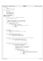```
181
182 * RETURNS:
183 * success: 0<br>184 * failure: a
     * failure: any other value
185<br>186
    int main(int argc, char *argv[])
\begin{matrix} 187 & \left\{ 188 \right. \end{matrix}188 char *argp;<br>
189 int rc = 0;
189 int rc = 190 int fd, s
190 int fd, superblock_type;<br>191 bool mounted = false;
              bool mounted = false;
192 struct superblock sb;
193 struct logsuper logsup;
194
195 #define FS_SUPER_SECONDARY 0
196 #define FS_SUPER_PRIMARY 1
197 #define LOG_SUPER 2
198
199 printf("jfs_tune version %s, %s\n", VERSION, JFSUTILS_DATE);
200
201 parse_tune_options(argc, argv);
202
203<br>204
204 * Check if device is mounted. -1 is the only parameter<br>205 * Supported on a mounted device. So if any others are
205 * supported on a mounted device, so if any others are
206 * selected, let the user know. If the device is mounted
207 * and −l was not specified, get out.
208
209 if (rc = IS\_Device\_Mounded(device)) {<br>
210 mounted = true;
                        mounted = true;211 if (J_flag || L_flag || U_flag) {<br>212 fprintf(stderr, "\n%s is mounted.\n"
<sup>213</sup> "While mounted, the only supported jfs_tune parameter is -1.\ln",<br><sup>214</sup>
214 device);<br>215 device);
215 if (!l_flag) {
216 exit(−1);
217 \Big\}218 \Big\}219 }
220
221 /* Open device */<br>222 fd = open(device,
222 fd = open(device, O_RDWR | O_EXCL, 0);<br>223 if (fd < 0) {
223 if (fd < 0) {<br>224 fprin
224 fprintf(stderr, "Error: Cannot open device %s.\n", device);<br>225 exit(-1);
                        exit(-1);\begin{array}{c} 226 \\ 226 \end{array}227
228 /* Get and validate primary JFS superblock *,<br>
229 if ((rc = uifs get superblk(fd, &sb, 1)) == (
229 if ((rc = u) f superblk(fd, ksb, 1)) == 0) {<br>230 if ((rc = u) f suldate super(ksb)) == 0
230 if ((rc = ujfs_validate_super(&sb)) == 0) {<br>
231 superblock_type = FS_SUPER_PRIMARY;
232 \Big\}233 }
234
235 /* If failure retrieving primary superblock, get/validate secondary superblock */
236 if (rc) {
236 if (rc) {<br>
237 if ((rc = ujfs_get_superblk(fd, &sb, 0)) == 0)<br>
if ((rc = ujfs_validate_super(&sb)) ==
238 if (\text{rc} = \text{ujfs\_validate\_super(ksb)}) = 0<br>
239 if (\text{rc} = \text{ujfs\_validate\_super(ksb)}) = 0\begin{array}{c} \texttt{superblock\_type = FS\_SUPER\_SECTIONDRY;} \\ \texttt{240} \end{array}\{240\}\left\{\n \begin{array}{ccc}\n 241 & & \\
 & & \\
 & & & \\
 \end{array}\n \right\}</math>242 }
243<br>244/* If no valid FS superblock, see if we have a log superblock */
245 if (rc) {
246 if ((rc = ujfs_get_logsuper(fd, &logsup)) == 0) {<br>246 if ((rc = ujfs validate logsuper(&logsup)
247 if ((rc = ujfs_validate_logsuper(&logsup)) == 0) {<br>248 if ((rc = ujfs_validate_logsuper(&logsup)) == 0) {
248 superblock_type = LOG_SUPER;<br>
249249 \frac{1}{\sqrt{2}}250 * We know this is an external journal device.
251 \star Now check to see if it is attached to a<br>252 \star mounted file system. If so, the only
252 * mounted file system. If so, the only<br>253 * valid option is -1.
253 * valid option is -1.<br><sup>254</sup> */
254 \star /
255 if (logsup.state == LOGMOUNT) {
256 mounted = true;
257 if (J_flag || L_flag || U_flag) {
258 fprintf(stderr,
<sup>259</sup> \mathbb{R}^3 \mathbb{R}^3 \mathbb{R}^3 \mathbb{R}^3 \mathbb{R}^3 \mathbb{R}^3 \mathbb{R}^3 \mathbb{R}^3 \mathbb{R}^3 \mathbb{R}^3 \mathbb{R}^3 \mathbb{R}^3 \mathbb{R}^3 \mathbb{R}^3 \mathbb{R}^3 \mathbb{R}^3 \mathbb{R}^3 \mathbb{R}^3 \mathbb{R}^3 \mathbb{R<sup>260</sup> "While mounted, the only supported jfs_tune parameter is -1.\ln", \det(z) is \det(z) is \det(z) is \det(z) is \det(z) is \det(z) is \det(z) is \det(z) is \det(z) is \det(z) is \det(z) is \det(z) is \det(z) is \det(z) is \det(z) is
261 device);<br>
262<br>
263 device device device device de la proposa device de la proposa device de la proposa de la proposa de la p<br>
263 EXIT(fd, −1);
264265266 }
\begin{array}{c} \textbf{267} \\ \textbf{268} \end{array} \qquad \qquad \bigg\} \qquad \qquad \bigg\}268 \Big\}269 }
270
Registered Version: Journaled File System tune.c Exhibit 10.1−32 pg 3/5
```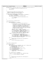```
271 /* If we couldn't find/read a valid JFS FS or log superblock, warn user and exit */
272 if (rc) {
273 printf("\nCould not read valid JFS FS or log superblock on device %s.\n", device \frac{1}{274}274 device);<br>275 EXIT(fd, -1);
             \begin{array}{cc} \texttt{EXIT(fd, -1)}\,; \end{array}276
277
278<br>279
279 * Account for bug in mkfs.jfs 1.0.18 and 1.0.19<br>
* that didn't properly set the file system vers
280 * that didn't properly set the file system version<br>281 * number to 2 when using an external journal.
                number to 2 when using an external journal.
282 */
<sup>283</sup> if (!mounted && (superblock_type < LOG_SUPER) &&<br>284 (sb.s version < JFS VERSION) && !(sb.s flag
284 (sb.s_version < JFS_VERSION) && !(\overline{sb}.s\_flag \& JFS\_INLINKLOG)) {<br>285 (sb.s version = JFS VERSION)
                      sb.s_version = JFS_VERSION;
286 rc = ujfs\_put\_superblk(fd, & sb, superblock\_type);<br>287 if (rc) {
287 if (rc) {
<sup>288</sup> printf("\nCould not update JFS version number properly on %s.\n",<br><sup>289</sup> device);
<sup>289</sup> device);<br><sup>290</sup> extr(fd, rc);
290 EXIT(fd, rc);
291 }
292 }
293
294<br>295
                set volume label on unmounted device
296 * /
297 if (L_flag && !mounted) {
298 if (superblock_type < LOG_SUPER) {
299 120 - 120 - 120 - 120 - 120 - 120 - 120 - 120 - 120 - 120 - 120 - 120 - 120 - 120 - 120 - 120 - 120 - 120 - 1<br>120 - 120 - 120 - 120 - 120 - 120 - 120 - 120 - 120 - 120 - 120 - 120 - 120 - 120 - 120 - 120 - 120 - 120 - 
300 /*
\frac{301}{301} * The superblock in JFS releases before 1.0.18 stores<br>302 * the label in s fpack[11]. The superblock in JFS
                                   the label in s_fpack[11]. The superblock in JFS
303 * releases 1.0.18 and greater has s_fpack, but uses
304 * the new field s_label[16] to store the label. 
305 * s_label is in an area of the superblock that was 
306 * allocated but unused in pre 1.0.18, so if per chance
307 * the user is using an old JFS file system, setting
308 * s_label will not be a problem.
\mathbf{309} * /
310 memset(sb.s_fpack, 0, sizeof (sb.s_fpack));
311 strncpy(sb.s_fpack, new_label, sizeof (sb.s_fpack));
312 if (strlen(new_label) > sizeof (sb.s_label))
\text{313} fprintf(stderr, "Warning: label too long, truncating.\n");<br>314 memset(sb.s label, 0, sizeof (sb.s label));
314 memset(sb.s_label, 0, sizeof (sb.s_label));
315 strncpy(sb.s_label, new_label, sizeof (sb.s_label));
316 rc = ujfs_put_superblk(fd, &sb, superblock_type);
317 } else {
318 (and the state of the state of the state of the state of the state of the state of the state of the state of the state of the state of the state of the state of the state of the state of the state of the state of the s
319 if (strlen(new_label) > sizeof (logsup.label))
320 fprintf(stderr, "Warning: label too long, truncating.\n");
321 memset(logsup.label, 0, sizeof (logsup.label));
322 strncpy(logsup.label, new_label, sizeof (logsup.label));
323 rc = ujfs_put_logsuper(fd, &logsup);
324 }
325 if (rc) {
326 printf("\nError writing superblock to disk. Label unchanged.\n");
                                EXIT(fd, rc);
328 } else {
329 printf("Volume label updated successfully.\n");<br>330 }
330 }
331 }
332
333<br>334
              * set UUID on umounted device
335 */
<sup>336</sup> if (U_flag && !mounted) {<br><sup>337</sup> uuid t *uu;
337 uuid_t *uu;<br>338 uu = ((supe)
338 uu = ((superblock_type < LOG_SUPER) ? &sb.s_uuid : &logsup.uuid);
339 if ((strcasecmp(new_UUID, "null") == 0) ||
340 (strcasecmp(new_UUID, "clear") == 0)) {
341 uuid_clear(*uu);
342 } else if (strcasecmp(new_UUID, "time") == 0) {<br>343343 uuid_generate_time(*uu);<br>344 else if (strcasecmp(new UUID).
                      344 } else if (strcasecmp(new_UUID, "random") == 0) {
345 uuid_generate(*uu);
346 } else if (uuid_parse(new_UUID, *uu)) {
\text{347} fprintf(stderr, "Invalid UUID format.\n");<br>348 EXIT(fd, -1);
\frac{1}{248} EXIT(fd, -1);
349 }
350
351 if (superblock_type < LOG_SUPER) {
\text{rc} = \text{uJfs\_put\_superblk}(\text{fd}, \text{&sb}, \text{superblock\_type});<br>353 else {
353 } else {
\text{arc} = \text{ujfs}\text{put}\text{logsuper(fd, \&\text{logsup}});355 }
356
357 if (rc) {
358 printf ("\nError writing superblock to disk. UUID unchanged.\n");<br>{}^{359} RXTTfd, rc);
                                EXIT(fd, rc);
360 } else {
Registered Version: Journaled File System tune.c Exhibit 10.1−32 pg 4/5
```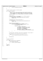```
361 printf("UUID updated successfully.\n");<br>382
362 }
363 }
364
365<br>366
               * attach external journal to JFS file system
367 * /368 if (J_flag && !mounted) {
369 /*
* NOTE: If we ever allow attaching more than one file system to a<br>* single log file, we'll have to change the conditions of the above<br>* 'if' to account for a log file that is in use by one file system<br>* (state LOGMOUNT), b
374 * /
375 struct stat st;
376
377 /* make sure device to be attached to is a JFS file system */<br>378 if (superblock type >= LOG SUPER) {
378 if (superblock_type >= LOG_SUPER) {<br>379 printf("\nError: %s does not contain a JFS file system.\n",device);
380 EXIT(fd, −1);
381 }
382
383 \frac{7}{16} /* \frac{1}{364} /* \frac{1}{16} (\frac{1}{364} /* \frac{1}{16} (\frac{1}{364} /* \frac{1}{16} (\frac{1}{364} /* \frac{1}{16} /* \frac{1}{16} /* \frac{1}{16} /* \frac{1}{16} /* \frac{1}{16} /* \frac{1}{16} /* \frac{1}{16} /* \frac{1}{16}384 if (log_fd < 0) {<br>printf("\nError: Could not find/open specified external journal device.\n");
386 EXIT(fd, −1);<br>387 }
387 }
388
389 /* get valid log superblock */<br>
390 if ((rc = ujfs_get_logsuper(log_fd, &logsup)) == 0) {<br>
391 if ((rc = ujfs_validate_logsuper(&logsup)) == 0) {<br>
if (fstat(log_fd, &st)) {<br>
393<br>
393 rc = −1;
rac{1}{x} \frac{1}{x} \frac{1}{x} \frac{1}{x} \frac{1}{x} \frac{1}{x} \frac{1}{x} \frac{1}{x} \frac{1}{x} \frac{1}{x} \frac{1}{x} \frac{1}{x} \frac{1}{x} \frac{1}{x} \frac{1}{x} \frac{1}{x} \frac{1}{x} \frac{1}{x} \frac{1}{x} \frac{1}{x} \frac{1}{x} \frac{1}{x} \395 (* update FS superblock */<br>
396 sb.s_logdev = dev_to_kdev(st.st_rdev);<br>
397 sb.s_version = JFS_VERSION;<br>
398 sb.s_version = JFS_VERSION;
\text{sb.s} \frac{f}{\text{lag}} \text{ke} (\sim JFS INLINELOG);<br>memset (ksb.s logpxd, 0, sizeof
400 memset(&sb.s_logpxd, 0, sizeof (pxd_t));
401 rc = ujfs_put_superblk(fd, &sb, superblock_type);
402 }
403 }
404 }
405
^{106} /* If we could't find/read a valid JFS log superblock, let user know */<br>407 if (rc) {
407 if (rc) {
408 printf("\nError attaching JFS external journal to JFS FS.\n");
409 } else {
410 printf ("Attached JFS external journal to JFS FS successfully.\n");
411 }
412<br>413
               dose(log_fd);<br>}
414 }
415
416<br>417
               * display superblock
418<br>419419 if (l_flag) {<br>420 if (s
                         i\tilde{f} (superblock_type < LOG_SUPER) {
421 display_super(&sb);
422 } else {
423 display_logsuper(&logsup);<br>
}
424 }
425 }
426
427 close(fd);<br>428 return rc;
    return rc;
429 }
Registered Version: Journaled File System tune.c Exhibit 10.1−32 pg 5/5
```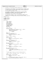```
\frac{1}{1}2 * Copyright (c) International Business Machines Corp., 2000−2002
\frac{3}{4}4 * This program is free software; you can redistribute it and/or modify
5 * it under the terms of the GNU General Public License as published by
6 * the Free Software Foundation; either version 2 of the License, or 
7 * (at your option) any later version.
 8 * 
* This program is distributed in the hope that it will be useful,<br>"but WITHOUT ANY WARRANTY; without even the implied warranty of<br>"* MERCHANTABILITY or FITNESS FOR A PARTICULAR PURPOSE. See<br>"* the GNU General Public Licens
13<br>14<sup>14</sup> * You should have received a copy of the GNU General Public License<br><sup>15</sup> * along with this program: if not, write to the Free Software
15 * along with this program; if not, write to the Free Software 
16 * Foundation, Inc., 59 Temple Place, Suite 330, Boston, MA 02111−1307 USA
17 + 1718 #include "xpeek.h"
19
20 /* libfs includes */
21 #include "devices.h"
22 #include "utilsubs.h"
23
24 void alter()
25 {
26 int64_t address;
27 int64_t block;
<sup>28</sup> uint8_t *buffer;
29 uint8<sup>-</sup>t byte;<br>20<br>20<br>20<br>20<br>20<br>2030 char cmdline[512];
31 char *hexstring;
32 unsigned hex_length;
33 unsigned length;<br>34 unsigned offset;
34 unsigned offset;<br>35 char *ptr;
35 char *ptr;
36 char *token;
37
\begin{array}{lll} 38 & \text{token} = \text{strtok}(0, \text{ "} & \text{ln");} \\ 39 & \text{if (token == 0)} \end{array}39 \textbf{if} \text{ (token == 0)}<br>40 \textbf{fouts} \text{ (} \text{''})40 fputs("alter: Please enter: block offset hex−digits> ", stdout);
41 fgets(cmdline, 512, stdin);
42 token = strtok(cmdline, " \n");
43 if (token == 0)
44 return;
45 }
46 errno = 0;<br>47 block = st
47 block = strtoull(token, 0, 0);<br>48 if (block == 0 && errno) {
48 if (block == 0 && errno) {
49 fputs("alter: invalid block\n\n", stderr);
50 return;
51 }
52 address = block << l2bsize;
53
54 token = strtok(0, \ln);<br>55 if (ltoken) {
55 if (!token) {
56 fputs("alter: Not enought arguments!\n", stderr);
57 return;
58 }
59 \bigcirc fiset = strtoul(token, 0, 16);<br>60 \bigcirc if (offset == 0 && errno) {
60 if (offset == 0 && errno) {
61 fputs("alter: invalid offset\n", stderr);
62 return;
63 }
\frac{1}{64} hexstring = strtok(0, " \n");
65 if (!hexstring) {
66 fputs("alter: Not enough arguments!\n", stderr);
67 return;
68 }
69 if (strtok(0, " \n")) {<br>70 fputs("alter: Too many arguments!\n", stderr);
71 return;
72 }
73 hex_length = strlen(hexstring);<br>
74 if (hex_length & 1) {
               if (hex_length & 1) {
75 /* odd number of hex digits */
76 fputs("alter: hex string must have even number of digits!\n", stderr);
77 return;
               78 }
79
80 \frac{1}{x} Round length of data up to next full physical block \frac{x}{x}81
82 length = (offset + hex_length + bsize - 1) \& \sim(\text{bsize} - 1)i83
84 buffer = (char * ) malloc(length);<br>85 if (lbuffer) {
85 if (!buffer) {
86 fputs("alter: malloc failure!\n", stderr);
87 return;
88 }
89 if (ujfs_rw_diskblocks(fd, address, length, buffer, GET)) {
90 fputs("alter: failed reading disk data!\n", stderr);
Registered Version: Journaled File System alter.c Exhibit 10.1−33 pg 1/2
```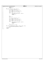```
91 free(buffer);
92 return;
93 }
for (ptr = hexstring; *ptr; ptr++) {<br>
\text{if } (*p\text{tr } z = '0' \& *p\text{tr } z = '9')<br>
\text{byte} = *p\text{tr } - '(0';<br>
else if (*p\text{tr } z = 'a' \& *p\text{tr } z = 'f')<br>
else if (*p\text{tr } z = 'a' \& *p\text{tr } z = 'f')<br>
else if (*p\text{tr } z = 'A' \& *p\text{tr } z = 'F')<br>
\text{102 fputs("alter: invalid hex digit!\n", stderr);<br>free(buffer);
104 return;<br>105 }
105 }
106
107<br>108 byte <
                             byte \leq 4;109
110 if (*ptr >= '0' && *ptr <= '9')
111 byte += *ptr − '0';
112 else if (*ptr >= 'a' && *ptr <= 'f')
113 byte += *ptr − 'a' + 10;
114 else if (*ptr >= 'A' && *ptr <= 'F')
115 byte += *ptr − 'A' + 10;
116 else {
117 fputs("alter: invalid hex digit!\n", stderr);<br>
free(buffer);
118 free (buffer);<br>
118 free (buffer);<br>
return;
119 return;<br>120 f
120 }
121
                             buffer[offset++] = byte;123 }
124 if (ujfs_rw_diskblocks(fd, address, length, buffer, PUT))<br>125 fputs("alter: failed writing disk data!\n", stderr);
                             125 fputs("alter: failed writing disk data!\n", stderr);
126
127 free(buffer);<br>
128 return;
                 128 return;
129 }
Registered Version: Journaled File System alter.c Exhibit 10.1−33 pg 2/2
```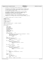```
\frac{1}{1}2 * Copyright (c) International Business Machines Corp., 2000−2002
\frac{3}{4}4 * This program is free software; you can redistribute it and/or modify
5 * it under the terms of the GNU General Public License as published by
6 * the Free Software Foundation; either version 2 of the License, or 
7 * (at your option) any later version.
 8 * 
 * This program is distributed in the hope that it will be useful,<br>"but WITHOUT ANY WARRANTY; without even the implied warranty of<br>"* MERCHANTABILITY or FITNESS FOR A PARTICULAR PURPOSE. See<br>"* the GNU General Public Licens
13<br>14<sup>14</sup> * You should have received a copy of the GNU General Public License<br><sup>15</sup> * along with this program: if not, write to the Free Software
 15 * along with this program; if not, write to the Free Software 
16 * Foundation, Inc., 59 Temple Place, Suite 330, Boston, MA 02111−1307 USA
\begin{array}{ccc} 10 & * & / \\ 17 & / & / \\ 18 & / & \end{array}\begin{matrix} 18 \\ 19 \end{matrix} \qquad \begin{matrix} \star \\ \star \end{matrix}<sup>19</sup> * FUNCTION: Displays data in a variety of formats \frac{1}{20} */
\begin{array}{ccc} 20 & & {\ast} / \\ 21 & & \text{# in} \end{array}#include "xpeek.h"
22 #include "jfs_endian.h"
23
24 #include <jfs_xtree.h>
25
 26 /* libfs includes */
27 #include <devices.h>
28
29 static void display_hex(char *, unsigned, unsigned);
30
31 extern unsigned type_jfs;
32
33 void display()
34 {
 35 int64_t addr;
36 int64_t block;
37 char *buffer;
38 char cmdline[512];<br>39 char cmdline[512];
39 unsigned data_size;<br>40 int format = 'a';
 40 int format = 'a';
41 int64_t len;
42 unsigned length = 0;<br>43 unsigned offset = 0;
43 unsigned offset = 0;<br>
44 char *token;
                char *token;
45
46 token = strtok(0, " \ln");<br>47 if (token == 0) {
47 if (token == 0) {
48 fputs("display: Please enter: block [offset [format [count]]]\ndisplay>", stdout);<br>faets(cmdline, 512, stdin);
49 fgets(cmdline, 512, stdin);<br>50 token = strtok(cmdline, "
                             token = strtok(cmoline, " \n' "");\mathbf{if} (token == 0)<br>\mathbf{if} (token == 0)<br>\mathbf{return}52 return;
 53 }
\frac{6}{54} errno = 0;<br>\frac{6}{55} block = st
 55 block = strtoull(token, 0, 0);<br>56 if (block == 0 && errno) {<br>57 fputs("display: invalid block\n\n", stderr);
58 return;
 59 }
 60 if ((token = strtok(0, " \n"))) {
61 offset = strtoul(token, 0, 16);
62 if (offset == 0 && errno) {
63 fputs("display: invalid offset\n\n", stderr);
                            64 return;
 65 }
 66 }
\mathbf{f} if ((token = strtok(0, " \mathbf{h}")))
                             format = token[0];
69
 70 if ((token = strtok(0, " \n"))) {
71 length = strtoul(token, 0, 0);
72 if (length == 0 && errno) {
73 fputs("display: invalid length\n\n", stderr);<br>
return;
                            74 return;
 75 }
 76 }
77
 78 if (strtok(0, " \n")) {<br>
fputs("display: Too many arguments\n\n", stderr);<br>
return;
\begin{array}{ccc} 81 & & & \end{array}82
83 switch (format) {<br>84 case 'a':
84 case 'a':
                            data size = 1;86 if (length == 0)<br>87 length == 0
\frac{1}{87} length = bsize;<br>
\frac{1}{88} break;
88 break;<br>89 case 'i':
                 89 case 'i':
90 data_size = sizeof (struct dinode);
Registered Version: Journaled File System display.c Exhibit 10.1−34 pg 1/3
```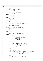```
\frac{1}{9} if (length == 0)<br>as length =
                             length = 1;
93 break;<br>94 case '<sup>['</sup>:
94 case 'I':
95 data_size = sizeof (struct iag);
96 if (length == 0)
\frac{1}{97}<br>98 break;<br>break;
98 break;<br>99 case 's':
99 case 's':
100 data_size = sizeof (struct superblock);<br>101 if (length == 0)
                    if (length == 0)102<br>103 break;<br>break;
103<br>104 case 'x':
104 case 'x':
105 data_size = 4;
106 if (length == 0)
107<br>
108<br>
break;<br>
108108 break;<br>
109 case 'X':
109 case 'X':<br>
110 d
110 data_size = sizeof (xad_t);
111 if (length == 0)
112 length = 1;<br>
113 break;
113 break;<br>114 default:
114 default:
                    fputs("display: invalid format\n\n", stderr);
116 return;<br>117 }
117 }
118
119 addr = block << l2bsize;
120 len = ((length * data_size) + offset + bsize − 1) & (~(bsize − 1));
121 buffer = malloc(len);
122 if (buffer == 0) {
123 fputs ("display: error calling malloc\ln\ln", stderr);<br>
\frac{124}{\pi}124 return;<br>125 }
            \}126
127 if (ujfs_rw_diskblocks(fd, addr, len, buffer, GET)) {<br>fputs("display:ujfs_rw_diskblocks failed\n\n", stderr);
129 \text{free}(\text{buffer});<br>
130 \text{return};130 return;
131 }
132
133 printf("Block: %lld Real Address 0x%llx\n", (long long) block, (long long) addr);<br>134 switch (format) {
134 switch (format) {<br>135 case 'a':
            135 case 'a':
136 case 'x':
137 display_hex(&buffer[offset], length, offset);<br>138 break;
138 break;<br>139 case 'i':
139 case 'i':
140 \left\{int i;142 struct dinode *inode = (struct dinode *) &buffer[offset];
143 for (i = 0; i < length; i++, inode++) {
144 /* swap if on big endian machine */
145 ujfs_swap_dinode(inode, GET, type_jfs);
146 display_inode(inode);<br>
147 dif (more())
147 if (more())
148 return;<br>149 149 return;
\left\{\right. \right\}\left\{\right\}151 break;<br>152 case 'I':
152 case 'I':
153 \left\{\frac{154}{154} int i;
155 struct iag *iag = (struct iag *) & buffer[offset];
156 for (i = 0; i < length; i++, iag++) {
157 \star swap if on big endian machine */<br>158 \star swap if on big endian machine */<br>158 \star uifs swap iaq(iaq);
158 ujfs_swap_iag(iag);<br>
159 display iag(iag);
159 display_iag(iag);
160 if (more())
161 return;<br>162 f
\{162 \}\{163\}164 break;
165
166 case 's':
167 /* swap if on big endian machine */<br>168 168 168 ujfs swap superblock((struct superb
168 ujfs_swap_superblock((struct superblock *) &buffer[offset]);<br>169 if (display_super((struct superblock *) &buffer[offset]) == XPEEK_CHANGED){<br>170 /* swap_if on big endian machine */<br>ujfs_swap_superblock((struct superblo
172 if (ujfs_rw_diskblocks(fd, addr, len, buffer, PUT))
173 fputs("Display: Error writing superblock!\n", stderr);
174 }
175
176 break;<br>177 default:
177 default:<br>178
178 fputs ("display: specified format not yet supported\n\n", stderr);<br>
break;
                    break;
180 }
Registered Version: Journaled File System display.c Exhibit 10.1−34 pg 2/3
```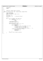```
181
182 free(buffer);<br>183 return;
   183 return;
184 }
185
186 /*187 * display_hex: display region in hex/ascii<br>188 */
187 *<br>188 */<br>189 stat
    static void display_hex(char *addr, unsigned length, unsigned offset)
190 {
191 uint8_t hextext[37];
192 uint8_t asciitxt[17];
193 uint8_t *x = (uint8_t *) addr, x1, x2;
194 int \overline{i}, j, k, l;
195
196 hextext[36] = '\sqrt{0'};<br>197 asciitxt[16] = '\sqrt{0'};
                                             1<sup>*</sup> null end of string */
198
               1 = 0;200
201 for (i = 1; i <= ((length + 15) / 16); i++) {
202 if (i > 1 && ((i − 1) % 16) == 0)
203 if (more())
204 break;
205
206 /* print address/offset */
207 printf("%08x: ", offset + l);
208
209 /* print 16 bytes per line */<br>
for (j = 0, k = 0; j < 16; j++, x++, 1++) {<br>
if ((j % 4) == 0)
212 hextext[k++] = '';<br>
213 if (1 < length) {
213 if (l < length) {
214 hextext[k++] = ((x1 = ((*x & 0xf0) >> 4)) < 10)
215 ? ('0' + x1) : ('A' + x1 − 10);
216 hextext[k++] = ((x2 = (*x & 0x0f)) < 10)
217 ? ('0' + x2) : ('A' + x2 − 10);
218 asciitxt[j] = ((*x < 0x20) || (*x >= 0x7f)) ? '.' : *x;
219 } else { /* byte not in range */
220 hextext[k++] = ' ';
221 hextext[k++] = ' ';
222<br>222 asciitxt[j] = '.';<br>223 }
223 \Big\}224 }
225 printf("%s |%s|\n", hextext, asciitxt);
\begin{array}{c} 226 \\ 227 \end{array} }
227 }
Registered Version: Journaled File System display.c Exhibit 10.1−34 pg 3/3
```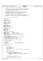```
/*
2 * Copyright (c) International Business Machines Corp., 2000−2002
\frac{3}{4}4 * This program is free software; you can redistribute it and/or modify
5 * it under the terms of the GNU General Public License as published by
6 * the Free Software Foundation; either version 2 of the License, or 
7 * (at your option) any later version.
 8 * 
* This program is distributed in the hope that it will be useful,<br>"but WITHOUT ANY WARRANTY; without even the implied warranty of<br>"* MERCHANTABILITY or FITNESS FOR A PARTICULAR PURPOSE. See<br>"* the GNU General Public Licens
13<br>14<sup>14</sup> * You should have received a copy of the GNU General Public License<br><sup>15</sup> * along with this program: if not, write to the Free Software
15 * along with this program; if not, write to the Free Software 
16 * Foundation, Inc., 59 Temple Place, Suite 330, Boston, MA 02111−1307 USA
\begin{array}{ccc} 10 & * & / \\ 17 & / & / \\ 18 & / & \end{array}18 / *<br>19 *dmap - display/modify disk map
20 */
21 #include "xpeek.h"
22
23 /* JFS includes */<br>24 \#include \star \frac{1}{100}24 #include <jfs_filsys.h>
    25 #include <jfs_dmap.h>
26
27 /* libfs includes */
28 #include <jfs_endian.h>
29 #include <inode.h>
30 #include <devices.h>
31
32 / * ACTIONS */33 #define DMAP_EXIT 0<br>34 #define DISPLAY DRMAP 1
34 #define DISPLAY_DBMAP 1
35 #define DISPLAY_CPAGE 2
     36 #define DISPLAY_LEAF 3
37
38 /* DMAP BLOCK TYPES */<br>39 #define DMAP -1
39 #define DMAP −1
40 #define LEVEL0 0
41 #define LEVEL1 1
     42 #define LEVEL2 2
43
44 /* DMAP BLOCK CALCULATIONS */
45 #define LOFACTOR (LPERCTL + 1)<br>46 #define L1FACTOR ((LOFACTOR *
46 #define L1FACTOR ((L0FACTOR * LPERCTL) + 1)
47 #define L1PAGE(l1) (2 + ((l1) * L1FACTOR))
48 #define LOPAGE(11, 10) (L1PAGE(11) + 1 + (10 * LOFACTOR))<br>49 #define DMAPPAGE(11, 10, d) (LOPAGE(11, 10) + 1 + d)
     #define DMAPPAGE(11, 10, d)
50
51 /* forward references */
52 int decode_pagenum(int64_t page, int *l1, int *l0, int *dmap);
53 int display_agfree(int64_t * agfree);
54 int display_cpage(struct dinode *, int64_t *);
55 int display_dbmap(struct dbmap *, int64_t *, int64_t);
56 int display_leaf(struct dinode *, int64_t *);
57 int display_tree(struct dmapctl *, int64_t *, int *);
58
59 /* external references */
60 int display_map(unsigned *, int); \frac{1}{2} /* iag.c */
61
62 /* Global Data */<br>63 int dmap_level;
63 int dmap_level; /* Maximum level of dtree */
64 int dmap_l2bpp; /* log 2 of blocks per page */
65
66 extern unsigned type_jfs;
67
68 void dmap()
69 \t{70}int action;
71 int64_t address;
72 struct dinode bmap_inode;
73 int64_t cntl_addr;<br>74 struct dbmap cntl_
                 struct dbmap cntl page;
75 int64_t lblock; /* Logical block of BMAP to be displayed */
76
77 lblock = 0;<br>78 action = DI
                 action = DISPLAY_DBMAP;
79
80 \frac{1}{4} Read block allocation map Inode \frac{1}{4}<br>81 \frac{1}{4} (find inode (BMAP I, AGGREGATE I, 8
81 if (find_inode(BMAP_I, AGGREGATE_I, &address) ||
82 xRead(address, sizeof (struct dinode), (char *) &bmap_inode)) {
83 fputs("dmap: Error reading block allocation map inode\n", stderr);<br>s fputs("dmap: Error reading block allocation map inode\n", stderr);
84 return;
                 \rightarrow86
97 /* swap if on big endian machine */<br>88      ujfs_swap_dinode(&bmap_inode, GET,
                  ujfs_swap_dinode(&bmap_inode, GET, type_jfs);
89
90 /* Read overall control page for the map */
Registered Version: Journaled File System dmap.c Exhibit 10.1−35 pg 1/11
```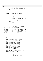```
91
92 if (ujfs_rwdaddr(fd, &cntl_addr, &bmap_inode, (int64_t) 0, GET, bsize) ||
93 xRead(cntl_addr, sizeof (struct dbmap), (char *) &cntl_page)) {
94 fputs (\pidmap: Error reading aggregate dmap control page\n", stderr);<br>95 return;
95 return;
             \left\{ \right\}97
98 /* swap if on big endian machine */<br>99 vifs swap dbmap(&cntl page);
             ujfs_swap_dbmap(&cntl_page);
100
101 /* Useful stuff */102 dmap_level = BMAPSZTOLEV(cntl_page.dn_mapsize);<br>103 dmap 12bpp = cntl page.dn 12nbperpage;
             dmap_l2bpp = cntl_page.dn_l2nbperpage;
104
105 while (action != DMAP_EXIT) {
106 switch (action)<br>107 case DISPLAY DBI
107 case DISPLAY_DBMAP:<br>108 case DISPLAY_DBMAP:<br>action = di
108 action = display_dbmap(&cntl_page, &lblock, cntl_addr);<br>\frac{108}{2} break;
109 break;<br>110 case DISPIAY C
110 case DISPLAY_CPAGE:<br>111 action = di
                                \arctan = \text{display\_cpage}(\&\text{bmap\_inode}, \&\text{lblock});112 break;<br>113 case DISPLAY_L
113 case DISPLAY_LEAF:<br>114 action = d
114 action = display_leaf(&bmap_inode, &lblock);<br>
break;
                                break;
116 default:
117 fputs("dmap: Internal Error!\n", stderr);
118 return;<br>
119 return;
\left\{\right. \right\}120 }
121 return;<br>122 }
122 }
123
124 /*****************************************************************************
     125 *********************** Sample output from display_dbmap()
126
127 Block allocation map control page at block 128
128
129 [1] dn_mapsize: 0x00000031fa0 [9] dn_agheigth: 0<br>130 [2] dn_nfree: 0x00000030ed8 [10] dn_agwidth: 1
130 [2] dn_nfree: 0x00000030ed8 [10] dn_agwidth: 1
131 [3] dn_12nbperpage: 3 [11] dn_agstart: 341<br>132 [4] dn_numag: 25 [12] dn_ag12size: 13
132 [4] dn_numag: 25 [12] dn_agl2size: 13
133 [5] dn_maxlevel: 0 [13] dn_agfree: type 'f'<br>
134 [6] dn_maxag: 16 [14] dn_agsize: 8192
134 [6] dn_maxag: 16 [14] dn_agsize: 8192<br>135 [7] dn_agpref: 16 [15] pad: Not Displayed
    17] dn_agpref: 16<br>
18] dn aglevel: 0
136 [8] dn_aglevel: 0
137
138 *****************************************************************************/
139
140 int display_dbmap(struct dbmap *hdr, int64_t *lblock, int64_t hdr_addr)
141 \{\begin{array}{cc}\n 142 & \text{char } \text{cmdline} [\, 80 \,] \, ; \\
 143 & \text{int } \text{field} \,; \n \end{array}int field;
144 int rc;
145 char *token;
146
147 dbmap_redisplay:<br>
printf ("\nBlock allocation map control page at block %lld\n\n",
148<br>
printf ("\nBlock allocation map control page at block %lld\n\n",<br>
149<br>
160<br>
1711 ("[1] dn_mapsize:\t\t\0x%01] lk\t", (long long) hdr->dn_mapsize);<br>
printf ("[9] dn_agheigth:\t\%0\n", hdr->dn_agheigth;);<br>
161<br>
161<br>
161
165
166 dbmap_retry:<br>167 fputs("disp
167 fputs("display_dbmap: [m]odify, [f]ree count, [t]ree, e[x]it > ", stdout);
168 fgets(cmdline, 80, stdin);
169 token = strtok(cmdline, " \n");
170 if ((token == 0) || (token[0] == 't')) {
171 switch (dmap_level) {
172 case 2:
173 *1 \text{block} = 1; /* L2 page */<br>174 break;
174 break;<br>175 case 1:
                       175 case 1:
176 *1 \text{block} = 2; /* L1 page */<br>177 break;
177 break;<br>178 case 0:
178 case 0:<br>179
                                *lblock = 3; /* L0 page */
180 break;
Registered Version: Journaled File System dmap.c Exhibit 10.1−35 pg 2/11
```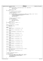181 **default:**<br>182 fprintf(stderr, "display dbmap: dmap level = %d\n", dmap level); 183 **return** DMAP\_EXIT;<br>184 }  $\left\{\n\begin{array}{ccc}\n184 & & \n\end{array}\n\right\}$ <sup>185</sup> **return** DISPLAY\_CPAGE; <sup>186</sup> } 187 **if** (token[0] ==  $'f'$ ) {<br>188 **if** (token[0] ==  $f'$ ) { <sup>188</sup> rc = display\_agfree(hdr−>dn\_agfree); 189 190  $\frac{1}{3}$  /\* swap if on big endian machine \*/<br>191  $\frac{1}{3}$  uifs swap dbmap(hdr); ujfs\_swap\_dbmap(hdr); 192 1**f** ((rc & XPEEK\_CHANGED) && xWrite(hdr\_addr, **sizeof** (struct dbmap), (char \*) hdr)) {<br>194 194 fputs("display\_dbmap: error writing control header\n\n", stderr);<br>  $\frac{1}{4}$  swap if on big endian machine \*/ <sup>195</sup> /\* swap if on big endian machine \*/ <sup>196</sup> ujfs\_swap\_dbmap(hdr); 197 **return** DMAP\_EXIT;<br>198 **for the set of the set of the set of the set of the set of the set of the set of the set of the set of the set of the set of the set of the set of the set of the set of the set of the set of th**  $\left\{\right. \right\}$ 199  $200$  /\* swap if on big endian machine \*/<br>201 with the curve and distinguished in the contract of the contract of the contract of the contract of the contract of the contract of the contract of the contract of the contract of the contract of the contract of the contra 202 203 **if** (rc & XPEEK\_REDISPLAY)<br>204 **goto** dbmap\_redisp <sup>204</sup> **goto** dbmap\_redisplay; 205 206 **return** DMAP\_EXIT; <sup>207</sup> } 208 **if** (token[0]  $!= 'm'$ ) { /\* assume 'x' \*/ 209 **return** DMAP\_EXIT; 210  $\Big\}$ 211<br>212 field =  $m\_parse(c}$ dline, 14, &token); 213 **if** (field  $= 0$ )<br>214 **goto** db goto dbmap\_retry; 215 <sup>216</sup> **switch** (field) { <sup>217</sup> **case** 1: 218 hdr−>dn\_mapsize = strtoull(token, 0, 16);<br>219 **break**; <sup>219</sup> **break**; <sup>220</sup> **case** 2: 221 hdr->dn\_nfree = strtoull(token, 0, 16);<br>222 **break**; <sup>222</sup> **break**; <sup>223</sup> **case** 3: 224 hdr−>dn\_l2nbperpage = strtoul(token, 0, 0);<br>225 **break**; break; <sup>226</sup> **case** 4:  $227$  hdr->dn\_numag = strtoul(token, 0, 0);<br> **break**; <sup>228</sup> **break**; <sup>229</sup> **case** 5: hdr->dn\_maxlevel = strtoul(token, 0, 0); <sup>231</sup> **break**; <sup>232</sup> **case** 6: 233 hdr->dn\_maxag = strtoul(token, 0, 0);<br> **break**; <sup>234</sup> **break**; <sup>235</sup> **case** 7: 236 hdr->dn\_agpref = strtoul(token, 0, 0);<br> **break**; <sup>237</sup> **break**; <sup>238</sup> **case** 8: 239 hdr−>dn\_aglevel = strtoul(token, 0, 0);<br>240 **break**; break; <sup>241</sup> **case** 9: 242 hdr->dn\_agheigth = strtoul(token, 0, 0);<br>
243 **break**; <sup>243</sup> **break**; <sup>244</sup> **case** 10: <sup>245</sup> hdr−>dn\_agwidth = strtoul(token, 0, 0); <sup>246</sup> **break**; <sup>247</sup> **case** 11: <sup>248</sup> hdr−>dn\_agstart = strtoul(token, 0, 0); <sup>249</sup> **break**; <sup>250</sup> **case** 12: 251 hdr−>dn\_agl2size = strtoul(token, 0, 0);<br>252 **break**; <sup>252</sup> **break**; <sup>253</sup> **case** 13: fputs("display\_dbmap: Can't change this field from here.\n", stderr); <sup>255</sup> **goto** dbmap\_retry; <sup>256</sup> **case** 14: 257 hdr−>dn\_agsize = strtoull(token, 0, 0);<br>258 **break**; <sup>258</sup> **break**;  $259$  $260$ <sup>261</sup> /\* swap if on big endian machine \*/ <sup>262</sup> ujfs\_swap\_dbmap(hdr); 263 264 **if** (xWrite(hdr\_addr, **sizeof** (struct dbmap), (char \*) hdr)) {<br>265 fputs("display\_dbmap: error writing control header\n\n", stderr);<br>/\* swap back if on big endian machine \*/ 267 ujfs\_swap\_dbmap(hdr);<br>268 **return** DMAP\_EXIT; 268 **return** DMAP\_EXIT;  $\}$ Registered Version: Journaled File System **dmap.c** Exhibit 10.1−35 pg 3/11

270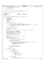```
271 /* swap back if on big endian machine */
272 ujfs_swap_dbmap(hdr);
273
274 goto dbmap_redisplay;
275 }
276
277 /***************************************************************************
278 *********************** Example Output of display_cpage()
279
280 Level 0 Control Page at block 136
281
282 [1] nleafs: 1024 [5] budmin: 13
283 [2] l2nleafs: 10 [6] stree<br>
283 [2] l2nleafs: 10 [6] stree<br>
284 [3] leafidx: 341 [7] pad:
284 [3] leafidx: 341 [7] pad: Not Displayed<br>285 [4] height: 5
   [4] height:
286
287 ****************************************************************************/
288 int display_cpage(struct dinode * bmap_inode, int64_t * lblock)
\begin{matrix}\n289 \\
290\n\end{matrix}290 int64_t address;<br>291 int change d = 0;
              int \ \overline{ch}anged = 0;
292 char cmdline[80];<br>293 struct dmapetl et
293 struct dmapctl ctl_page;<br>294 int field;
294 int field;<br>
295 int rc;
295 int rc;
296 char *token;
297 int dmap, l0, l1, type;
298
299 type = decode_pagenum(*lblock, &l1, &l0, &dmap);
300301 if (ujfs_rwdaddr(fd, &address, bmap_inode, (*lblock) << dmap_l2bpp,<br>302 GET, bsize) || xRead(address, sizeof (struct dmapctl), (char *) &ctl_page)) {<br>303 fputs("display_cpage: Error reading control page!\n", st
304 return DMAPEXIT;
              \}306
307 /* swap if on big endian machine */
308 ujfs_swap_dmapctl(&ctl_page);
309
310 cpage_redisplay:
311 printf("\nLevel %d Control Page at block %lld\n\n", type, (long long) (address >> l2bsize));
312
313 printf("[1] nleafs:\t%d\t\t\t", ctl_page.nleafs);<br>314 printf("[5] budmin:\t%d\n", ctl_page.budmin);<br>315 printf("[2] l2nleafs:\t%d\t\t\t", ctl_page.l2nleafs);<br>printf("[6] stree:\thit <enter>\n");
317 printf("[3] leafidx:\t%d\t\t\t", ctl_page.leafidx);
318 printf("[7] pad:\tNot Displayed\n");
319 printf("[4] height:\t%d\n", ctl_page.height);
320
321 cpage_retry:
\frac{322}{2} fputs("[m]odify, [u]p, [r]ight or [l]eft sibling, e[x]it, [s]tree > ", stdout);
323
324 fgets(cmdline, 80, stdin);<br>325 token = strtok(cmdline "
325 token = strtok(cmdline, " \n");
326 if ((token == 0) || (token[0] == 's')) {
327 rc = display_tree(&ctl_page, lblock, &changed);
328
329 /* swap if on big endian machine */<br>330 uifs swap dmapctl(&ctl page);
                        ujfs_swap_dmapctl(&ctl_page);
331
if (changed && xWrite(address, size<br>of (struct dmapctl), (char *) &ctl_page)) {<br>fputs("display_cpage:Error writing control page!\n", stderr);<br>/* swap_back if on big endian machine */<br>ujfs_swap_dmapctl(&ctl_page);<br>return DM
337 }
338
339 /* swap if on big endian machine */
340 ujfs_swap_dmapctl(&ctl_page);
341
342 return rc;
343 }
              \mathbf{if} (token[0] == 'u') {
345 if (type == LEVEL2) {
346 *lblock = 0;
347 return DISPLAY_DBMAP;
348 }
\mathbf{if} (type == LEVEL1) {
350 if (dmap_level > 1) {<br>351 *1block = 1;
352 return DISPLAY_CPAGE;
353 } else {
354<br>354 *{\texttt{1block}} = 0;<br>return DISPI.
                                  \begin{array}{c} \texttt{return } \texttt{DISPLAY\_DBMAP} \texttt{;} \\ \end{array}356 }
357 }
358 if (type == LEVEL0) {
359 if (dmap_level > 0) {
360 *lblock = L1PAGE(l1);
Registered Version: Journaled File System dmap.c Exhibit 10.1−35 pg 4/11
```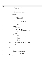```
361 return DISPLAY_CPAGE;
362 } else {
\begin{array}{c}\n \text{363} \\
 \text{363} \\
 \text{364}\n \end{array} \begin{array}{c}\n \text{364} \\
 \text{365}\n \end{array}364 return DISPLAY_DBMAP;
365 }
366 }
367 }
368 if ((token[0] == 'r') || (token[0] == 'l')) {<br>369 if (type == LEVEL2) {
369 if (type == LEVEL2) {<br>370 fputs("Level 2 node has no siblings!\n", stderr);
371 goto cpage_retry;
372 }
<sup>373</sup><br>373 if (type == LEVEL1) {<br>if (dmap_leve
\text{if} \left( \text{dmap\_level} < 2 \right) {<br>\text{fputs} \left( \text{Ilevel} \right)\frac{1}{2}=vel \frac{2}{1} node has no siblings!\n", stderr);
376 goto cpage_retry;
377 }
\begin{array}{rcl} \mathbf{378} & \mathbf{378} \\ \mathbf{379} & \mathbf{379} \end{array} \begin{array}{rcl} \mathbf{15} & (\mathbf{10} & \mathbf{187} & \mathbf{157} \\ \mathbf{379} & \mathbf{379} \end{array}379 if (11 == LPERCTL − 1) {<br>380 fouts ( "No right sibli
\frac{1}{380} fputs("No right sibling!\n", stderr);<br>\frac{1}{381}goto cpage_retry;
\}382<br>383<br>384<br>\begin{cases} 3 & \text{if } 1+1; \\ 3 & \text{if } 2 \leq n \end{cases}<br>else {
384 } else {
385 if (l1 == 0) {
386 fputs("No left sibling!\n", stderr);
387 goto cpage_retry;
\}388<br>389 l1−−;<br>390 l
390 }
391 *lblock = L1PAGE(l1);
                       392 return DISPLAY_CPAGE;
393 }
\mathbf{if} (type == LEVEL0) {<br>394 \mathbf{if} (dmap leve
395 if (dmap_level < 1) {
396 fputs("Level 0 node has no siblings!\n", stderr);
397 goto cpage_retry;
398 }
if (token[0] == 'r') {<br>
if (10 == LPERCTL − 1) {<br>
if ((dmap_level == 1) || (11 == LPERCTL − 1)) {<br>
fputs("No right sibling!\n", stderr);<br>
goto cpage_retry;<br>
404 <br>
404
11++;406 10 = 0;<br>407 \text{else}<sup>407</sup> } else
10++;409 } else {
                              if (10 == 0)410 if (10 == 0) {<br>if (11 == 0) {<br>if (11 == 0) {<br>fouts {
412 fputs("No left sibling!\n", stderr);<br>413 fputs("No left sibling!\n", stderr);
413 goto cpage_retry;
414 }
11-710 = \text{LPERCTL} - 1;<br>417 \text{else}417 } else
10-z419 }
420 *lblock = L0PAGE(l1, l0);
421 return DISPLAY_CPAGE;
422 }
423 fprintf(stderr, "display_cpage: decode_pagenum returned type %d\n", type);
                424 return DMAP_EXIT;
425 }
\frac{426}{426} if (token[0] == 'm') {<br>427 field = m_pars
427 field = m_parse(cmdline, 5, &token);<br>428 if (field == 0)
428 if (field = 0)<br>429 octo CD
                       429 goto cpage_retry;
430
431 switch (field) {
432 case 1:
433 ctl_page.nleafs = strtoul(token, 0, 0);<br>
break;
                       434 break;
435 case 2:
436 ctl_page.l2nleafs = strtoul(token, 0, 0);<br>
break;
437 break;
438 case 3:
                       ctl page.leafidx = strtoul(token, 0, 0);
440 break;
441 case 4:
442 ctl_page.height = strtoul(token, 0, 0);<br>
break;
443 break;
444 case 5:
                       ctl\_page.budmin = strtoul(token, 0, 0);446 break;
447 }
448
449 /* swap if on big endian machine */
450 ujfs_swap_dmapctl(&ctl_page);
Registered Version: Journaled File System dmap.c Exhibit 10.1−35 pg 5/11
```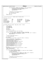```
451452 if (xWrite(address, sizeof (struct dmapctl), (char *) &ctl_page)) {
453 fputs("display_cpage: Error writing control page!\n", stderr);
454 /* swap back if on big endian machine */
455 ujfs_swap_dmapctl(&ctl_page);
456 return DMAP_EXIT;
457 }
458
459 \frac{459}{460} /* swap back if on big endian machine */
                        ujfs_swap_dmapctl(&ctl_page);
461
462 goto cpage_redisplay;
463<br>464
464 return DMAP_EXIT;
    \left\{ \right\}466
467 /****************************************************************************
468 ************************ Example output of display_leaf()
469
470 Dmap Page at block 144
471
472 [1] nblocks: 8192 [8] tree.budmin: 5
473 [2] nfree: 7624 [9] tree.stree: Hit <enter>
474 [3] start: 0 <br>475 [4] tree.nleafs: 256 [11] pad: Not Displayed Ars [4] tree.nleafs: 256 [11] pad: Not Displayed
    [4] tree.nleafs:
476 [5] tree.l2nleafs: 8 [12] wmap: Type 'w'
477 [6] tree.leafidx: 85 [13] pmap: Type 'p'
478 [7] tree.height: 4
479
480 ***************************************************************************/
481
    int display_leaf(struct dinode * bmap_inode, int64_t * lblock)
483 \quad \{<br>484484 int64_t address;<br>
int64_t address;
485 int changed = 0;
486 char cmdline[80];
487 struct dmap d_map;<br>488 int field;
488 int field;<br>489 int rc;
189 int rc;<br>190 char *t
              char *token;
491 int dmap, l0, l1, type;
492
493 type = decode_pagenum(*lblock, &l1, &l0, &dmap);
494
495 if (ujfs_rwdaddr(fd, &address, bmap_inode, (*lblock) << dmap_l2bpp,
496 GET, bsize) || xRead(address, sizeof (struct dmap), (char *) &d_map)) {
497 fputs("display_leaf: Error reading dmap page!\n", stderr);
498 return DMAP_EXIT;
              \}500
501 \frac{7}{502} /* swap if on big endian machine */<br>502 uifs swap dmap(&d map);
              ujfs_swap_dmap(&d_map);
503
504 leaf_redisplay:<br>505 mrintf("\nDman
              printf("\nDmap Page at block %lld\n\n", (long long) (address >> l2bsize));
506
507 printf("[1] nblocks:\t\t%d\t\t", d_map.nblocks);<br>508 printf("[8] tree.budmin:\t%d\n", d_map.tree.bud
508 printf("[8] tree.budmin:\t%d\n", d_map.tree.budmin);
509 printf("[2] nfree:\t\t%d\t\t", d_map.nfree);
510 printf("[9] tree.stree:\t\tHit <enter>\n");
511 printf("[3] start:\t\t%lld\t\t", (long long) d_map.start);
siz<br>
printf("[10] tree.pad:\t\tNot Displayed\n");<br>
printf("[4] tree.nleafs:\t%d\t\", d_map.tree.nleafs);<br>
printf("[11] pad:\t\t\Not Displayed\n");<br>
printf("[5] tree.l2nleafs:\t%d\t\", d_map.tree.l2nleafs);<br>
printf("[12] wm
517 printf("[6] tree.leafidx:\t%d\t\t", d_map.tree.leafidx);
518 printf("[13] pmap:\t\tType 'p'\n");
519 printf("[7] tree.height:\t%d\n", d_map.tree.height);
520
521 leaf_retry<br>522 fouts("In
522 fputs("[m]odify, [u]p, [r]ight or [l]eft, [w]map, [p]map, e[x]it, [s]tree > ", stdout);<br>523 fgets(cmdline, 80, stdin);
523 fgets(cmdline, 80, stdin);
524 token = strtok(cmdline, " \n");
525
526 if ((token == 0) || (token[0] == 's')) {
527 rc = display_tree((struct dmapctl *) & d_map.tree, lblock, &changed);
528 /* swap if on big endian machine */
529 ujfs_swap_dmap(&d_map);
530
531 if (changed && xWrite(address, sizeof (struct dmap), (char *) &d_map)) {
532 fputs("display_leaf: Error writing dmap page!\n", stderr);
533 /* swap back if on big endian machine */
534 ujfs_swap_dmap(&d_map);
535 return DMAP_EXIT;
536 }
537
538 /* swap back if on big endian machine */
                        ujfs_swap_dmap(&d_map);
540
Registered Version: Journaled File System dmap.c Exhibit 10.1−35 pg 6/11
```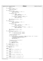```
Registered Version: Journaled File System dmap.c Exhibit 10.1−35 pg 7/11
```

```
541 return rc;
542 }
543 if (token[0] == 'u') {
544 *lblock = L0PAGE(l1, l0);
                      545 return DISPLAY_CPAGE;
546
\mathbf{1} \mathbf{f} (token[0] == 'r') \mathbf{1} \mathbf{f} (dmap < I
548 if (dmap < LPERCTL − 1) {
549 \qquad \qquad \bullet \qquad \qquad \bullet \qquad \qquad \bullet \qquad \qquad \bullet \qquad \qquad \bullet \qquad \qquad \bullet \qquad \qquad \bullet \qquad \qquad \bullet \qquad \qquad \bullet \qquad \qquad \bullet \qquad \qquad \bullet \qquad \qquad \bullet \qquad \qquad \bullet \qquad \qquad \bullet \qquad \qquad \bullet \qquad \qquad \bullet \qquad \qquad \bullet \qquad \qquad \bullet \qquad \qquad \bullet \qquad \qquad \550 return (DISPLAY_LEAF);
551 }
552 if (dmap_level > 0) {
553 if (l0 < LPERCTL − 1) {
\begin{array}{ccccccccc} & & & & & & & \text{---} & & \text{---} & & \text{---} & & \text{---} & & \text{---} & & \text{---} & & \text{---} & & \text{---} & & \text{---} & & \text{---} & & \text{---} & & \text{---} & & \text{---} & & \text{---} & & \text{---} & & \text{---} & & \text{---} & & \text{---} & & \text{---} & & \text{---} & & \text{---} & & \text{---} & & \text{---} & & \text{---} & & \text{---} & & \text{---} & & \text{---} & & \text{---} & & \text{---} & & \555 return (DISPLAY_LEAF);
556 }
557 if ((dmap_level == 2) && (l1 < LPERCTL − 1)) {
558 * \text{Hblock} = \text{DMAPPAGE}(11 + 1, 0, 0);559 return (DISPLAY_LEAF);
560 }
561 }
562 fputs("display_leaf: No right sibling.\n", stderr);<br>563 goto leaf_retry;
                      goto leaf_retry;
564<br>565
             if (token[0] == 'l') {
566 if (dmap > 0) {
567 *lblock = DMAPPAGE(l1, l0, dmap − 1);
568 return (DISPLAY_LEAF);
569 }
\frac{1}{1} \frac{1}{1} (dmap_level > 0)
\frac{1}{1} if (10 > 0)<br>
\frac{1}{1} \frac{1}{1}*lblock = DMAPPAGE(11, 10 - 1, LPERCTL - 1);
573 return (DISPLAY_LEAF);<br>574 }
574 }
575 if ((dmap_level == 2) && (l1 > 0)) {
576 *lblock = DMAPPAGE(l1 − 1, LPERCTL − 1, LPERCTL − 1);
577 return (DISPLAY_LEAF);
578 }
579 }
580 fputs("display_leaf: No left sibling.\n", stderr);
581 goto leaf_retry;
582 }
583 if ((token[0] == 'p') || (token[0] == 'w')) {
584 if (token[0] == 'p')
585 rc = display_map(d_map.pmap, LPERDMAP);
586 else
                                rc = display, display_map(d_map.wmap, LPERDMAP);588<br>589
589 /* swap if on big endian machine */
                      ujfs_swap_dmap(&d_map);
591
592 if ((rc & XPEEK_CHANGED) && xWrite(address, sizeof (struct dmap), (char *) &d_map)) {
593 fputs("display_leaf: Error writing dmap page!\n", stderr);
594 /* swap back if on big endian machine */
595 ujfs_swap_dmap(&d_map);
596 return DMAP_EXIT;
597 }
598
599 /* swap back if on big endian machine */<br>599 /* swap dmap(&d map);
                      ujfs_swap_dmap(&d_map);
601
<sup>602</sup> if (rc & XPEEK_REDISPLAY)<br>603 goto leaf redispl
603 goto leaf_redisplay;
                      604 return DMAP_EXIT;
605 }
606 if (token[0] != 'm') /* assume 'x' */<br>607 return DMAP_EXIT;
                      607 return DMAP_EXIT;
608
609 field = m_parse(cmdline, 8, &token);<br>610 if (field == 0)
             if (field == 0)611 goto leaf_retry;
612
613 switch (field) {
             614 case 1:
615 d_map.nblocks = strtoul(token, 0, 0);
616 break;
617 case 2:
618 d_map.nfree = strtoul(token, 0, 0);<br>hreak;
                      619 break;
620 case 3:
                      d_map.start = strtoull(token, 0, 0);
622 break;<br>623 case 4:
623 case 4:
624 d_map.tree.nleafs = strtoul(token, 0, 0);<br>
break;
                      625 break;
626 case 5:
627 d_map.tree.l2nleafs = strtoul(token, 0, 0);<br>628 break;
628 break;
             629 case 6:
630 d_map.tree.leafidx = strtoul(token, 0, 0);
```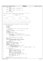<sup>631</sup> **break**; <sup>632</sup> **case** 7: 633 d\_map.tree.height = strtoul(token,  $0, 0$ );<br>634 **break**; <sup>634</sup> **break**; <sup>635</sup> **case** 8: d\_map.tree.budmin = strtoul(token,  $0, 0$ ); <sup>637</sup> **break**; <sup>638</sup> } <sup>639</sup> **goto** leaf\_redisplay;  $\}$ 641 <sup>642</sup> /\*\*\*\*\*\*\*\*\*\*\*\*\*\*\*\*\*\*\*\*\*\*\*\*\*\*\*\*\*\*\*\*\*\*\*\*\*\*\*\*\*\*\*\*\*\*\*\*\*\*\*\*\*\*\*\*\*\*\*\*\*\*\*\*\*\*\*\*\*\*\*\*\*\*\*\* \*\*\*\*\*\*\*\*\*\*\*\*\*\*\*\*\*\*\*\*\*\*\*\* Example output of display\_leaf() 644 645 Level 4 [ 0] 10 <sup>646</sup> /−−−−−−−/ \−−−−−−−\ <sup>647</sup> /−−−−−−−/ \−−−−−−−\ <sup>648</sup> /−−−−−−−/ \−−−−−−−\ 649  $\sqrt{ }$ <sup>650</sup> [ 0] 9 [ 1] 8 [ 2] 10 [ 3] 10 <sup>651</sup> /\ /\ /\ /\ 652 / \ / \ / \ / \ / \ / \ 653 / \ / \ \ / \ / \ \ / \ 654 / \ / \ \ / \ / \ \ / <sup>655</sup> 6 8 8 9 8 8 8 8 10 −1 8 9 10 −1 9 8 656 <sup>657</sup> 0 1 2 3 4 5 6 7 8 9 10 11 12 13 14 15 658 <sup>659</sup> \*\*\*\*\*\*\*\*\*\*\*\*\*\*\*\*\*\*\*\*\*\*\*\*\*\*\*\*\*\*\*\*\*\*\*\*\*\*\*\*\*\*\*\*\*\*\*\*\*\*\*\*\*\*\*\*\*\*\*\*\*\*\*\*\*\*\*\*\*\*\*\*\*\*\*/  $660$ 661 int display\_tree(struct dmapctl \*ctlpage, int64\_t \*lblock, int \*changed)<br>662 { <sup>662</sup> { 663 char cmdline[80];<br>664 int i. i;  $\begin{array}{ccc} 664 & \text{int } i, j; \end{array}$ 665 int level;<br>666 int index; int index; <sup>667</sup> char \*token; 668 <sup>669</sup> /\* tree\_offset[height of tree − level] is offset of first element of that level  $*$ , 671 <sup>672</sup> **static** int tree\_offset[6] = { 0, 1, 5, 21, 85, 341 };  $\frac{573}{673}$  int dmap, 10, 11, type;<br> $\frac{573}{674}$  int offset; 674 int offset;<br>675 int top inde <sup>675</sup> int top\_index = 0; <sup>676</sup> int top\_level = ctlpage−>height; 677 <sup>678</sup> **if** ((ctlpage−>height < 1) || (ctlpage−>height > 5)) { 679 **fprintf(stderr,**  $\overline{f}$  fprintf(stderr,  $\overline{f}$  as  $\overline{f}$  display t <sup>680</sup> "display\_tree is confused. ctlpage−>height = %d\n", ctlpage−>height); <sup>681</sup> **return** DMAP\_EXIT; <sup>682</sup> } 683 <sup>684</sup> type = decode\_pagenum(\*lblock, &l1, &l0, &dmap); 685 686 redisplay\_tree:<br>687 offset = tree\_offset[ctlpage−>height - top\_level];<br>688 printf("\nLevel%d\t\t\t [%2d] %2d\n", top\_level, top\_index,<br>689 ctlpage->stree[offset + top\_index]); 690  $691$  i = top\_index << 2; 692 level = top\_level - 1;<br>693 offset = tree offset[c 693 offset = tree\_offset[ctlpage->height - level];<br>
printf("\t\t\t /--------/ \\--------\\\n"); <sup>695</sup> printf("\t\t /−−−−−−−/\t\t\t \\−−−−−−−\\\n"); <sup>696</sup> printf("\t /−−−−−−−/\t\t\t\t\t \\−−−−−−−\\\n"); 690<br>
697 printf("\t /\t\t\t\t\t\t\t\t\t\n");<br>
698 printf("[%3d]%2d\t [%3] 698 printf(" [%3d] %2d\t [%3d] %2d\t [%3d] %2d\t [%3d] %2d\n",<br>699 i, ctlpage->stree[offset + i], <sup>699</sup> i, ctlpage−>stree[offset + i], <sup>700</sup> i + 1, ctlpage−>stree[offset + i + 1], <sup>701</sup> i + 2, ctlpage−>stree[offset + i + 2], i + 3, ctlpage−>stree[offset + i + 3]); 702 <sup>703</sup> **if** (level > 0) {  $i = top_index \iff 4;$ <sup>705</sup> level−−; 706 offset = tree\_offset[ctlpage−>height – level];<br>
707 printf("\t /\\\\t\t /\\\\t\t /\\\\t\t /\\\\n");<br>
708 printf(" / \\\\t\t /\t\\\\t /\\\\t /\\\\t\ /\\\\n");<br>
709 printf(" /\t \\\t /\t\\\t /\t \\\t \\\t \\\\n");  $\overline{707}$ <br>  $\overline{707}$  printf("\t /\\\t\t /\\\t\t /\\\n");<br>  $\overline{708}$  printf(" / \\\t\t /\t\\t / \\\t\t / 708 printf(" / \\\t\t /\t\\\t /\\\t /\t\\\n");<br>709 printf(" /\t \\\t/\t \\\t /\t \\\t/\t \\\t \\\\n"); 710 **printf(" /\t\\\ /\t \\\t /\t\\\ /\t \\\n");**<br>
711 printf(" %2d", ctlpage−>stree[offset + i]);<br> **for** (j = i + 1; j < i + 16; j++)<br>
printf(" %2d", ctlpage−>stree[offset + j]); 714 printf("\n\n%4d", i);<br>
715 **for** (j = i + 1; j < i + 16; j++)<br>
716 printf("\n");<br>
printf("\n"); <sup>718</sup> } tree\_retry: <sup>720</sup> fputs("\n[b]ack, [d]escend, [g]oto, [m]odify, [r]ight, [l]eft, [u]p, e[x]it > ", stdout); Registered Version: Journaled File System **dmap.c** Exhibit 10.1−35 pg 8/11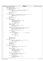```
721 fgets(cmdline, 80, stdin);
722 token = strtok(cmdline, " \n");
723 if ((token == 0) || (token[0] == 'x'))<br>724 if ((token == 0) || (token[0] == 'x'))
724 return DMAP EXIT;<br>725 if (token[0] == '1') {
725 if (token[0] == 'l') {<br>726 if (top index
                      if (top_index == 0) { \prime * Need to move to another page */
727 fputs("For now, go [b]ack, then go left\n", stdout);
728 goto tree_retry;
729 }
730 top_index−−;<br>731 aoto redispl
                      goto redisplay_tree;
732 }
733 if (token[0] == 'r') {<br>734 if (top_index
if (top_index == (1 << ((ctlpage->height - top_level) << 1)) - 1) {<br>
fputs("For now, [b]ack then go right\n", stdout);
736 goto tree_retry;
737 }
<sup>738</sup> top_index++;<br><sup>739</sup> goto redispl
                      goto redisplay_tree;
740 }
             if (token[0] == 'g')742 token = strtok(0, " \n");<br>743 if (token == 0) {
743 if (token == 0) {
744 fputs("Please enter: level index > ", stdout);<br>
745<br>
745745 fgets(cmdline, 80, stdin);
746 token = strtok(cmdline, " \n");
747 if (token == 0)
                                        748 goto tree_retry;
749 }
750 level = strtoul(token, 0, 0);
751 token = strtok(0, " \n");<br>
752 if (token == 0) {
753 594 500 500 500 500 500 500 500 500 500 500 500 500 500 500 500 500 500 500 500 500 500 500 500 500 500 500 500 500 500 500 500 500 500 500 500754 goto tree_retry;
755 }
756 index = strtoul(token, 0, 0);
757 if ((level < 0) || (level > ctlpage−>height) || (index < 0) ||
758 (index >= (1 << ((ctlpage−>height − level) << 1)))) {
759 fputs("Invalid level and/or index\n", stderr);<br>760 and tree retry;
                                760 goto tree_retry;
761 }
....<br>
762 if ((level == 1) && ctlpage->height > 1) {<br>
763
763 level++;<br>764 index >>
764 index >>= 2;<br>765 765 \} else if (level ==765 } else if (level == 0) {
766 if (ctlpage−>height == 1) { /* is this possible? */
767<br>767 level++;<br>768 index >>
768 \frac{1}{2}<br>
\frac{1}{2}<br>
\frac{1}{2}<br>
\frac{1}{2}<br>
\frac{1}{2}<br>
\frac{1}{2}<br>
\frac{1}{2}<br>
\frac{1}{2}<br>
\frac{1}{2}<br>
\frac{1}{2}<br>
\frac{1}{2}<br>
\frac{1}{2}<br>
\frac{1}{2}<br>
\frac{1}{2}<br>
\frac{1}{2}<br>
\frac{1}{2}<br>
\frac{1}{2}<br>
\frac{1}{2}<br>
\frac{1}{2}<br>
\frac{1}{2}769 } else {
770 level += 2;<br>
771 index >>= 4;
772 }
773 }
774 top_level = level;
775 top_index = index;
776 goto redisplay_tree;
777 }
778 if (token[0] == 'u') {
779 if (top_level == ctlpage−>height) { /* At top of tree */
780 fputs("Already at top of tree.\n", stdout);
781 goto tree_retry;
782 }
782<br>
783<br>
784<br>
784<br>
784<br>
784<br>
784<br>
784top\_level++;785 top_index >>= 2;
786 goto redisplay_tree;
787 }
788<br>
if (token[0] == 'd') {<br>
789<br>
if (type == DM
789 if (type == DMAP) {<br>
fputs("[d]escend only valid for control pages\n", stderr);
791 goto tree_retry;
792 }
793 token = strtok(0, " \n");<br>
if (token == 0) {<br>
fputs("Please enter: leaf#>", stdout);
796 fgets(cmdline, 80, stdin);<br>
The fight of the strick(cmdline, "<br>
\frac{1}{2} token = strtok(cmdline, "
797 token = strtok(cmdline, " \ln");<br>
798 if (token = 0)
\frac{1f}{1} (token == 0)<br>\frac{1}{1} (token == 0)
                                        goto tree_retry;
800 }
\int_{801}^{1} index = strtoul(token, 0, 0);
802 if ((index < 0) || (index >= ctlpage->nleafs)) {<br>
fputs("Invalid leaf index\n", stderr);
804 goto tree_retry;
805 }
806 if (type == LEVEL0) {
807 *lblock = DMAPPAGE(l1, l0, index);
808 return DISPLAY_LEAF;
809 }
810 if (type == LEVEL1)
Registered Version: Journaled File System dmap.c Exhibit 10.1−35 pg 9/11
```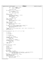```
811 *lblock = L0PAGE(l1, index);
812 else /* LEVEL2 */
*1block = L1PAGE(index);814
815 return DISPLAY_CPAGE;
816 }
817 if (token[0] != 'm') { /* Assuming 'b' */
818 if (type == DMAP)
819 return DISPLAY_LEAF;
820 else
                                   821 return DISPLAY_CPAGE;
822 }
823 token = strtok(0, " \n");<br>824 if (token == 0) {
824 if (token == 0) {<br>825 fputs("Please enter: level index value > ", stdout);
826 fgets(cmdline, 80, stdin);<br>
827 token = strtok(0, " \n");
\frac{1}{288} if (token == 0)<br>\frac{1}{288} doto transference
                                   goto tree_retry;
830<br>831
              \text{level} = \text{strtol}(\text{token}, 0, 0);<br>token = strtok(0, " \n");
832 token = strtok(0, " \n");
833 if (token == 0) {
834 fputs("Not enough arguments!\n", stderr);<br>835 goto tree retry;
                         goto tree_retry;
836 }
\frac{837}{837} index = strtol(token, 0, 0);<br>
token = strtok(0, " \n");
838 token = strtok(0, "<br>839 if (token == 0) {
839 if (token == 0) {<br>840 fputs("Not enough arguments!\n", stderr);
841 goto tree_retry;
842 }
843 if ((level < 0) || (level > ctlpage−>height) || (index < 0) ||
844 (index >= (1 << ((ctlpage−>height − level) << 1)))) {
845 fputs("Invalid level and/or index\n", stderr);<br>a46 goto tree retry;
                         846 goto tree_retry;
847 }
848 ctlpage−>stree[tree_offset[ctlpage−>height − level] + index] = strtol(token, 0, 0);
849 *changed = 1;<br>850 60 60 7 61 50 7850 goto redisplay_tree;
851 }
852
853 int decode_pagenum(int64_t page, int *11, int *10, int *dmap)
854 \quad \{
855int remainder;
856
857 if (page == 0)
                        858 return −1;
859
860 if (page == 1)
861 return LEVEL2;
862<br>863
863 *11 = (page - 2) / L1FACTOR;<br>864 remainder = (page - 2) % L1F
864 remainder = (page − 2) % L1FACTOR;
865 if (remainder == 0)
866 return LEVEL1;
867
868 *l0 = (remainder − 1) / L0FACTOR;
869 remainder = (remainder − 1) % L0FACTOR;
870 if (remainder == 0)
871 return LEVEL0;
872
873 *dmap = remainder - 1;<br>874 return DMAP;
              874 return DMAP;
875 }
876
877 int display_agfree(int64_t * agfree)
878<br>879
879 char cmdline[80];<br>880 intend;
880 int end;
881 int i;
\begin{array}{ll}\n\text{882} & \text{int index } i \\
\text{883} & \text{int } r \text{c} = X\n\end{array}383 int rc = XPEEK_OK;<br>384 int start = 0;
              int start = 0;
885 char *token;
886
887 agfree_display:<br>888 end = MIN(sta
888 end = MIN(start + 64, MAXAG);
889 for (i = start; i < end; i += 4)
890 printf("%3d 0x%016llx 0x%016llx 0x%016llx 0x%016llx n", i, (long long) agfree[i],<br>891 (long long) agfree[i + 1], (long long) agfree[i + 2],<br>892 (long long) agfree[i + 3]);
893 agfree_retry:<br>894 fputs("display"
894 fputs("display_agfree:[m]odify,[b]ack,e[x]it>", stdout);<br>895 fgets(cmdline, 80, stdin);<br>896 token = strtok(cmdline, "\n");
897 if (token == 0) {
898 start = (end < MAXAG) ? end : 0;
899 goto agfree_display;
900 }
Registered Version: Journaled File System dmap.c Exhibit 10.1−35 pg 10/11
```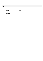| Registered Version: Journaled File System |                                                         | dmap.c | Exhibit 10.1-35 pg 11/11 |
|-------------------------------------------|---------------------------------------------------------|--------|--------------------------|
| 901                                       | if $(token[0] == 'X')$                                  |        |                          |
| 902                                       | return rc;                                              |        |                          |
| 903                                       | if $(token[0] != 'm')$<br>$\frac{1}{2}$ assuming 'b' */ |        |                          |
| 904                                       | <b>return</b> (rc   XPEEK REDISPLAY);                   |        |                          |
| 905                                       |                                                         |        |                          |
| 906                                       |                                                         |        |                          |
| 907                                       | $index = m parse(cmdline, MAXAG - 1, & token);$         |        |                          |
| 908                                       | if $(index == 0)$                                       |        |                          |
| 909                                       | goto agfree retry;                                      |        |                          |
| 910                                       |                                                         |        |                          |
| 911                                       | $aq$ are [index] = strtoull(token, 0, 16);              |        |                          |
| 912                                       | $rc = XPEEK CHANGEDI$                                   |        |                          |
| 913                                       | goto agfree display;                                    |        |                          |
| 914                                       |                                                         |        |                          |

 $\Gamma$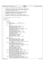```
1 / *
2 * Copyright (c) International Business Machines Corp., 2000−2002
\frac{3}{4}4 * This program is free software; you can redistribute it and/or modify
5 * it under the terms of the GNU General Public License as published by
6 * the Free Software Foundation; either version 2 of the License, or 
7 * (at your option) any later version.
 8 * 
 * This program is distributed in the hope that it will be useful,<br>"but WITHOUT ANY WARRANTY; without even the implied warranty of<br>"* MERCHANTABILITY or FITNESS FOR A PARTICULAR PURPOSE. See<br>"* the GNU General Public Licens
13<br>14<sup>14</sup> * You should have received a copy of the GNU General Public License<br><sup>15</sup> * along with this program: if not, write to the Free Software
 15 * along with this program; if not, write to the Free Software 
16 * Foundation, Inc., 59 Temple Place, Suite 330, Boston, MA 02111−1307 USA
\frac{17}{18} */
18 / *<br>19 *FUNCTION: Explain how to use the xpeek utility
rac{20}{21}21 #include "xpeek.h"
22
23 void help()
24 \begin{cases} 24 \\ 25 \end{cases}char *cmd;26 int cmd_len;
27
 28 cmd = strtok(0, "\t\n"); /* space & tab */<br>29 if (strtok(0, "\t\n")) {
39 fputs("help: called with too many arguments\n\n", stderr);
31 return;
 32 }
\mathbf{if} \pmod{=} 0<br>34 fouts
 34 fputs("\t\tXpeek Commands\n\n", stdout);
35 fputs("a[lter] <block> <offset> <hex string>\n", stdout);
36 fputs("b[tree] <block> [<offset>]\n", stdout);
 37 fputs("cb[blfsck]\n", stdout);
38 fputs("dir[ectory] <inode number> [<fileset>]\n", stdout);
 39 fputs("d[isplay] [<block> [<offset> [<format> [<count>]]]]\n", stdout);
40 fputs("dm[ap]\n", stdout);
41 fputs("dt[ree] <inode number> [<fileset>]\n", stdout);
 42<br>
fputs("fsckw[sphdr]\n", stdout);<br>
fputs("h[elp] [<command>]\n", stdout);<br>
fputs("ia[g] [<IAG number>] [a | s| <fileset>]\n", stdout);<br>
fputs("i[node] [<inode number>] [a | s| <fileset>]\n", stdout);<br>
fputs("los[ups]", 
 49 fputs("su[perblock] [p | s]\n", stdout);
50 fputs("s2p[erblock] [p | s]\n", stdout);
51 fputs("u[nset] <variable>\n", stdout);
52 fputs ("xt[ree] <inode number> [<fileset>]\n\n", stdout);<br>ss return;
                                       53 return;
 54 }
55 cmd len = strlen(cmd);
 56 if (strncmp(cmd, "alter", cmd_len) == 0) {
57 fputs("a[lter] <block> <offset> <hex string>\n", stdout);
 58 fputs ( "\t<br/>block>\t\tblock number (decimal)\n " , stdout ) ;<br>59 fputs ( "\t<offset>\toffset within block (hex )\n " , stdout ) ;<br>60 fputs ( "\t<hex string>\tstring of hex digits\n\n " , stdout ) ;<br>59 fputs ( "alte
 stdout);<br>
stdout);<br>
and_len) == 0) {<br>
fputs("b[tree", cmd_len) == 0) {<br>
fputs("b[tree", cmd_len) , stdout);<br>
fputs("\t<br/>cblock>\t\tblock number (decimal)\n", stdout);<br>
fputs("\t<offset>\toffset within block (hex)\n\n", 
67 fputs ("displays one node of a btree and enters a subcommand mode in which to\n", stdout);
68 stdout);<br>69 fputs ("navigate the
 69 fputs("navigate the btree. Subcommands:\n", stdout);
70 fputs("\tl\tvisit left sibling\n", stdout);
71 fputs("\tm\tmodify current node\n", stdout);
 72 fputs("\tp\tvisit parent node\n", stdout);
73 fputs("\tr\tvisit right sibling\n", stdout);
74 fputs("\t[0−9]\tvisit the nth child node\n", stdout);
 \left\{\begin{array}{lll} \text{Fputs}\ (\text{``ltxltext subcommand mode}\ln\ln",\ \text{stdout});\\ \text{else if}\ (\text{cmd\_len} > 1\ \&\&\ \text{strncmp}(\text{cmd},\ \text{``cblfsck",\ \text{cmd\_len}})==0)\ \{\text{fputs}\ (\text{``cblfsck}]\ln\ln",\ \text{stdout});\\ \text{fputs}\ (\text{``Displays the area used by ClearBadBlockList}\ln",\ \text{stdout});\\ \text{fputs}\ (\text{``Displays the area used by ClearBadBlockList}\ln",\ \text{stdout});\\ \text{else if}\ (\text{cmd\_len} > 2\ \&82 fputs ("\t<inode number>\tinode number of directory (decimal)\n", stdout);<br>fputs ("\t<fileset>\tfileset number, currently must be zero\n\n", stdout);
 fputs("Displays directory entries. Subcommands\n", stdout);<br>ss fputs("\tm\tmodify entries\n", stdout);<br>fputs("\tx\texti subcommand mode\n\n", stdout);<br>} else if (cmd_len > 1 && strncmp(cmd, "dtree", cmd_len) == 0) {
 88 fputs("dt[ree] <inode number> [<fileset>]\n", stdout);
89 fputs("\t<inode number>\tinode number of directory (decimal)\n", stdout);
90 fputs("\t<fileset>\tfileset number, currently must be zero\n\n", stdout);
Registered Version: Journaled File System help.c Exhibit 10.1−36 pg 1/3
```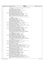| fputs<br>91<br>, "Displays root of the directory btree and enters a subcommand mode in which to n."<br>92<br>$stdout$ );<br>93<br>fputs ("navigate the biree. Subcommands:\n", stdout);<br>94<br>fputs ("\tl\tvisit left sibling\n", stdout);<br>95<br>fputs("\tm\tmodify current node\n", stdout);<br>96<br>fputs ("\tp\tvisit parent node (not parent directory)\n", stdout);<br>97<br>fputs ("\tr\tvisit right sibling\n", stdout);<br>98<br>fputs ("\t[0-9]\tvisit the nth child node\n", stdout);<br>99<br>fputs("\tx\texit subcommand mode\n\n", stdout);<br>100<br>$\{ else if (strncmp(cmd, "display", cmd_length) == 0) \}$<br>101<br>fputs("d[isplay] [<br>block> [ <offset> [<format> [<count>]]]]\n", stdout);<br/>102<br/>fputs("\t<br>sblock&gt;\t\tblock number(decimal)\n", stdout);<br/>103<br/>fputs ("\t<offset>\toffset within block (hex)\n", stdout);<br>104<br/>f put s ("\t<format>\tformat in which to display data (see below)\n", stdout ) i<br/>105<br/>fputs ("\t<count>\t\tnumber of objects to display (decimal)\n", stdout ) i<br/>106<br/>fputs<br/>107<br/>, "displays data in a variety of formats. Format may be one of the following:\n <math>\mathsf{m}</math>,<br/>108<br/><math>stdout</math>);<br/>109<br/>fputs("\ta\tascii\n", stdout);<br/>110<br/>fputs("\tb\tblock allocation map\n", stdout);<br/>111<br/>fputs("\td\tdecimal\n", stdout);<br/>112<br/>fputs("\ti\tinode\t\t\t\tstruct dinode\n", stdout);<br/>113<br/>fputs("\tI\tinode allocation map\t\tixad_t\n", stdout);<br/>114<br/>fputs("\ts\tsuperblock\t\t\tstruct superblock\n", stdout);<br/>115<br/>fputs("\tx\thexadecimal\n", stdout);<br/>116<br/>fputs("\tX\textent allocation descriptor\txad_t\n\n", stdout);<br/>117<br/><math>\{</math> else if <math>(\text{cmd\_len} &gt; 1 \&amp;\&amp; \text{strncmp}(\text{cmd}, \text{ "dmap", \text{cmd\_len}) == 0})</math><br/>118<br/>fputs("<math>dm[ap]</math>'n", stdout);<br/>119<br/>fputs ("Displays Aggregate Disk (Block) Map\n\n", stdout);<br/>120<br/>} else if <math>(\text{cmd}\_\text{len} &gt; 4 \&amp;\&amp;\text{ strncmp}(\text{cmd}, \text{ "fsckwsplit", \text{cmd}\_\text{len}) == 0)</math> {<br/>121<br/><math>fputs('fsckw[sphdr]\nh''', stdout);</math><br/>122<br/>f put s ("Displays the header of the fsck workspace in the aggregate.\n\n", stdout ) i<br/>123<br/>} else if <math>(\text{strncmp}(cmd, "help", cmd_length) == 0)</math> {<br/>124<br/>fputs("h[elp][<command/>]\n", stdout);<br/>125<br/>fputs("\t<command/>\tcommand name\n\n", stdout);<br/>126<br/>f puts ("prints help text. Lists all commands if no parameter <math>\ln^n</math>, stdout) i<br/>127<br/>} else if <math>(\text{cmd\_len} &gt; 1 \&amp;&amp; \text{strncmp}(\text{cmd}, 'iag', cmd\_len) == 0)</math> {<br/>128<br/>fputs ("ia[g] [<iag number="">] [a   <fileset>]\n", stdout ) ;<br/>129<br/>fputs("\t<iag number="">\tIAG number (decimal)\n", stdout);<br/>130<br/>f puts ("\ta\t\tuse primary aggragate inode table\n", stdout);<br/>131<br/>fputs ("\ts\t\tuse secondary aggragate inode table\n", stdout);<br/>132<br/>fputs ("\t<fileset>\tfileset number (currently must be zero)\n\n", stdout);<br/>133<br/>f put s ("Display iag information and enters subcommand mode. Subcommands:\n",<br/>134<br/>stdout);<br/>135<br/>fputs ("\te\tdisplay/modify inode extents map\n", stdout);<br/>136<br/>fputs("\tm\tmodifyiag\n", stdout);<br/>137<br/>fputs ("\tp\tdisplay/modify persistent map\n", stdout);<br/>138<br/>fputs ("\tw\tdisplay/modify working map\n\n", stdout);<br/>139<br/><math>\}</math> else if (strncmp(cmd, "inode", cmd_len) == 0) {<br/>140<br/>fputs ("i[node] [<inode number="">] [a <math>\langle</math> \effileset&gt;]\n", stdout ) ;<br/>141<br/>fputs ("\t<inode number="">\tinode number (decimal)\n", stdout);<br/>142<br/>f puts ("\ta\t\tuse primary aggragate inode table\n", stdout);<br/>143<br/>fputs ("\ts\t\tuse secondary aggragate inode table\n", stdout);<br/>144<br/>fputs ("\t<fileset>\tfileset number (currently must be zero)\n\n", stdout);<br/>145<br/>f put s ("Display inode information and enters subcommand mode. Subcommands:\n",<br/>146<br/><math>stdout)</math>;<br/>147<br/>fputs ("\ta\tdisplay/modify inode's ACL\n", stdout);<br/>148<br/>fputs("\tm\tmodifyinode\n", stdout);<br/>149<br/>} else if <math>(\text{cmd\_len} &gt; 3 \&amp;&amp; \text{strncmp}(\text{cmd}, \text{ "logsuper", cmd\_len}) == 0)</math> {<br/>150<br/>fputs("<math>log[uper] \n\ln</math>", stdout);<br/>151<br/>fputs ("Displays the journal log superblock.\n\n", stdout);<br/>152<br/>} else if <math>(strnew(cmd, "quit", cmd_length) == 0)</math> {<br/>153<br/>fputs(<math>q[uit]</math>\n\n", stdout);<br/>154<br/>fputs ("exit xpeek\n\n", stdout);<br/>155<br/>} else if <math>(\text{cmd\_len} &gt; 1 \&amp;\&amp; \text{ strncmp}(\text{cmd}, \text{ "set", cmd\_len}) == 0)</math> {<br/>156<br/>fputs ("se[t] [<variable> <value>]\n", stdout);<br/>157<br/>f put s ("\t<variable>\tvariable to define. First character must be alpha\n", stdout ) ;<br/>158<br/>fputs ("\t<value>\t\tvalue to assign to variable.\n\n", stdout);<br/>159<br/>f put s ("Sets a user-defined variable. With no arguments, set lists all <math>\ln</math>", stdout) i<br/>160<br/>fputs ("defined variables.\n", stdout);<br/>161<br/>} else if <math>(\text{cmd\_len} &gt; 1 \&amp;x</math> strncmp(cmd, "superblock", cmd_len) == 0) {<br/>162<br/>fputs("su[perblock] <math>[p   s]</math>\n", stdout);<br/>163<br/>fputs("\tp\tDisplay primary superblock\n", stdout);<br/>164<br/>fputs("\ts\tDisplay secondary superblock\n\n", stdout);<br/>165<br/>fputs ("Displays superblock data\n\n", stdout);<br/>166<br/>} else if <math>(\text{cmd\_len} &gt; 2 \&amp;&amp; \text{strncmp}(\text{cmd}, \text{ "s2perblock", \text{cmd\_len}) == 0)</math>}<br/>167<br/>fputs ("su[perblock] <math>[p   s]</math>\n", stdout);<br/>168<br/>fputs("\tp\tDisplay primary superblock\n", stdout);<br/>169<br/>fputs("\ts\tDisplay secondary superblock\n\n", stdout);<br/>170<br/>fputs ("Displays alternate superblock data\n\n", stdout);<br/>171<br/>} else if <math>(\text{strnemp}(cmd, "unset", cmd_length) == 0)</math> {<br/>172<br/>fputs ("u[nset] &lt; variable &gt; \n\n", stdout);<br/>173<br/>fputs ("\t<variable>\tvariable to delete \n\n", stdout);<br/>174<br/>fputs ("Deletes variables defined with set command\n\n", stdout);<br/>175<br/>} else if <math>(\text{cmd\_len} &gt; 1 \&amp;&amp; \text{strncmp}(\text{cmd}, 'xtree", cmd\_len) == 0)</math> {<br/>176<br/>fputs("<math>xt[ree]</math> <inode number=""> <math>[</math> <fileset><math>]\n</math>", stdout);<br/>177<br/>f put s ("\t<inode number="">\tinode number of non-directory (decimal)\n", stdout);<br/>178<br/>fputs ("\t<fileset>\tfileset number, currently must be zero\n\n", stdout);<br/>179<br/>fputs<br/>180</fileset></inode></fileset></inode></variable></value></variable></value></variable></fileset></inode></inode></fileset></iag></fileset></iag></count></format></br></offset></br></count></format></offset> |  | Registered Version: Journaled File System | help.c | Exhibit 10.1-36 pg 2/3 |
|----------------------------------------------------------------------------------------------------------------------------------------------------------------------------------------------------------------------------------------------------------------------------------------------------------------------------------------------------------------------------------------------------------------------------------------------------------------------------------------------------------------------------------------------------------------------------------------------------------------------------------------------------------------------------------------------------------------------------------------------------------------------------------------------------------------------------------------------------------------------------------------------------------------------------------------------------------------------------------------------------------------------------------------------------------------------------------------------------------------------------------------------------------------------------------------------------------------------------------------------------------------------------------------------------------------------------------------------------------------------------------------------------------------------------------------------------------------------------------------------------------------------------------------------------------------------------------------------------------------------------------------------------------------------------------------------------------------------------------------------------------------------------------------------------------------------------------------------------------------------------------------------------------------------------------------------------------------------------------------------------------------------------------------------------------------------------------------------------------------------------------------------------------------------------------------------------------------------------------------------------------------------------------------------------------------------------------------------------------------------------------------------------------------------------------------------------------------------------------------------------------------------------------------------------------------------------------------------------------------------------------------------------------------------------------------------------------------------------------------------------------------------------------------------------------------------------------------------------------------------------------------------------------------------------------------------------------------------------------------------------------------------------------------------------------------------------------------------------------------------------------------------------------------------------------------------------------------------------------------------------------------------------------------------------------------------------------------------------------------------------------------------------------------------------------------------------------------------------------------------------------------------------------------------------------------------------------------------------------------------------------------------------------------------------------------------------------------------------------------------------------------------------------------------------------------------------------------------------------------------------------------------------------------------------------------------------------------------------------------------------------------------------------------------------------------------------------------------------------------------------------------------------------------------------------------------------------------------------------------------------------------------------------------------------------------------------------------------------------------------------------------------------------------------------------------------------------------------------------------------------------------------------------------------------------------------------------------------------------------------------------------------------------------------------------------------------------------------------------------------------------------------------------------------------------------------------------------------------------------------------------------------------------------------------------------------------------------------------------------------------------------------------------------------------------------------------------------------------------------------------------------------------------------------------------------------------------------------------------------------------------------------------------------------------------------------------------------------------------------------------------------------------------------------------------------------------------------------------------------------------------------------------------------------------------------------------------------------------------------------------------------------------------------------------------------------------------------------------------------------------------------------------------------------------------------------------------------------------------------------------------------------------------------------------------------------------------------------------------------------------------------------------------------------------------------------------------------------------------------------------------------------------------------------------------------------------------------------------------------------------------------------------------------------------------------------------------------------------------------------------------------------------------------------------------------------------------------------------------------------------------------------------------------------------------------------------------------------------------------------------------------------------------------------------------------------------------------------------------------------------------------------------------------------------------------------------------------------------------------------------------------------------------------------------------------------------------------------------------------------------------------------------------------------------------------------------------------------------------------------------------------------------------|--|-------------------------------------------|--------|------------------------|
|                                                                                                                                                                                                                                                                                                                                                                                                                                                                                                                                                                                                                                                                                                                                                                                                                                                                                                                                                                                                                                                                                                                                                                                                                                                                                                                                                                                                                                                                                                                                                                                                                                                                                                                                                                                                                                                                                                                                                                                                                                                                                                                                                                                                                                                                                                                                                                                                                                                                                                                                                                                                                                                                                                                                                                                                                                                                                                                                                                                                                                                                                                                                                                                                                                                                                                                                                                                                                                                                                                                                                                                                                                                                                                                                                                                                                                                                                                                                                                                                                                                                                                                                                                                                                                                                                                                                                                                                                                                                                                                                                                                                                                                                                                                                                                                                                                                                                                                                                                                                                                                                                                                                                                                                                                                                                                                                                                                                                                                                                                                                                                                                                                                                                                                                                                                                                                                                                                                                                                                                                                                                                                                                                                                                                                                                                                                                                                                                                                                                                                                                                                                                                                                                                                                                                                                                                                                                                                                                                                                                                                                                                                                                                          |  |                                           |        |                        |
|                                                                                                                                                                                                                                                                                                                                                                                                                                                                                                                                                                                                                                                                                                                                                                                                                                                                                                                                                                                                                                                                                                                                                                                                                                                                                                                                                                                                                                                                                                                                                                                                                                                                                                                                                                                                                                                                                                                                                                                                                                                                                                                                                                                                                                                                                                                                                                                                                                                                                                                                                                                                                                                                                                                                                                                                                                                                                                                                                                                                                                                                                                                                                                                                                                                                                                                                                                                                                                                                                                                                                                                                                                                                                                                                                                                                                                                                                                                                                                                                                                                                                                                                                                                                                                                                                                                                                                                                                                                                                                                                                                                                                                                                                                                                                                                                                                                                                                                                                                                                                                                                                                                                                                                                                                                                                                                                                                                                                                                                                                                                                                                                                                                                                                                                                                                                                                                                                                                                                                                                                                                                                                                                                                                                                                                                                                                                                                                                                                                                                                                                                                                                                                                                                                                                                                                                                                                                                                                                                                                                                                                                                                                                                          |  |                                           |        |                        |
|                                                                                                                                                                                                                                                                                                                                                                                                                                                                                                                                                                                                                                                                                                                                                                                                                                                                                                                                                                                                                                                                                                                                                                                                                                                                                                                                                                                                                                                                                                                                                                                                                                                                                                                                                                                                                                                                                                                                                                                                                                                                                                                                                                                                                                                                                                                                                                                                                                                                                                                                                                                                                                                                                                                                                                                                                                                                                                                                                                                                                                                                                                                                                                                                                                                                                                                                                                                                                                                                                                                                                                                                                                                                                                                                                                                                                                                                                                                                                                                                                                                                                                                                                                                                                                                                                                                                                                                                                                                                                                                                                                                                                                                                                                                                                                                                                                                                                                                                                                                                                                                                                                                                                                                                                                                                                                                                                                                                                                                                                                                                                                                                                                                                                                                                                                                                                                                                                                                                                                                                                                                                                                                                                                                                                                                                                                                                                                                                                                                                                                                                                                                                                                                                                                                                                                                                                                                                                                                                                                                                                                                                                                                                                          |  |                                           |        |                        |
|                                                                                                                                                                                                                                                                                                                                                                                                                                                                                                                                                                                                                                                                                                                                                                                                                                                                                                                                                                                                                                                                                                                                                                                                                                                                                                                                                                                                                                                                                                                                                                                                                                                                                                                                                                                                                                                                                                                                                                                                                                                                                                                                                                                                                                                                                                                                                                                                                                                                                                                                                                                                                                                                                                                                                                                                                                                                                                                                                                                                                                                                                                                                                                                                                                                                                                                                                                                                                                                                                                                                                                                                                                                                                                                                                                                                                                                                                                                                                                                                                                                                                                                                                                                                                                                                                                                                                                                                                                                                                                                                                                                                                                                                                                                                                                                                                                                                                                                                                                                                                                                                                                                                                                                                                                                                                                                                                                                                                                                                                                                                                                                                                                                                                                                                                                                                                                                                                                                                                                                                                                                                                                                                                                                                                                                                                                                                                                                                                                                                                                                                                                                                                                                                                                                                                                                                                                                                                                                                                                                                                                                                                                                                                          |  |                                           |        |                        |
|                                                                                                                                                                                                                                                                                                                                                                                                                                                                                                                                                                                                                                                                                                                                                                                                                                                                                                                                                                                                                                                                                                                                                                                                                                                                                                                                                                                                                                                                                                                                                                                                                                                                                                                                                                                                                                                                                                                                                                                                                                                                                                                                                                                                                                                                                                                                                                                                                                                                                                                                                                                                                                                                                                                                                                                                                                                                                                                                                                                                                                                                                                                                                                                                                                                                                                                                                                                                                                                                                                                                                                                                                                                                                                                                                                                                                                                                                                                                                                                                                                                                                                                                                                                                                                                                                                                                                                                                                                                                                                                                                                                                                                                                                                                                                                                                                                                                                                                                                                                                                                                                                                                                                                                                                                                                                                                                                                                                                                                                                                                                                                                                                                                                                                                                                                                                                                                                                                                                                                                                                                                                                                                                                                                                                                                                                                                                                                                                                                                                                                                                                                                                                                                                                                                                                                                                                                                                                                                                                                                                                                                                                                                                                          |  |                                           |        |                        |
|                                                                                                                                                                                                                                                                                                                                                                                                                                                                                                                                                                                                                                                                                                                                                                                                                                                                                                                                                                                                                                                                                                                                                                                                                                                                                                                                                                                                                                                                                                                                                                                                                                                                                                                                                                                                                                                                                                                                                                                                                                                                                                                                                                                                                                                                                                                                                                                                                                                                                                                                                                                                                                                                                                                                                                                                                                                                                                                                                                                                                                                                                                                                                                                                                                                                                                                                                                                                                                                                                                                                                                                                                                                                                                                                                                                                                                                                                                                                                                                                                                                                                                                                                                                                                                                                                                                                                                                                                                                                                                                                                                                                                                                                                                                                                                                                                                                                                                                                                                                                                                                                                                                                                                                                                                                                                                                                                                                                                                                                                                                                                                                                                                                                                                                                                                                                                                                                                                                                                                                                                                                                                                                                                                                                                                                                                                                                                                                                                                                                                                                                                                                                                                                                                                                                                                                                                                                                                                                                                                                                                                                                                                                                                          |  |                                           |        |                        |
|                                                                                                                                                                                                                                                                                                                                                                                                                                                                                                                                                                                                                                                                                                                                                                                                                                                                                                                                                                                                                                                                                                                                                                                                                                                                                                                                                                                                                                                                                                                                                                                                                                                                                                                                                                                                                                                                                                                                                                                                                                                                                                                                                                                                                                                                                                                                                                                                                                                                                                                                                                                                                                                                                                                                                                                                                                                                                                                                                                                                                                                                                                                                                                                                                                                                                                                                                                                                                                                                                                                                                                                                                                                                                                                                                                                                                                                                                                                                                                                                                                                                                                                                                                                                                                                                                                                                                                                                                                                                                                                                                                                                                                                                                                                                                                                                                                                                                                                                                                                                                                                                                                                                                                                                                                                                                                                                                                                                                                                                                                                                                                                                                                                                                                                                                                                                                                                                                                                                                                                                                                                                                                                                                                                                                                                                                                                                                                                                                                                                                                                                                                                                                                                                                                                                                                                                                                                                                                                                                                                                                                                                                                                                                          |  |                                           |        |                        |
|                                                                                                                                                                                                                                                                                                                                                                                                                                                                                                                                                                                                                                                                                                                                                                                                                                                                                                                                                                                                                                                                                                                                                                                                                                                                                                                                                                                                                                                                                                                                                                                                                                                                                                                                                                                                                                                                                                                                                                                                                                                                                                                                                                                                                                                                                                                                                                                                                                                                                                                                                                                                                                                                                                                                                                                                                                                                                                                                                                                                                                                                                                                                                                                                                                                                                                                                                                                                                                                                                                                                                                                                                                                                                                                                                                                                                                                                                                                                                                                                                                                                                                                                                                                                                                                                                                                                                                                                                                                                                                                                                                                                                                                                                                                                                                                                                                                                                                                                                                                                                                                                                                                                                                                                                                                                                                                                                                                                                                                                                                                                                                                                                                                                                                                                                                                                                                                                                                                                                                                                                                                                                                                                                                                                                                                                                                                                                                                                                                                                                                                                                                                                                                                                                                                                                                                                                                                                                                                                                                                                                                                                                                                                                          |  |                                           |        |                        |
|                                                                                                                                                                                                                                                                                                                                                                                                                                                                                                                                                                                                                                                                                                                                                                                                                                                                                                                                                                                                                                                                                                                                                                                                                                                                                                                                                                                                                                                                                                                                                                                                                                                                                                                                                                                                                                                                                                                                                                                                                                                                                                                                                                                                                                                                                                                                                                                                                                                                                                                                                                                                                                                                                                                                                                                                                                                                                                                                                                                                                                                                                                                                                                                                                                                                                                                                                                                                                                                                                                                                                                                                                                                                                                                                                                                                                                                                                                                                                                                                                                                                                                                                                                                                                                                                                                                                                                                                                                                                                                                                                                                                                                                                                                                                                                                                                                                                                                                                                                                                                                                                                                                                                                                                                                                                                                                                                                                                                                                                                                                                                                                                                                                                                                                                                                                                                                                                                                                                                                                                                                                                                                                                                                                                                                                                                                                                                                                                                                                                                                                                                                                                                                                                                                                                                                                                                                                                                                                                                                                                                                                                                                                                                          |  |                                           |        |                        |
|                                                                                                                                                                                                                                                                                                                                                                                                                                                                                                                                                                                                                                                                                                                                                                                                                                                                                                                                                                                                                                                                                                                                                                                                                                                                                                                                                                                                                                                                                                                                                                                                                                                                                                                                                                                                                                                                                                                                                                                                                                                                                                                                                                                                                                                                                                                                                                                                                                                                                                                                                                                                                                                                                                                                                                                                                                                                                                                                                                                                                                                                                                                                                                                                                                                                                                                                                                                                                                                                                                                                                                                                                                                                                                                                                                                                                                                                                                                                                                                                                                                                                                                                                                                                                                                                                                                                                                                                                                                                                                                                                                                                                                                                                                                                                                                                                                                                                                                                                                                                                                                                                                                                                                                                                                                                                                                                                                                                                                                                                                                                                                                                                                                                                                                                                                                                                                                                                                                                                                                                                                                                                                                                                                                                                                                                                                                                                                                                                                                                                                                                                                                                                                                                                                                                                                                                                                                                                                                                                                                                                                                                                                                                                          |  |                                           |        |                        |
|                                                                                                                                                                                                                                                                                                                                                                                                                                                                                                                                                                                                                                                                                                                                                                                                                                                                                                                                                                                                                                                                                                                                                                                                                                                                                                                                                                                                                                                                                                                                                                                                                                                                                                                                                                                                                                                                                                                                                                                                                                                                                                                                                                                                                                                                                                                                                                                                                                                                                                                                                                                                                                                                                                                                                                                                                                                                                                                                                                                                                                                                                                                                                                                                                                                                                                                                                                                                                                                                                                                                                                                                                                                                                                                                                                                                                                                                                                                                                                                                                                                                                                                                                                                                                                                                                                                                                                                                                                                                                                                                                                                                                                                                                                                                                                                                                                                                                                                                                                                                                                                                                                                                                                                                                                                                                                                                                                                                                                                                                                                                                                                                                                                                                                                                                                                                                                                                                                                                                                                                                                                                                                                                                                                                                                                                                                                                                                                                                                                                                                                                                                                                                                                                                                                                                                                                                                                                                                                                                                                                                                                                                                                                                          |  |                                           |        |                        |
|                                                                                                                                                                                                                                                                                                                                                                                                                                                                                                                                                                                                                                                                                                                                                                                                                                                                                                                                                                                                                                                                                                                                                                                                                                                                                                                                                                                                                                                                                                                                                                                                                                                                                                                                                                                                                                                                                                                                                                                                                                                                                                                                                                                                                                                                                                                                                                                                                                                                                                                                                                                                                                                                                                                                                                                                                                                                                                                                                                                                                                                                                                                                                                                                                                                                                                                                                                                                                                                                                                                                                                                                                                                                                                                                                                                                                                                                                                                                                                                                                                                                                                                                                                                                                                                                                                                                                                                                                                                                                                                                                                                                                                                                                                                                                                                                                                                                                                                                                                                                                                                                                                                                                                                                                                                                                                                                                                                                                                                                                                                                                                                                                                                                                                                                                                                                                                                                                                                                                                                                                                                                                                                                                                                                                                                                                                                                                                                                                                                                                                                                                                                                                                                                                                                                                                                                                                                                                                                                                                                                                                                                                                                                                          |  |                                           |        |                        |
|                                                                                                                                                                                                                                                                                                                                                                                                                                                                                                                                                                                                                                                                                                                                                                                                                                                                                                                                                                                                                                                                                                                                                                                                                                                                                                                                                                                                                                                                                                                                                                                                                                                                                                                                                                                                                                                                                                                                                                                                                                                                                                                                                                                                                                                                                                                                                                                                                                                                                                                                                                                                                                                                                                                                                                                                                                                                                                                                                                                                                                                                                                                                                                                                                                                                                                                                                                                                                                                                                                                                                                                                                                                                                                                                                                                                                                                                                                                                                                                                                                                                                                                                                                                                                                                                                                                                                                                                                                                                                                                                                                                                                                                                                                                                                                                                                                                                                                                                                                                                                                                                                                                                                                                                                                                                                                                                                                                                                                                                                                                                                                                                                                                                                                                                                                                                                                                                                                                                                                                                                                                                                                                                                                                                                                                                                                                                                                                                                                                                                                                                                                                                                                                                                                                                                                                                                                                                                                                                                                                                                                                                                                                                                          |  |                                           |        |                        |
|                                                                                                                                                                                                                                                                                                                                                                                                                                                                                                                                                                                                                                                                                                                                                                                                                                                                                                                                                                                                                                                                                                                                                                                                                                                                                                                                                                                                                                                                                                                                                                                                                                                                                                                                                                                                                                                                                                                                                                                                                                                                                                                                                                                                                                                                                                                                                                                                                                                                                                                                                                                                                                                                                                                                                                                                                                                                                                                                                                                                                                                                                                                                                                                                                                                                                                                                                                                                                                                                                                                                                                                                                                                                                                                                                                                                                                                                                                                                                                                                                                                                                                                                                                                                                                                                                                                                                                                                                                                                                                                                                                                                                                                                                                                                                                                                                                                                                                                                                                                                                                                                                                                                                                                                                                                                                                                                                                                                                                                                                                                                                                                                                                                                                                                                                                                                                                                                                                                                                                                                                                                                                                                                                                                                                                                                                                                                                                                                                                                                                                                                                                                                                                                                                                                                                                                                                                                                                                                                                                                                                                                                                                                                                          |  |                                           |        |                        |
|                                                                                                                                                                                                                                                                                                                                                                                                                                                                                                                                                                                                                                                                                                                                                                                                                                                                                                                                                                                                                                                                                                                                                                                                                                                                                                                                                                                                                                                                                                                                                                                                                                                                                                                                                                                                                                                                                                                                                                                                                                                                                                                                                                                                                                                                                                                                                                                                                                                                                                                                                                                                                                                                                                                                                                                                                                                                                                                                                                                                                                                                                                                                                                                                                                                                                                                                                                                                                                                                                                                                                                                                                                                                                                                                                                                                                                                                                                                                                                                                                                                                                                                                                                                                                                                                                                                                                                                                                                                                                                                                                                                                                                                                                                                                                                                                                                                                                                                                                                                                                                                                                                                                                                                                                                                                                                                                                                                                                                                                                                                                                                                                                                                                                                                                                                                                                                                                                                                                                                                                                                                                                                                                                                                                                                                                                                                                                                                                                                                                                                                                                                                                                                                                                                                                                                                                                                                                                                                                                                                                                                                                                                                                                          |  |                                           |        |                        |
|                                                                                                                                                                                                                                                                                                                                                                                                                                                                                                                                                                                                                                                                                                                                                                                                                                                                                                                                                                                                                                                                                                                                                                                                                                                                                                                                                                                                                                                                                                                                                                                                                                                                                                                                                                                                                                                                                                                                                                                                                                                                                                                                                                                                                                                                                                                                                                                                                                                                                                                                                                                                                                                                                                                                                                                                                                                                                                                                                                                                                                                                                                                                                                                                                                                                                                                                                                                                                                                                                                                                                                                                                                                                                                                                                                                                                                                                                                                                                                                                                                                                                                                                                                                                                                                                                                                                                                                                                                                                                                                                                                                                                                                                                                                                                                                                                                                                                                                                                                                                                                                                                                                                                                                                                                                                                                                                                                                                                                                                                                                                                                                                                                                                                                                                                                                                                                                                                                                                                                                                                                                                                                                                                                                                                                                                                                                                                                                                                                                                                                                                                                                                                                                                                                                                                                                                                                                                                                                                                                                                                                                                                                                                                          |  |                                           |        |                        |
|                                                                                                                                                                                                                                                                                                                                                                                                                                                                                                                                                                                                                                                                                                                                                                                                                                                                                                                                                                                                                                                                                                                                                                                                                                                                                                                                                                                                                                                                                                                                                                                                                                                                                                                                                                                                                                                                                                                                                                                                                                                                                                                                                                                                                                                                                                                                                                                                                                                                                                                                                                                                                                                                                                                                                                                                                                                                                                                                                                                                                                                                                                                                                                                                                                                                                                                                                                                                                                                                                                                                                                                                                                                                                                                                                                                                                                                                                                                                                                                                                                                                                                                                                                                                                                                                                                                                                                                                                                                                                                                                                                                                                                                                                                                                                                                                                                                                                                                                                                                                                                                                                                                                                                                                                                                                                                                                                                                                                                                                                                                                                                                                                                                                                                                                                                                                                                                                                                                                                                                                                                                                                                                                                                                                                                                                                                                                                                                                                                                                                                                                                                                                                                                                                                                                                                                                                                                                                                                                                                                                                                                                                                                                                          |  |                                           |        |                        |
|                                                                                                                                                                                                                                                                                                                                                                                                                                                                                                                                                                                                                                                                                                                                                                                                                                                                                                                                                                                                                                                                                                                                                                                                                                                                                                                                                                                                                                                                                                                                                                                                                                                                                                                                                                                                                                                                                                                                                                                                                                                                                                                                                                                                                                                                                                                                                                                                                                                                                                                                                                                                                                                                                                                                                                                                                                                                                                                                                                                                                                                                                                                                                                                                                                                                                                                                                                                                                                                                                                                                                                                                                                                                                                                                                                                                                                                                                                                                                                                                                                                                                                                                                                                                                                                                                                                                                                                                                                                                                                                                                                                                                                                                                                                                                                                                                                                                                                                                                                                                                                                                                                                                                                                                                                                                                                                                                                                                                                                                                                                                                                                                                                                                                                                                                                                                                                                                                                                                                                                                                                                                                                                                                                                                                                                                                                                                                                                                                                                                                                                                                                                                                                                                                                                                                                                                                                                                                                                                                                                                                                                                                                                                                          |  |                                           |        |                        |
|                                                                                                                                                                                                                                                                                                                                                                                                                                                                                                                                                                                                                                                                                                                                                                                                                                                                                                                                                                                                                                                                                                                                                                                                                                                                                                                                                                                                                                                                                                                                                                                                                                                                                                                                                                                                                                                                                                                                                                                                                                                                                                                                                                                                                                                                                                                                                                                                                                                                                                                                                                                                                                                                                                                                                                                                                                                                                                                                                                                                                                                                                                                                                                                                                                                                                                                                                                                                                                                                                                                                                                                                                                                                                                                                                                                                                                                                                                                                                                                                                                                                                                                                                                                                                                                                                                                                                                                                                                                                                                                                                                                                                                                                                                                                                                                                                                                                                                                                                                                                                                                                                                                                                                                                                                                                                                                                                                                                                                                                                                                                                                                                                                                                                                                                                                                                                                                                                                                                                                                                                                                                                                                                                                                                                                                                                                                                                                                                                                                                                                                                                                                                                                                                                                                                                                                                                                                                                                                                                                                                                                                                                                                                                          |  |                                           |        |                        |
|                                                                                                                                                                                                                                                                                                                                                                                                                                                                                                                                                                                                                                                                                                                                                                                                                                                                                                                                                                                                                                                                                                                                                                                                                                                                                                                                                                                                                                                                                                                                                                                                                                                                                                                                                                                                                                                                                                                                                                                                                                                                                                                                                                                                                                                                                                                                                                                                                                                                                                                                                                                                                                                                                                                                                                                                                                                                                                                                                                                                                                                                                                                                                                                                                                                                                                                                                                                                                                                                                                                                                                                                                                                                                                                                                                                                                                                                                                                                                                                                                                                                                                                                                                                                                                                                                                                                                                                                                                                                                                                                                                                                                                                                                                                                                                                                                                                                                                                                                                                                                                                                                                                                                                                                                                                                                                                                                                                                                                                                                                                                                                                                                                                                                                                                                                                                                                                                                                                                                                                                                                                                                                                                                                                                                                                                                                                                                                                                                                                                                                                                                                                                                                                                                                                                                                                                                                                                                                                                                                                                                                                                                                                                                          |  |                                           |        |                        |
|                                                                                                                                                                                                                                                                                                                                                                                                                                                                                                                                                                                                                                                                                                                                                                                                                                                                                                                                                                                                                                                                                                                                                                                                                                                                                                                                                                                                                                                                                                                                                                                                                                                                                                                                                                                                                                                                                                                                                                                                                                                                                                                                                                                                                                                                                                                                                                                                                                                                                                                                                                                                                                                                                                                                                                                                                                                                                                                                                                                                                                                                                                                                                                                                                                                                                                                                                                                                                                                                                                                                                                                                                                                                                                                                                                                                                                                                                                                                                                                                                                                                                                                                                                                                                                                                                                                                                                                                                                                                                                                                                                                                                                                                                                                                                                                                                                                                                                                                                                                                                                                                                                                                                                                                                                                                                                                                                                                                                                                                                                                                                                                                                                                                                                                                                                                                                                                                                                                                                                                                                                                                                                                                                                                                                                                                                                                                                                                                                                                                                                                                                                                                                                                                                                                                                                                                                                                                                                                                                                                                                                                                                                                                                          |  |                                           |        |                        |
|                                                                                                                                                                                                                                                                                                                                                                                                                                                                                                                                                                                                                                                                                                                                                                                                                                                                                                                                                                                                                                                                                                                                                                                                                                                                                                                                                                                                                                                                                                                                                                                                                                                                                                                                                                                                                                                                                                                                                                                                                                                                                                                                                                                                                                                                                                                                                                                                                                                                                                                                                                                                                                                                                                                                                                                                                                                                                                                                                                                                                                                                                                                                                                                                                                                                                                                                                                                                                                                                                                                                                                                                                                                                                                                                                                                                                                                                                                                                                                                                                                                                                                                                                                                                                                                                                                                                                                                                                                                                                                                                                                                                                                                                                                                                                                                                                                                                                                                                                                                                                                                                                                                                                                                                                                                                                                                                                                                                                                                                                                                                                                                                                                                                                                                                                                                                                                                                                                                                                                                                                                                                                                                                                                                                                                                                                                                                                                                                                                                                                                                                                                                                                                                                                                                                                                                                                                                                                                                                                                                                                                                                                                                                                          |  |                                           |        |                        |
|                                                                                                                                                                                                                                                                                                                                                                                                                                                                                                                                                                                                                                                                                                                                                                                                                                                                                                                                                                                                                                                                                                                                                                                                                                                                                                                                                                                                                                                                                                                                                                                                                                                                                                                                                                                                                                                                                                                                                                                                                                                                                                                                                                                                                                                                                                                                                                                                                                                                                                                                                                                                                                                                                                                                                                                                                                                                                                                                                                                                                                                                                                                                                                                                                                                                                                                                                                                                                                                                                                                                                                                                                                                                                                                                                                                                                                                                                                                                                                                                                                                                                                                                                                                                                                                                                                                                                                                                                                                                                                                                                                                                                                                                                                                                                                                                                                                                                                                                                                                                                                                                                                                                                                                                                                                                                                                                                                                                                                                                                                                                                                                                                                                                                                                                                                                                                                                                                                                                                                                                                                                                                                                                                                                                                                                                                                                                                                                                                                                                                                                                                                                                                                                                                                                                                                                                                                                                                                                                                                                                                                                                                                                                                          |  |                                           |        |                        |
|                                                                                                                                                                                                                                                                                                                                                                                                                                                                                                                                                                                                                                                                                                                                                                                                                                                                                                                                                                                                                                                                                                                                                                                                                                                                                                                                                                                                                                                                                                                                                                                                                                                                                                                                                                                                                                                                                                                                                                                                                                                                                                                                                                                                                                                                                                                                                                                                                                                                                                                                                                                                                                                                                                                                                                                                                                                                                                                                                                                                                                                                                                                                                                                                                                                                                                                                                                                                                                                                                                                                                                                                                                                                                                                                                                                                                                                                                                                                                                                                                                                                                                                                                                                                                                                                                                                                                                                                                                                                                                                                                                                                                                                                                                                                                                                                                                                                                                                                                                                                                                                                                                                                                                                                                                                                                                                                                                                                                                                                                                                                                                                                                                                                                                                                                                                                                                                                                                                                                                                                                                                                                                                                                                                                                                                                                                                                                                                                                                                                                                                                                                                                                                                                                                                                                                                                                                                                                                                                                                                                                                                                                                                                                          |  |                                           |        |                        |
|                                                                                                                                                                                                                                                                                                                                                                                                                                                                                                                                                                                                                                                                                                                                                                                                                                                                                                                                                                                                                                                                                                                                                                                                                                                                                                                                                                                                                                                                                                                                                                                                                                                                                                                                                                                                                                                                                                                                                                                                                                                                                                                                                                                                                                                                                                                                                                                                                                                                                                                                                                                                                                                                                                                                                                                                                                                                                                                                                                                                                                                                                                                                                                                                                                                                                                                                                                                                                                                                                                                                                                                                                                                                                                                                                                                                                                                                                                                                                                                                                                                                                                                                                                                                                                                                                                                                                                                                                                                                                                                                                                                                                                                                                                                                                                                                                                                                                                                                                                                                                                                                                                                                                                                                                                                                                                                                                                                                                                                                                                                                                                                                                                                                                                                                                                                                                                                                                                                                                                                                                                                                                                                                                                                                                                                                                                                                                                                                                                                                                                                                                                                                                                                                                                                                                                                                                                                                                                                                                                                                                                                                                                                                                          |  |                                           |        |                        |
|                                                                                                                                                                                                                                                                                                                                                                                                                                                                                                                                                                                                                                                                                                                                                                                                                                                                                                                                                                                                                                                                                                                                                                                                                                                                                                                                                                                                                                                                                                                                                                                                                                                                                                                                                                                                                                                                                                                                                                                                                                                                                                                                                                                                                                                                                                                                                                                                                                                                                                                                                                                                                                                                                                                                                                                                                                                                                                                                                                                                                                                                                                                                                                                                                                                                                                                                                                                                                                                                                                                                                                                                                                                                                                                                                                                                                                                                                                                                                                                                                                                                                                                                                                                                                                                                                                                                                                                                                                                                                                                                                                                                                                                                                                                                                                                                                                                                                                                                                                                                                                                                                                                                                                                                                                                                                                                                                                                                                                                                                                                                                                                                                                                                                                                                                                                                                                                                                                                                                                                                                                                                                                                                                                                                                                                                                                                                                                                                                                                                                                                                                                                                                                                                                                                                                                                                                                                                                                                                                                                                                                                                                                                                                          |  |                                           |        |                        |
|                                                                                                                                                                                                                                                                                                                                                                                                                                                                                                                                                                                                                                                                                                                                                                                                                                                                                                                                                                                                                                                                                                                                                                                                                                                                                                                                                                                                                                                                                                                                                                                                                                                                                                                                                                                                                                                                                                                                                                                                                                                                                                                                                                                                                                                                                                                                                                                                                                                                                                                                                                                                                                                                                                                                                                                                                                                                                                                                                                                                                                                                                                                                                                                                                                                                                                                                                                                                                                                                                                                                                                                                                                                                                                                                                                                                                                                                                                                                                                                                                                                                                                                                                                                                                                                                                                                                                                                                                                                                                                                                                                                                                                                                                                                                                                                                                                                                                                                                                                                                                                                                                                                                                                                                                                                                                                                                                                                                                                                                                                                                                                                                                                                                                                                                                                                                                                                                                                                                                                                                                                                                                                                                                                                                                                                                                                                                                                                                                                                                                                                                                                                                                                                                                                                                                                                                                                                                                                                                                                                                                                                                                                                                                          |  |                                           |        |                        |
|                                                                                                                                                                                                                                                                                                                                                                                                                                                                                                                                                                                                                                                                                                                                                                                                                                                                                                                                                                                                                                                                                                                                                                                                                                                                                                                                                                                                                                                                                                                                                                                                                                                                                                                                                                                                                                                                                                                                                                                                                                                                                                                                                                                                                                                                                                                                                                                                                                                                                                                                                                                                                                                                                                                                                                                                                                                                                                                                                                                                                                                                                                                                                                                                                                                                                                                                                                                                                                                                                                                                                                                                                                                                                                                                                                                                                                                                                                                                                                                                                                                                                                                                                                                                                                                                                                                                                                                                                                                                                                                                                                                                                                                                                                                                                                                                                                                                                                                                                                                                                                                                                                                                                                                                                                                                                                                                                                                                                                                                                                                                                                                                                                                                                                                                                                                                                                                                                                                                                                                                                                                                                                                                                                                                                                                                                                                                                                                                                                                                                                                                                                                                                                                                                                                                                                                                                                                                                                                                                                                                                                                                                                                                                          |  |                                           |        |                        |
|                                                                                                                                                                                                                                                                                                                                                                                                                                                                                                                                                                                                                                                                                                                                                                                                                                                                                                                                                                                                                                                                                                                                                                                                                                                                                                                                                                                                                                                                                                                                                                                                                                                                                                                                                                                                                                                                                                                                                                                                                                                                                                                                                                                                                                                                                                                                                                                                                                                                                                                                                                                                                                                                                                                                                                                                                                                                                                                                                                                                                                                                                                                                                                                                                                                                                                                                                                                                                                                                                                                                                                                                                                                                                                                                                                                                                                                                                                                                                                                                                                                                                                                                                                                                                                                                                                                                                                                                                                                                                                                                                                                                                                                                                                                                                                                                                                                                                                                                                                                                                                                                                                                                                                                                                                                                                                                                                                                                                                                                                                                                                                                                                                                                                                                                                                                                                                                                                                                                                                                                                                                                                                                                                                                                                                                                                                                                                                                                                                                                                                                                                                                                                                                                                                                                                                                                                                                                                                                                                                                                                                                                                                                                                          |  |                                           |        |                        |
|                                                                                                                                                                                                                                                                                                                                                                                                                                                                                                                                                                                                                                                                                                                                                                                                                                                                                                                                                                                                                                                                                                                                                                                                                                                                                                                                                                                                                                                                                                                                                                                                                                                                                                                                                                                                                                                                                                                                                                                                                                                                                                                                                                                                                                                                                                                                                                                                                                                                                                                                                                                                                                                                                                                                                                                                                                                                                                                                                                                                                                                                                                                                                                                                                                                                                                                                                                                                                                                                                                                                                                                                                                                                                                                                                                                                                                                                                                                                                                                                                                                                                                                                                                                                                                                                                                                                                                                                                                                                                                                                                                                                                                                                                                                                                                                                                                                                                                                                                                                                                                                                                                                                                                                                                                                                                                                                                                                                                                                                                                                                                                                                                                                                                                                                                                                                                                                                                                                                                                                                                                                                                                                                                                                                                                                                                                                                                                                                                                                                                                                                                                                                                                                                                                                                                                                                                                                                                                                                                                                                                                                                                                                                                          |  |                                           |        |                        |
|                                                                                                                                                                                                                                                                                                                                                                                                                                                                                                                                                                                                                                                                                                                                                                                                                                                                                                                                                                                                                                                                                                                                                                                                                                                                                                                                                                                                                                                                                                                                                                                                                                                                                                                                                                                                                                                                                                                                                                                                                                                                                                                                                                                                                                                                                                                                                                                                                                                                                                                                                                                                                                                                                                                                                                                                                                                                                                                                                                                                                                                                                                                                                                                                                                                                                                                                                                                                                                                                                                                                                                                                                                                                                                                                                                                                                                                                                                                                                                                                                                                                                                                                                                                                                                                                                                                                                                                                                                                                                                                                                                                                                                                                                                                                                                                                                                                                                                                                                                                                                                                                                                                                                                                                                                                                                                                                                                                                                                                                                                                                                                                                                                                                                                                                                                                                                                                                                                                                                                                                                                                                                                                                                                                                                                                                                                                                                                                                                                                                                                                                                                                                                                                                                                                                                                                                                                                                                                                                                                                                                                                                                                                                                          |  |                                           |        |                        |
|                                                                                                                                                                                                                                                                                                                                                                                                                                                                                                                                                                                                                                                                                                                                                                                                                                                                                                                                                                                                                                                                                                                                                                                                                                                                                                                                                                                                                                                                                                                                                                                                                                                                                                                                                                                                                                                                                                                                                                                                                                                                                                                                                                                                                                                                                                                                                                                                                                                                                                                                                                                                                                                                                                                                                                                                                                                                                                                                                                                                                                                                                                                                                                                                                                                                                                                                                                                                                                                                                                                                                                                                                                                                                                                                                                                                                                                                                                                                                                                                                                                                                                                                                                                                                                                                                                                                                                                                                                                                                                                                                                                                                                                                                                                                                                                                                                                                                                                                                                                                                                                                                                                                                                                                                                                                                                                                                                                                                                                                                                                                                                                                                                                                                                                                                                                                                                                                                                                                                                                                                                                                                                                                                                                                                                                                                                                                                                                                                                                                                                                                                                                                                                                                                                                                                                                                                                                                                                                                                                                                                                                                                                                                                          |  |                                           |        |                        |
|                                                                                                                                                                                                                                                                                                                                                                                                                                                                                                                                                                                                                                                                                                                                                                                                                                                                                                                                                                                                                                                                                                                                                                                                                                                                                                                                                                                                                                                                                                                                                                                                                                                                                                                                                                                                                                                                                                                                                                                                                                                                                                                                                                                                                                                                                                                                                                                                                                                                                                                                                                                                                                                                                                                                                                                                                                                                                                                                                                                                                                                                                                                                                                                                                                                                                                                                                                                                                                                                                                                                                                                                                                                                                                                                                                                                                                                                                                                                                                                                                                                                                                                                                                                                                                                                                                                                                                                                                                                                                                                                                                                                                                                                                                                                                                                                                                                                                                                                                                                                                                                                                                                                                                                                                                                                                                                                                                                                                                                                                                                                                                                                                                                                                                                                                                                                                                                                                                                                                                                                                                                                                                                                                                                                                                                                                                                                                                                                                                                                                                                                                                                                                                                                                                                                                                                                                                                                                                                                                                                                                                                                                                                                                          |  |                                           |        |                        |
|                                                                                                                                                                                                                                                                                                                                                                                                                                                                                                                                                                                                                                                                                                                                                                                                                                                                                                                                                                                                                                                                                                                                                                                                                                                                                                                                                                                                                                                                                                                                                                                                                                                                                                                                                                                                                                                                                                                                                                                                                                                                                                                                                                                                                                                                                                                                                                                                                                                                                                                                                                                                                                                                                                                                                                                                                                                                                                                                                                                                                                                                                                                                                                                                                                                                                                                                                                                                                                                                                                                                                                                                                                                                                                                                                                                                                                                                                                                                                                                                                                                                                                                                                                                                                                                                                                                                                                                                                                                                                                                                                                                                                                                                                                                                                                                                                                                                                                                                                                                                                                                                                                                                                                                                                                                                                                                                                                                                                                                                                                                                                                                                                                                                                                                                                                                                                                                                                                                                                                                                                                                                                                                                                                                                                                                                                                                                                                                                                                                                                                                                                                                                                                                                                                                                                                                                                                                                                                                                                                                                                                                                                                                                                          |  |                                           |        |                        |
|                                                                                                                                                                                                                                                                                                                                                                                                                                                                                                                                                                                                                                                                                                                                                                                                                                                                                                                                                                                                                                                                                                                                                                                                                                                                                                                                                                                                                                                                                                                                                                                                                                                                                                                                                                                                                                                                                                                                                                                                                                                                                                                                                                                                                                                                                                                                                                                                                                                                                                                                                                                                                                                                                                                                                                                                                                                                                                                                                                                                                                                                                                                                                                                                                                                                                                                                                                                                                                                                                                                                                                                                                                                                                                                                                                                                                                                                                                                                                                                                                                                                                                                                                                                                                                                                                                                                                                                                                                                                                                                                                                                                                                                                                                                                                                                                                                                                                                                                                                                                                                                                                                                                                                                                                                                                                                                                                                                                                                                                                                                                                                                                                                                                                                                                                                                                                                                                                                                                                                                                                                                                                                                                                                                                                                                                                                                                                                                                                                                                                                                                                                                                                                                                                                                                                                                                                                                                                                                                                                                                                                                                                                                                                          |  |                                           |        |                        |
|                                                                                                                                                                                                                                                                                                                                                                                                                                                                                                                                                                                                                                                                                                                                                                                                                                                                                                                                                                                                                                                                                                                                                                                                                                                                                                                                                                                                                                                                                                                                                                                                                                                                                                                                                                                                                                                                                                                                                                                                                                                                                                                                                                                                                                                                                                                                                                                                                                                                                                                                                                                                                                                                                                                                                                                                                                                                                                                                                                                                                                                                                                                                                                                                                                                                                                                                                                                                                                                                                                                                                                                                                                                                                                                                                                                                                                                                                                                                                                                                                                                                                                                                                                                                                                                                                                                                                                                                                                                                                                                                                                                                                                                                                                                                                                                                                                                                                                                                                                                                                                                                                                                                                                                                                                                                                                                                                                                                                                                                                                                                                                                                                                                                                                                                                                                                                                                                                                                                                                                                                                                                                                                                                                                                                                                                                                                                                                                                                                                                                                                                                                                                                                                                                                                                                                                                                                                                                                                                                                                                                                                                                                                                                          |  |                                           |        |                        |
|                                                                                                                                                                                                                                                                                                                                                                                                                                                                                                                                                                                                                                                                                                                                                                                                                                                                                                                                                                                                                                                                                                                                                                                                                                                                                                                                                                                                                                                                                                                                                                                                                                                                                                                                                                                                                                                                                                                                                                                                                                                                                                                                                                                                                                                                                                                                                                                                                                                                                                                                                                                                                                                                                                                                                                                                                                                                                                                                                                                                                                                                                                                                                                                                                                                                                                                                                                                                                                                                                                                                                                                                                                                                                                                                                                                                                                                                                                                                                                                                                                                                                                                                                                                                                                                                                                                                                                                                                                                                                                                                                                                                                                                                                                                                                                                                                                                                                                                                                                                                                                                                                                                                                                                                                                                                                                                                                                                                                                                                                                                                                                                                                                                                                                                                                                                                                                                                                                                                                                                                                                                                                                                                                                                                                                                                                                                                                                                                                                                                                                                                                                                                                                                                                                                                                                                                                                                                                                                                                                                                                                                                                                                                                          |  |                                           |        |                        |
|                                                                                                                                                                                                                                                                                                                                                                                                                                                                                                                                                                                                                                                                                                                                                                                                                                                                                                                                                                                                                                                                                                                                                                                                                                                                                                                                                                                                                                                                                                                                                                                                                                                                                                                                                                                                                                                                                                                                                                                                                                                                                                                                                                                                                                                                                                                                                                                                                                                                                                                                                                                                                                                                                                                                                                                                                                                                                                                                                                                                                                                                                                                                                                                                                                                                                                                                                                                                                                                                                                                                                                                                                                                                                                                                                                                                                                                                                                                                                                                                                                                                                                                                                                                                                                                                                                                                                                                                                                                                                                                                                                                                                                                                                                                                                                                                                                                                                                                                                                                                                                                                                                                                                                                                                                                                                                                                                                                                                                                                                                                                                                                                                                                                                                                                                                                                                                                                                                                                                                                                                                                                                                                                                                                                                                                                                                                                                                                                                                                                                                                                                                                                                                                                                                                                                                                                                                                                                                                                                                                                                                                                                                                                                          |  |                                           |        |                        |
|                                                                                                                                                                                                                                                                                                                                                                                                                                                                                                                                                                                                                                                                                                                                                                                                                                                                                                                                                                                                                                                                                                                                                                                                                                                                                                                                                                                                                                                                                                                                                                                                                                                                                                                                                                                                                                                                                                                                                                                                                                                                                                                                                                                                                                                                                                                                                                                                                                                                                                                                                                                                                                                                                                                                                                                                                                                                                                                                                                                                                                                                                                                                                                                                                                                                                                                                                                                                                                                                                                                                                                                                                                                                                                                                                                                                                                                                                                                                                                                                                                                                                                                                                                                                                                                                                                                                                                                                                                                                                                                                                                                                                                                                                                                                                                                                                                                                                                                                                                                                                                                                                                                                                                                                                                                                                                                                                                                                                                                                                                                                                                                                                                                                                                                                                                                                                                                                                                                                                                                                                                                                                                                                                                                                                                                                                                                                                                                                                                                                                                                                                                                                                                                                                                                                                                                                                                                                                                                                                                                                                                                                                                                                                          |  |                                           |        |                        |
|                                                                                                                                                                                                                                                                                                                                                                                                                                                                                                                                                                                                                                                                                                                                                                                                                                                                                                                                                                                                                                                                                                                                                                                                                                                                                                                                                                                                                                                                                                                                                                                                                                                                                                                                                                                                                                                                                                                                                                                                                                                                                                                                                                                                                                                                                                                                                                                                                                                                                                                                                                                                                                                                                                                                                                                                                                                                                                                                                                                                                                                                                                                                                                                                                                                                                                                                                                                                                                                                                                                                                                                                                                                                                                                                                                                                                                                                                                                                                                                                                                                                                                                                                                                                                                                                                                                                                                                                                                                                                                                                                                                                                                                                                                                                                                                                                                                                                                                                                                                                                                                                                                                                                                                                                                                                                                                                                                                                                                                                                                                                                                                                                                                                                                                                                                                                                                                                                                                                                                                                                                                                                                                                                                                                                                                                                                                                                                                                                                                                                                                                                                                                                                                                                                                                                                                                                                                                                                                                                                                                                                                                                                                                                          |  |                                           |        |                        |
|                                                                                                                                                                                                                                                                                                                                                                                                                                                                                                                                                                                                                                                                                                                                                                                                                                                                                                                                                                                                                                                                                                                                                                                                                                                                                                                                                                                                                                                                                                                                                                                                                                                                                                                                                                                                                                                                                                                                                                                                                                                                                                                                                                                                                                                                                                                                                                                                                                                                                                                                                                                                                                                                                                                                                                                                                                                                                                                                                                                                                                                                                                                                                                                                                                                                                                                                                                                                                                                                                                                                                                                                                                                                                                                                                                                                                                                                                                                                                                                                                                                                                                                                                                                                                                                                                                                                                                                                                                                                                                                                                                                                                                                                                                                                                                                                                                                                                                                                                                                                                                                                                                                                                                                                                                                                                                                                                                                                                                                                                                                                                                                                                                                                                                                                                                                                                                                                                                                                                                                                                                                                                                                                                                                                                                                                                                                                                                                                                                                                                                                                                                                                                                                                                                                                                                                                                                                                                                                                                                                                                                                                                                                                                          |  |                                           |        |                        |
|                                                                                                                                                                                                                                                                                                                                                                                                                                                                                                                                                                                                                                                                                                                                                                                                                                                                                                                                                                                                                                                                                                                                                                                                                                                                                                                                                                                                                                                                                                                                                                                                                                                                                                                                                                                                                                                                                                                                                                                                                                                                                                                                                                                                                                                                                                                                                                                                                                                                                                                                                                                                                                                                                                                                                                                                                                                                                                                                                                                                                                                                                                                                                                                                                                                                                                                                                                                                                                                                                                                                                                                                                                                                                                                                                                                                                                                                                                                                                                                                                                                                                                                                                                                                                                                                                                                                                                                                                                                                                                                                                                                                                                                                                                                                                                                                                                                                                                                                                                                                                                                                                                                                                                                                                                                                                                                                                                                                                                                                                                                                                                                                                                                                                                                                                                                                                                                                                                                                                                                                                                                                                                                                                                                                                                                                                                                                                                                                                                                                                                                                                                                                                                                                                                                                                                                                                                                                                                                                                                                                                                                                                                                                                          |  |                                           |        |                        |
|                                                                                                                                                                                                                                                                                                                                                                                                                                                                                                                                                                                                                                                                                                                                                                                                                                                                                                                                                                                                                                                                                                                                                                                                                                                                                                                                                                                                                                                                                                                                                                                                                                                                                                                                                                                                                                                                                                                                                                                                                                                                                                                                                                                                                                                                                                                                                                                                                                                                                                                                                                                                                                                                                                                                                                                                                                                                                                                                                                                                                                                                                                                                                                                                                                                                                                                                                                                                                                                                                                                                                                                                                                                                                                                                                                                                                                                                                                                                                                                                                                                                                                                                                                                                                                                                                                                                                                                                                                                                                                                                                                                                                                                                                                                                                                                                                                                                                                                                                                                                                                                                                                                                                                                                                                                                                                                                                                                                                                                                                                                                                                                                                                                                                                                                                                                                                                                                                                                                                                                                                                                                                                                                                                                                                                                                                                                                                                                                                                                                                                                                                                                                                                                                                                                                                                                                                                                                                                                                                                                                                                                                                                                                                          |  |                                           |        |                        |
|                                                                                                                                                                                                                                                                                                                                                                                                                                                                                                                                                                                                                                                                                                                                                                                                                                                                                                                                                                                                                                                                                                                                                                                                                                                                                                                                                                                                                                                                                                                                                                                                                                                                                                                                                                                                                                                                                                                                                                                                                                                                                                                                                                                                                                                                                                                                                                                                                                                                                                                                                                                                                                                                                                                                                                                                                                                                                                                                                                                                                                                                                                                                                                                                                                                                                                                                                                                                                                                                                                                                                                                                                                                                                                                                                                                                                                                                                                                                                                                                                                                                                                                                                                                                                                                                                                                                                                                                                                                                                                                                                                                                                                                                                                                                                                                                                                                                                                                                                                                                                                                                                                                                                                                                                                                                                                                                                                                                                                                                                                                                                                                                                                                                                                                                                                                                                                                                                                                                                                                                                                                                                                                                                                                                                                                                                                                                                                                                                                                                                                                                                                                                                                                                                                                                                                                                                                                                                                                                                                                                                                                                                                                                                          |  |                                           |        |                        |
|                                                                                                                                                                                                                                                                                                                                                                                                                                                                                                                                                                                                                                                                                                                                                                                                                                                                                                                                                                                                                                                                                                                                                                                                                                                                                                                                                                                                                                                                                                                                                                                                                                                                                                                                                                                                                                                                                                                                                                                                                                                                                                                                                                                                                                                                                                                                                                                                                                                                                                                                                                                                                                                                                                                                                                                                                                                                                                                                                                                                                                                                                                                                                                                                                                                                                                                                                                                                                                                                                                                                                                                                                                                                                                                                                                                                                                                                                                                                                                                                                                                                                                                                                                                                                                                                                                                                                                                                                                                                                                                                                                                                                                                                                                                                                                                                                                                                                                                                                                                                                                                                                                                                                                                                                                                                                                                                                                                                                                                                                                                                                                                                                                                                                                                                                                                                                                                                                                                                                                                                                                                                                                                                                                                                                                                                                                                                                                                                                                                                                                                                                                                                                                                                                                                                                                                                                                                                                                                                                                                                                                                                                                                                                          |  |                                           |        |                        |
|                                                                                                                                                                                                                                                                                                                                                                                                                                                                                                                                                                                                                                                                                                                                                                                                                                                                                                                                                                                                                                                                                                                                                                                                                                                                                                                                                                                                                                                                                                                                                                                                                                                                                                                                                                                                                                                                                                                                                                                                                                                                                                                                                                                                                                                                                                                                                                                                                                                                                                                                                                                                                                                                                                                                                                                                                                                                                                                                                                                                                                                                                                                                                                                                                                                                                                                                                                                                                                                                                                                                                                                                                                                                                                                                                                                                                                                                                                                                                                                                                                                                                                                                                                                                                                                                                                                                                                                                                                                                                                                                                                                                                                                                                                                                                                                                                                                                                                                                                                                                                                                                                                                                                                                                                                                                                                                                                                                                                                                                                                                                                                                                                                                                                                                                                                                                                                                                                                                                                                                                                                                                                                                                                                                                                                                                                                                                                                                                                                                                                                                                                                                                                                                                                                                                                                                                                                                                                                                                                                                                                                                                                                                                                          |  |                                           |        |                        |
|                                                                                                                                                                                                                                                                                                                                                                                                                                                                                                                                                                                                                                                                                                                                                                                                                                                                                                                                                                                                                                                                                                                                                                                                                                                                                                                                                                                                                                                                                                                                                                                                                                                                                                                                                                                                                                                                                                                                                                                                                                                                                                                                                                                                                                                                                                                                                                                                                                                                                                                                                                                                                                                                                                                                                                                                                                                                                                                                                                                                                                                                                                                                                                                                                                                                                                                                                                                                                                                                                                                                                                                                                                                                                                                                                                                                                                                                                                                                                                                                                                                                                                                                                                                                                                                                                                                                                                                                                                                                                                                                                                                                                                                                                                                                                                                                                                                                                                                                                                                                                                                                                                                                                                                                                                                                                                                                                                                                                                                                                                                                                                                                                                                                                                                                                                                                                                                                                                                                                                                                                                                                                                                                                                                                                                                                                                                                                                                                                                                                                                                                                                                                                                                                                                                                                                                                                                                                                                                                                                                                                                                                                                                                                          |  |                                           |        |                        |
|                                                                                                                                                                                                                                                                                                                                                                                                                                                                                                                                                                                                                                                                                                                                                                                                                                                                                                                                                                                                                                                                                                                                                                                                                                                                                                                                                                                                                                                                                                                                                                                                                                                                                                                                                                                                                                                                                                                                                                                                                                                                                                                                                                                                                                                                                                                                                                                                                                                                                                                                                                                                                                                                                                                                                                                                                                                                                                                                                                                                                                                                                                                                                                                                                                                                                                                                                                                                                                                                                                                                                                                                                                                                                                                                                                                                                                                                                                                                                                                                                                                                                                                                                                                                                                                                                                                                                                                                                                                                                                                                                                                                                                                                                                                                                                                                                                                                                                                                                                                                                                                                                                                                                                                                                                                                                                                                                                                                                                                                                                                                                                                                                                                                                                                                                                                                                                                                                                                                                                                                                                                                                                                                                                                                                                                                                                                                                                                                                                                                                                                                                                                                                                                                                                                                                                                                                                                                                                                                                                                                                                                                                                                                                          |  |                                           |        |                        |
|                                                                                                                                                                                                                                                                                                                                                                                                                                                                                                                                                                                                                                                                                                                                                                                                                                                                                                                                                                                                                                                                                                                                                                                                                                                                                                                                                                                                                                                                                                                                                                                                                                                                                                                                                                                                                                                                                                                                                                                                                                                                                                                                                                                                                                                                                                                                                                                                                                                                                                                                                                                                                                                                                                                                                                                                                                                                                                                                                                                                                                                                                                                                                                                                                                                                                                                                                                                                                                                                                                                                                                                                                                                                                                                                                                                                                                                                                                                                                                                                                                                                                                                                                                                                                                                                                                                                                                                                                                                                                                                                                                                                                                                                                                                                                                                                                                                                                                                                                                                                                                                                                                                                                                                                                                                                                                                                                                                                                                                                                                                                                                                                                                                                                                                                                                                                                                                                                                                                                                                                                                                                                                                                                                                                                                                                                                                                                                                                                                                                                                                                                                                                                                                                                                                                                                                                                                                                                                                                                                                                                                                                                                                                                          |  |                                           |        |                        |
|                                                                                                                                                                                                                                                                                                                                                                                                                                                                                                                                                                                                                                                                                                                                                                                                                                                                                                                                                                                                                                                                                                                                                                                                                                                                                                                                                                                                                                                                                                                                                                                                                                                                                                                                                                                                                                                                                                                                                                                                                                                                                                                                                                                                                                                                                                                                                                                                                                                                                                                                                                                                                                                                                                                                                                                                                                                                                                                                                                                                                                                                                                                                                                                                                                                                                                                                                                                                                                                                                                                                                                                                                                                                                                                                                                                                                                                                                                                                                                                                                                                                                                                                                                                                                                                                                                                                                                                                                                                                                                                                                                                                                                                                                                                                                                                                                                                                                                                                                                                                                                                                                                                                                                                                                                                                                                                                                                                                                                                                                                                                                                                                                                                                                                                                                                                                                                                                                                                                                                                                                                                                                                                                                                                                                                                                                                                                                                                                                                                                                                                                                                                                                                                                                                                                                                                                                                                                                                                                                                                                                                                                                                                                                          |  |                                           |        |                        |
|                                                                                                                                                                                                                                                                                                                                                                                                                                                                                                                                                                                                                                                                                                                                                                                                                                                                                                                                                                                                                                                                                                                                                                                                                                                                                                                                                                                                                                                                                                                                                                                                                                                                                                                                                                                                                                                                                                                                                                                                                                                                                                                                                                                                                                                                                                                                                                                                                                                                                                                                                                                                                                                                                                                                                                                                                                                                                                                                                                                                                                                                                                                                                                                                                                                                                                                                                                                                                                                                                                                                                                                                                                                                                                                                                                                                                                                                                                                                                                                                                                                                                                                                                                                                                                                                                                                                                                                                                                                                                                                                                                                                                                                                                                                                                                                                                                                                                                                                                                                                                                                                                                                                                                                                                                                                                                                                                                                                                                                                                                                                                                                                                                                                                                                                                                                                                                                                                                                                                                                                                                                                                                                                                                                                                                                                                                                                                                                                                                                                                                                                                                                                                                                                                                                                                                                                                                                                                                                                                                                                                                                                                                                                                          |  |                                           |        |                        |
|                                                                                                                                                                                                                                                                                                                                                                                                                                                                                                                                                                                                                                                                                                                                                                                                                                                                                                                                                                                                                                                                                                                                                                                                                                                                                                                                                                                                                                                                                                                                                                                                                                                                                                                                                                                                                                                                                                                                                                                                                                                                                                                                                                                                                                                                                                                                                                                                                                                                                                                                                                                                                                                                                                                                                                                                                                                                                                                                                                                                                                                                                                                                                                                                                                                                                                                                                                                                                                                                                                                                                                                                                                                                                                                                                                                                                                                                                                                                                                                                                                                                                                                                                                                                                                                                                                                                                                                                                                                                                                                                                                                                                                                                                                                                                                                                                                                                                                                                                                                                                                                                                                                                                                                                                                                                                                                                                                                                                                                                                                                                                                                                                                                                                                                                                                                                                                                                                                                                                                                                                                                                                                                                                                                                                                                                                                                                                                                                                                                                                                                                                                                                                                                                                                                                                                                                                                                                                                                                                                                                                                                                                                                                                          |  |                                           |        |                        |
|                                                                                                                                                                                                                                                                                                                                                                                                                                                                                                                                                                                                                                                                                                                                                                                                                                                                                                                                                                                                                                                                                                                                                                                                                                                                                                                                                                                                                                                                                                                                                                                                                                                                                                                                                                                                                                                                                                                                                                                                                                                                                                                                                                                                                                                                                                                                                                                                                                                                                                                                                                                                                                                                                                                                                                                                                                                                                                                                                                                                                                                                                                                                                                                                                                                                                                                                                                                                                                                                                                                                                                                                                                                                                                                                                                                                                                                                                                                                                                                                                                                                                                                                                                                                                                                                                                                                                                                                                                                                                                                                                                                                                                                                                                                                                                                                                                                                                                                                                                                                                                                                                                                                                                                                                                                                                                                                                                                                                                                                                                                                                                                                                                                                                                                                                                                                                                                                                                                                                                                                                                                                                                                                                                                                                                                                                                                                                                                                                                                                                                                                                                                                                                                                                                                                                                                                                                                                                                                                                                                                                                                                                                                                                          |  |                                           |        |                        |
|                                                                                                                                                                                                                                                                                                                                                                                                                                                                                                                                                                                                                                                                                                                                                                                                                                                                                                                                                                                                                                                                                                                                                                                                                                                                                                                                                                                                                                                                                                                                                                                                                                                                                                                                                                                                                                                                                                                                                                                                                                                                                                                                                                                                                                                                                                                                                                                                                                                                                                                                                                                                                                                                                                                                                                                                                                                                                                                                                                                                                                                                                                                                                                                                                                                                                                                                                                                                                                                                                                                                                                                                                                                                                                                                                                                                                                                                                                                                                                                                                                                                                                                                                                                                                                                                                                                                                                                                                                                                                                                                                                                                                                                                                                                                                                                                                                                                                                                                                                                                                                                                                                                                                                                                                                                                                                                                                                                                                                                                                                                                                                                                                                                                                                                                                                                                                                                                                                                                                                                                                                                                                                                                                                                                                                                                                                                                                                                                                                                                                                                                                                                                                                                                                                                                                                                                                                                                                                                                                                                                                                                                                                                                                          |  |                                           |        |                        |
|                                                                                                                                                                                                                                                                                                                                                                                                                                                                                                                                                                                                                                                                                                                                                                                                                                                                                                                                                                                                                                                                                                                                                                                                                                                                                                                                                                                                                                                                                                                                                                                                                                                                                                                                                                                                                                                                                                                                                                                                                                                                                                                                                                                                                                                                                                                                                                                                                                                                                                                                                                                                                                                                                                                                                                                                                                                                                                                                                                                                                                                                                                                                                                                                                                                                                                                                                                                                                                                                                                                                                                                                                                                                                                                                                                                                                                                                                                                                                                                                                                                                                                                                                                                                                                                                                                                                                                                                                                                                                                                                                                                                                                                                                                                                                                                                                                                                                                                                                                                                                                                                                                                                                                                                                                                                                                                                                                                                                                                                                                                                                                                                                                                                                                                                                                                                                                                                                                                                                                                                                                                                                                                                                                                                                                                                                                                                                                                                                                                                                                                                                                                                                                                                                                                                                                                                                                                                                                                                                                                                                                                                                                                                                          |  |                                           |        |                        |
|                                                                                                                                                                                                                                                                                                                                                                                                                                                                                                                                                                                                                                                                                                                                                                                                                                                                                                                                                                                                                                                                                                                                                                                                                                                                                                                                                                                                                                                                                                                                                                                                                                                                                                                                                                                                                                                                                                                                                                                                                                                                                                                                                                                                                                                                                                                                                                                                                                                                                                                                                                                                                                                                                                                                                                                                                                                                                                                                                                                                                                                                                                                                                                                                                                                                                                                                                                                                                                                                                                                                                                                                                                                                                                                                                                                                                                                                                                                                                                                                                                                                                                                                                                                                                                                                                                                                                                                                                                                                                                                                                                                                                                                                                                                                                                                                                                                                                                                                                                                                                                                                                                                                                                                                                                                                                                                                                                                                                                                                                                                                                                                                                                                                                                                                                                                                                                                                                                                                                                                                                                                                                                                                                                                                                                                                                                                                                                                                                                                                                                                                                                                                                                                                                                                                                                                                                                                                                                                                                                                                                                                                                                                                                          |  |                                           |        |                        |
|                                                                                                                                                                                                                                                                                                                                                                                                                                                                                                                                                                                                                                                                                                                                                                                                                                                                                                                                                                                                                                                                                                                                                                                                                                                                                                                                                                                                                                                                                                                                                                                                                                                                                                                                                                                                                                                                                                                                                                                                                                                                                                                                                                                                                                                                                                                                                                                                                                                                                                                                                                                                                                                                                                                                                                                                                                                                                                                                                                                                                                                                                                                                                                                                                                                                                                                                                                                                                                                                                                                                                                                                                                                                                                                                                                                                                                                                                                                                                                                                                                                                                                                                                                                                                                                                                                                                                                                                                                                                                                                                                                                                                                                                                                                                                                                                                                                                                                                                                                                                                                                                                                                                                                                                                                                                                                                                                                                                                                                                                                                                                                                                                                                                                                                                                                                                                                                                                                                                                                                                                                                                                                                                                                                                                                                                                                                                                                                                                                                                                                                                                                                                                                                                                                                                                                                                                                                                                                                                                                                                                                                                                                                                                          |  |                                           |        |                        |
|                                                                                                                                                                                                                                                                                                                                                                                                                                                                                                                                                                                                                                                                                                                                                                                                                                                                                                                                                                                                                                                                                                                                                                                                                                                                                                                                                                                                                                                                                                                                                                                                                                                                                                                                                                                                                                                                                                                                                                                                                                                                                                                                                                                                                                                                                                                                                                                                                                                                                                                                                                                                                                                                                                                                                                                                                                                                                                                                                                                                                                                                                                                                                                                                                                                                                                                                                                                                                                                                                                                                                                                                                                                                                                                                                                                                                                                                                                                                                                                                                                                                                                                                                                                                                                                                                                                                                                                                                                                                                                                                                                                                                                                                                                                                                                                                                                                                                                                                                                                                                                                                                                                                                                                                                                                                                                                                                                                                                                                                                                                                                                                                                                                                                                                                                                                                                                                                                                                                                                                                                                                                                                                                                                                                                                                                                                                                                                                                                                                                                                                                                                                                                                                                                                                                                                                                                                                                                                                                                                                                                                                                                                                                                          |  |                                           |        |                        |
|                                                                                                                                                                                                                                                                                                                                                                                                                                                                                                                                                                                                                                                                                                                                                                                                                                                                                                                                                                                                                                                                                                                                                                                                                                                                                                                                                                                                                                                                                                                                                                                                                                                                                                                                                                                                                                                                                                                                                                                                                                                                                                                                                                                                                                                                                                                                                                                                                                                                                                                                                                                                                                                                                                                                                                                                                                                                                                                                                                                                                                                                                                                                                                                                                                                                                                                                                                                                                                                                                                                                                                                                                                                                                                                                                                                                                                                                                                                                                                                                                                                                                                                                                                                                                                                                                                                                                                                                                                                                                                                                                                                                                                                                                                                                                                                                                                                                                                                                                                                                                                                                                                                                                                                                                                                                                                                                                                                                                                                                                                                                                                                                                                                                                                                                                                                                                                                                                                                                                                                                                                                                                                                                                                                                                                                                                                                                                                                                                                                                                                                                                                                                                                                                                                                                                                                                                                                                                                                                                                                                                                                                                                                                                          |  |                                           |        |                        |
|                                                                                                                                                                                                                                                                                                                                                                                                                                                                                                                                                                                                                                                                                                                                                                                                                                                                                                                                                                                                                                                                                                                                                                                                                                                                                                                                                                                                                                                                                                                                                                                                                                                                                                                                                                                                                                                                                                                                                                                                                                                                                                                                                                                                                                                                                                                                                                                                                                                                                                                                                                                                                                                                                                                                                                                                                                                                                                                                                                                                                                                                                                                                                                                                                                                                                                                                                                                                                                                                                                                                                                                                                                                                                                                                                                                                                                                                                                                                                                                                                                                                                                                                                                                                                                                                                                                                                                                                                                                                                                                                                                                                                                                                                                                                                                                                                                                                                                                                                                                                                                                                                                                                                                                                                                                                                                                                                                                                                                                                                                                                                                                                                                                                                                                                                                                                                                                                                                                                                                                                                                                                                                                                                                                                                                                                                                                                                                                                                                                                                                                                                                                                                                                                                                                                                                                                                                                                                                                                                                                                                                                                                                                                                          |  |                                           |        |                        |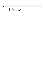|                | help.c<br>Registered Version: Journaled File System                                                                                                                                                                                                                                         | Exhibit 10.1-36 pg 3/3 |
|----------------|---------------------------------------------------------------------------------------------------------------------------------------------------------------------------------------------------------------------------------------------------------------------------------------------|------------------------|
| 181            | , "Displays root of the non-directory btree and enters a subcommand mode in which to $\ln$ ",                                                                                                                                                                                               |                        |
| 182            | $stdout$ );                                                                                                                                                                                                                                                                                 |                        |
| 183            | fputs ("navigate the biree. Subcommands:\n", stdout);                                                                                                                                                                                                                                       |                        |
| 184            | fputs ("\tl\tvisit left sibling\n", stdout);                                                                                                                                                                                                                                                |                        |
| 185            | fputs("\tm\tmodify current node\n", stdout);                                                                                                                                                                                                                                                |                        |
| 186            | fputs ("\tp\tvisit parent node (not parent directory)\n", stdout);                                                                                                                                                                                                                          |                        |
| 187            | fputs ("\tr\tvisit right sibling\n", stdout);                                                                                                                                                                                                                                               |                        |
| 188            | fputs $(\sqrt[n]{10-9}$ to $\sqrt[3]{10}$ to $\sqrt[3]{10}$ to $\sqrt[3]{10}$ to $\sqrt[3]{10}$ to $\sqrt[3]{10}$ to $\sqrt[3]{10}$ for $\sqrt[3]{10}$ for $\sqrt[3]{10}$ for $\sqrt[3]{10}$ for $\sqrt[3]{10}$ for $\sqrt[3]{10}$ for $\sqrt[3]{10}$ for $\sqrt[3]{10}$ for $\sqrt[3]{10}$ |                        |
| 189            | fputs ("\tx\texit subcommand mode\n\n", stdout);                                                                                                                                                                                                                                            |                        |
| $e$ lse<br>190 |                                                                                                                                                                                                                                                                                             |                        |
| 191            | fprintf(stderr, "help: Unknown command $\frac{\partial \phi(s)}{\partial n}$ , cmd);                                                                                                                                                                                                        |                        |
| 192            |                                                                                                                                                                                                                                                                                             |                        |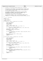```
\frac{1}{1}2 * Copyright (c) International Business Machines Corp., 2000−2002
\frac{3}{4}4 * This program is free software; you can redistribute it and/or modify
 5 * it under the terms of the GNU General Public License as published by
6 * the Free Software Foundation; either version 2 of the License, or 
7 * (at your option) any later version.
 8 * 
* This program is distributed in the hope that it will be useful,<br>"but WITHOUT ANY WARRANTY; without even the implied warranty of<br>"* MERCHANTABILITY or FITNESS FOR A PARTICULAR PURPOSE. See<br>"* the GNU General Public Licens
13<br>14<sup>14</sup> * You should have received a copy of the GNU General Public License<br><sup>15</sup> * along with this program: if not, write to the Free Software
15 * along with this program; if not, write to the Free Software 
16 * Foundation, Inc., 59 Temple Place, Suite 330, Boston, MA 02111−1307 USA
17 + 17\begin{array}{ccc}\n18 & & \nearrow \star \\
19 & & \star\n\end{array}io.c - I/O routines
20 */
21 #include "xpeek.h"
22
23 /* libfs includes *,<br>24 \#include \star24 #include <devices.h>
25
    int xRead(int64_t address, unsigned count, char *buffer)
\frac{26}{27}28 int64_t block_address;
29 char *block_buffer;
30 int64_t length;
31 unsigned offset;
32
33 offset = address & (bsize − 1);
34 length = (offset + count + bsize − 1) & ~(bsize − 1);
35
36 if ((offset == 0) & (length == count))
37 return ujfs rw diskblocks(fd, address, count, buffer, GET);
38
39 block_address = address - offset;<br>40 block buffer = (char *) malloc(le
40 block_buffer = (char *) malloc(length);
41 if (block_buffer == 0)
42 return 1;
43
44 if (ujfs_rw_diskblocks(fd, block_address, length, block_buffer, GET)) {
                        free(block_buffer);
46 return 1;
47 }
48 memcpy(buffer, block_buffer + offset, count);<br>free(block_buffer);
49 free(\text{block\_buffer});<br>50 return 0;
              50 return 0;
51 }
52
    int xWrite(int64_tt address, unsigned count, char *buffer)
\frac{54}{55} {
55 int64_t block_address;
56 char *block_buffer;
57 int64_t length;
58 unsigned offset;
59
60 offset = address & (bsize − 1);
61 length = (offset + count + bsize − 1) & ~(bsize − 1);
62
63 if ((offset == 0) & (length == count))<br>return uifs rw diskblocks(fd,
                        64 return ujfs_rw_diskblocks(fd, address, count, buffer, PUT);
65
66 block_address = address − offset;
67 block_buffer = (char *) malloc(length);
68 if (block_buffer == 0)
69 return 1;
70
71 if (ujfs_rw_diskblocks(fd, block_address, length, block_buffer, GET)) {
72 free(block_buffer);<br>
73 return 1;73 return 1;
74 }
75 memcpy(block_buffer + offset, buffer, count);
76 if (ujfs_rw_diskblocks(fd, block_address, length, block_buffer, PUT)) {
77 5 5 5 5 5 78 78 78 7878 return 1;<br>
\begin{array}{ccc} 79 & & & \end{array}79 }
\text{free}(\text{block\_buffer});
81 return 0;
82 }
Registered Version: Journaled File System io.c Exhibit 10.1−37 pg 1/1
```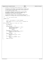```
\frac{1}{1}2 * Copyright (c) International Business Machines Corp., 2000−2002
\frac{3}{4}4 * This program is free software; you can redistribute it and/or modify
5 * it under the terms of the GNU General Public License as published by
6 * the Free Software Foundation; either version 2 of the License, or 
7 * (at your option) any later version.
 8 * 
 * This program is distributed in the hope that it will be useful,<br>"but WITHOUT ANY WARRANTY; without even the implied warranty of<br>"* MERCHANTABILITY or FITNESS FOR A PARTICULAR PURPOSE. See<br>"* the GNU General Public Licens
13<br>1414 * You should have received a copy of the GNU General Public License
15 * along with this program; if not, write to the Free Software 
16 * Foundation, Inc., 59 Temple Place, Suite 330, Boston, MA 02111−1307 USA
\begin{array}{ccc} 10 & * & / \\ 17 & * & / \\ 18 & / \end{array}18 /*<br>19 *
        * ui.c - User Interface routines
\frac{20}{21}#include "xpeek.h"
22
23 / *<br>24
                   m_parse - parse parameters to 'm'odify subcommand
25
26 NOTE: Assumes last call to strtok() parsed "m" subcommand from
                   command line.
28 *29 int m_parse(char *cmd_line, int n_fields, char **value)
30 {
31 int field_number;<br>32 char *token;
                   char *token;
33
34 token = strtok(0, " \ln");<br>35 if (token == 0) {
 35 if (token == 0) {
36 fputs("Please enter: field−number value > ", stdout);
 37 fgets(cmd_line, 80, stdin);
38 token = strtok(cmd_line, " \n");
39 if (token == 0)
                                               40 return 0;
 41 }
42 field_number = strtol(token, 0, 0);<br>43 if (field_number < 1 || field_numbe:
43 if (field_number < 1 || field_number > n_fields) {<br>
fputs("Invalid field number\n", stderr);
44 fputs("Invalid field number\overline{n}", stderr);<br>45 for the field number \overline{n}", stderr);
                                 45 return 0;
 46 }
47 *value = strtok(0, " \n");
 48 if (*value == 0) {
49 fputs("Not enough arguments\n", stderr);
50 return 0;
 51 }
\begin{array}{cc} 52 & \text{if } (\text{strtok}(0, \text{''} \quad \text{''})) \\ 53 & \text{fouts}(\text{''} \quad \text{''} \quad \text{''} \quad \text{``} \quad \text{``} \quad \text{``} \quad \text{``} \quad \text{``} \quad \text{``} \quad \text{``} \quad \text{``} \quad \text{``} \quad \text{``} \quad \text{``} \quad \text{``} \quad \text{``} \quad \text{``} \quad \text{``} \quad \text{``} \quad \text{``} \quad \text{``} \quad \text{``} \quad \text{``} \quad \text{``} \quad \text{``}\begin{array}{c} 53 \\ 53 \\ 54 \end{array} fputs("Too many arguments\n", stderr);<br>return 0;
54 return 0;
 55 }
56 return field_number;
     \left\{ \right\}Registered Version: Journaled File System ui.c Exhibit 10.1−38 pg 1/1
```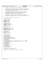```
\frac{1}{1}2 * Copyright (c) International Business Machines Corp., 2000−2002
\frac{3}{4}4 * This program is free software; you can redistribute it and/or modify
 5 * it under the terms of the GNU General Public License as published by
6 * the Free Software Foundation; either version 2 of the License, or 
7 * (at your option) any later version.
 8 * 
* This program is distributed in the hope that it will be useful,<br>"but WITHOUT ANY WARRANTY; without even the implied warranty of<br>"* MERCHANTABILITY or FITNESS FOR A PARTICULAR PURPOSE. See<br>"* the GNU General Public Licens
13<br>14<sup>14</sup> * You should have received a copy of the GNU General Public License<br><sup>15</sup> * along with this program: if not, write to the Free Software
15 * along with this program; if not, write to the Free Software 
16 * Foundation, Inc., 59 Temple Place, Suite 330, Boston, MA 02111−1307 USA
\begin{array}{ccc} 10 & * & / \\ 17 & / & / \\ 18 & / & \end{array}18 / *<br>19 *FUNCTION: common data & function prototypes
\frac{20}{21}#include <jfs_types.h>
22
23 /* system includes */<br>24 \#include \star24 #include <stdio.h>
    #include <string.h>
26 #include <stdlib.h>
27 #include <errno.h>
28
29 /* JFS includes */
30 #include <jfs_dinode.h>
31 #include <jfs_imap.h>
32 #include <jfs_superblock.h>
33 #include <devices.h>
34
35 / * Defines */<br>36 +Hdefine AGGRE
    36 #define AGGREGATE_2ND_I −1
37
<sup>38</sup> #define XPEEK_OK 0x00<br>39 #define XPEEK_CHANGED 0x01
39 #define XPEEK_CHANGED<br>40 #define XPEEK REDISPLA
     40 #define XPEEK_REDISPLAY 0x10
41 #define XPEEK_ERROR −1
42
43 /* Global Data */<br>44 extern int bsize;
44 extern int bsize;
45 extern HFILE fd;
46 extern short l2bsize;
47
48 /* xpeek functions */
49
50 void alter(void);
51 void cbblfsck(void);
52 void directory(void);<br>53 void display(void);
    void display(void);
54 void display_iag(struct iag *);
55 void display_inode(struct dinode *);
56 int display_super(struct superblock *);<br>57 void dmap(void);
    void \text{dmap}(void);
58 void dtree(void);<br>59 void help(void);
    void help(void);
60 int find_iag(unsigned iagnum, unsigned which_table, int64_t * address);
61 int find_inode(unsigned inum, unsigned which_table, int64_t * address);
62 void fsckwsphdr(void);<br>63 void iaq(void);
63 void iag(void);<br>64 void inode(void
    void inode(void);
65 void logsuper(void);
66 int m_parse(char *, int, char **);
\frac{1}{67} int more(void);<br>\frac{1}{68} char prompt(chai
    char prompt(char *);69 void superblock(void);<br>m void s2perblock(void);
    void s2perblock(void);
71 void xtree(void);
72
73 int xRead(int64_t, unsigned, char *);
74 int xWrite(int64_t, unsigned, char *);
75
76 #define fputs(string,fd) { fputs(string,fd); fflush(fd); }
Registered Version: Journaled File System Xpeek.h Xpeek.h Exhibit 10.1–39 pg 1/1
```